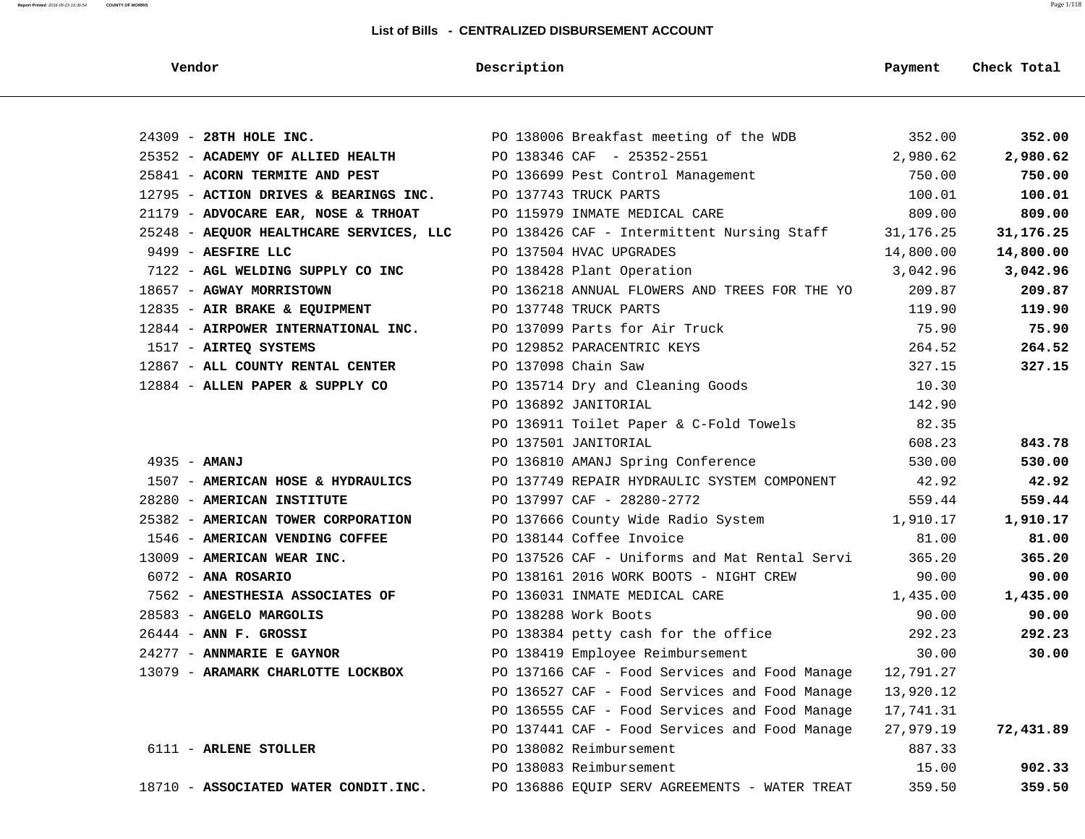| Vendor                                  | Description                                          | Payment   | Check Total |
|-----------------------------------------|------------------------------------------------------|-----------|-------------|
|                                         |                                                      |           |             |
| 24309 - 28TH HOLE INC.                  | PO 138006 Breakfast meeting of the WDB 352.00        |           | 352.00      |
| 25352 - ACADEMY OF ALLIED HEALTH        | PO 138346 CAF - 25352-2551                           | 2,980.62  | 2,980.62    |
| 25841 - ACORN TERMITE AND PEST          | PO 136699 Pest Control Management                    | 750.00    | 750.00      |
| 12795 - ACTION DRIVES & BEARINGS INC.   | PO 137743 TRUCK PARTS                                | 100.01    | 100.01      |
| 21179 - ADVOCARE EAR, NOSE & TRHOAT     | PO 115979 INMATE MEDICAL CARE                        | 809.00    | 809.00      |
| 25248 - AEQUOR HEALTHCARE SERVICES, LLC | PO 138426 CAF - Intermittent Nursing Staff 31,176.25 |           | 31,176.25   |
| 9499 - AESFIRE LLC                      | PO 137504 HVAC UPGRADES                              | 14,800.00 | 14,800.00   |
| 7122 - AGL WELDING SUPPLY CO INC        | PO 138428 Plant Operation                            | 3,042.96  | 3,042.96    |
| 18657 - AGWAY MORRISTOWN                | PO 136218 ANNUAL FLOWERS AND TREES FOR THE YO        | 209.87    | 209.87      |
| 12835 - AIR BRAKE & EQUIPMENT           | PO 137748 TRUCK PARTS                                | 119.90    | 119.90      |
| 12844 - AIRPOWER INTERNATIONAL INC.     | PO 137099 Parts for Air Truck                        | 75.90     | 75.90       |
| 1517 - AIRTEQ SYSTEMS                   | PO 129852 PARACENTRIC KEYS                           | 264.52    | 264.52      |
| 12867 - ALL COUNTY RENTAL CENTER        | PO 137098 Chain Saw                                  | 327.15    | 327.15      |
| 12884 - ALLEN PAPER & SUPPLY CO         | PO 135714 Dry and Cleaning Goods                     | 10.30     |             |
|                                         | PO 136892 JANITORIAL                                 | 142.90    |             |
|                                         | PO 136911 Toilet Paper & C-Fold Towels               | 82.35     |             |
|                                         | PO 137501 JANITORIAL                                 | 608.23    | 843.78      |
| $4935 - AMANJ$                          | PO 136810 AMANJ Spring Conference                    | 530.00    | 530.00      |
| 1507 - AMERICAN HOSE & HYDRAULICS       | PO 137749 REPAIR HYDRAULIC SYSTEM COMPONENT          | 42.92     | 42.92       |
| 28280 - AMERICAN INSTITUTE              | PO 137997 CAF - 28280-2772                           | 559.44    | 559.44      |
| 25382 - AMERICAN TOWER CORPORATION      | PO 137666 County Wide Radio System                   | 1,910.17  | 1,910.17    |
| 1546 - AMERICAN VENDING COFFEE          | PO 138144 Coffee Invoice                             | 81.00     | 81.00       |
| 13009 - AMERICAN WEAR INC.              | PO 137526 CAF - Uniforms and Mat Rental Servi        | 365.20    | 365.20      |
| $6072$ - ANA ROSARIO                    | PO 138161 2016 WORK BOOTS - NIGHT CREW               | 90.00     | 90.00       |
| 7562 - ANESTHESIA ASSOCIATES OF         | PO 136031 INMATE MEDICAL CARE                        | 1,435.00  | 1,435.00    |
| 28583 - ANGELO MARGOLIS                 | PO 138288 Work Boots                                 | 90.00     | 90.00       |
| $26444$ - ANN F. GROSSI                 | PO 138384 petty cash for the office                  | 292.23    | 292.23      |
| 24277 - ANNMARIE E GAYNOR               | PO 138419 Employee Reimbursement                     | 30.00     | 30.00       |
| 13079 - ARAMARK CHARLOTTE LOCKBOX       | PO 137166 CAF - Food Services and Food Manage        | 12,791.27 |             |
|                                         | PO 136527 CAF - Food Services and Food Manage        | 13,920.12 |             |
|                                         | PO 136555 CAF - Food Services and Food Manage        | 17,741.31 |             |
|                                         | PO 137441 CAF - Food Services and Food Manage        | 27,979.19 | 72,431.89   |
| 6111 - ARLENE STOLLER                   | PO 138082 Reimbursement                              | 887.33    |             |
|                                         | PO 138083 Reimbursement                              | 15.00     | 902.33      |
| 18710 - ASSOCIATED WATER CONDIT.INC.    | PO 136886 EQUIP SERV AGREEMENTS - WATER TREAT        | 359.50    | 359.50      |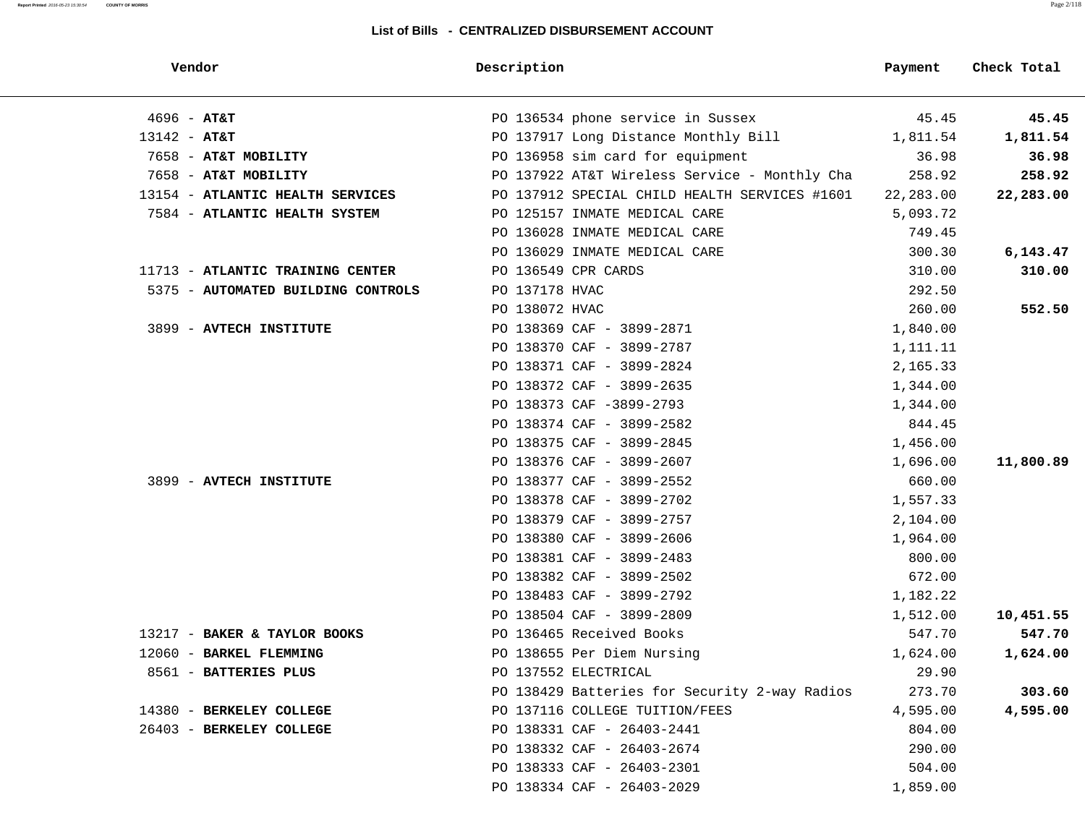| Vendor                             | Description    |                                               | Payment   | Check Total |
|------------------------------------|----------------|-----------------------------------------------|-----------|-------------|
| $4696 - AT&T$                      |                | PO 136534 phone service in Sussex             | 45.45     | 45.45       |
| $13142 - AT&T$                     |                | PO 137917 Long Distance Monthly Bill          | 1,811.54  | 1,811.54    |
| 7658 - AT&T MOBILITY               |                | PO 136958 sim card for equipment              | 36.98     | 36.98       |
| 7658 - AT&T MOBILITY               |                | PO 137922 AT&T Wireless Service - Monthly Cha | 258.92    | 258.92      |
| 13154 - ATLANTIC HEALTH SERVICES   |                | PO 137912 SPECIAL CHILD HEALTH SERVICES #1601 | 22,283.00 | 22,283.00   |
| 7584 - ATLANTIC HEALTH SYSTEM      |                | PO 125157 INMATE MEDICAL CARE                 | 5,093.72  |             |
|                                    |                | PO 136028 INMATE MEDICAL CARE                 | 749.45    |             |
|                                    |                | PO 136029 INMATE MEDICAL CARE                 | 300.30    | 6, 143.47   |
| 11713 - ATLANTIC TRAINING CENTER   |                | PO 136549 CPR CARDS                           | 310.00    | 310.00      |
| 5375 - AUTOMATED BUILDING CONTROLS | PO 137178 HVAC |                                               | 292.50    |             |
|                                    | PO 138072 HVAC |                                               | 260.00    | 552.50      |
| 3899 - AVTECH INSTITUTE            |                | PO 138369 CAF - 3899-2871                     | 1,840.00  |             |
|                                    |                | PO 138370 CAF - 3899-2787                     | 1,111.11  |             |
|                                    |                | PO 138371 CAF - 3899-2824                     | 2,165.33  |             |
|                                    |                | PO 138372 CAF - 3899-2635                     | 1,344.00  |             |
|                                    |                | PO 138373 CAF -3899-2793                      | 1,344.00  |             |
|                                    |                | PO 138374 CAF - 3899-2582                     | 844.45    |             |
|                                    |                | PO 138375 CAF - 3899-2845                     | 1,456.00  |             |
|                                    |                | PO 138376 CAF - 3899-2607                     | 1,696.00  | 11,800.89   |
| 3899 - AVTECH INSTITUTE            |                | PO 138377 CAF - 3899-2552                     | 660.00    |             |
|                                    |                | PO 138378 CAF - 3899-2702                     | 1,557.33  |             |
|                                    |                | PO 138379 CAF - 3899-2757                     | 2,104.00  |             |
|                                    |                | PO 138380 CAF - 3899-2606                     | 1,964.00  |             |
|                                    |                | PO 138381 CAF - 3899-2483                     | 800.00    |             |
|                                    |                | PO 138382 CAF - 3899-2502                     | 672.00    |             |
|                                    |                | PO 138483 CAF - 3899-2792                     | 1,182.22  |             |
|                                    |                | PO 138504 CAF - 3899-2809                     | 1,512.00  | 10,451.55   |
| 13217 - BAKER & TAYLOR BOOKS       |                | PO 136465 Received Books                      | 547.70    | 547.70      |
| 12060 - BARKEL FLEMMING            |                | PO 138655 Per Diem Nursing                    | 1,624.00  | 1,624.00    |
| 8561 - BATTERIES PLUS              |                | PO 137552 ELECTRICAL                          | 29.90     |             |
|                                    |                | PO 138429 Batteries for Security 2-way Radios | 273.70    | 303.60      |
| 14380 - BERKELEY COLLEGE           |                | PO 137116 COLLEGE TUITION/FEES                | 4,595.00  | 4,595.00    |
| 26403 - BERKELEY COLLEGE           |                | PO 138331 CAF - 26403-2441                    | 804.00    |             |
|                                    |                | PO 138332 CAF - 26403-2674                    | 290.00    |             |
|                                    |                | PO 138333 CAF - 26403-2301                    | 504.00    |             |
|                                    |                | PO 138334 CAF - 26403-2029                    | 1,859.00  |             |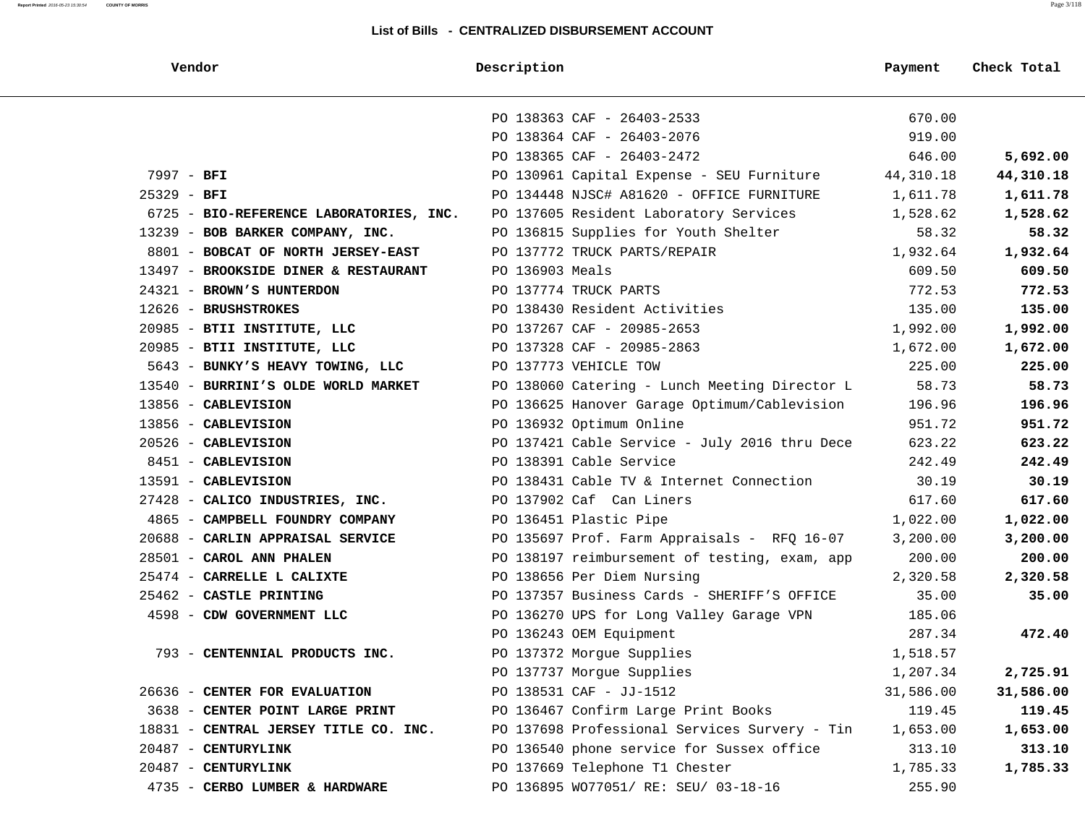| Vendor                                  | Description                                   | Payment   | Check Total |
|-----------------------------------------|-----------------------------------------------|-----------|-------------|
|                                         | PO 138363 CAF - 26403-2533                    | 670.00    |             |
|                                         | PO 138364 CAF - 26403-2076                    | 919.00    |             |
|                                         | PO 138365 CAF - 26403-2472                    | 646.00    | 5,692.00    |
| 7997 - BFI                              | PO 130961 Capital Expense - SEU Furniture     | 44,310.18 | 44,310.18   |
| $25329 - BFI$                           | PO 134448 NJSC# A81620 - OFFICE FURNITURE     | 1,611.78  | 1,611.78    |
| 6725 - BIO-REFERENCE LABORATORIES, INC. | PO 137605 Resident Laboratory Services        | 1,528.62  | 1,528.62    |
| 13239 - BOB BARKER COMPANY, INC.        | PO 136815 Supplies for Youth Shelter          | 58.32     | 58.32       |
| 8801 - BOBCAT OF NORTH JERSEY-EAST      | PO 137772 TRUCK PARTS/REPAIR                  | 1,932.64  | 1,932.64    |
| 13497 - BROOKSIDE DINER & RESTAURANT    | PO 136903 Meals                               | 609.50    | 609.50      |
| 24321 - BROWN'S HUNTERDON               | PO 137774 TRUCK PARTS                         | 772.53    | 772.53      |
| 12626 - BRUSHSTROKES                    | PO 138430 Resident Activities                 | 135.00    | 135.00      |
| 20985 - BTII INSTITUTE, LLC             | PO 137267 CAF - 20985-2653                    | 1,992.00  | 1,992.00    |
| 20985 - BTII INSTITUTE, LLC             | PO 137328 CAF - 20985-2863                    | 1,672.00  | 1,672.00    |
| 5643 - BUNKY'S HEAVY TOWING, LLC        | PO 137773 VEHICLE TOW                         | 225.00    | 225.00      |
| 13540 - BURRINI'S OLDE WORLD MARKET     | PO 138060 Catering - Lunch Meeting Director L | 58.73     | 58.73       |
| 13856 - CABLEVISION                     | PO 136625 Hanover Garage Optimum/Cablevision  | 196.96    | 196.96      |
| 13856 - CABLEVISION                     | PO 136932 Optimum Online                      | 951.72    | 951.72      |
| 20526 - CABLEVISION                     | PO 137421 Cable Service - July 2016 thru Dece | 623.22    | 623.22      |
| 8451 - CABLEVISION                      | PO 138391 Cable Service                       | 242.49    | 242.49      |
| 13591 - CABLEVISION                     | PO 138431 Cable TV & Internet Connection      | 30.19     | 30.19       |
| 27428 - CALICO INDUSTRIES, INC.         | PO 137902 Caf Can Liners                      | 617.60    | 617.60      |
| 4865 - CAMPBELL FOUNDRY COMPANY         | PO 136451 Plastic Pipe                        | 1,022.00  | 1,022.00    |
| 20688 - CARLIN APPRAISAL SERVICE        | PO 135697 Prof. Farm Appraisals - RFQ 16-07   | 3,200.00  | 3,200.00    |
| 28501 - CAROL ANN PHALEN                | PO 138197 reimbursement of testing, exam, app | 200.00    | 200.00      |
| 25474 - CARRELLE L CALIXTE              | PO 138656 Per Diem Nursing                    | 2,320.58  | 2,320.58    |
| 25462 - CASTLE PRINTING                 | PO 137357 Business Cards - SHERIFF'S OFFICE   | 35.00     | 35.00       |
| 4598 - CDW GOVERNMENT LLC               | PO 136270 UPS for Long Valley Garage VPN      | 185.06    |             |
|                                         | PO 136243 OEM Equipment                       | 287.34    | 472.40      |
| 793 - CENTENNIAL PRODUCTS INC.          | PO 137372 Morgue Supplies                     | 1,518.57  |             |
|                                         | PO 137737 Morque Supplies                     | 1,207.34  | 2,725.91    |
| 26636 - CENTER FOR EVALUATION           | PO 138531 CAF - JJ-1512                       | 31,586.00 | 31,586.00   |
| 3638 - CENTER POINT LARGE PRINT         | PO 136467 Confirm Large Print Books           | 119.45    | 119.45      |
| 18831 - CENTRAL JERSEY TITLE CO. INC.   | PO 137698 Professional Services Survery - Tin | 1,653.00  | 1,653.00    |
| 20487 - CENTURYLINK                     | PO 136540 phone service for Sussex office     | 313.10    | 313.10      |
| 20487 - CENTURYLINK                     | PO 137669 Telephone T1 Chester                | 1,785.33  | 1,785.33    |
| 4735 - CERBO LUMBER & HARDWARE          | PO 136895 WO77051/ RE: SEU/ 03-18-16          | 255.90    |             |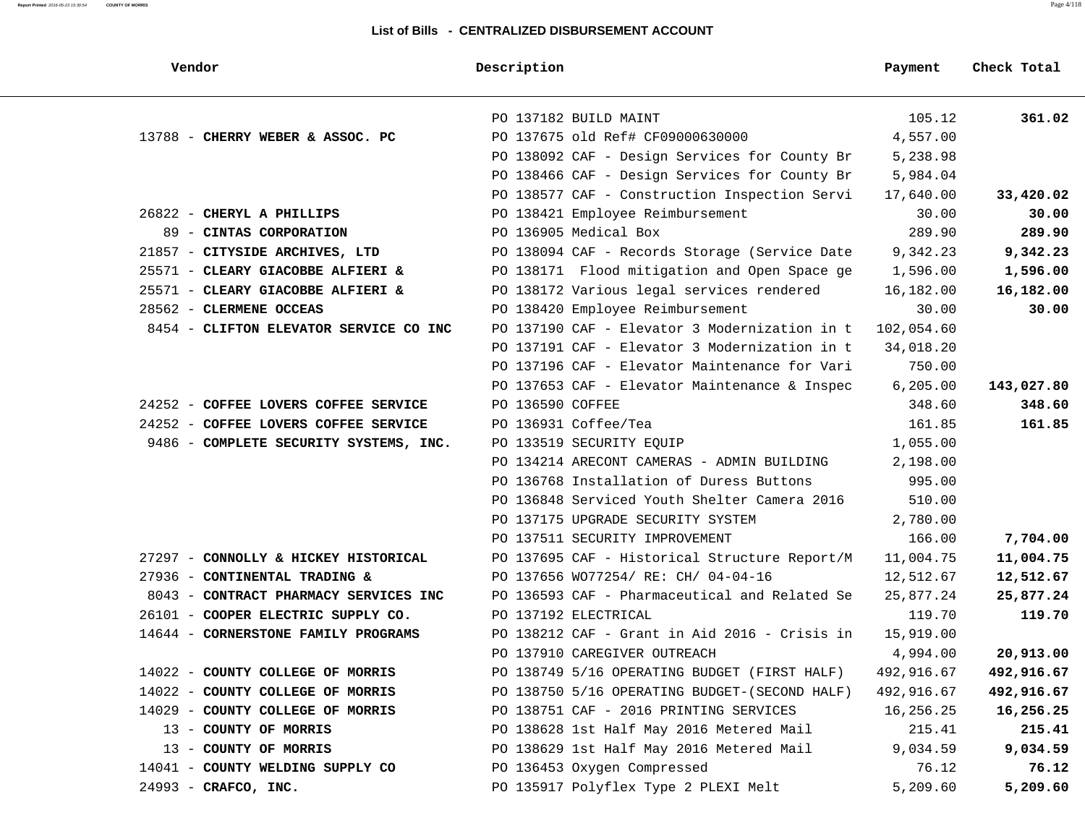| Vendor                                 | Description                                   | Payment    | Check Total |
|----------------------------------------|-----------------------------------------------|------------|-------------|
|                                        | PO 137182 BUILD MAINT                         | 105.12     | 361.02      |
| 13788 - CHERRY WEBER & ASSOC. PC       | PO 137675 old Ref# CF09000630000              | 4,557.00   |             |
|                                        | PO 138092 CAF - Design Services for County Br | 5,238.98   |             |
|                                        | PO 138466 CAF - Design Services for County Br | 5,984.04   |             |
|                                        | PO 138577 CAF - Construction Inspection Servi | 17,640.00  | 33,420.02   |
| 26822 - CHERYL A PHILLIPS              | PO 138421 Employee Reimbursement              | 30.00      | 30.00       |
| 89 - CINTAS CORPORATION                | PO 136905 Medical Box                         | 289.90     | 289.90      |
| 21857 - CITYSIDE ARCHIVES, LTD         | PO 138094 CAF - Records Storage (Service Date | 9,342.23   | 9,342.23    |
| 25571 - CLEARY GIACOBBE ALFIERI &      | PO 138171 Flood mitigation and Open Space ge  | 1,596.00   | 1,596.00    |
| 25571 - CLEARY GIACOBBE ALFIERI &      | PO 138172 Various legal services rendered     | 16,182.00  | 16,182.00   |
| 28562 - CLERMENE OCCEAS                | PO 138420 Employee Reimbursement              | 30.00      | 30.00       |
| 8454 - CLIFTON ELEVATOR SERVICE CO INC | PO 137190 CAF - Elevator 3 Modernization in t | 102,054.60 |             |
|                                        | PO 137191 CAF - Elevator 3 Modernization in t | 34,018.20  |             |
|                                        | PO 137196 CAF - Elevator Maintenance for Vari | 750.00     |             |
|                                        | PO 137653 CAF - Elevator Maintenance & Inspec | 6, 205.00  | 143,027.80  |
| 24252 - COFFEE LOVERS COFFEE SERVICE   | PO 136590 COFFEE                              | 348.60     | 348.60      |
| 24252 - COFFEE LOVERS COFFEE SERVICE   | PO 136931 Coffee/Tea                          | 161.85     | 161.85      |
| 9486 - COMPLETE SECURITY SYSTEMS, INC. | PO 133519 SECURITY EOUIP                      | 1,055.00   |             |
|                                        | PO 134214 ARECONT CAMERAS - ADMIN BUILDING    | 2,198.00   |             |
|                                        | PO 136768 Installation of Duress Buttons      | 995.00     |             |
|                                        | PO 136848 Serviced Youth Shelter Camera 2016  | 510.00     |             |
|                                        | PO 137175 UPGRADE SECURITY SYSTEM             | 2,780.00   |             |
|                                        | PO 137511 SECURITY IMPROVEMENT                | 166.00     | 7,704.00    |
| 27297 - CONNOLLY & HICKEY HISTORICAL   | PO 137695 CAF - Historical Structure Report/M | 11,004.75  | 11,004.75   |
| 27936 - CONTINENTAL TRADING &          | PO 137656 WO77254/ RE: CH/ 04-04-16           | 12,512.67  | 12,512.67   |
| 8043 - CONTRACT PHARMACY SERVICES INC  | PO 136593 CAF - Pharmaceutical and Related Se | 25,877.24  | 25,877.24   |
| 26101 - COOPER ELECTRIC SUPPLY CO.     | PO 137192 ELECTRICAL                          | 119.70     | 119.70      |
| 14644 - CORNERSTONE FAMILY PROGRAMS    | PO 138212 CAF - Grant in Aid 2016 - Crisis in | 15,919.00  |             |
|                                        | PO 137910 CAREGIVER OUTREACH                  | 4,994.00   | 20,913.00   |
| 14022 - COUNTY COLLEGE OF MORRIS       | PO 138749 5/16 OPERATING BUDGET (FIRST HALF)  | 492,916.67 | 492,916.67  |
| 14022 - COUNTY COLLEGE OF MORRIS       | PO 138750 5/16 OPERATING BUDGET-(SECOND HALF) | 492,916.67 | 492,916.67  |
| 14029 - COUNTY COLLEGE OF MORRIS       | PO 138751 CAF - 2016 PRINTING SERVICES        | 16,256.25  | 16,256.25   |
| 13 - COUNTY OF MORRIS                  | PO 138628 1st Half May 2016 Metered Mail      | 215.41     | 215.41      |
| 13 - COUNTY OF MORRIS                  | PO 138629 1st Half May 2016 Metered Mail      | 9,034.59   | 9,034.59    |
| 14041 - COUNTY WELDING SUPPLY CO       | PO 136453 Oxygen Compressed                   | 76.12      | 76.12       |
| 24993 - CRAFCO, INC.                   | PO 135917 Polyflex Type 2 PLEXI Melt          | 5,209.60   | 5,209.60    |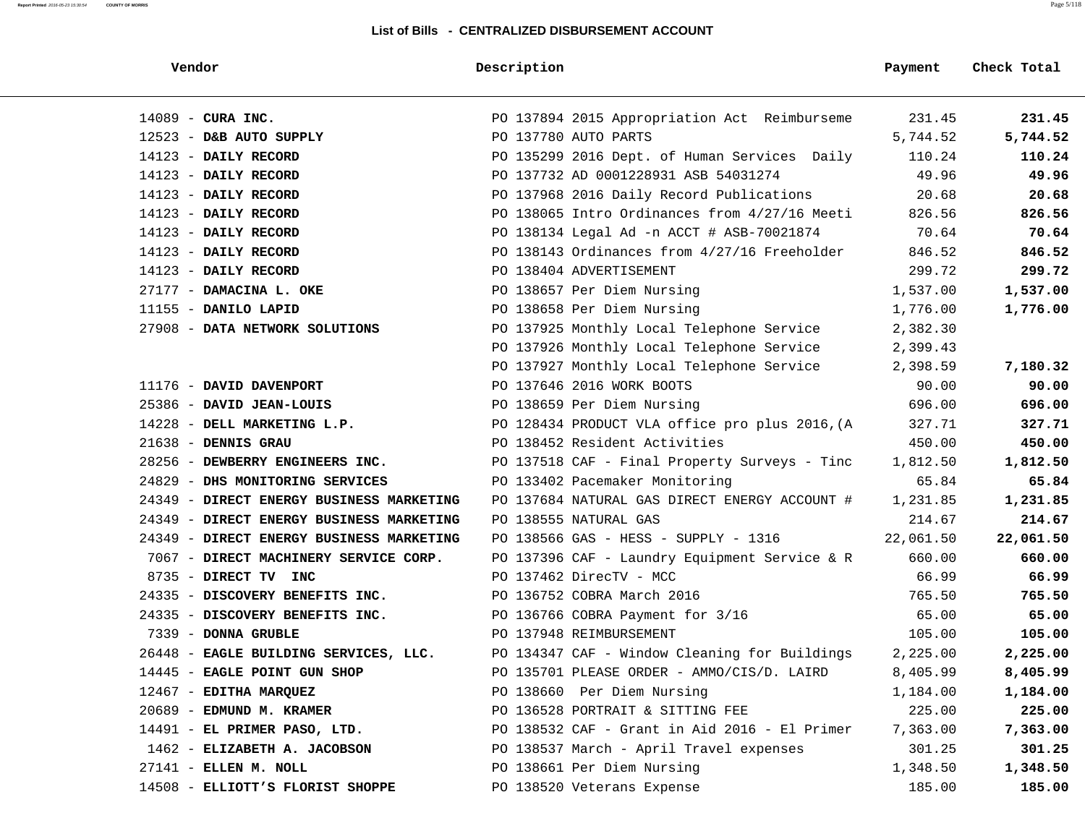| Vendor                                   | Description                                    | Payment   | Check Total |
|------------------------------------------|------------------------------------------------|-----------|-------------|
| $14089$ - CURA INC.                      | PO 137894 2015 Appropriation Act Reimburseme   | 231.45    | 231.45      |
| $12523$ - D&B AUTO SUPPLY                | PO 137780 AUTO PARTS                           | 5,744.52  | 5,744.52    |
| 14123 - DAILY RECORD                     | PO 135299 2016 Dept. of Human Services Daily   | 110.24    | 110.24      |
| 14123 - DAILY RECORD                     | PO 137732 AD 0001228931 ASB 54031274           | 49.96     | 49.96       |
| $14123$ - DAILY RECORD                   | PO 137968 2016 Daily Record Publications       | 20.68     | 20.68       |
| 14123 - DAILY RECORD                     | PO 138065 Intro Ordinances from 4/27/16 Meeti  | 826.56    | 826.56      |
| $14123$ - DAILY RECORD                   | PO 138134 Legal Ad -n ACCT # ASB-70021874      | 70.64     | 70.64       |
| $14123$ - DAILY RECORD                   | PO 138143 Ordinances from 4/27/16 Freeholder   | 846.52    | 846.52      |
| $14123$ - DAILY RECORD                   | PO 138404 ADVERTISEMENT                        | 299.72    | 299.72      |
| 27177 - DAMACINA L. OKE                  | PO 138657 Per Diem Nursing                     | 1,537.00  | 1,537.00    |
| $11155$ - DANILO LAPID                   | PO 138658 Per Diem Nursing                     | 1,776.00  | 1,776.00    |
| 27908 - DATA NETWORK SOLUTIONS           | PO 137925 Monthly Local Telephone Service      | 2,382.30  |             |
|                                          | PO 137926 Monthly Local Telephone Service      | 2,399.43  |             |
|                                          | PO 137927 Monthly Local Telephone Service      | 2,398.59  | 7,180.32    |
| 11176 - DAVID DAVENPORT                  | PO 137646 2016 WORK BOOTS                      | 90.00     | 90.00       |
| 25386 - DAVID JEAN-LOUIS                 | PO 138659 Per Diem Nursing                     | 696.00    | 696.00      |
| 14228 - DELL MARKETING L.P.              | PO 128434 PRODUCT VLA office pro plus 2016, (A | 327.71    | 327.71      |
| 21638 - DENNIS GRAU                      | PO 138452 Resident Activities                  | 450.00    | 450.00      |
| 28256 - DEWBERRY ENGINEERS INC.          | PO 137518 CAF - Final Property Surveys - Tinc  | 1,812.50  | 1,812.50    |
| 24829 - DHS MONITORING SERVICES          | PO 133402 Pacemaker Monitoring                 | 65.84     | 65.84       |
| 24349 - DIRECT ENERGY BUSINESS MARKETING | PO 137684 NATURAL GAS DIRECT ENERGY ACCOUNT #  | 1,231.85  | 1,231.85    |
| 24349 - DIRECT ENERGY BUSINESS MARKETING | PO 138555 NATURAL GAS                          | 214.67    | 214.67      |
| 24349 - DIRECT ENERGY BUSINESS MARKETING | PO 138566 GAS - HESS - SUPPLY - 1316           | 22,061.50 | 22,061.50   |
| 7067 - DIRECT MACHINERY SERVICE CORP.    | PO 137396 CAF - Laundry Equipment Service & R  | 660.00    | 660.00      |
| 8735 - DIRECT TV INC                     | PO 137462 DirecTV - MCC                        | 66.99     | 66.99       |
| 24335 - DISCOVERY BENEFITS INC.          | PO 136752 COBRA March 2016                     | 765.50    | 765.50      |
| 24335 - DISCOVERY BENEFITS INC.          | PO 136766 COBRA Payment for 3/16               | 65.00     | 65.00       |
| 7339 - DONNA GRUBLE                      | PO 137948 REIMBURSEMENT                        | 105.00    | 105.00      |
| 26448 - EAGLE BUILDING SERVICES, LLC.    | PO 134347 CAF - Window Cleaning for Buildings  | 2,225.00  | 2,225.00    |
| 14445 - EAGLE POINT GUN SHOP             | PO 135701 PLEASE ORDER - AMMO/CIS/D. LAIRD     | 8,405.99  | 8,405.99    |
| 12467 - EDITHA MARQUEZ                   | PO 138660 Per Diem Nursing                     | 1,184.00  | 1,184.00    |
| 20689 - EDMUND M. KRAMER                 | PO 136528 PORTRAIT & SITTING FEE               | 225.00    | 225.00      |
| 14491 - EL PRIMER PASO, LTD.             | PO 138532 CAF - Grant in Aid 2016 - El Primer  | 7,363.00  | 7,363.00    |
| 1462 - ELIZABETH A. JACOBSON             | PO 138537 March - April Travel expenses        | 301.25    | 301.25      |
| 27141 - ELLEN M. NOLL                    | PO 138661 Per Diem Nursing                     | 1,348.50  | 1,348.50    |
| 14508 - ELLIOTT'S FLORIST SHOPPE         | PO 138520 Veterans Expense                     | 185.00    | 185.00      |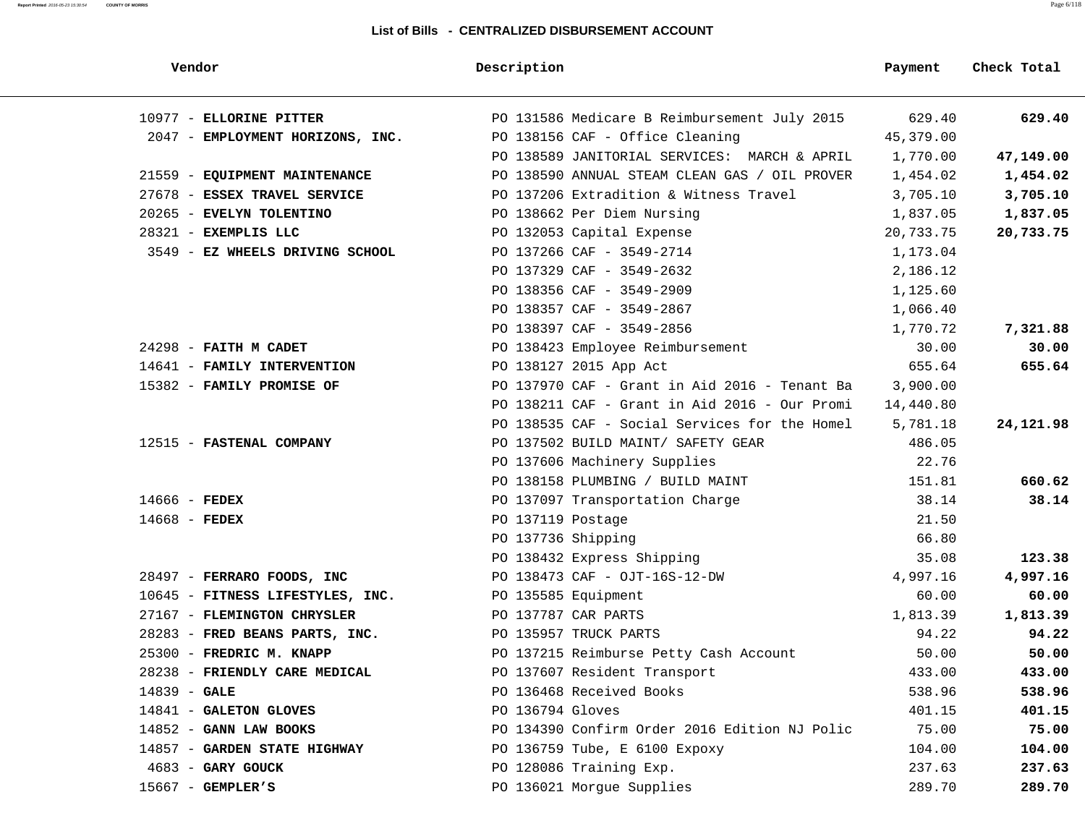#### **Report Printed** 2016-05-23 15:30:54 **COUNTY OF MORRIS** Page 6/118

| Vendor                           | Description                                   | Payment   | Check Total |
|----------------------------------|-----------------------------------------------|-----------|-------------|
| 10977 - ELLORINE PITTER          | PO 131586 Medicare B Reimbursement July 2015  | 629.40    | 629.40      |
| 2047 - EMPLOYMENT HORIZONS, INC. | PO 138156 CAF - Office Cleaning               | 45,379.00 |             |
|                                  | PO 138589 JANITORIAL SERVICES: MARCH & APRIL  | 1,770.00  | 47,149.00   |
| 21559 - EQUIPMENT MAINTENANCE    | PO 138590 ANNUAL STEAM CLEAN GAS / OIL PROVER | 1,454.02  | 1,454.02    |
| 27678 - ESSEX TRAVEL SERVICE     | PO 137206 Extradition & Witness Travel        | 3,705.10  | 3,705.10    |
| 20265 - EVELYN TOLENTINO         | PO 138662 Per Diem Nursing                    | 1,837.05  | 1,837.05    |
| 28321 - EXEMPLIS LLC             | PO 132053 Capital Expense                     | 20,733.75 | 20,733.75   |
| 3549 - EZ WHEELS DRIVING SCHOOL  | PO 137266 CAF - 3549-2714                     | 1,173.04  |             |
|                                  | PO 137329 CAF - 3549-2632                     | 2,186.12  |             |
|                                  | PO 138356 CAF - 3549-2909                     | 1,125.60  |             |
|                                  | PO 138357 CAF - 3549-2867                     | 1,066.40  |             |
|                                  | PO 138397 CAF - 3549-2856                     | 1,770.72  | 7,321.88    |
| 24298 - FAITH M CADET            | PO 138423 Employee Reimbursement              | 30.00     | 30.00       |
| 14641 - FAMILY INTERVENTION      | PO 138127 2015 App Act                        | 655.64    | 655.64      |
| 15382 - FAMILY PROMISE OF        | PO 137970 CAF - Grant in Aid 2016 - Tenant Ba | 3,900.00  |             |
|                                  | PO 138211 CAF - Grant in Aid 2016 - Our Promi | 14,440.80 |             |
|                                  | PO 138535 CAF - Social Services for the Homel | 5,781.18  | 24,121.98   |
| 12515 - FASTENAL COMPANY         | PO 137502 BUILD MAINT/ SAFETY GEAR            | 486.05    |             |
|                                  | PO 137606 Machinery Supplies                  | 22.76     |             |
|                                  | PO 138158 PLUMBING / BUILD MAINT              | 151.81    | 660.62      |
| $14666$ - FEDEX                  | PO 137097 Transportation Charge               | 38.14     | 38.14       |
| $14668$ - FEDEX                  | PO 137119 Postage                             | 21.50     |             |
|                                  | PO 137736 Shipping                            | 66.80     |             |
|                                  | PO 138432 Express Shipping                    | 35.08     | 123.38      |
| 28497 - FERRARO FOODS, INC       | PO 138473 CAF - OJT-16S-12-DW                 | 4,997.16  | 4,997.16    |
| 10645 - FITNESS LIFESTYLES, INC. | PO 135585 Equipment                           | 60.00     | 60.00       |
| 27167 - FLEMINGTON CHRYSLER      | PO 137787 CAR PARTS                           | 1,813.39  | 1,813.39    |
| 28283 - FRED BEANS PARTS, INC.   | PO 135957 TRUCK PARTS                         | 94.22     | 94.22       |
| 25300 - FREDRIC M. KNAPP         | PO 137215 Reimburse Petty Cash Account        | 50.00     | 50.00       |
| 28238 - FRIENDLY CARE MEDICAL    | PO 137607 Resident Transport                  | 433.00    | 433.00      |
| 14839 - GALE                     | PO 136468 Received Books                      | 538.96    | 538.96      |
| 14841 - GALETON GLOVES           | PO 136794 Gloves                              | 401.15    | 401.15      |
| $14852$ - GANN LAW BOOKS         | PO 134390 Confirm Order 2016 Edition NJ Polic | 75.00     | 75.00       |
| 14857 - GARDEN STATE HIGHWAY     | PO 136759 Tube, E 6100 Expoxy                 | 104.00    | 104.00      |
| $4683$ – GARY GOUCK              | PO 128086 Training Exp.                       | 237.63    | 237.63      |
| $15667$ - GEMPLER'S              | PO 136021 Morgue Supplies                     | 289.70    | 289.70      |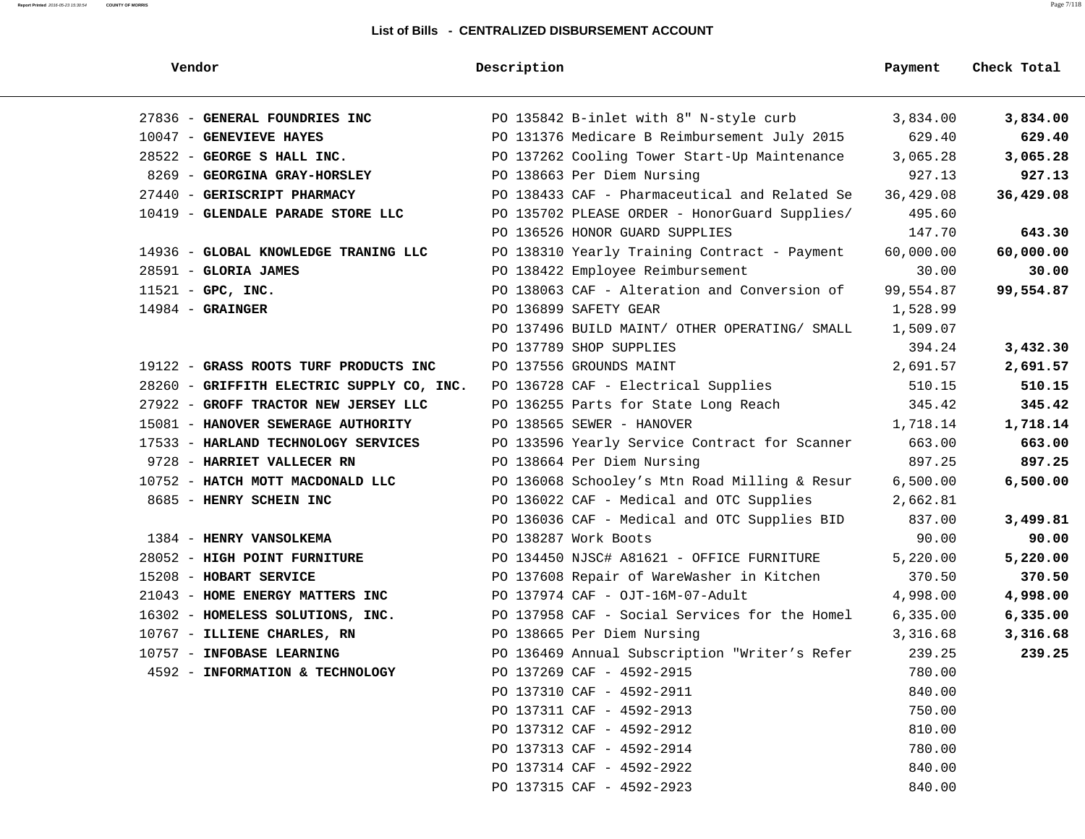| Vendor                                    | Description                                   | Payment   | Check Total |
|-------------------------------------------|-----------------------------------------------|-----------|-------------|
| 27836 - GENERAL FOUNDRIES INC             | PO 135842 B-inlet with 8" N-style curb        | 3,834.00  | 3,834.00    |
| 10047 - GENEVIEVE HAYES                   | PO 131376 Medicare B Reimbursement July 2015  | 629.40    | 629.40      |
| 28522 - GEORGE S HALL INC.                | PO 137262 Cooling Tower Start-Up Maintenance  | 3,065.28  | 3,065.28    |
| 8269 - GEORGINA GRAY-HORSLEY              | PO 138663 Per Diem Nursing                    | 927.13    | 927.13      |
| 27440 - GERISCRIPT PHARMACY               | PO 138433 CAF - Pharmaceutical and Related Se | 36,429.08 | 36,429.08   |
| 10419 - GLENDALE PARADE STORE LLC         | PO 135702 PLEASE ORDER - HonorGuard Supplies/ | 495.60    |             |
|                                           | PO 136526 HONOR GUARD SUPPLIES                | 147.70    | 643.30      |
| 14936 - GLOBAL KNOWLEDGE TRANING LLC      | PO 138310 Yearly Training Contract - Payment  | 60,000.00 | 60,000.00   |
| $28591$ - GLORIA JAMES                    | PO 138422 Employee Reimbursement              | 30.00     | 30.00       |
| $11521 - GPC$ , INC.                      | PO 138063 CAF - Alteration and Conversion of  | 99,554.87 | 99,554.87   |
| $14984$ - GRAINGER                        | PO 136899 SAFETY GEAR                         | 1,528.99  |             |
|                                           | PO 137496 BUILD MAINT/ OTHER OPERATING/ SMALL | 1,509.07  |             |
|                                           | PO 137789 SHOP SUPPLIES                       | 394.24    | 3,432.30    |
| 19122 - GRASS ROOTS TURF PRODUCTS INC     | PO 137556 GROUNDS MAINT                       | 2,691.57  | 2,691.57    |
| 28260 - GRIFFITH ELECTRIC SUPPLY CO, INC. | PO 136728 CAF - Electrical Supplies           | 510.15    | 510.15      |
| 27922 - GROFF TRACTOR NEW JERSEY LLC      | PO 136255 Parts for State Long Reach          | 345.42    | 345.42      |
| 15081 - HANOVER SEWERAGE AUTHORITY        | PO 138565 SEWER - HANOVER                     | 1,718.14  | 1,718.14    |
| 17533 - HARLAND TECHNOLOGY SERVICES       | PO 133596 Yearly Service Contract for Scanner | 663.00    | 663.00      |
| 9728 - HARRIET VALLECER RN                | PO 138664 Per Diem Nursing                    | 897.25    | 897.25      |
| 10752 - HATCH MOTT MACDONALD LLC          | PO 136068 Schooley's Mtn Road Milling & Resur | 6,500.00  | 6,500.00    |
| 8685 - HENRY SCHEIN INC                   | PO 136022 CAF - Medical and OTC Supplies      | 2,662.81  |             |
|                                           | PO 136036 CAF - Medical and OTC Supplies BID  | 837.00    | 3,499.81    |
| 1384 - HENRY VANSOLKEMA                   | PO 138287 Work Boots                          | 90.00     | 90.00       |
| 28052 - HIGH POINT FURNITURE              | PO 134450 NJSC# A81621 - OFFICE FURNITURE     | 5,220.00  | 5,220.00    |
| 15208 - HOBART SERVICE                    | PO 137608 Repair of WareWasher in Kitchen     | 370.50    | 370.50      |
| 21043 - HOME ENERGY MATTERS INC           | PO 137974 CAF - OJT-16M-07-Adult              | 4,998.00  | 4,998.00    |
| 16302 - HOMELESS SOLUTIONS, INC.          | PO 137958 CAF - Social Services for the Homel | 6,335.00  | 6,335.00    |
| 10767 - ILLIENE CHARLES, RN               | PO 138665 Per Diem Nursing                    | 3,316.68  | 3,316.68    |
| 10757 - INFOBASE LEARNING                 | PO 136469 Annual Subscription "Writer's Refer | 239.25    | 239.25      |
| 4592 - INFORMATION & TECHNOLOGY           | PO 137269 CAF - 4592-2915                     | 780.00    |             |
|                                           | PO 137310 CAF - 4592-2911                     | 840.00    |             |
|                                           | PO 137311 CAF - 4592-2913                     | 750.00    |             |
|                                           | PO 137312 CAF - 4592-2912                     | 810.00    |             |
|                                           | PO 137313 CAF - 4592-2914                     | 780.00    |             |
|                                           | PO 137314 CAF - 4592-2922                     | 840.00    |             |
|                                           | PO 137315 CAF - 4592-2923                     | 840.00    |             |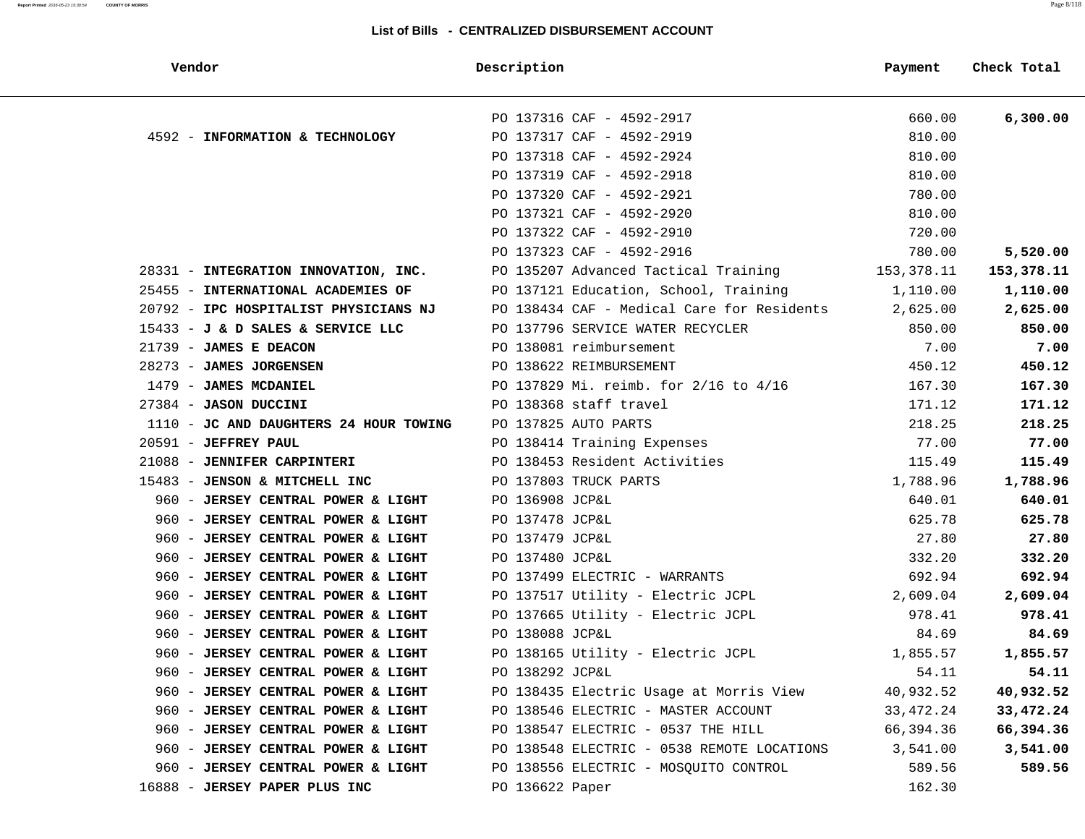| Vendor                                 | Description                                | Payment     | Check Total |
|----------------------------------------|--------------------------------------------|-------------|-------------|
|                                        | PO 137316 CAF - 4592-2917                  | 660.00      | 6,300.00    |
| 4592 - INFORMATION & TECHNOLOGY        | PO 137317 CAF - 4592-2919                  | 810.00      |             |
|                                        | PO 137318 CAF - 4592-2924                  | 810.00      |             |
|                                        | PO 137319 CAF - 4592-2918                  | 810.00      |             |
|                                        | PO 137320 CAF - 4592-2921                  | 780.00      |             |
|                                        | PO 137321 CAF - 4592-2920                  | 810.00      |             |
|                                        | PO 137322 CAF - 4592-2910                  | 720.00      |             |
|                                        | PO 137323 CAF - 4592-2916                  | 780.00      | 5,520.00    |
| 28331 - INTEGRATION INNOVATION, INC.   | PO 135207 Advanced Tactical Training       | 153,378.11  | 153,378.11  |
| 25455 - INTERNATIONAL ACADEMIES OF     | PO 137121 Education, School, Training      | 1,110.00    | 1,110.00    |
| 20792 - IPC HOSPITALIST PHYSICIANS NJ  | PO 138434 CAF - Medical Care for Residents | 2,625.00    | 2,625.00    |
| 15433 - J & D SALES & SERVICE LLC      | PO 137796 SERVICE WATER RECYCLER           | 850.00      | 850.00      |
| 21739 - JAMES E DEACON                 | PO 138081 reimbursement                    | 7.00        | 7.00        |
| 28273 - JAMES JORGENSEN                | PO 138622 REIMBURSEMENT                    | 450.12      | 450.12      |
| 1479 - JAMES MCDANIEL                  | PO 137829 Mi. reimb. for 2/16 to 4/16      | 167.30      | 167.30      |
| 27384 - JASON DUCCINI                  | PO 138368 staff travel                     | 171.12      | 171.12      |
| 1110 - JC AND DAUGHTERS 24 HOUR TOWING | PO 137825 AUTO PARTS                       | 218.25      | 218.25      |
| 20591 - JEFFREY PAUL                   | PO 138414 Training Expenses                | 77.00       | 77.00       |
| 21088 - JENNIFER CARPINTERI            | PO 138453 Resident Activities              | 115.49      | 115.49      |
| 15483 - JENSON & MITCHELL INC          | PO 137803 TRUCK PARTS                      | 1,788.96    | 1,788.96    |
| 960 - JERSEY CENTRAL POWER & LIGHT     | PO 136908 JCP&L                            | 640.01      | 640.01      |
| 960 - JERSEY CENTRAL POWER & LIGHT     | PO 137478 JCP&L                            | 625.78      | 625.78      |
| 960 - JERSEY CENTRAL POWER & LIGHT     | PO 137479 JCP&L                            | 27.80       | 27.80       |
| 960 - JERSEY CENTRAL POWER & LIGHT     | PO 137480 JCP&L                            | 332.20      | 332.20      |
| 960 - JERSEY CENTRAL POWER & LIGHT     | PO 137499 ELECTRIC - WARRANTS              | 692.94      | 692.94      |
| 960 - JERSEY CENTRAL POWER & LIGHT     | PO 137517 Utility - Electric JCPL          | 2,609.04    | 2,609.04    |
| 960 - JERSEY CENTRAL POWER & LIGHT     | PO 137665 Utility - Electric JCPL          | 978.41      | 978.41      |
| 960 - JERSEY CENTRAL POWER & LIGHT     | PO 138088 JCP&L                            | 84.69       | 84.69       |
| 960 - JERSEY CENTRAL POWER & LIGHT     | PO 138165 Utility - Electric JCPL          | 1,855.57    | 1,855.57    |
| 960 - JERSEY CENTRAL POWER & LIGHT     | PO 138292 JCP&L                            | 54.11       | 54.11       |
| 960 - JERSEY CENTRAL POWER & LIGHT     | PO 138435 Electric Usage at Morris View    | 40,932.52   | 40,932.52   |
| 960 - JERSEY CENTRAL POWER & LIGHT     | PO 138546 ELECTRIC - MASTER ACCOUNT        | 33, 472. 24 | 33,472.24   |
| 960 - JERSEY CENTRAL POWER & LIGHT     | PO 138547 ELECTRIC - 0537 THE HILL         | 66,394.36   | 66,394.36   |
| 960 - JERSEY CENTRAL POWER & LIGHT     | PO 138548 ELECTRIC - 0538 REMOTE LOCATIONS | 3,541.00    | 3,541.00    |
| 960 - JERSEY CENTRAL POWER & LIGHT     | PO 138556 ELECTRIC - MOSQUITO CONTROL      | 589.56      | 589.56      |
| 16888 - JERSEY PAPER PLUS INC          | PO 136622 Paper                            | 162.30      |             |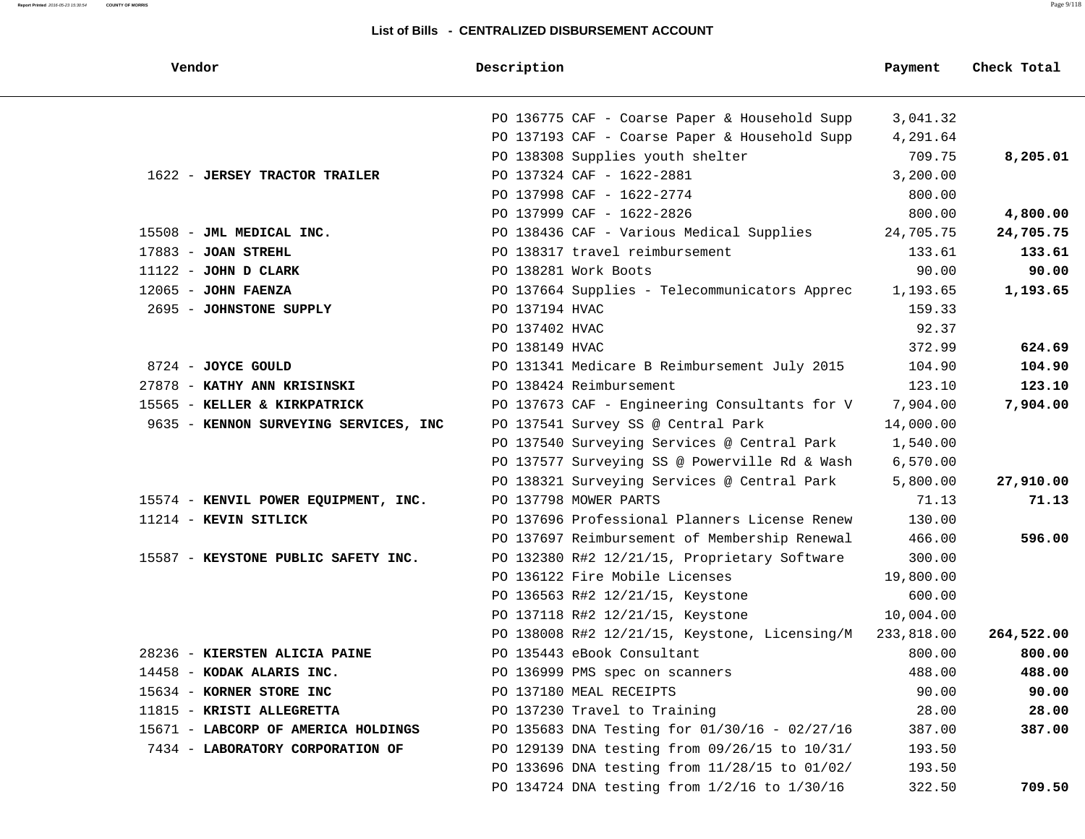**Report Printed** 2016-05-23 15:30:54 **COUNTY OF MORRIS** Page 9/118

| Vendor                                | Description                                   | Payment    | Check Total |
|---------------------------------------|-----------------------------------------------|------------|-------------|
|                                       | PO 136775 CAF - Coarse Paper & Household Supp | 3,041.32   |             |
|                                       | PO 137193 CAF - Coarse Paper & Household Supp | 4,291.64   |             |
|                                       | PO 138308 Supplies youth shelter              | 709.75     | 8,205.01    |
| 1622 - JERSEY TRACTOR TRAILER         | PO 137324 CAF - 1622-2881                     | 3,200.00   |             |
|                                       | PO 137998 CAF - 1622-2774                     | 800.00     |             |
|                                       | PO 137999 CAF - 1622-2826                     | 800.00     | 4,800.00    |
| 15508 - JML MEDICAL INC.              | PO 138436 CAF - Various Medical Supplies      | 24,705.75  | 24,705.75   |
| $17883$ - JOAN STREHL                 | PO 138317 travel reimbursement                | 133.61     | 133.61      |
| $11122$ - JOHN D CLARK                | PO 138281 Work Boots                          | 90.00      | 90.00       |
| $12065$ - JOHN FAENZA                 | PO 137664 Supplies - Telecommunicators Apprec | 1,193.65   | 1,193.65    |
| 2695 - JOHNSTONE SUPPLY               | PO 137194 HVAC                                | 159.33     |             |
|                                       | PO 137402 HVAC                                | 92.37      |             |
|                                       | PO 138149 HVAC                                | 372.99     | 624.69      |
| 8724 - JOYCE GOULD                    | PO 131341 Medicare B Reimbursement July 2015  | 104.90     | 104.90      |
| 27878 - KATHY ANN KRISINSKI           | PO 138424 Reimbursement                       | 123.10     | 123.10      |
| 15565 - KELLER & KIRKPATRICK          | PO 137673 CAF - Engineering Consultants for V | 7,904.00   | 7,904.00    |
| 9635 - KENNON SURVEYING SERVICES, INC | PO 137541 Survey SS @ Central Park            | 14,000.00  |             |
|                                       | PO 137540 Surveying Services @ Central Park   | 1,540.00   |             |
|                                       | PO 137577 Surveying SS @ Powerville Rd & Wash | 6,570.00   |             |
|                                       | PO 138321 Surveying Services @ Central Park   | 5,800.00   | 27,910.00   |
| 15574 - KENVIL POWER EQUIPMENT, INC.  | PO 137798 MOWER PARTS                         | 71.13      | 71.13       |
| 11214 - KEVIN SITLICK                 | PO 137696 Professional Planners License Renew | 130.00     |             |
|                                       | PO 137697 Reimbursement of Membership Renewal | 466.00     | 596.00      |
| 15587 - KEYSTONE PUBLIC SAFETY INC.   | PO 132380 R#2 12/21/15, Proprietary Software  | 300.00     |             |
|                                       | PO 136122 Fire Mobile Licenses                | 19,800.00  |             |
|                                       | PO 136563 R#2 12/21/15, Keystone              | 600.00     |             |
|                                       | PO 137118 R#2 12/21/15, Keystone              | 10,004.00  |             |
|                                       | PO 138008 R#2 12/21/15, Keystone, Licensing/M | 233,818.00 | 264,522.00  |
| 28236 - KIERSTEN ALICIA PAINE         | PO 135443 eBook Consultant                    | 800.00     | 800.00      |
| 14458 - KODAK ALARIS INC.             | PO 136999 PMS spec on scanners                | 488.00     | 488.00      |
| 15634 - KORNER STORE INC              | PO 137180 MEAL RECEIPTS                       | 90.00      | 90.00       |
| 11815 - KRISTI ALLEGRETTA             | PO 137230 Travel to Training                  | 28.00      | 28.00       |
| 15671 - LABCORP OF AMERICA HOLDINGS   | PO 135683 DNA Testing for 01/30/16 - 02/27/16 | 387.00     | 387.00      |
| 7434 - LABORATORY CORPORATION OF      | PO 129139 DNA testing from 09/26/15 to 10/31/ | 193.50     |             |
|                                       | PO 133696 DNA testing from 11/28/15 to 01/02/ | 193.50     |             |
|                                       | PO 134724 DNA testing from 1/2/16 to 1/30/16  | 322.50     | 709.50      |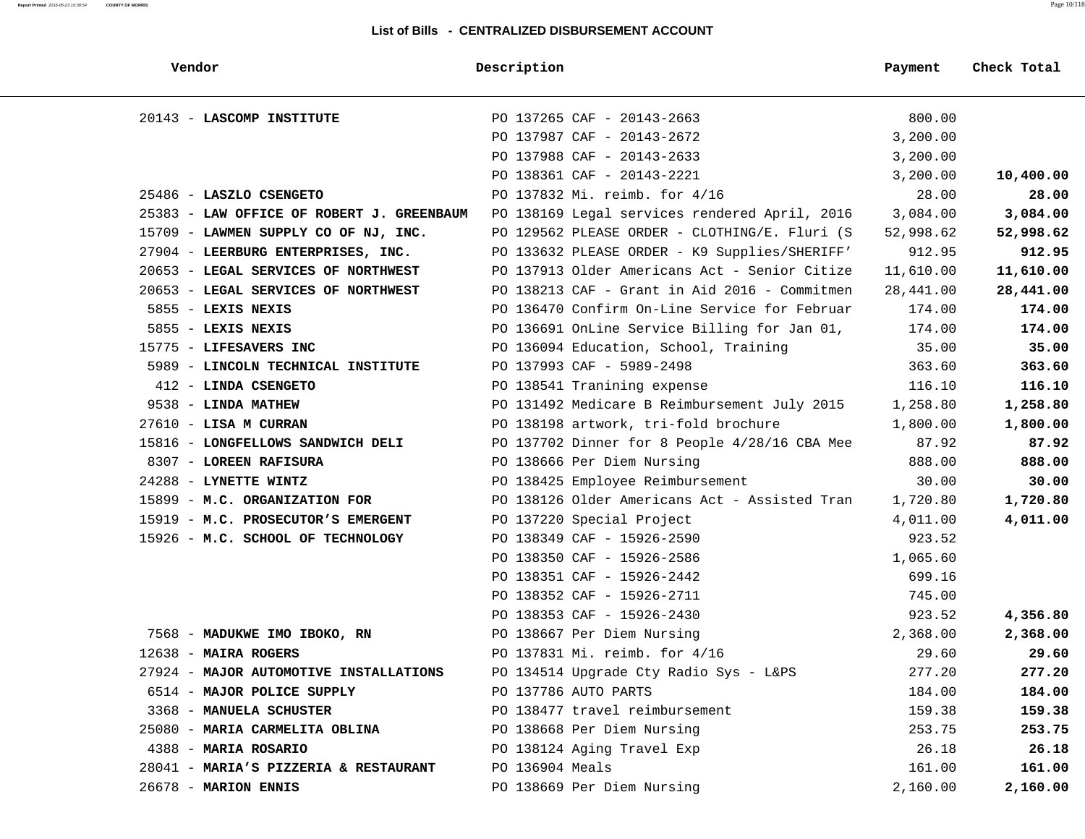#### **Report Printed** 2016-05-23 15:30:54 **COUNTY OF MORRIS** Page 10/118

| Vendor                                    | Description                                   | Payment   | Check Total |
|-------------------------------------------|-----------------------------------------------|-----------|-------------|
| 20143 - LASCOMP INSTITUTE                 | PO 137265 CAF - 20143-2663                    | 800.00    |             |
|                                           | PO 137987 CAF - 20143-2672                    | 3,200.00  |             |
|                                           | PO 137988 CAF - 20143-2633                    | 3,200.00  |             |
|                                           | PO 138361 CAF - 20143-2221                    | 3,200.00  | 10,400.00   |
| 25486 - LASZLO CSENGETO                   | PO 137832 Mi. reimb. for 4/16                 | 28.00     | 28.00       |
| 25383 - LAW OFFICE OF ROBERT J. GREENBAUM | PO 138169 Legal services rendered April, 2016 | 3,084.00  | 3,084.00    |
| 15709 - LAWMEN SUPPLY CO OF NJ, INC.      | PO 129562 PLEASE ORDER - CLOTHING/E. Fluri (S | 52,998.62 | 52,998.62   |
| 27904 - LEERBURG ENTERPRISES, INC.        | PO 133632 PLEASE ORDER - K9 Supplies/SHERIFF' | 912.95    | 912.95      |
| 20653 - LEGAL SERVICES OF NORTHWEST       | PO 137913 Older Americans Act - Senior Citize | 11,610.00 | 11,610.00   |
| 20653 - LEGAL SERVICES OF NORTHWEST       | PO 138213 CAF - Grant in Aid 2016 - Commitmen | 28,441.00 | 28,441.00   |
| $5855$ - LEXIS NEXIS                      | PO 136470 Confirm On-Line Service for Februar | 174.00    | 174.00      |
| $5855 -$ LEXIS NEXIS                      | PO 136691 OnLine Service Billing for Jan 01,  | 174.00    | 174.00      |
| 15775 - LIFESAVERS INC                    | PO 136094 Education, School, Training         | 35.00     | 35.00       |
| 5989 - LINCOLN TECHNICAL INSTITUTE        | PO 137993 CAF - 5989-2498                     | 363.60    | 363.60      |
| 412 - LINDA CSENGETO                      | PO 138541 Tranining expense                   | 116.10    | 116.10      |
| 9538 - LINDA MATHEW                       | PO 131492 Medicare B Reimbursement July 2015  | 1,258.80  | 1,258.80    |
| $27610$ - LISA M CURRAN                   | PO 138198 artwork, tri-fold brochure          | 1,800.00  | 1,800.00    |
| 15816 - LONGFELLOWS SANDWICH DELI         | PO 137702 Dinner for 8 People 4/28/16 CBA Mee | 87.92     | 87.92       |
| 8307 - LOREEN RAFISURA                    | PO 138666 Per Diem Nursing                    | 888.00    | 888.00      |
| 24288 - LYNETTE WINTZ                     | PO 138425 Employee Reimbursement              | 30.00     | 30.00       |
| 15899 - M.C. ORGANIZATION FOR             | PO 138126 Older Americans Act - Assisted Tran | 1,720.80  | 1,720.80    |
| 15919 - M.C. PROSECUTOR'S EMERGENT        | PO 137220 Special Project                     | 4,011.00  | 4,011.00    |
| 15926 - M.C. SCHOOL OF TECHNOLOGY         | PO 138349 CAF - 15926-2590                    | 923.52    |             |
|                                           | PO 138350 CAF - 15926-2586                    | 1,065.60  |             |
|                                           | PO 138351 CAF - 15926-2442                    | 699.16    |             |
|                                           | PO 138352 CAF - 15926-2711                    | 745.00    |             |
|                                           | PO 138353 CAF - 15926-2430                    | 923.52    | 4,356.80    |
| 7568 - MADUKWE IMO IBOKO, RN              | PO 138667 Per Diem Nursing                    | 2,368.00  | 2,368.00    |
| $12638$ - MAIRA ROGERS                    | PO 137831 Mi. reimb. for 4/16                 | 29.60     | 29.60       |
| 27924 - MAJOR AUTOMOTIVE INSTALLATIONS    | PO 134514 Upgrade Cty Radio Sys - L&PS        | 277.20    | 277.20      |
| 6514 - MAJOR POLICE SUPPLY                | PO 137786 AUTO PARTS                          | 184.00    | 184.00      |
| 3368 - MANUELA SCHUSTER                   | PO 138477 travel reimbursement                | 159.38    | 159.38      |
| 25080 - MARIA CARMELITA OBLINA            | PO 138668 Per Diem Nursing                    | 253.75    | 253.75      |
| 4388 - MARIA ROSARIO                      | PO 138124 Aging Travel Exp                    | 26.18     | 26.18       |
| 28041 - MARIA'S PIZZERIA & RESTAURANT     | PO 136904 Meals                               | 161.00    | 161.00      |
| 26678 - MARION ENNIS                      | PO 138669 Per Diem Nursing                    | 2,160.00  | 2,160.00    |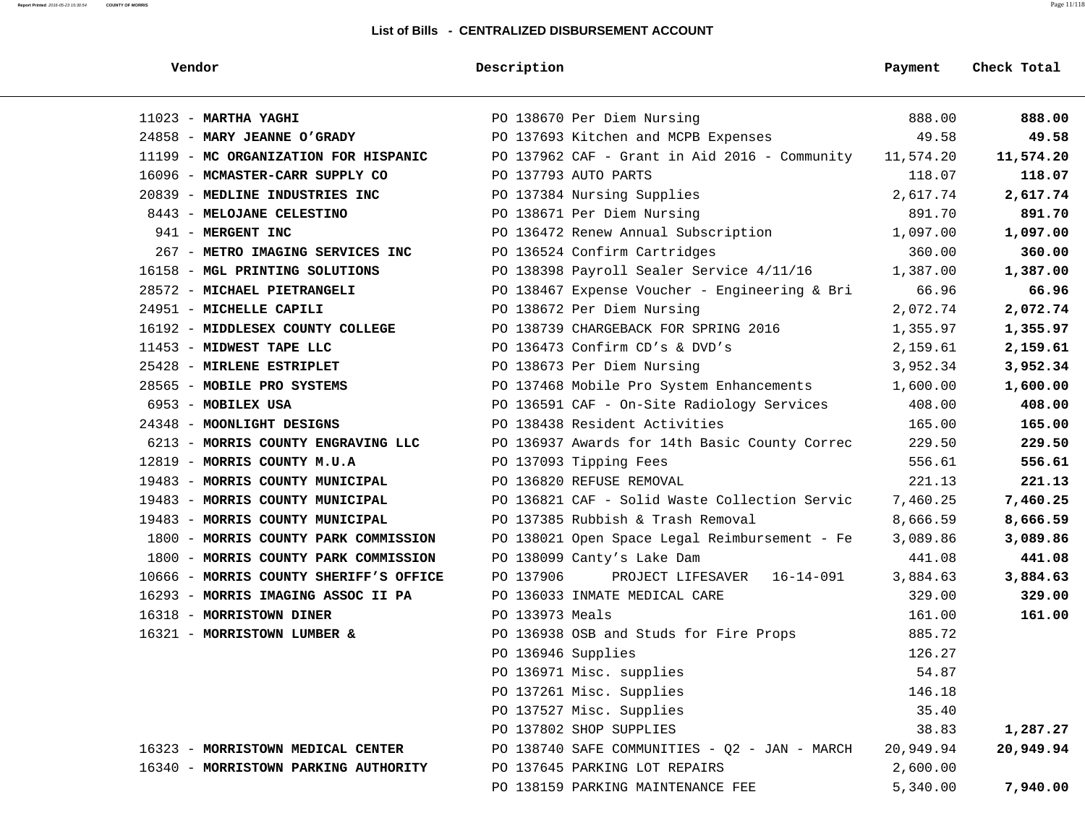| Vendor                                 | Description                                   | Payment   | Check Total |
|----------------------------------------|-----------------------------------------------|-----------|-------------|
| $11023$ - MARTHA YAGHI                 | PO 138670 Per Diem Nursing                    | 888.00    | 888.00      |
| 24858 - MARY JEANNE O'GRADY            | PO 137693 Kitchen and MCPB Expenses           | 49.58     | 49.58       |
| 11199 - MC ORGANIZATION FOR HISPANIC   | PO 137962 CAF - Grant in Aid 2016 - Community | 11,574.20 | 11,574.20   |
| 16096 - MCMASTER-CARR SUPPLY CO        | PO 137793 AUTO PARTS                          | 118.07    | 118.07      |
| 20839 - MEDLINE INDUSTRIES INC         | PO 137384 Nursing Supplies                    | 2,617.74  | 2,617.74    |
| 8443 - MELOJANE CELESTINO              | PO 138671 Per Diem Nursing                    | 891.70    | 891.70      |
| 941 - MERGENT INC                      | PO 136472 Renew Annual Subscription           | 1,097.00  | 1,097.00    |
| 267 - METRO IMAGING SERVICES INC       | PO 136524 Confirm Cartridges                  | 360.00    | 360.00      |
| 16158 - MGL PRINTING SOLUTIONS         | PO 138398 Payroll Sealer Service 4/11/16      | 1,387.00  | 1,387.00    |
| 28572 - MICHAEL PIETRANGELI            | PO 138467 Expense Voucher - Engineering & Bri | 66.96     | 66.96       |
| 24951 - MICHELLE CAPILI                | PO 138672 Per Diem Nursing                    | 2,072.74  | 2,072.74    |
| 16192 - MIDDLESEX COUNTY COLLEGE       | PO 138739 CHARGEBACK FOR SPRING 2016          | 1,355.97  | 1,355.97    |
| 11453 - MIDWEST TAPE LLC               | PO 136473 Confirm CD's & DVD's                | 2,159.61  | 2,159.61    |
| 25428 - MIRLENE ESTRIPLET              | PO 138673 Per Diem Nursing                    | 3,952.34  | 3,952.34    |
| 28565 - MOBILE PRO SYSTEMS             | PO 137468 Mobile Pro System Enhancements      | 1,600.00  | 1,600.00    |
| 6953 - MOBILEX USA                     | PO 136591 CAF - On-Site Radiology Services    | 408.00    | 408.00      |
| 24348 - MOONLIGHT DESIGNS              | PO 138438 Resident Activities                 | 165.00    | 165.00      |
| 6213 - MORRIS COUNTY ENGRAVING LLC     | PO 136937 Awards for 14th Basic County Correc | 229.50    | 229.50      |
| 12819 - MORRIS COUNTY M.U.A            | PO 137093 Tipping Fees                        | 556.61    | 556.61      |
| 19483 - MORRIS COUNTY MUNICIPAL        | PO 136820 REFUSE REMOVAL                      | 221.13    | 221.13      |
| 19483 - MORRIS COUNTY MUNICIPAL        | PO 136821 CAF - Solid Waste Collection Servic | 7,460.25  | 7,460.25    |
| 19483 - MORRIS COUNTY MUNICIPAL        | PO 137385 Rubbish & Trash Removal             | 8,666.59  | 8,666.59    |
| 1800 - MORRIS COUNTY PARK COMMISSION   | PO 138021 Open Space Legal Reimbursement - Fe | 3,089.86  | 3,089.86    |
| 1800 - MORRIS COUNTY PARK COMMISSION   | PO 138099 Canty's Lake Dam                    | 441.08    | 441.08      |
| 10666 - MORRIS COUNTY SHERIFF'S OFFICE | PO 137906<br>PROJECT LIFESAVER 16-14-091      | 3,884.63  | 3,884.63    |
| 16293 - MORRIS IMAGING ASSOC II PA     | PO 136033 INMATE MEDICAL CARE                 | 329.00    | 329.00      |
| 16318 - MORRISTOWN DINER               | PO 133973 Meals                               | 161.00    | 161.00      |
| 16321 - MORRISTOWN LUMBER &            | PO 136938 OSB and Studs for Fire Props        | 885.72    |             |
|                                        | PO 136946 Supplies                            | 126.27    |             |
|                                        | PO 136971 Misc. supplies                      | 54.87     |             |
|                                        | PO 137261 Misc. Supplies                      | 146.18    |             |
|                                        | PO 137527 Misc. Supplies                      | 35.40     |             |
|                                        | PO 137802 SHOP SUPPLIES                       | 38.83     | 1,287.27    |
| 16323 - MORRISTOWN MEDICAL CENTER      | PO 138740 SAFE COMMUNITIES - Q2 - JAN - MARCH | 20,949.94 | 20,949.94   |
| 16340 - MORRISTOWN PARKING AUTHORITY   | PO 137645 PARKING LOT REPAIRS                 | 2,600.00  |             |
|                                        | PO 138159 PARKING MAINTENANCE FEE             | 5,340.00  | 7,940.00    |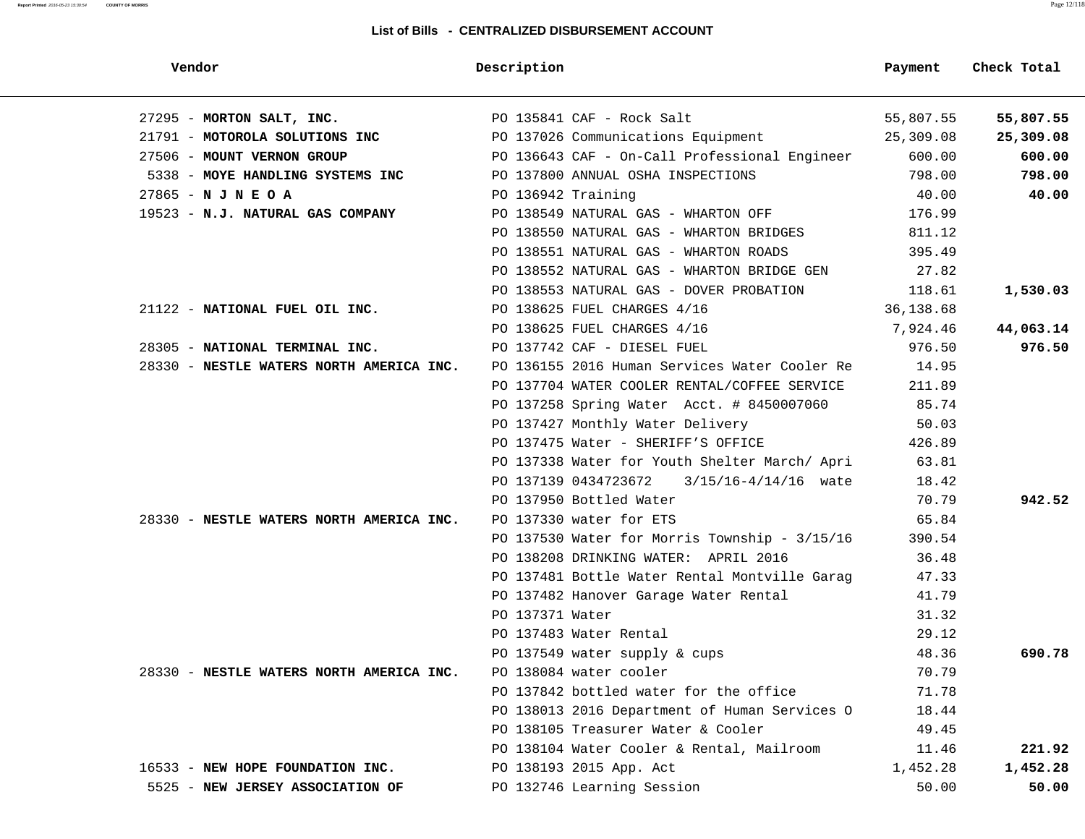#### **Report Printed** 2016-05-23 15:30:54 **COUNTY OF MORRIS** Page 12/118

| Vendor                                   | Description                                   | Payment   | Check Total |
|------------------------------------------|-----------------------------------------------|-----------|-------------|
| 27295 - MORTON SALT, INC.                | PO 135841 CAF - Rock Salt                     | 55,807.55 | 55,807.55   |
| 21791 - MOTOROLA SOLUTIONS INC           | PO 137026 Communications Equipment            | 25,309.08 | 25,309.08   |
| 27506 - MOUNT VERNON GROUP               | PO 136643 CAF - On-Call Professional Engineer | 600.00    | 600.00      |
| 5338 - MOYE HANDLING SYSTEMS INC         | PO 137800 ANNUAL OSHA INSPECTIONS             | 798.00    | 798.00      |
| $27865 - N$ J N E O A                    | PO 136942 Training                            | 40.00     | 40.00       |
| 19523 - N.J. NATURAL GAS COMPANY         | PO 138549 NATURAL GAS - WHARTON OFF           | 176.99    |             |
|                                          | PO 138550 NATURAL GAS - WHARTON BRIDGES       | 811.12    |             |
|                                          | PO 138551 NATURAL GAS - WHARTON ROADS         | 395.49    |             |
|                                          | PO 138552 NATURAL GAS - WHARTON BRIDGE GEN    | 27.82     |             |
|                                          | PO 138553 NATURAL GAS - DOVER PROBATION       | 118.61    | 1,530.03    |
| 21122 - NATIONAL FUEL OIL INC.           | PO 138625 FUEL CHARGES 4/16                   | 36,138.68 |             |
|                                          | PO 138625 FUEL CHARGES 4/16                   | 7,924.46  | 44,063.14   |
| 28305 - NATIONAL TERMINAL INC.           | PO 137742 CAF - DIESEL FUEL                   | 976.50    | 976.50      |
| 28330 - NESTLE WATERS NORTH AMERICA INC. | PO 136155 2016 Human Services Water Cooler Re | 14.95     |             |
|                                          | PO 137704 WATER COOLER RENTAL/COFFEE SERVICE  | 211.89    |             |
|                                          | PO 137258 Spring Water Acct. # 8450007060     | 85.74     |             |
|                                          | PO 137427 Monthly Water Delivery              | 50.03     |             |
|                                          | PO 137475 Water - SHERIFF'S OFFICE            | 426.89    |             |
|                                          | PO 137338 Water for Youth Shelter March/ Apri | 63.81     |             |
|                                          | PO 137139 0434723672 3/15/16-4/14/16 wate     | 18.42     |             |
|                                          | PO 137950 Bottled Water                       | 70.79     | 942.52      |
| 28330 - NESTLE WATERS NORTH AMERICA INC. | PO 137330 water for ETS                       | 65.84     |             |
|                                          | PO 137530 Water for Morris Township - 3/15/16 | 390.54    |             |
|                                          | PO 138208 DRINKING WATER: APRIL 2016          | 36.48     |             |
|                                          | PO 137481 Bottle Water Rental Montville Garag | 47.33     |             |
|                                          | PO 137482 Hanover Garage Water Rental         | 41.79     |             |
|                                          | PO 137371 Water                               | 31.32     |             |
|                                          | PO 137483 Water Rental                        | 29.12     |             |
|                                          | PO 137549 water supply & cups                 | 48.36     | 690.78      |
| 28330 - NESTLE WATERS NORTH AMERICA INC. | PO 138084 water cooler                        | 70.79     |             |
|                                          | PO 137842 bottled water for the office        | 71.78     |             |
|                                          | PO 138013 2016 Department of Human Services O | 18.44     |             |
|                                          | PO 138105 Treasurer Water & Cooler            | 49.45     |             |
|                                          | PO 138104 Water Cooler & Rental, Mailroom     | 11.46     | 221.92      |
| 16533 - NEW HOPE FOUNDATION INC.         | PO 138193 2015 App. Act                       | 1,452.28  | 1,452.28    |
| 5525 - NEW JERSEY ASSOCIATION OF         | PO 132746 Learning Session                    | 50.00     | 50.00       |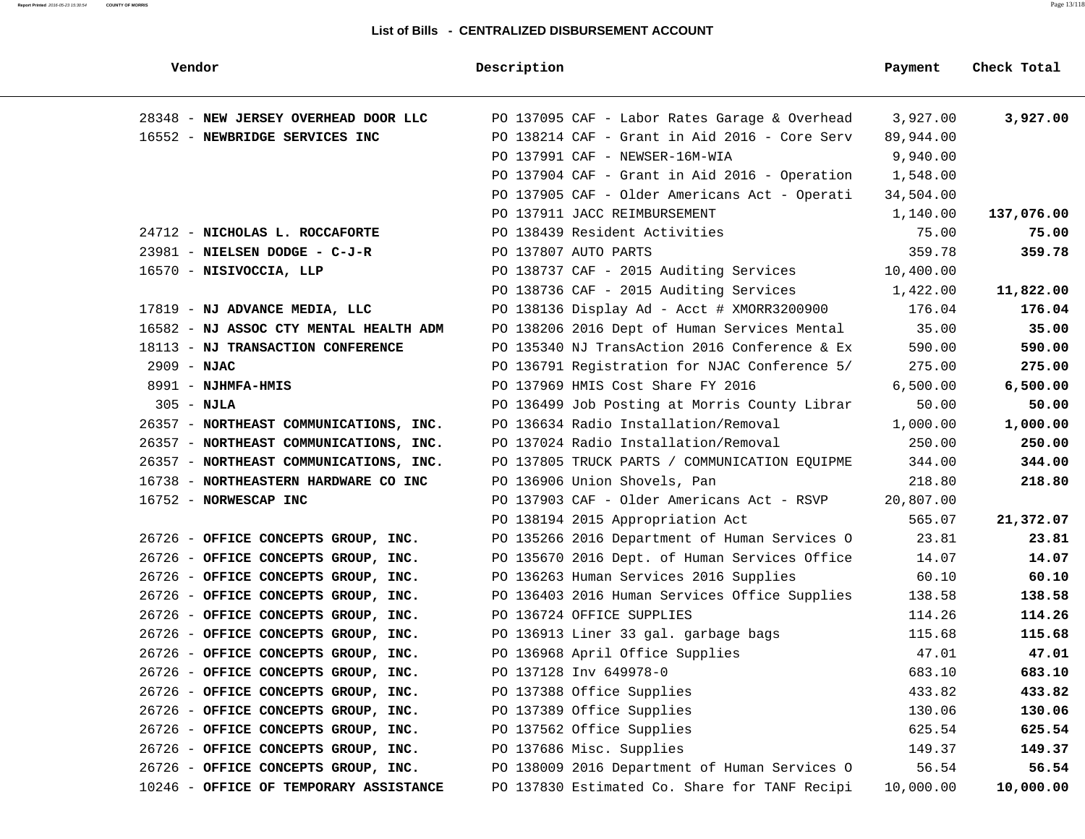| Vendor                                 | Description                                   | Payment   | Check Total |
|----------------------------------------|-----------------------------------------------|-----------|-------------|
| 28348 - NEW JERSEY OVERHEAD DOOR LLC   | PO 137095 CAF - Labor Rates Garage & Overhead | 3,927.00  | 3,927.00    |
| 16552 - NEWBRIDGE SERVICES INC         | PO 138214 CAF - Grant in Aid 2016 - Core Serv | 89,944.00 |             |
|                                        | PO 137991 CAF - NEWSER-16M-WIA                | 9,940.00  |             |
|                                        | PO 137904 CAF - Grant in Aid 2016 - Operation | 1,548.00  |             |
|                                        | PO 137905 CAF - Older Americans Act - Operati | 34,504.00 |             |
|                                        | PO 137911 JACC REIMBURSEMENT                  | 1,140.00  | 137,076.00  |
| 24712 - NICHOLAS L. ROCCAFORTE         | PO 138439 Resident Activities                 | 75.00     | 75.00       |
| 23981 - NIELSEN DODGE - C-J-R          | PO 137807 AUTO PARTS                          | 359.78    | 359.78      |
| 16570 - NISIVOCCIA, LLP                | PO 138737 CAF - 2015 Auditing Services        | 10,400.00 |             |
|                                        | PO 138736 CAF - 2015 Auditing Services        | 1,422.00  | 11,822.00   |
| 17819 - NJ ADVANCE MEDIA, LLC          | PO 138136 Display Ad - Acct # XMORR3200900    | 176.04    | 176.04      |
| 16582 - NJ ASSOC CTY MENTAL HEALTH ADM | PO 138206 2016 Dept of Human Services Mental  | 35.00     | 35.00       |
| 18113 - NJ TRANSACTION CONFERENCE      | PO 135340 NJ TransAction 2016 Conference & Ex | 590.00    | 590.00      |
| $2909 - NJAC$                          | PO 136791 Registration for NJAC Conference 5/ | 275.00    | 275.00      |
| 8991 - NJHMFA-HMIS                     | PO 137969 HMIS Cost Share FY 2016             | 6,500.00  | 6,500.00    |
| $305 - NJLA$                           | PO 136499 Job Posting at Morris County Librar | 50.00     | 50.00       |
| 26357 - NORTHEAST COMMUNICATIONS, INC. | PO 136634 Radio Installation/Removal          | 1,000.00  | 1,000.00    |
| 26357 - NORTHEAST COMMUNICATIONS, INC. | PO 137024 Radio Installation/Removal          | 250.00    | 250.00      |
| 26357 - NORTHEAST COMMUNICATIONS, INC. | PO 137805 TRUCK PARTS / COMMUNICATION EQUIPME | 344.00    | 344.00      |
| 16738 - NORTHEASTERN HARDWARE CO INC   | PO 136906 Union Shovels, Pan                  | 218.80    | 218.80      |
| 16752 - NORWESCAP INC                  | PO 137903 CAF - Older Americans Act - RSVP    | 20,807.00 |             |
|                                        | PO 138194 2015 Appropriation Act              | 565.07    | 21,372.07   |
| 26726 - OFFICE CONCEPTS GROUP, INC.    | PO 135266 2016 Department of Human Services O | 23.81     | 23.81       |
| 26726 - OFFICE CONCEPTS GROUP, INC.    | PO 135670 2016 Dept. of Human Services Office | 14.07     | 14.07       |
| 26726 - OFFICE CONCEPTS GROUP, INC.    | PO 136263 Human Services 2016 Supplies        | 60.10     | 60.10       |
| 26726 - OFFICE CONCEPTS GROUP, INC.    | PO 136403 2016 Human Services Office Supplies | 138.58    | 138.58      |
| 26726 - OFFICE CONCEPTS GROUP, INC.    | PO 136724 OFFICE SUPPLIES                     | 114.26    | 114.26      |
| 26726 - OFFICE CONCEPTS GROUP, INC.    | PO 136913 Liner 33 gal. garbage bags          | 115.68    | 115.68      |
| 26726 - OFFICE CONCEPTS GROUP, INC.    | PO 136968 April Office Supplies               | 47.01     | 47.01       |
| 26726 - OFFICE CONCEPTS GROUP, INC.    | PO 137128 Inv 649978-0                        | 683.10    | 683.10      |
| 26726 - OFFICE CONCEPTS GROUP, INC.    | PO 137388 Office Supplies                     | 433.82    | 433.82      |
| 26726 - OFFICE CONCEPTS GROUP, INC.    | PO 137389 Office Supplies                     | 130.06    | 130.06      |
| 26726 - OFFICE CONCEPTS GROUP, INC.    | PO 137562 Office Supplies                     | 625.54    | 625.54      |
| 26726 - OFFICE CONCEPTS GROUP, INC.    | PO 137686 Misc. Supplies                      | 149.37    | 149.37      |
| 26726 - OFFICE CONCEPTS GROUP, INC.    | PO 138009 2016 Department of Human Services O | 56.54     | 56.54       |
| 10246 - OFFICE OF TEMPORARY ASSISTANCE | PO 137830 Estimated Co. Share for TANF Recipi | 10,000.00 | 10,000.00   |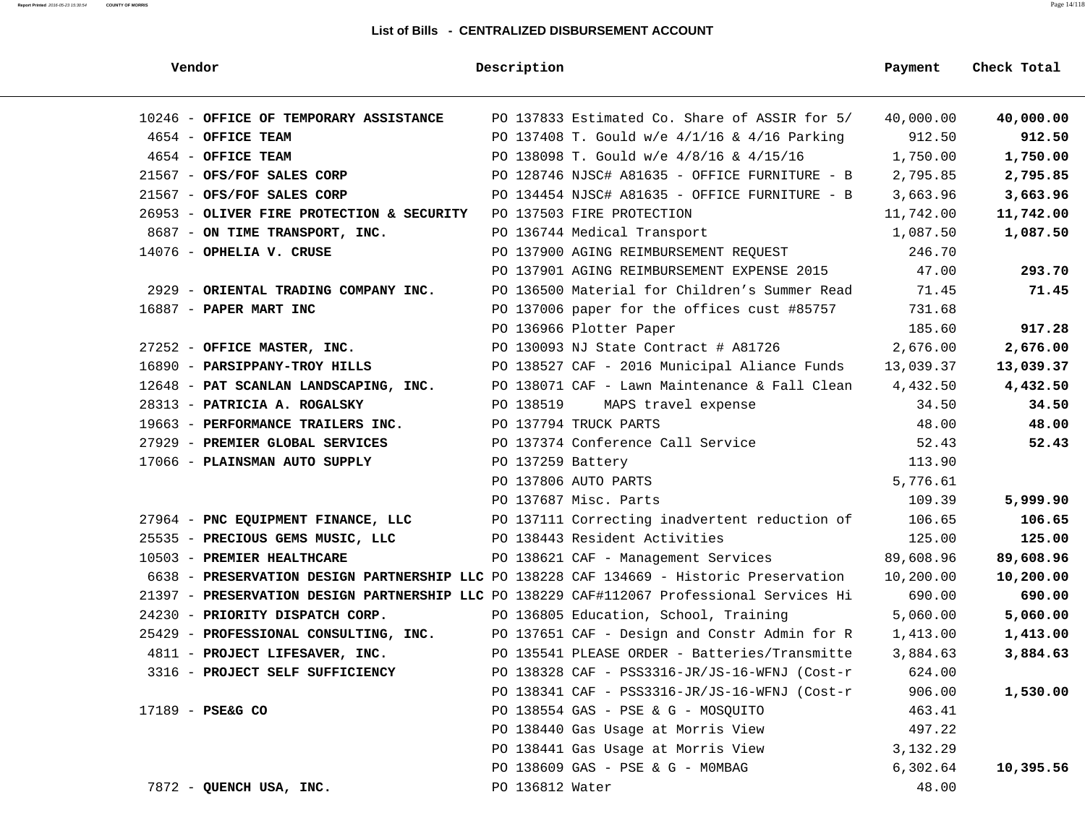| Vendor                                    | Description                                                                               | Payment   | Check Total |
|-------------------------------------------|-------------------------------------------------------------------------------------------|-----------|-------------|
| 10246 - OFFICE OF TEMPORARY ASSISTANCE    | PO 137833 Estimated Co. Share of ASSIR for 5/                                             | 40,000.00 | 40,000.00   |
| 4654 - OFFICE TEAM                        | PO 137408 T. Gould w/e 4/1/16 & 4/16 Parking                                              | 912.50    | 912.50      |
| 4654 - OFFICE TEAM                        | PO 138098 T. Gould w/e 4/8/16 & 4/15/16                                                   | 1,750.00  | 1,750.00    |
| 21567 - OFS/FOF SALES CORP                | PO 128746 NJSC# A81635 - OFFICE FURNITURE - B                                             | 2,795.85  | 2,795.85    |
| 21567 - OFS/FOF SALES CORP                | PO 134454 NJSC# A81635 - OFFICE FURNITURE - B                                             | 3,663.96  | 3,663.96    |
| 26953 - OLIVER FIRE PROTECTION & SECURITY | PO 137503 FIRE PROTECTION                                                                 | 11,742.00 | 11,742.00   |
| 8687 - ON TIME TRANSPORT, INC.            | PO 136744 Medical Transport                                                               | 1,087.50  | 1,087.50    |
| $14076$ - OPHELIA V. CRUSE                | PO 137900 AGING REIMBURSEMENT REQUEST                                                     | 246.70    |             |
|                                           | PO 137901 AGING REIMBURSEMENT EXPENSE 2015                                                | 47.00     | 293.70      |
| 2929 - ORIENTAL TRADING COMPANY INC.      | PO 136500 Material for Children's Summer Read                                             | 71.45     | 71.45       |
| 16887 - PAPER MART INC                    | PO 137006 paper for the offices cust #85757                                               | 731.68    |             |
|                                           | PO 136966 Plotter Paper                                                                   | 185.60    | 917.28      |
| 27252 - OFFICE MASTER, INC.               | PO 130093 NJ State Contract # A81726                                                      | 2,676.00  | 2,676.00    |
| 16890 - PARSIPPANY-TROY HILLS             | PO 138527 CAF - 2016 Municipal Aliance Funds                                              | 13,039.37 | 13,039.37   |
| 12648 - PAT SCANLAN LANDSCAPING, INC.     | PO 138071 CAF - Lawn Maintenance & Fall Clean                                             | 4,432.50  | 4,432.50    |
| 28313 - PATRICIA A. ROGALSKY              | PO 138519<br>MAPS travel expense                                                          | 34.50     | 34.50       |
| 19663 - PERFORMANCE TRAILERS INC.         | PO 137794 TRUCK PARTS                                                                     | 48.00     | 48.00       |
| 27929 - PREMIER GLOBAL SERVICES           | PO 137374 Conference Call Service                                                         | 52.43     | 52.43       |
| 17066 - PLAINSMAN AUTO SUPPLY             | PO 137259 Battery                                                                         | 113.90    |             |
|                                           | PO 137806 AUTO PARTS                                                                      | 5,776.61  |             |
|                                           | PO 137687 Misc. Parts                                                                     | 109.39    | 5,999.90    |
| 27964 - PNC EQUIPMENT FINANCE, LLC        | PO 137111 Correcting inadvertent reduction of                                             | 106.65    | 106.65      |
| 25535 - PRECIOUS GEMS MUSIC, LLC          | PO 138443 Resident Activities                                                             | 125.00    | 125.00      |
| 10503 - PREMIER HEALTHCARE                | PO 138621 CAF - Management Services                                                       | 89,608.96 | 89,608.96   |
|                                           | 6638 - PRESERVATION DESIGN PARTNERSHIP LLC PO 138228 CAF 134669 - Historic Preservation   | 10,200.00 | 10,200.00   |
|                                           | 21397 - PRESERVATION DESIGN PARTNERSHIP LLC PO 138229 CAF#112067 Professional Services Hi | 690.00    | 690.00      |
| 24230 - PRIORITY DISPATCH CORP.           | PO 136805 Education, School, Training                                                     | 5,060.00  | 5,060.00    |
| 25429 - PROFESSIONAL CONSULTING, INC.     | PO 137651 CAF - Design and Constr Admin for R                                             | 1,413.00  | 1,413.00    |
| 4811 - PROJECT LIFESAVER, INC.            | PO 135541 PLEASE ORDER - Batteries/Transmitte                                             | 3,884.63  | 3,884.63    |
| 3316 - PROJECT SELF SUFFICIENCY           | PO 138328 CAF - PSS3316-JR/JS-16-WFNJ (Cost-r                                             | 624.00    |             |
|                                           | PO 138341 CAF - PSS3316-JR/JS-16-WFNJ (Cost-r                                             | 906.00    | 1,530.00    |
| 17189 - PSE&G CO                          | PO 138554 GAS - PSE & G - MOSQUITO                                                        | 463.41    |             |
|                                           | PO 138440 Gas Usage at Morris View                                                        | 497.22    |             |
|                                           | PO 138441 Gas Usage at Morris View                                                        | 3,132.29  |             |
|                                           | PO 138609 GAS - PSE & G - MOMBAG                                                          | 6,302.64  | 10,395.56   |
| 7872 - QUENCH USA, INC.                   | PO 136812 Water                                                                           | 48.00     |             |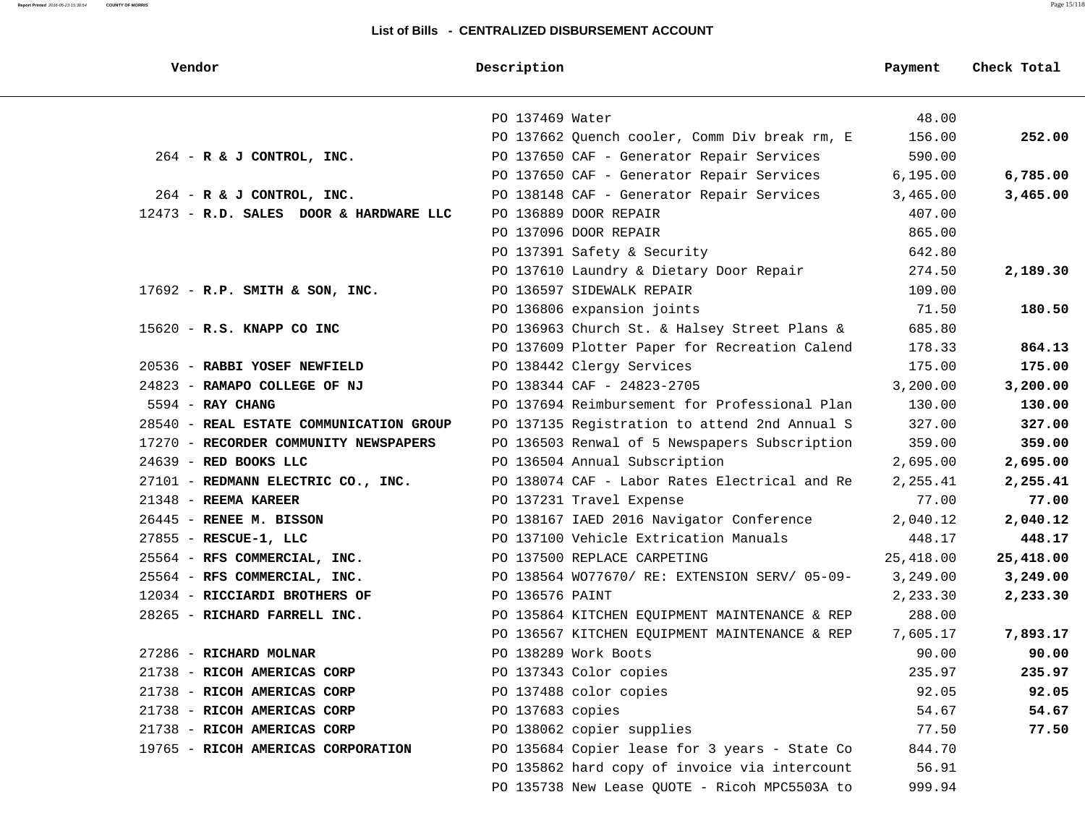#### **Report Printed** 2016-05-23 15:30:54 **COUNTY OF MORRIS** Page 15/118

| Vendor                                  | Description                                   | Payment   | Check Total |
|-----------------------------------------|-----------------------------------------------|-----------|-------------|
|                                         | PO 137469 Water                               | 48.00     |             |
|                                         | PO 137662 Quench cooler, Comm Div break rm, E | 156.00    | 252.00      |
| $264$ - R & J CONTROL, INC.             | PO 137650 CAF - Generator Repair Services     | 590.00    |             |
|                                         | PO 137650 CAF - Generator Repair Services     | 6, 195.00 | 6,785.00    |
| $264$ - R & J CONTROL, INC.             | PO 138148 CAF - Generator Repair Services     | 3,465.00  | 3,465.00    |
| 12473 - R.D. SALES DOOR & HARDWARE LLC  | PO 136889 DOOR REPAIR                         | 407.00    |             |
|                                         | PO 137096 DOOR REPAIR                         | 865.00    |             |
|                                         | PO 137391 Safety & Security                   | 642.80    |             |
|                                         | PO 137610 Laundry & Dietary Door Repair       | 274.50    | 2,189.30    |
| $17692$ - R.P. SMITH & SON, INC.        | PO 136597 SIDEWALK REPAIR                     | 109.00    |             |
|                                         | PO 136806 expansion joints                    | 71.50     | 180.50      |
| $15620 - R.S.$ KNAPP CO INC             | PO 136963 Church St. & Halsey Street Plans &  | 685.80    |             |
|                                         | PO 137609 Plotter Paper for Recreation Calend | 178.33    | 864.13      |
| 20536 - RABBI YOSEF NEWFIELD            | PO 138442 Clergy Services                     | 175.00    | 175.00      |
| 24823 - RAMAPO COLLEGE OF NJ            | PO 138344 CAF - 24823-2705                    | 3,200.00  | 3,200.00    |
| $5594$ - RAY CHANG                      | PO 137694 Reimbursement for Professional Plan | 130.00    | 130.00      |
| 28540 - REAL ESTATE COMMUNICATION GROUP | PO 137135 Registration to attend 2nd Annual S | 327.00    | 327.00      |
| 17270 - RECORDER COMMUNITY NEWSPAPERS   | PO 136503 Renwal of 5 Newspapers Subscription | 359.00    | 359.00      |
| $24639$ - RED BOOKS LLC                 | PO 136504 Annual Subscription                 | 2,695.00  | 2,695.00    |
| 27101 - REDMANN ELECTRIC CO., INC.      | PO 138074 CAF - Labor Rates Electrical and Re | 2,255.41  | 2,255.41    |
| 21348 - REEMA KAREER                    | PO 137231 Travel Expense                      | 77.00     | 77.00       |
| 26445 - RENEE M. BISSON                 | PO 138167 IAED 2016 Navigator Conference      | 2,040.12  | 2,040.12    |
| 27855 - RESCUE-1, LLC                   | PO 137100 Vehicle Extrication Manuals         | 448.17    | 448.17      |
| 25564 - RFS COMMERCIAL, INC.            | PO 137500 REPLACE CARPETING                   | 25,418.00 | 25,418.00   |
| 25564 - RFS COMMERCIAL, INC.            | PO 138564 WO77670/ RE: EXTENSION SERV/ 05-09- | 3,249.00  | 3,249.00    |
| 12034 - RICCIARDI BROTHERS OF           | PO 136576 PAINT                               | 2,233.30  | 2,233.30    |
| 28265 - RICHARD FARRELL INC.            | PO 135864 KITCHEN EQUIPMENT MAINTENANCE & REP | 288.00    |             |
|                                         | PO 136567 KITCHEN EQUIPMENT MAINTENANCE & REP | 7,605.17  | 7,893.17    |
| 27286 - RICHARD MOLNAR                  | PO 138289 Work Boots                          | 90.00     | 90.00       |
| 21738 - RICOH AMERICAS CORP             | PO 137343 Color copies                        | 235.97    | 235.97      |
| 21738 - RICOH AMERICAS CORP             | PO 137488 color copies                        | 92.05     | 92.05       |
| 21738 - RICOH AMERICAS CORP             | PO 137683 copies                              | 54.67     | 54.67       |
| 21738 - RICOH AMERICAS CORP             | PO 138062 copier supplies                     | 77.50     | 77.50       |
| 19765 - RICOH AMERICAS CORPORATION      | PO 135684 Copier lease for 3 years - State Co | 844.70    |             |
|                                         | PO 135862 hard copy of invoice via intercount | 56.91     |             |
|                                         | PO 135738 New Lease QUOTE - Ricoh MPC5503A to | 999.94    |             |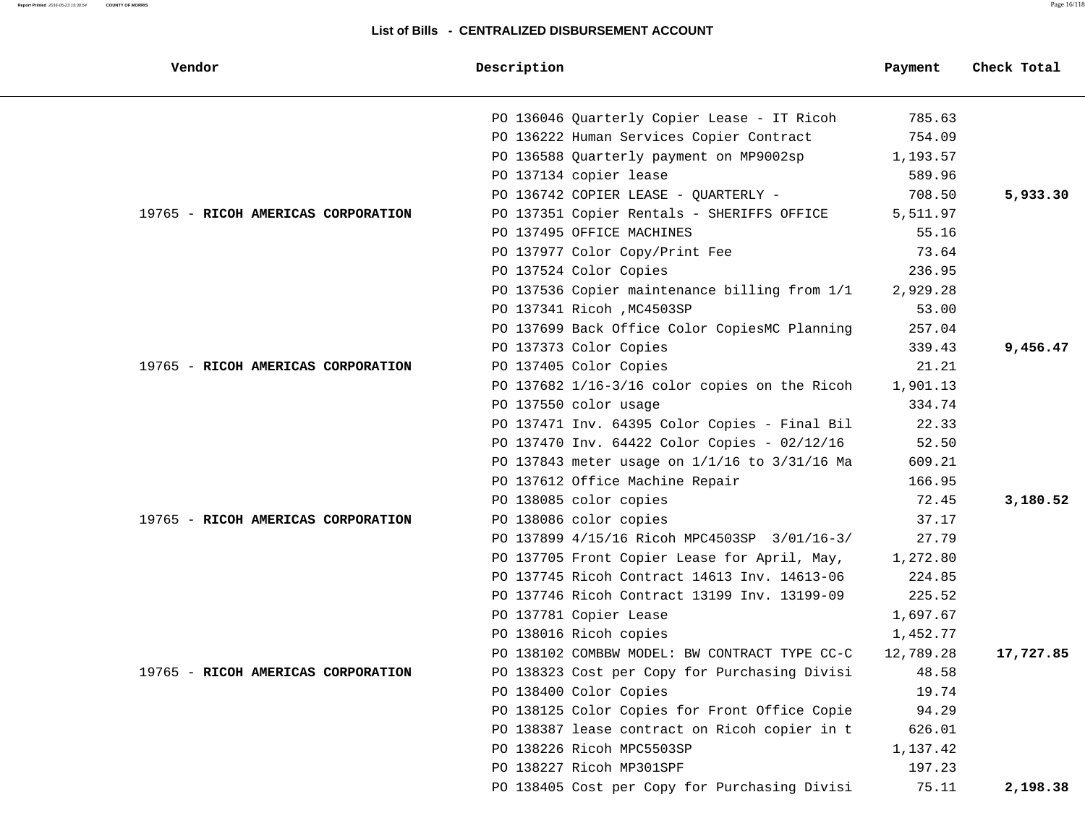| Vendor                             | Description                                   | Payment   | Check Total |
|------------------------------------|-----------------------------------------------|-----------|-------------|
|                                    | PO 136046 Quarterly Copier Lease - IT Ricoh   | 785.63    |             |
|                                    | PO 136222 Human Services Copier Contract      | 754.09    |             |
|                                    | PO 136588 Quarterly payment on MP9002sp       | 1,193.57  |             |
|                                    | PO 137134 copier lease                        | 589.96    |             |
|                                    | PO 136742 COPIER LEASE - QUARTERLY -          | 708.50    | 5,933.30    |
| 19765 - RICOH AMERICAS CORPORATION | PO 137351 Copier Rentals - SHERIFFS OFFICE    | 5,511.97  |             |
|                                    | PO 137495 OFFICE MACHINES                     | 55.16     |             |
|                                    | PO 137977 Color Copy/Print Fee                | 73.64     |             |
|                                    | PO 137524 Color Copies                        | 236.95    |             |
|                                    | PO 137536 Copier maintenance billing from 1/1 | 2,929.28  |             |
|                                    | PO 137341 Ricoh , MC4503SP                    | 53.00     |             |
|                                    | PO 137699 Back Office Color CopiesMC Planning | 257.04    |             |
|                                    | PO 137373 Color Copies                        | 339.43    | 9,456.47    |
| 19765 - RICOH AMERICAS CORPORATION | PO 137405 Color Copies                        | 21.21     |             |
|                                    | PO 137682 1/16-3/16 color copies on the Ricoh | 1,901.13  |             |
|                                    | PO 137550 color usage                         | 334.74    |             |
|                                    | PO 137471 Inv. 64395 Color Copies - Final Bil | 22.33     |             |
|                                    | PO 137470 Inv. 64422 Color Copies - 02/12/16  | 52.50     |             |
|                                    | PO 137843 meter usage on 1/1/16 to 3/31/16 Ma | 609.21    |             |
|                                    | PO 137612 Office Machine Repair               | 166.95    |             |
|                                    | PO 138085 color copies                        | 72.45     | 3,180.52    |
| 19765 - RICOH AMERICAS CORPORATION | PO 138086 color copies                        | 37.17     |             |
|                                    | PO 137899 4/15/16 Ricoh MPC4503SP 3/01/16-3/  | 27.79     |             |
|                                    | PO 137705 Front Copier Lease for April, May,  | 1,272.80  |             |
|                                    | PO 137745 Ricoh Contract 14613 Inv. 14613-06  | 224.85    |             |
|                                    | PO 137746 Ricoh Contract 13199 Inv. 13199-09  | 225.52    |             |
|                                    | PO 137781 Copier Lease                        | 1,697.67  |             |
|                                    | PO 138016 Ricoh copies                        | 1,452.77  |             |
|                                    | PO 138102 COMBBW MODEL: BW CONTRACT TYPE CC-C | 12,789.28 | 17,727.85   |
| 19765 - RICOH AMERICAS CORPORATION | PO 138323 Cost per Copy for Purchasing Divisi | 48.58     |             |
|                                    | PO 138400 Color Copies                        | 19.74     |             |
|                                    | PO 138125 Color Copies for Front Office Copie | 94.29     |             |
|                                    | PO 138387 lease contract on Ricoh copier in t | 626.01    |             |
|                                    | PO 138226 Ricoh MPC5503SP                     | 1,137.42  |             |
|                                    | PO 138227 Ricoh MP301SPF                      | 197.23    |             |
|                                    | PO 138405 Cost per Copy for Purchasing Divisi | 75.11     | 2,198.38    |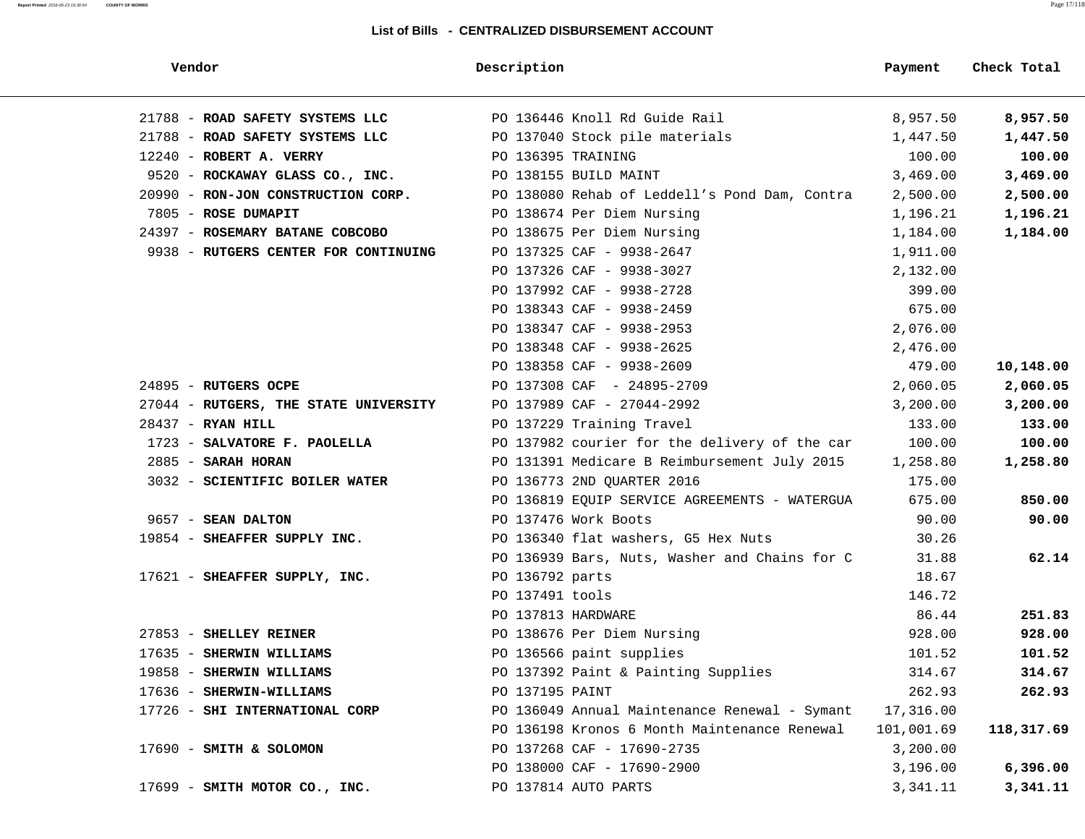#### **Report Printed** 2016-05-23 15:30:54 **COUNTY OF MORRIS** Page 17/118

| Vendor                                | Description                                   | Payment    | Check Total |
|---------------------------------------|-----------------------------------------------|------------|-------------|
| 21788 - ROAD SAFETY SYSTEMS LLC       | PO 136446 Knoll Rd Guide Rail                 | 8,957.50   | 8,957.50    |
| 21788 - ROAD SAFETY SYSTEMS LLC       | PO 137040 Stock pile materials                | 1,447.50   | 1,447.50    |
| 12240 - ROBERT A. VERRY               | PO 136395 TRAINING                            | 100.00     | 100.00      |
| 9520 - ROCKAWAY GLASS CO., INC.       | PO 138155 BUILD MAINT                         | 3,469.00   | 3,469.00    |
| 20990 - RON-JON CONSTRUCTION CORP.    | PO 138080 Rehab of Leddell's Pond Dam, Contra | 2,500.00   | 2,500.00    |
| 7805 - ROSE DUMAPIT                   | PO 138674 Per Diem Nursing                    | 1,196.21   | 1,196.21    |
| 24397 - ROSEMARY BATANE COBCOBO       | PO 138675 Per Diem Nursing                    | 1,184.00   | 1,184.00    |
| 9938 - RUTGERS CENTER FOR CONTINUING  | PO 137325 CAF - 9938-2647                     | 1,911.00   |             |
|                                       | PO 137326 CAF - 9938-3027                     | 2,132.00   |             |
|                                       | PO 137992 CAF - 9938-2728                     | 399.00     |             |
|                                       | PO 138343 CAF - 9938-2459                     | 675.00     |             |
|                                       | PO 138347 CAF - 9938-2953                     | 2,076.00   |             |
|                                       | PO 138348 CAF - 9938-2625                     | 2,476.00   |             |
|                                       | PO 138358 CAF - 9938-2609                     | 479.00     | 10,148.00   |
| 24895 - RUTGERS OCPE                  | PO 137308 CAF - 24895-2709                    | 2,060.05   | 2,060.05    |
| 27044 - RUTGERS, THE STATE UNIVERSITY | PO 137989 CAF - 27044-2992                    | 3,200.00   | 3,200.00    |
| $28437$ - RYAN HILL                   | PO 137229 Training Travel                     | 133.00     | 133.00      |
| 1723 - SALVATORE F. PAOLELLA          | PO 137982 courier for the delivery of the car | 100.00     | 100.00      |
| $2885$ - SARAH HORAN                  | PO 131391 Medicare B Reimbursement July 2015  | 1,258.80   | 1,258.80    |
| 3032 - SCIENTIFIC BOILER WATER        | PO 136773 2ND QUARTER 2016                    | 175.00     |             |
|                                       | PO 136819 EQUIP SERVICE AGREEMENTS - WATERGUA | 675.00     | 850.00      |
| 9657 - SEAN DALTON                    | PO 137476 Work Boots                          | 90.00      | 90.00       |
| 19854 - SHEAFFER SUPPLY INC.          | PO 136340 flat washers, G5 Hex Nuts           | 30.26      |             |
|                                       | PO 136939 Bars, Nuts, Washer and Chains for C | 31.88      | 62.14       |
| 17621 - SHEAFFER SUPPLY, INC.         | PO 136792 parts                               | 18.67      |             |
|                                       | PO 137491 tools                               | 146.72     |             |
|                                       | PO 137813 HARDWARE                            | 86.44      | 251.83      |
| 27853 - SHELLEY REINER                | PO 138676 Per Diem Nursing                    | 928.00     | 928.00      |
| 17635 - SHERWIN WILLIAMS              | PO 136566 paint supplies                      | 101.52     | 101.52      |
| 19858 - SHERWIN WILLIAMS              | PO 137392 Paint & Painting Supplies           | 314.67     | 314.67      |
| 17636 - SHERWIN-WILLIAMS              | PO 137195 PAINT                               | 262.93     | 262.93      |
| 17726 - SHI INTERNATIONAL CORP        | PO 136049 Annual Maintenance Renewal - Symant | 17,316.00  |             |
|                                       | PO 136198 Kronos 6 Month Maintenance Renewal  | 101,001.69 | 118,317.69  |
| 17690 - SMITH & SOLOMON               | PO 137268 CAF - 17690-2735                    | 3,200.00   |             |
|                                       | PO 138000 CAF - 17690-2900                    | 3,196.00   | 6,396.00    |
| 17699 - SMITH MOTOR CO., INC.         | PO 137814 AUTO PARTS                          | 3,341.11   | 3,341.11    |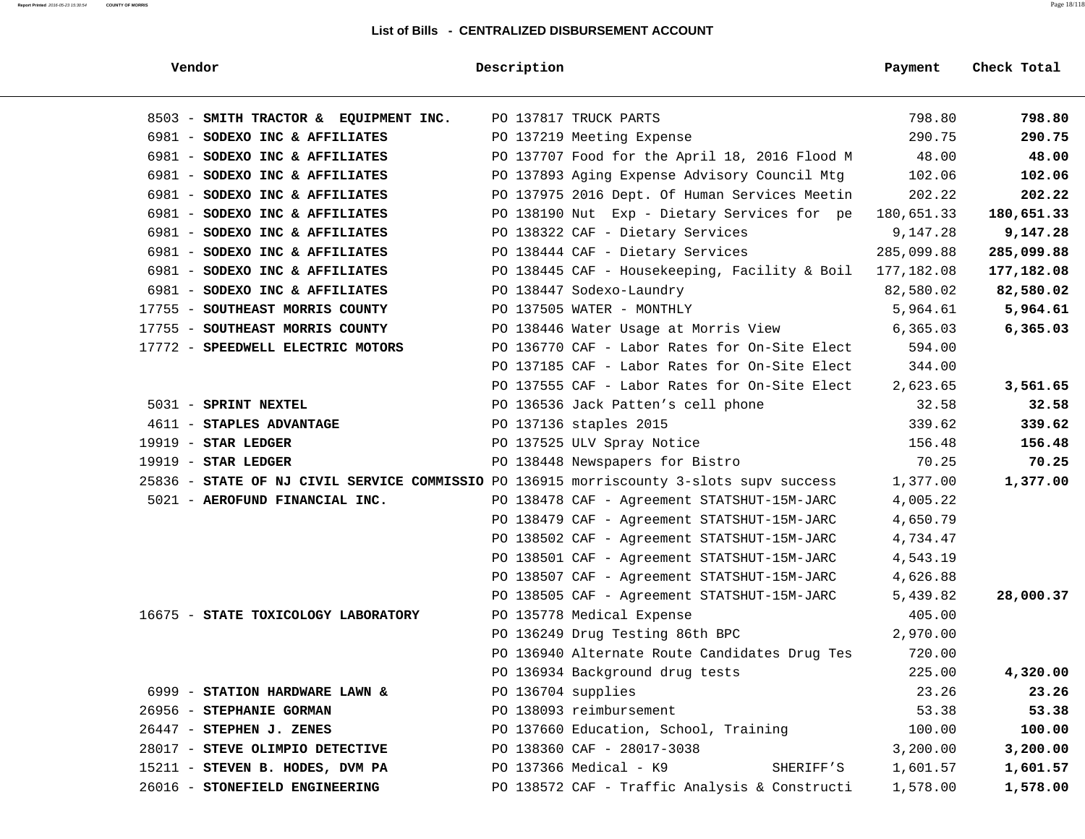| Vendor                                                                                  | Description        |                                               | Payment    | Check Total |
|-----------------------------------------------------------------------------------------|--------------------|-----------------------------------------------|------------|-------------|
| 8503 - SMITH TRACTOR & EQUIPMENT INC.                                                   |                    | PO 137817 TRUCK PARTS                         | 798.80     | 798.80      |
| 6981 - SODEXO INC & AFFILIATES                                                          |                    | PO 137219 Meeting Expense                     | 290.75     | 290.75      |
| 6981 - SODEXO INC & AFFILIATES                                                          |                    | PO 137707 Food for the April 18, 2016 Flood M | 48.00      | 48.00       |
| 6981 - SODEXO INC & AFFILIATES                                                          |                    | PO 137893 Aging Expense Advisory Council Mtg  | 102.06     | 102.06      |
| 6981 - SODEXO INC & AFFILIATES                                                          |                    | PO 137975 2016 Dept. Of Human Services Meetin | 202.22     | 202.22      |
| 6981 - SODEXO INC & AFFILIATES                                                          |                    | PO 138190 Nut Exp - Dietary Services for pe   | 180,651.33 | 180,651.33  |
| 6981 - SODEXO INC & AFFILIATES                                                          |                    | PO 138322 CAF - Dietary Services              | 9,147.28   | 9,147.28    |
| 6981 - SODEXO INC & AFFILIATES                                                          |                    | PO 138444 CAF - Dietary Services              | 285,099.88 | 285,099.88  |
| 6981 - SODEXO INC & AFFILIATES                                                          |                    | PO 138445 CAF - Housekeeping, Facility & Boil | 177,182.08 | 177,182.08  |
| 6981 - SODEXO INC & AFFILIATES                                                          |                    | PO 138447 Sodexo-Laundry                      | 82,580.02  | 82,580.02   |
| 17755 - SOUTHEAST MORRIS COUNTY                                                         |                    | PO 137505 WATER - MONTHLY                     | 5,964.61   | 5,964.61    |
| 17755 - SOUTHEAST MORRIS COUNTY                                                         |                    | PO 138446 Water Usage at Morris View          | 6, 365.03  | 6,365.03    |
| 17772 - SPEEDWELL ELECTRIC MOTORS                                                       |                    | PO 136770 CAF - Labor Rates for On-Site Elect | 594.00     |             |
|                                                                                         |                    | PO 137185 CAF - Labor Rates for On-Site Elect | 344.00     |             |
|                                                                                         |                    | PO 137555 CAF - Labor Rates for On-Site Elect | 2,623.65   | 3,561.65    |
| 5031 - SPRINT NEXTEL                                                                    |                    | PO 136536 Jack Patten's cell phone            | 32.58      | 32.58       |
| 4611 - STAPLES ADVANTAGE                                                                |                    | PO 137136 staples 2015                        | 339.62     | 339.62      |
| $19919$ - STAR LEDGER                                                                   |                    | PO 137525 ULV Spray Notice                    | 156.48     | 156.48      |
| $19919$ - STAR LEDGER                                                                   |                    | PO 138448 Newspapers for Bistro               | 70.25      | 70.25       |
| 25836 - STATE OF NJ CIVIL SERVICE COMMISSIO PO 136915 morriscounty 3-slots supv success |                    |                                               | 1,377.00   | 1,377.00    |
| 5021 - AEROFUND FINANCIAL INC.                                                          |                    | PO 138478 CAF - Agreement STATSHUT-15M-JARC   | 4,005.22   |             |
|                                                                                         |                    | PO 138479 CAF - Agreement STATSHUT-15M-JARC   | 4,650.79   |             |
|                                                                                         |                    | PO 138502 CAF - Agreement STATSHUT-15M-JARC   | 4,734.47   |             |
|                                                                                         |                    | PO 138501 CAF - Agreement STATSHUT-15M-JARC   | 4,543.19   |             |
|                                                                                         |                    | PO 138507 CAF - Agreement STATSHUT-15M-JARC   | 4,626.88   |             |
|                                                                                         |                    | PO 138505 CAF - Agreement STATSHUT-15M-JARC   | 5,439.82   | 28,000.37   |
| 16675 - STATE TOXICOLOGY LABORATORY                                                     |                    | PO 135778 Medical Expense                     | 405.00     |             |
|                                                                                         |                    | PO 136249 Drug Testing 86th BPC               | 2,970.00   |             |
|                                                                                         |                    | PO 136940 Alternate Route Candidates Drug Tes | 720.00     |             |
|                                                                                         |                    | PO 136934 Background drug tests               | 225.00     | 4,320.00    |
| 6999 - STATION HARDWARE LAWN &                                                          | PO 136704 supplies |                                               | 23.26      | 23.26       |
| 26956 - STEPHANIE GORMAN                                                                |                    | PO 138093 reimbursement                       | 53.38      | 53.38       |
| $26447$ - STEPHEN J. ZENES                                                              |                    | PO 137660 Education, School, Training         | 100.00     | 100.00      |
| 28017 - STEVE OLIMPIO DETECTIVE                                                         |                    | PO 138360 CAF - 28017-3038                    | 3,200.00   | 3,200.00    |
| 15211 - STEVEN B. HODES, DVM PA                                                         |                    | PO 137366 Medical - K9<br>SHERIFF'S           | 1,601.57   | 1,601.57    |
| 26016 - STONEFIELD ENGINEERING                                                          |                    | PO 138572 CAF - Traffic Analysis & Constructi | 1,578.00   | 1,578.00    |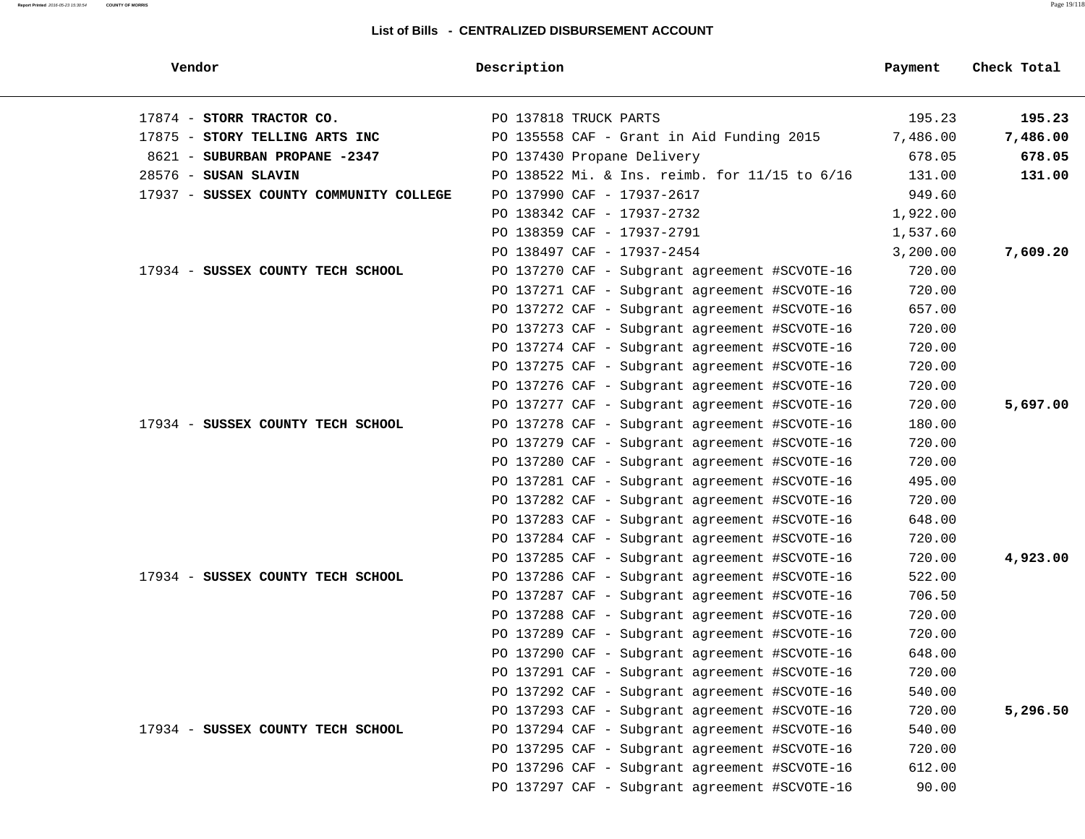| Vendor                                  | Description                                   | Payment  | Check Total |
|-----------------------------------------|-----------------------------------------------|----------|-------------|
| 17874 - STORR TRACTOR CO.               | PO 137818 TRUCK PARTS                         | 195.23   | 195.23      |
| 17875 - STORY TELLING ARTS INC          | PO 135558 CAF - Grant in Aid Funding 2015     | 7,486.00 | 7,486.00    |
| 8621 - SUBURBAN PROPANE -2347           | PO 137430 Propane Delivery                    | 678.05   | 678.05      |
| $28576$ - SUSAN SLAVIN                  | PO 138522 Mi. & Ins. reimb. for 11/15 to 6/16 | 131.00   | 131.00      |
| 17937 - SUSSEX COUNTY COMMUNITY COLLEGE | PO 137990 CAF - 17937-2617                    | 949.60   |             |
|                                         | PO 138342 CAF - 17937-2732                    | 1,922.00 |             |
|                                         | PO 138359 CAF - 17937-2791                    | 1,537.60 |             |
|                                         | PO 138497 CAF - 17937-2454                    | 3,200.00 | 7,609.20    |
| 17934 - SUSSEX COUNTY TECH SCHOOL       | PO 137270 CAF - Subgrant agreement #SCVOTE-16 | 720.00   |             |
|                                         | PO 137271 CAF - Subgrant agreement #SCVOTE-16 | 720.00   |             |
|                                         | PO 137272 CAF - Subgrant agreement #SCVOTE-16 | 657.00   |             |
|                                         | PO 137273 CAF - Subgrant agreement #SCVOTE-16 | 720.00   |             |
|                                         | PO 137274 CAF - Subgrant agreement #SCVOTE-16 | 720.00   |             |
|                                         | PO 137275 CAF - Subgrant agreement #SCVOTE-16 | 720.00   |             |
|                                         | PO 137276 CAF - Subgrant agreement #SCVOTE-16 | 720.00   |             |
|                                         | PO 137277 CAF - Subgrant agreement #SCVOTE-16 | 720.00   | 5,697.00    |
| 17934 - SUSSEX COUNTY TECH SCHOOL       | PO 137278 CAF - Subgrant agreement #SCVOTE-16 | 180.00   |             |
|                                         | PO 137279 CAF - Subgrant agreement #SCVOTE-16 | 720.00   |             |
|                                         | PO 137280 CAF - Subgrant agreement #SCVOTE-16 | 720.00   |             |
|                                         | PO 137281 CAF - Subgrant agreement #SCVOTE-16 | 495.00   |             |
|                                         | PO 137282 CAF - Subgrant agreement #SCVOTE-16 | 720.00   |             |
|                                         | PO 137283 CAF - Subgrant agreement #SCVOTE-16 | 648.00   |             |
|                                         | PO 137284 CAF - Subgrant agreement #SCVOTE-16 | 720.00   |             |
|                                         | PO 137285 CAF - Subgrant agreement #SCVOTE-16 | 720.00   | 4,923.00    |
| 17934 - SUSSEX COUNTY TECH SCHOOL       | PO 137286 CAF - Subgrant agreement #SCVOTE-16 | 522.00   |             |
|                                         | PO 137287 CAF - Subgrant agreement #SCVOTE-16 | 706.50   |             |
|                                         | PO 137288 CAF - Subgrant agreement #SCVOTE-16 | 720.00   |             |
|                                         | PO 137289 CAF - Subgrant agreement #SCVOTE-16 | 720.00   |             |
|                                         | PO 137290 CAF - Subgrant agreement #SCVOTE-16 | 648.00   |             |
|                                         | PO 137291 CAF - Subgrant agreement #SCVOTE-16 | 720.00   |             |
|                                         | PO 137292 CAF - Subgrant agreement #SCVOTE-16 | 540.00   |             |
|                                         | PO 137293 CAF - Subgrant agreement #SCVOTE-16 | 720.00   | 5,296.50    |
| 17934 - SUSSEX COUNTY TECH SCHOOL       | PO 137294 CAF - Subgrant agreement #SCVOTE-16 | 540.00   |             |
|                                         | PO 137295 CAF - Subgrant agreement #SCVOTE-16 | 720.00   |             |
|                                         | PO 137296 CAF - Subgrant agreement #SCVOTE-16 | 612.00   |             |
|                                         | PO 137297 CAF - Subgrant agreement #SCVOTE-16 | 90.00    |             |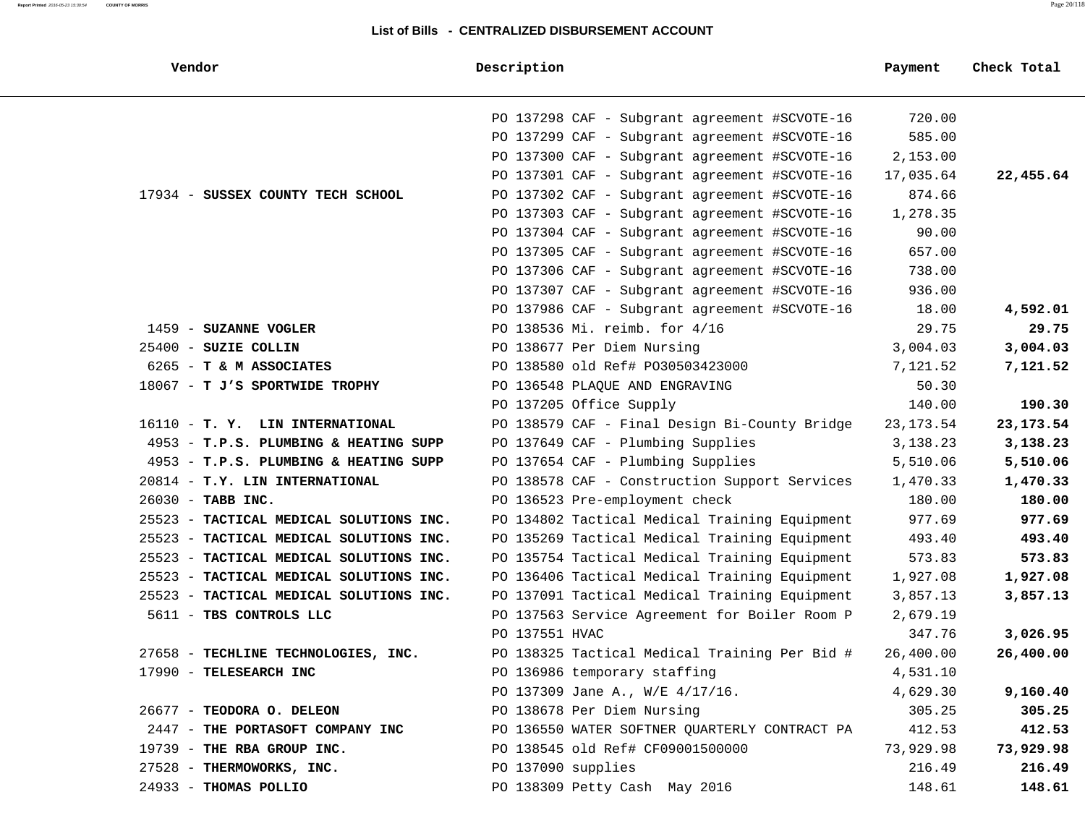| Vendor                                  | Description                                   | Payment    | Check Total |  |
|-----------------------------------------|-----------------------------------------------|------------|-------------|--|
|                                         | PO 137298 CAF - Subgrant agreement #SCVOTE-16 | 720.00     |             |  |
|                                         | PO 137299 CAF - Subgrant agreement #SCVOTE-16 | 585.00     |             |  |
|                                         | PO 137300 CAF - Subgrant agreement #SCVOTE-16 | 2,153.00   |             |  |
|                                         | PO 137301 CAF - Subgrant agreement #SCVOTE-16 | 17,035.64  | 22,455.64   |  |
| 17934 - SUSSEX COUNTY TECH SCHOOL       | PO 137302 CAF - Subgrant agreement #SCVOTE-16 | 874.66     |             |  |
|                                         | PO 137303 CAF - Subgrant agreement #SCVOTE-16 | 1,278.35   |             |  |
|                                         | PO 137304 CAF - Subgrant agreement #SCVOTE-16 | 90.00      |             |  |
|                                         | PO 137305 CAF - Subgrant agreement #SCVOTE-16 | 657.00     |             |  |
|                                         | PO 137306 CAF - Subgrant agreement #SCVOTE-16 | 738.00     |             |  |
|                                         | PO 137307 CAF - Subgrant agreement #SCVOTE-16 | 936.00     |             |  |
|                                         | PO 137986 CAF - Subgrant agreement #SCVOTE-16 | 18.00      | 4,592.01    |  |
| 1459 - SUZANNE VOGLER                   | PO 138536 Mi. reimb. for 4/16                 | 29.75      | 29.75       |  |
| $25400$ - SUZIE COLLIN                  | PO 138677 Per Diem Nursing                    | 3,004.03   | 3,004.03    |  |
| 6265 - T & M ASSOCIATES                 | PO 138580 old Ref# PO30503423000              | 7,121.52   | 7,121.52    |  |
| 18067 - T J'S SPORTWIDE TROPHY          | PO 136548 PLAQUE AND ENGRAVING                | 50.30      |             |  |
|                                         | PO 137205 Office Supply                       | 140.00     | 190.30      |  |
| 16110 - T. Y. LIN INTERNATIONAL         | PO 138579 CAF - Final Design Bi-County Bridge | 23, 173.54 | 23, 173. 54 |  |
| 4953 - T.P.S. PLUMBING & HEATING SUPP   | PO 137649 CAF - Plumbing Supplies             | 3,138.23   | 3,138.23    |  |
| 4953 - T.P.S. PLUMBING & HEATING SUPP   | PO 137654 CAF - Plumbing Supplies             | 5,510.06   | 5,510.06    |  |
| 20814 - T.Y. LIN INTERNATIONAL          | PO 138578 CAF - Construction Support Services | 1,470.33   | 1,470.33    |  |
| 26030 - TABB INC.                       | PO 136523 Pre-employment check                | 180.00     | 180.00      |  |
| 25523 - TACTICAL MEDICAL SOLUTIONS INC. | PO 134802 Tactical Medical Training Equipment | 977.69     | 977.69      |  |
| 25523 - TACTICAL MEDICAL SOLUTIONS INC. | PO 135269 Tactical Medical Training Equipment | 493.40     | 493.40      |  |
| 25523 - TACTICAL MEDICAL SOLUTIONS INC. | PO 135754 Tactical Medical Training Equipment | 573.83     | 573.83      |  |
| 25523 - TACTICAL MEDICAL SOLUTIONS INC. | PO 136406 Tactical Medical Training Equipment | 1,927.08   | 1,927.08    |  |
| 25523 - TACTICAL MEDICAL SOLUTIONS INC. | PO 137091 Tactical Medical Training Equipment | 3,857.13   | 3,857.13    |  |
| 5611 - TBS CONTROLS LLC                 | PO 137563 Service Agreement for Boiler Room P | 2,679.19   |             |  |
|                                         | PO 137551 HVAC                                | 347.76     | 3,026.95    |  |
| 27658 - TECHLINE TECHNOLOGIES, INC.     | PO 138325 Tactical Medical Training Per Bid # | 26,400.00  | 26,400.00   |  |
| 17990 - TELESEARCH INC                  | PO 136986 temporary staffing                  | 4,531.10   |             |  |
|                                         | PO 137309 Jane A., W/E 4/17/16.               | 4,629.30   | 9,160.40    |  |
| 26677 - TEODORA O. DELEON               | PO 138678 Per Diem Nursing                    | 305.25     | 305.25      |  |
| 2447 - THE PORTASOFT COMPANY INC        | PO 136550 WATER SOFTNER QUARTERLY CONTRACT PA | 412.53     | 412.53      |  |
| 19739 - THE RBA GROUP INC.              | PO 138545 old Ref# CF09001500000              | 73,929.98  | 73,929.98   |  |
| 27528 - THERMOWORKS, INC.               | PO 137090 supplies                            | 216.49     | 216.49      |  |
| 24933 - THOMAS POLLIO                   | PO 138309 Petty Cash May 2016                 | 148.61     | 148.61      |  |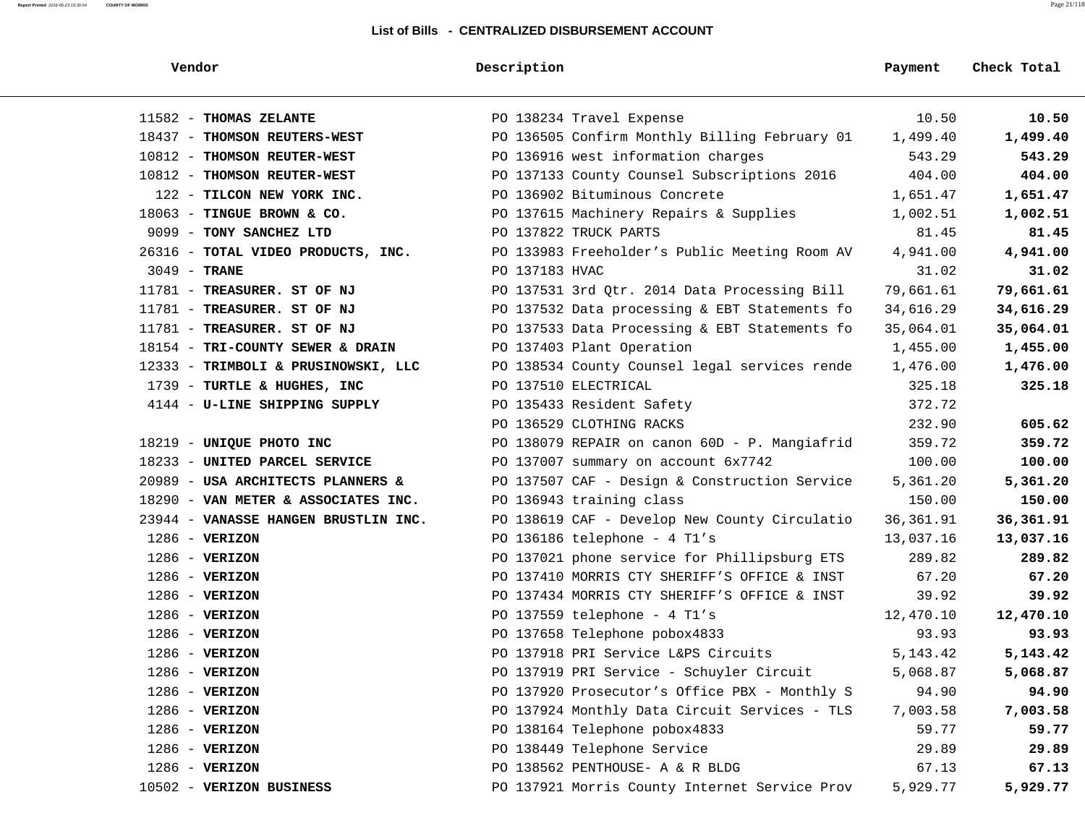#### **Report Printed** 2016-05-23 15:30:54 **COUNTY OF MORRIS** Page 21/118

| Vendor                               | Description                                   | Payment    | Check Total |
|--------------------------------------|-----------------------------------------------|------------|-------------|
| 11582 - THOMAS ZELANTE               | PO 138234 Travel Expense                      | 10.50      | 10.50       |
| 18437 - THOMSON REUTERS-WEST         | PO 136505 Confirm Monthly Billing February 01 | 1,499.40   | 1,499.40    |
| 10812 - THOMSON REUTER-WEST          | PO 136916 west information charges            | 543.29     | 543.29      |
| 10812 - THOMSON REUTER-WEST          | PO 137133 County Counsel Subscriptions 2016   | 404.00     | 404.00      |
| 122 - TILCON NEW YORK INC.           | PO 136902 Bituminous Concrete                 | 1,651.47   | 1,651.47    |
| $18063$ - TINGUE BROWN & CO.         | PO 137615 Machinery Repairs & Supplies        | 1,002.51   | 1,002.51    |
| 9099 - TONY SANCHEZ LTD              | PO 137822 TRUCK PARTS                         | 81.45      | 81.45       |
| 26316 - TOTAL VIDEO PRODUCTS, INC.   | PO 133983 Freeholder's Public Meeting Room AV | 4,941.00   | 4,941.00    |
| $3049$ - TRANE                       | PO 137183 HVAC                                | 31.02      | 31.02       |
| 11781 - TREASURER. ST OF NJ          | PO 137531 3rd Qtr. 2014 Data Processing Bill  | 79,661.61  | 79,661.61   |
| 11781 - TREASURER. ST OF NJ          | PO 137532 Data processing & EBT Statements fo | 34,616.29  | 34,616.29   |
| 11781 - TREASURER. ST OF NJ          | PO 137533 Data Processing & EBT Statements fo | 35,064.01  | 35,064.01   |
| 18154 - TRI-COUNTY SEWER & DRAIN     | PO 137403 Plant Operation                     | 1,455.00   | 1,455.00    |
| 12333 - TRIMBOLI & PRUSINOWSKI, LLC  | PO 138534 County Counsel legal services rende | 1,476.00   | 1,476.00    |
| 1739 - TURTLE & HUGHES, INC          | PO 137510 ELECTRICAL                          | 325.18     | 325.18      |
| 4144 - U-LINE SHIPPING SUPPLY        | PO 135433 Resident Safety                     | 372.72     |             |
|                                      | PO 136529 CLOTHING RACKS                      | 232.90     | 605.62      |
| 18219 - UNIQUE PHOTO INC             | PO 138079 REPAIR on canon 60D - P. Mangiafrid | 359.72     | 359.72      |
| 18233 - UNITED PARCEL SERVICE        | PO 137007 summary on account 6x7742           | 100.00     | 100.00      |
| 20989 - USA ARCHITECTS PLANNERS &    | PO 137507 CAF - Design & Construction Service | 5,361.20   | 5,361.20    |
| 18290 - VAN METER & ASSOCIATES INC.  | PO 136943 training class                      | 150.00     | 150.00      |
| 23944 - VANASSE HANGEN BRUSTLIN INC. | PO 138619 CAF - Develop New County Circulatio | 36, 361.91 | 36,361.91   |
| $1286$ - VERIZON                     | PO 136186 telephone - 4 T1's                  | 13,037.16  | 13,037.16   |
| $1286$ - VERIZON                     | PO 137021 phone service for Phillipsburg ETS  | 289.82     | 289.82      |
| $1286$ - VERIZON                     | PO 137410 MORRIS CTY SHERIFF'S OFFICE & INST  | 67.20      | 67.20       |
| $1286$ - VERIZON                     | PO 137434 MORRIS CTY SHERIFF'S OFFICE & INST  | 39.92      | 39.92       |
| $1286$ - VERIZON                     | PO 137559 telephone - $4$ Tl's                | 12,470.10  | 12,470.10   |
| $1286$ - VERIZON                     | PO 137658 Telephone pobox4833                 | 93.93      | 93.93       |
| $1286$ - VERIZON                     | PO 137918 PRI Service L&PS Circuits           | 5, 143. 42 | 5,143.42    |
| $1286$ - VERIZON                     | PO 137919 PRI Service - Schuyler Circuit      | 5,068.87   | 5,068.87    |
| $1286$ - VERIZON                     | PO 137920 Prosecutor's Office PBX - Monthly S | 94.90      | 94.90       |
| $1286$ - VERIZON                     | PO 137924 Monthly Data Circuit Services - TLS | 7,003.58   | 7,003.58    |
| $1286$ - VERIZON                     | PO 138164 Telephone pobox4833                 | 59.77      | 59.77       |
| $1286$ - VERIZON                     | PO 138449 Telephone Service                   | 29.89      | 29.89       |
| $1286$ - VERIZON                     | PO 138562 PENTHOUSE- A & R BLDG               | 67.13      | 67.13       |
| 10502 - VERIZON BUSINESS             | PO 137921 Morris County Internet Service Prov | 5,929.77   | 5,929.77    |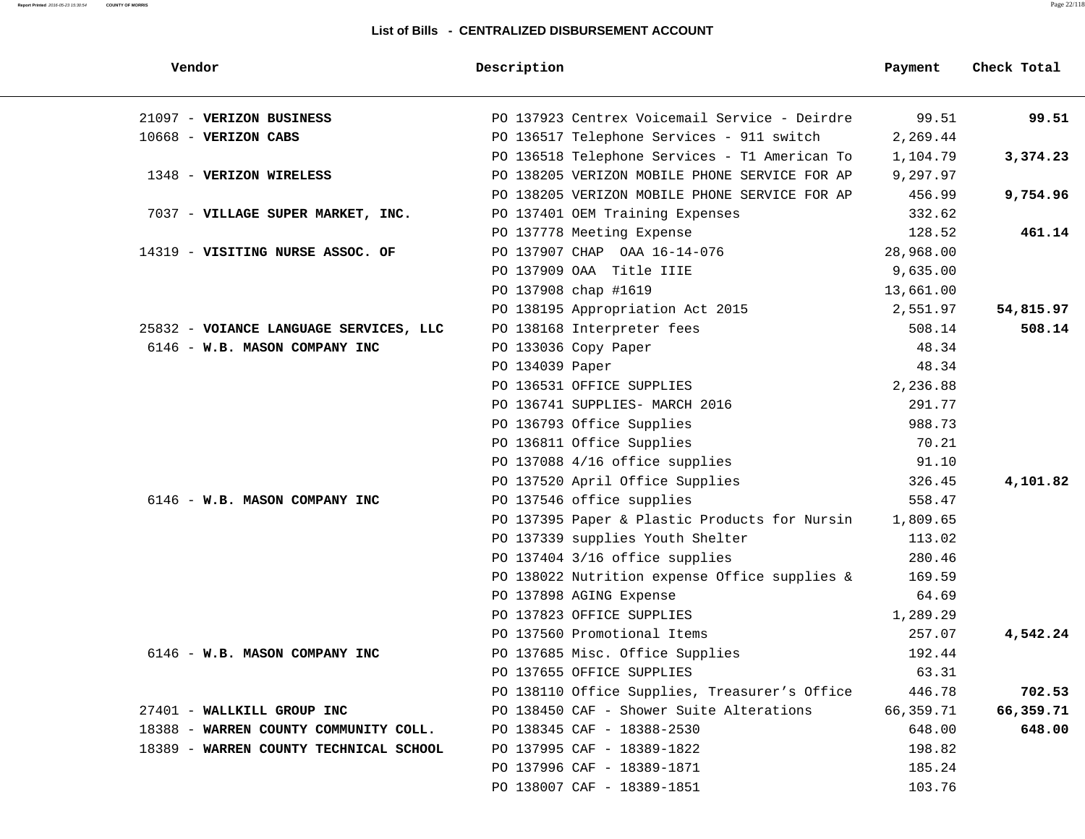| Vendor                                 | Description                                   | Payment   | Check Total |
|----------------------------------------|-----------------------------------------------|-----------|-------------|
| 21097 - VERIZON BUSINESS               | PO 137923 Centrex Voicemail Service - Deirdre | 99.51     | 99.51       |
| 10668 - VERIZON CABS                   | PO 136517 Telephone Services - 911 switch     | 2,269.44  |             |
|                                        | PO 136518 Telephone Services - T1 American To | 1,104.79  | 3,374.23    |
| 1348 - VERIZON WIRELESS                | PO 138205 VERIZON MOBILE PHONE SERVICE FOR AP | 9,297.97  |             |
|                                        | PO 138205 VERIZON MOBILE PHONE SERVICE FOR AP | 456.99    | 9,754.96    |
| 7037 - VILLAGE SUPER MARKET, INC.      | PO 137401 OEM Training Expenses               | 332.62    |             |
|                                        | PO 137778 Meeting Expense                     | 128.52    | 461.14      |
| 14319 - VISITING NURSE ASSOC. OF       | PO 137907 CHAP OAA 16-14-076                  | 28,968.00 |             |
|                                        | PO 137909 OAA Title IIIE                      | 9,635.00  |             |
|                                        | PO 137908 chap #1619                          | 13,661.00 |             |
|                                        | PO 138195 Appropriation Act 2015              | 2,551.97  | 54,815.97   |
| 25832 - VOIANCE LANGUAGE SERVICES, LLC | PO 138168 Interpreter fees                    | 508.14    | 508.14      |
| 6146 - W.B. MASON COMPANY INC          | PO 133036 Copy Paper                          | 48.34     |             |
|                                        | PO 134039 Paper                               | 48.34     |             |
|                                        | PO 136531 OFFICE SUPPLIES                     | 2,236.88  |             |
|                                        | PO 136741 SUPPLIES- MARCH 2016                | 291.77    |             |
|                                        | PO 136793 Office Supplies                     | 988.73    |             |
|                                        | PO 136811 Office Supplies                     | 70.21     |             |
|                                        | PO 137088 4/16 office supplies                | 91.10     |             |
|                                        | PO 137520 April Office Supplies               | 326.45    | 4,101.82    |
| 6146 - W.B. MASON COMPANY INC          | PO 137546 office supplies                     | 558.47    |             |
|                                        | PO 137395 Paper & Plastic Products for Nursin | 1,809.65  |             |
|                                        | PO 137339 supplies Youth Shelter              | 113.02    |             |
|                                        | PO 137404 3/16 office supplies                | 280.46    |             |
|                                        | PO 138022 Nutrition expense Office supplies & | 169.59    |             |
|                                        | PO 137898 AGING Expense                       | 64.69     |             |
|                                        | PO 137823 OFFICE SUPPLIES                     | 1,289.29  |             |
|                                        | PO 137560 Promotional Items                   | 257.07    | 4,542.24    |
| 6146 - W.B. MASON COMPANY INC          | PO 137685 Misc. Office Supplies               | 192.44    |             |
|                                        | PO 137655 OFFICE SUPPLIES                     | 63.31     |             |
|                                        | PO 138110 Office Supplies, Treasurer's Office | 446.78    | 702.53      |
| 27401 - WALLKILL GROUP INC             | PO 138450 CAF - Shower Suite Alterations      | 66,359.71 | 66,359.71   |
| 18388 - WARREN COUNTY COMMUNITY COLL.  | PO 138345 CAF - 18388-2530                    | 648.00    | 648.00      |
| 18389 - WARREN COUNTY TECHNICAL SCHOOL | PO 137995 CAF - 18389-1822                    | 198.82    |             |
|                                        | PO 137996 CAF - 18389-1871                    | 185.24    |             |
|                                        | PO 138007 CAF - 18389-1851                    | 103.76    |             |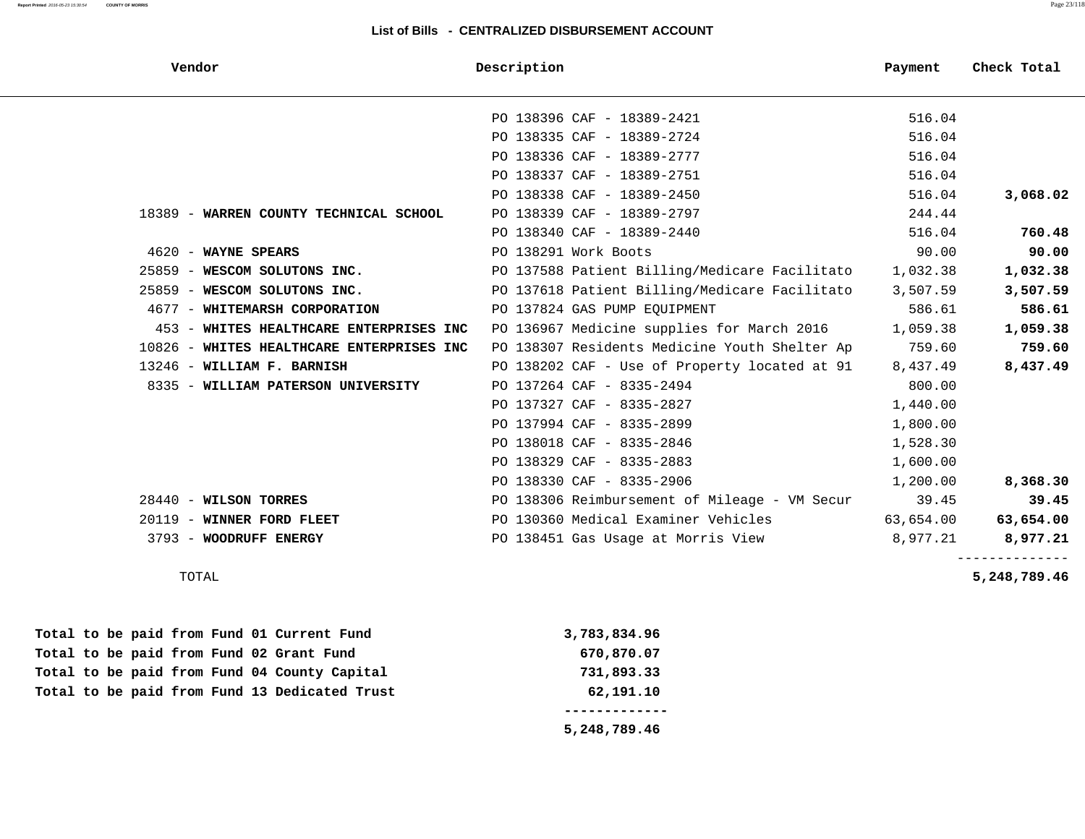| Vendor                                    | Description                                   | Payment   | Check Total |
|-------------------------------------------|-----------------------------------------------|-----------|-------------|
|                                           | PO 138396 CAF - 18389-2421                    | 516.04    |             |
|                                           | PO 138335 CAF - 18389-2724                    | 516.04    |             |
|                                           | PO 138336 CAF - 18389-2777                    | 516.04    |             |
|                                           | PO 138337 CAF - 18389-2751                    | 516.04    |             |
|                                           | PO 138338 CAF - 18389-2450                    | 516.04    | 3,068.02    |
| 18389 - WARREN COUNTY TECHNICAL SCHOOL    | PO 138339 CAF - 18389-2797                    | 244.44    |             |
|                                           | PO 138340 CAF - 18389-2440                    | 516.04    | 760.48      |
| 4620 - WAYNE SPEARS                       | PO 138291 Work Boots                          | 90.00     | 90.00       |
| 25859 - WESCOM SOLUTONS INC.              | PO 137588 Patient Billing/Medicare Facilitato | 1,032.38  | 1,032.38    |
| 25859 - WESCOM SOLUTONS INC.              | PO 137618 Patient Billing/Medicare Facilitato | 3,507.59  | 3,507.59    |
| 4677 - WHITEMARSH CORPORATION             | PO 137824 GAS PUMP EQUIPMENT                  | 586.61    | 586.61      |
| 453 - WHITES HEALTHCARE ENTERPRISES INC   | PO 136967 Medicine supplies for March 2016    | 1,059.38  | 1,059.38    |
| 10826 - WHITES HEALTHCARE ENTERPRISES INC | PO 138307 Residents Medicine Youth Shelter Ap | 759.60    | 759.60      |
| 13246 - WILLIAM F. BARNISH                | PO 138202 CAF - Use of Property located at 91 | 8,437.49  | 8,437.49    |
| 8335 - WILLIAM PATERSON UNIVERSITY        | PO 137264 CAF - 8335-2494                     | 800.00    |             |
|                                           | PO 137327 CAF - 8335-2827                     | 1,440.00  |             |
|                                           | PO 137994 CAF - 8335-2899                     | 1,800.00  |             |
|                                           | PO 138018 CAF - 8335-2846                     | 1,528.30  |             |
|                                           | PO 138329 CAF - 8335-2883                     | 1,600.00  |             |
|                                           | PO 138330 CAF - 8335-2906                     | 1,200.00  | 8,368.30    |
| $28440$ - WILSON TORRES                   | PO 138306 Reimbursement of Mileage - VM Secur | 39.45     | 39.45       |
| 20119 - WINNER FORD FLEET                 | PO 130360 Medical Examiner Vehicles           | 63,654.00 | 63,654.00   |
| 3793 - WOODRUFF ENERGY                    | PO 138451 Gas Usage at Morris View            | 8,977.21  | 8,977.21    |
|                                           |                                               |           |             |

TOTAL **5,248,789.46**

|  |  |  |  | Total to be paid from Fund 13 Dedicated Trust | 62,191.10    |
|--|--|--|--|-----------------------------------------------|--------------|
|  |  |  |  | Total to be paid from Fund 04 County Capital  | 731,893.33   |
|  |  |  |  | Total to be paid from Fund 02 Grant Fund      | 670,870.07   |
|  |  |  |  | Total to be paid from Fund 01 Current Fund    | 3,783,834.96 |

 **5,248,789.46**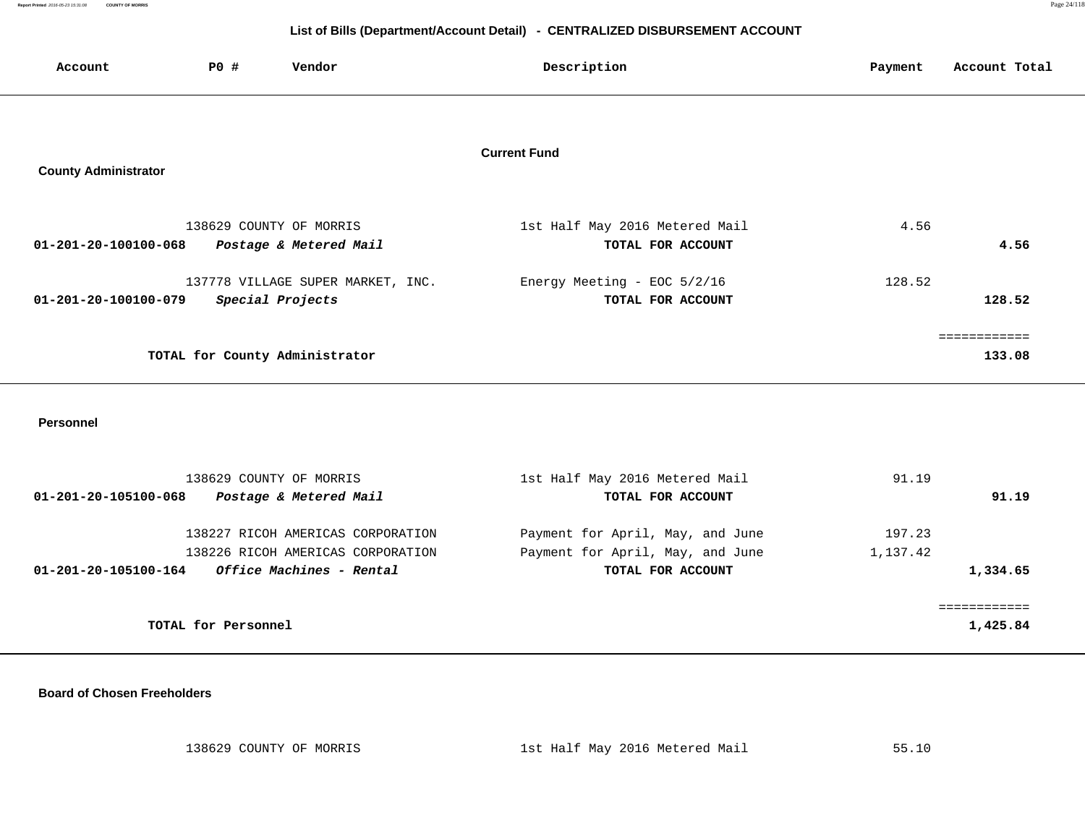**Report Printed** 2016-05-23 15:31:08 **COUNTY OF MORRIS** Page 24/118

# **List of Bills (Department/Account Detail) - CENTRALIZED DISBURSEMENT ACCOUNT**

| Account                     | <b>PO #</b>      | Vendor                                            | Description                                         | Payment | Account Total          |
|-----------------------------|------------------|---------------------------------------------------|-----------------------------------------------------|---------|------------------------|
| <b>County Administrator</b> |                  |                                                   | <b>Current Fund</b>                                 |         |                        |
| 01-201-20-100100-068        |                  | 138629 COUNTY OF MORRIS<br>Postage & Metered Mail | 1st Half May 2016 Metered Mail<br>TOTAL FOR ACCOUNT | 4.56    | 4.56                   |
| 01-201-20-100100-079        | Special Projects | 137778 VILLAGE SUPER MARKET, INC.                 | Energy Meeting - EOC 5/2/16<br>TOTAL FOR ACCOUNT    | 128.52  | 128.52                 |
|                             |                  | TOTAL for County Administrator                    |                                                     |         | :===========<br>133.08 |

 **Personnel** 

| 138629 COUNTY OF MORRIS                                 | 1st Half May 2016 Metered Mail   | 91.19    |
|---------------------------------------------------------|----------------------------------|----------|
| Postage & Metered Mail<br>01-201-20-105100-068          | TOTAL FOR ACCOUNT                | 91.19    |
| 138227 RICOH AMERICAS CORPORATION                       | Payment for April, May, and June | 197.23   |
| 138226 RICOH AMERICAS CORPORATION                       | Payment for April, May, and June | 1,137.42 |
| <i>Office Machines - Rental</i><br>01-201-20-105100-164 | TOTAL FOR ACCOUNT                | 1,334.65 |
|                                                         |                                  |          |
| TOTAL for Personnel                                     |                                  | 1,425.84 |

 **Board of Chosen Freeholders**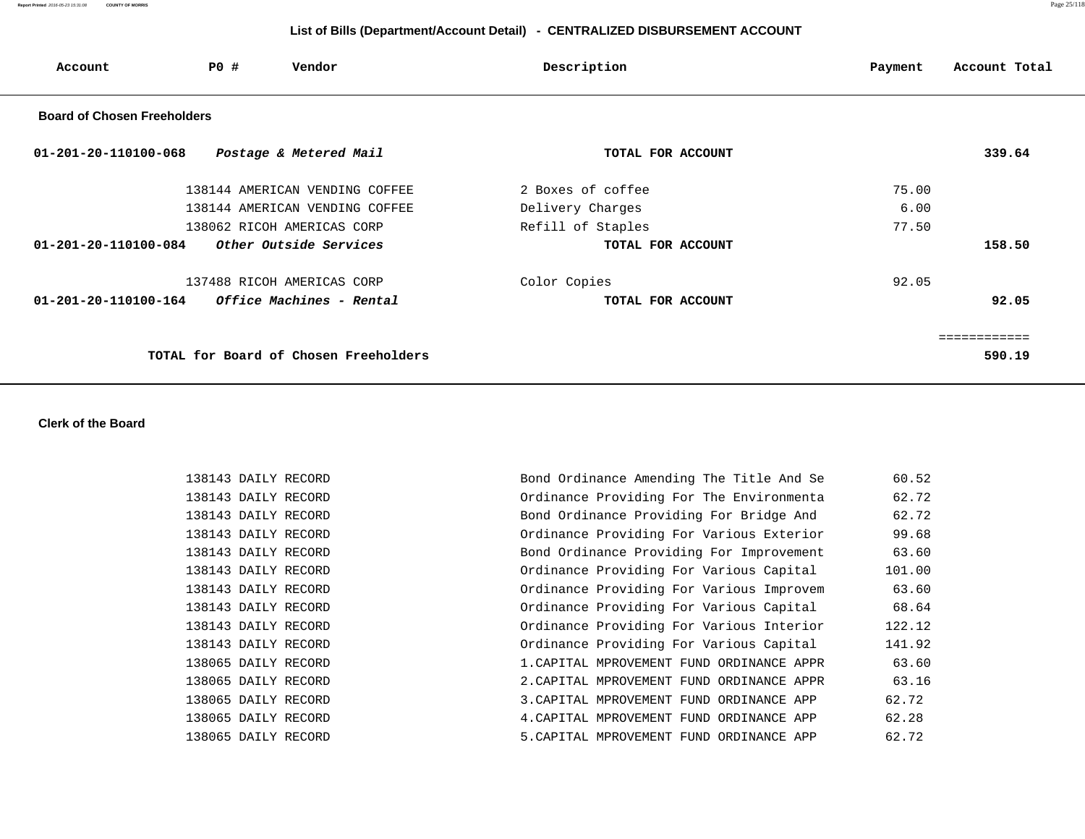**Report Printed** 2016-05-23 15:31:08 **COUNTY OF MORRIS** Page 25/118

# **List of Bills (Department/Account Detail) - CENTRALIZED DISBURSEMENT ACCOUNT**

| Account                            | PO # | Vendor                                | Description       | Account Total<br>Payment |
|------------------------------------|------|---------------------------------------|-------------------|--------------------------|
| <b>Board of Chosen Freeholders</b> |      |                                       |                   |                          |
| 01-201-20-110100-068               |      | Postage & Metered Mail                | TOTAL FOR ACCOUNT | 339.64                   |
|                                    |      | 138144 AMERICAN VENDING COFFEE        | 2 Boxes of coffee | 75.00                    |
|                                    |      | 138144 AMERICAN VENDING COFFEE        | Delivery Charges  | 6.00                     |
|                                    |      | 138062 RICOH AMERICAS CORP            | Refill of Staples | 77.50                    |
| $01 - 201 - 20 - 110100 - 084$     |      | Other Outside Services                | TOTAL FOR ACCOUNT | 158.50                   |
|                                    |      | 137488 RICOH AMERICAS CORP            | Color Copies      | 92.05                    |
| $01 - 201 - 20 - 110100 - 164$     |      | Office Machines - Rental              | TOTAL FOR ACCOUNT | 92.05                    |
|                                    |      |                                       |                   | ============             |
|                                    |      | TOTAL for Board of Chosen Freeholders |                   | 590.19                   |

## **Clerk of the Board**

| 138143 DAILY RECORD | Bond Ordinance Amending The Title And Se  | 60.52  |
|---------------------|-------------------------------------------|--------|
| 138143 DAILY RECORD | Ordinance Providing For The Environmenta  | 62.72  |
| 138143 DAILY RECORD | Bond Ordinance Providing For Bridge And   | 62.72  |
| 138143 DAILY RECORD | Ordinance Providing For Various Exterior  | 99.68  |
| 138143 DAILY RECORD | Bond Ordinance Providing For Improvement  | 63.60  |
| 138143 DAILY RECORD | Ordinance Providing For Various Capital   | 101.00 |
| 138143 DAILY RECORD | Ordinance Providing For Various Improvem  | 63.60  |
| 138143 DAILY RECORD | Ordinance Providing For Various Capital   | 68.64  |
| 138143 DAILY RECORD | Ordinance Providing For Various Interior  | 122.12 |
| 138143 DAILY RECORD | Ordinance Providing For Various Capital   | 141.92 |
| 138065 DAILY RECORD | 1. CAPITAL MPROVEMENT FUND ORDINANCE APPR | 63.60  |
| 138065 DAILY RECORD | 2. CAPITAL MPROVEMENT FUND ORDINANCE APPR | 63.16  |
| 138065 DAILY RECORD | 3. CAPITAL MPROVEMENT FUND ORDINANCE APP  | 62.72  |
| 138065 DAILY RECORD | 4. CAPITAL MPROVEMENT FUND ORDINANCE APP  | 62.28  |
| 138065 DAILY RECORD | 5. CAPITAL MPROVEMENT FUND ORDINANCE APP  | 62.72  |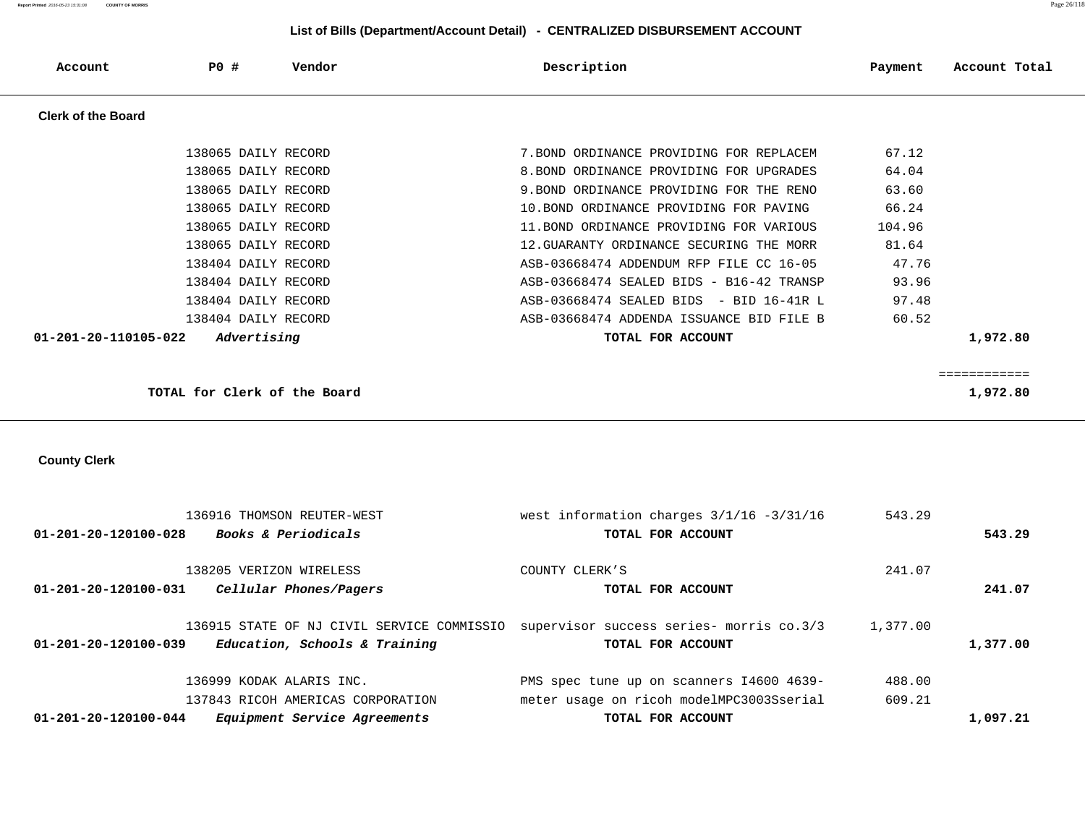# **List of Bills (Department/Account Detail) - CENTRALIZED DISBURSEMENT ACCOUNT**

| Account                   | <b>PO #</b>                  | Vendor                            | Description                                                                         | Payment  | Account Total |
|---------------------------|------------------------------|-----------------------------------|-------------------------------------------------------------------------------------|----------|---------------|
| <b>Clerk of the Board</b> |                              |                                   |                                                                                     |          |               |
|                           | 138065 DAILY RECORD          |                                   | 7. BOND ORDINANCE PROVIDING FOR REPLACEM                                            | 67.12    |               |
|                           | 138065 DAILY RECORD          |                                   | 8. BOND ORDINANCE PROVIDING FOR UPGRADES                                            | 64.04    |               |
|                           | 138065 DAILY RECORD          |                                   | 9. BOND ORDINANCE PROVIDING FOR THE RENO                                            | 63.60    |               |
|                           | 138065 DAILY RECORD          |                                   | 10. BOND ORDINANCE PROVIDING FOR PAVING                                             | 66.24    |               |
|                           | 138065 DAILY RECORD          |                                   | 11. BOND ORDINANCE PROVIDING FOR VARIOUS                                            | 104.96   |               |
|                           | 138065 DAILY RECORD          |                                   | 12. GUARANTY ORDINANCE SECURING THE MORR                                            | 81.64    |               |
|                           | 138404 DAILY RECORD          |                                   | ASB-03668474 ADDENDUM RFP FILE CC 16-05                                             | 47.76    |               |
|                           | 138404 DAILY RECORD          |                                   | ASB-03668474 SEALED BIDS - B16-42 TRANSP                                            | 93.96    |               |
|                           | 138404 DAILY RECORD          |                                   | ASB-03668474 SEALED BIDS - BID 16-41R L                                             | 97.48    |               |
|                           | 138404 DAILY RECORD          |                                   | ASB-03668474 ADDENDA ISSUANCE BID FILE B                                            | 60.52    |               |
| 01-201-20-110105-022      | Advertising                  |                                   | TOTAL FOR ACCOUNT                                                                   |          | 1,972.80      |
|                           |                              |                                   |                                                                                     |          |               |
|                           |                              |                                   |                                                                                     |          | ============  |
|                           | TOTAL for Clerk of the Board |                                   |                                                                                     |          | 1,972.80      |
|                           |                              |                                   |                                                                                     |          |               |
|                           |                              |                                   |                                                                                     |          |               |
| <b>County Clerk</b>       |                              |                                   |                                                                                     |          |               |
|                           |                              |                                   |                                                                                     |          |               |
|                           |                              |                                   |                                                                                     |          |               |
|                           |                              | 136916 THOMSON REUTER-WEST        | west information charges $3/1/16 - 3/31/16$                                         | 543.29   |               |
| 01-201-20-120100-028      |                              | Books & Periodicals               | TOTAL FOR ACCOUNT                                                                   |          | 543.29        |
|                           |                              |                                   |                                                                                     |          |               |
|                           | 138205 VERIZON WIRELESS      |                                   | COUNTY CLERK'S                                                                      | 241.07   |               |
| 01-201-20-120100-031      |                              | Cellular Phones/Pagers            | TOTAL FOR ACCOUNT                                                                   |          | 241.07        |
|                           |                              |                                   |                                                                                     |          |               |
|                           |                              |                                   | 136915 STATE OF NJ CIVIL SERVICE COMMISSIO supervisor success series- morris co.3/3 | 1,377.00 |               |
| 01-201-20-120100-039      |                              | Education, Schools & Training     | TOTAL FOR ACCOUNT                                                                   |          | 1,377.00      |
|                           |                              |                                   |                                                                                     |          |               |
|                           | 136999 KODAK ALARIS INC.     |                                   | PMS spec tune up on scanners I4600 4639-                                            | 488.00   |               |
|                           |                              | 137843 RICOH AMERICAS CORPORATION | meter usage on ricoh modelMPC3003Sserial                                            | 609.21   |               |
| 01-201-20-120100-044      |                              | Equipment Service Agreements      | TOTAL FOR ACCOUNT                                                                   |          | 1,097.21      |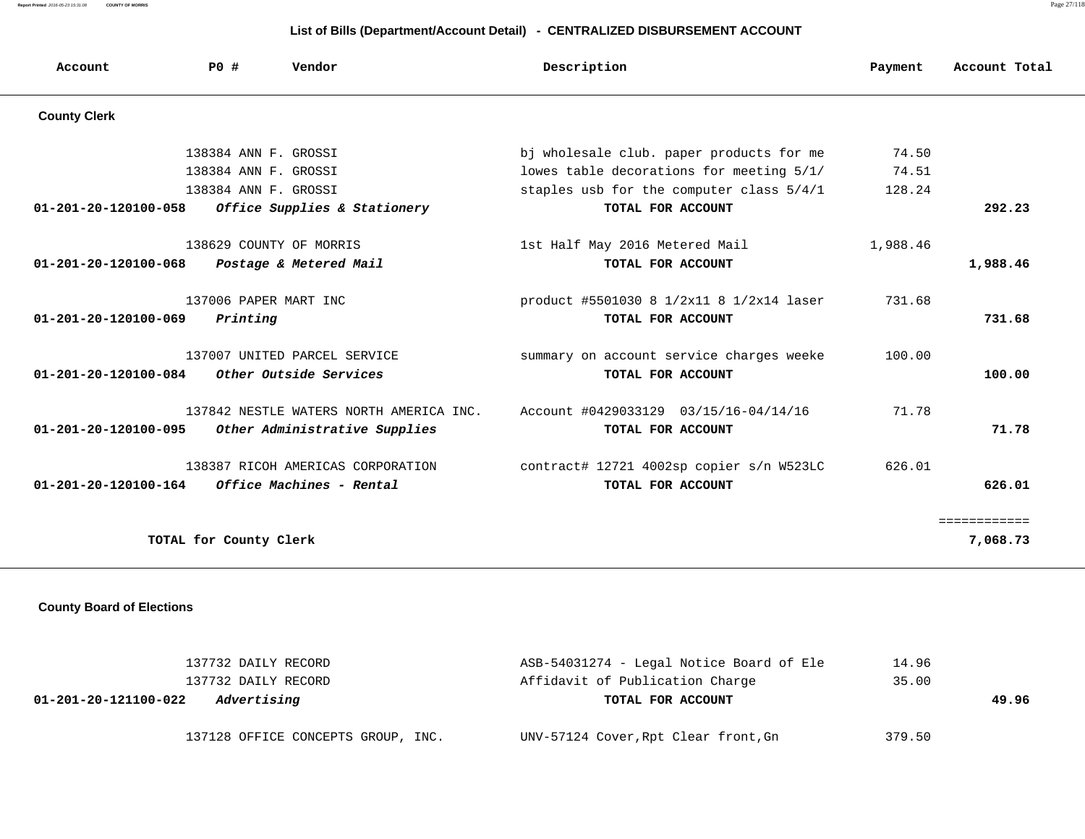**Report Printed** 2016-05-23 15:31:08 **COUNTY OF MORRIS** Page 27/118

# **List of Bills (Department/Account Detail) - CENTRALIZED DISBURSEMENT ACCOUNT**

| Account                        | PO#                     | Vendor                                  | Description                              | Payment  | Account Total |
|--------------------------------|-------------------------|-----------------------------------------|------------------------------------------|----------|---------------|
| <b>County Clerk</b>            |                         |                                         |                                          |          |               |
|                                | 138384 ANN F. GROSSI    |                                         | bj wholesale club. paper products for me | 74.50    |               |
|                                | 138384 ANN F. GROSSI    |                                         | lowes table decorations for meeting 5/1/ | 74.51    |               |
|                                | 138384 ANN F. GROSSI    |                                         | staples usb for the computer class 5/4/1 | 128.24   |               |
| $01 - 201 - 20 - 120100 - 058$ |                         | Office Supplies & Stationery            | TOTAL FOR ACCOUNT                        |          | 292.23        |
|                                | 138629 COUNTY OF MORRIS |                                         | 1st Half May 2016 Metered Mail           | 1,988.46 |               |
| $01 - 201 - 20 - 120100 - 068$ |                         | Postage & Metered Mail                  | TOTAL FOR ACCOUNT                        |          | 1,988.46      |
|                                | 137006 PAPER MART INC   |                                         | product #5501030 8 1/2x11 8 1/2x14 laser | 731.68   |               |
| $01 - 201 - 20 - 120100 - 069$ | Printing                |                                         | TOTAL FOR ACCOUNT                        |          | 731.68        |
|                                |                         | 137007 UNITED PARCEL SERVICE            | summary on account service charges weeke | 100.00   |               |
| $01 - 201 - 20 - 120100 - 084$ |                         | Other Outside Services                  | TOTAL FOR ACCOUNT                        |          | 100.00        |
|                                |                         | 137842 NESTLE WATERS NORTH AMERICA INC. | Account #0429033129 03/15/16-04/14/16    | 71.78    |               |
| $01 - 201 - 20 - 120100 - 095$ |                         | Other Administrative Supplies           | TOTAL FOR ACCOUNT                        |          | 71.78         |
|                                |                         | 138387 RICOH AMERICAS CORPORATION       | contract# 12721 4002sp copier s/n W523LC | 626.01   |               |
| $01 - 201 - 20 - 120100 - 164$ |                         | Office Machines - Rental                | TOTAL FOR ACCOUNT                        |          | 626.01        |
|                                |                         |                                         |                                          |          | ============  |
|                                | TOTAL for County Clerk  |                                         |                                          |          | 7,068.73      |

## **County Board of Elections**

| 137732 DAILY RECORD                 | ASB-54031274 - Legal Notice Board of Ele | 14.96  |       |
|-------------------------------------|------------------------------------------|--------|-------|
| 137732 DAILY RECORD                 | Affidavit of Publication Charge          | 35.00  |       |
| Advertising<br>01-201-20-121100-022 | TOTAL FOR ACCOUNT                        |        | 49.96 |
| 137128 OFFICE CONCEPTS GROUP, INC.  | UNV-57124 Cover, Rpt Clear front, Gn     | 379.50 |       |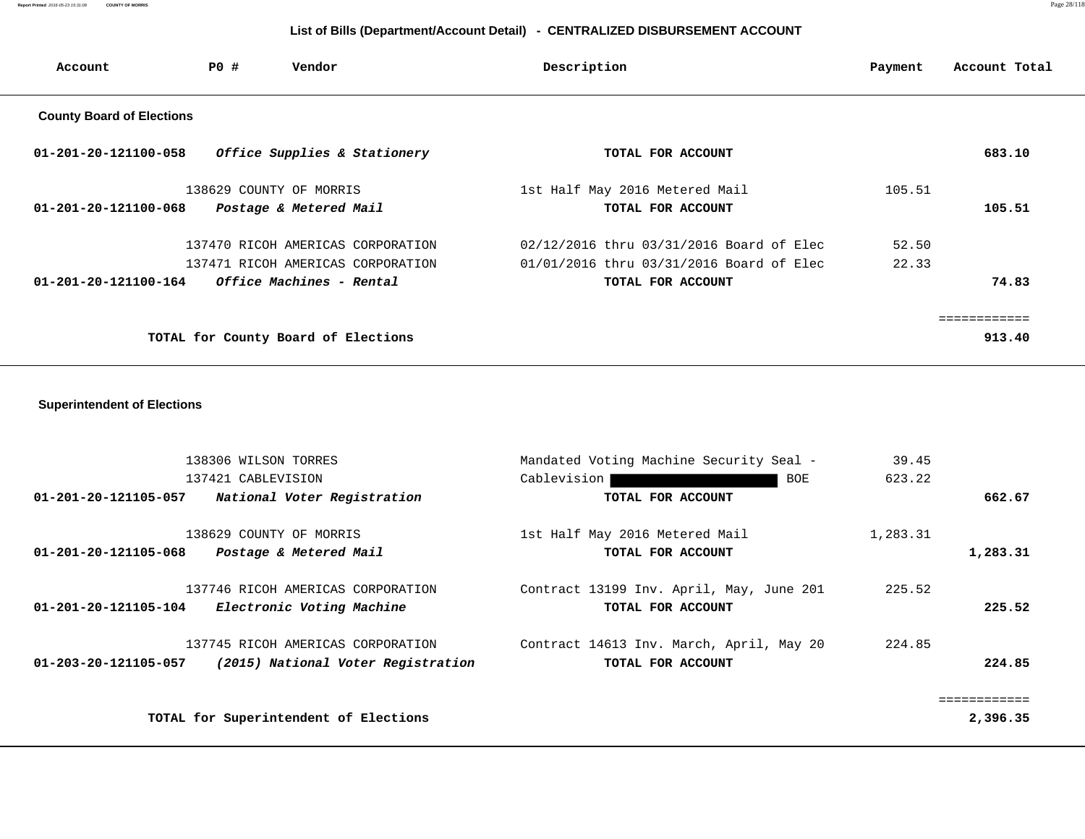# **List of Bills (Department/Account Detail) - CENTRALIZED DISBURSEMENT ACCOUNT**

| Account                          | PO # | Vendor                              | Description                              | Payment | Account Total |
|----------------------------------|------|-------------------------------------|------------------------------------------|---------|---------------|
| <b>County Board of Elections</b> |      |                                     |                                          |         |               |
| $01 - 201 - 20 - 121100 - 058$   |      | Office Supplies & Stationery        | TOTAL FOR ACCOUNT                        |         | 683.10        |
|                                  |      | 138629 COUNTY OF MORRIS             | 1st Half May 2016 Metered Mail           | 105.51  |               |
| $01 - 201 - 20 - 121100 - 068$   |      | Postage & Metered Mail              | TOTAL FOR ACCOUNT                        |         | 105.51        |
|                                  |      | 137470 RICOH AMERICAS CORPORATION   | 02/12/2016 thru 03/31/2016 Board of Elec | 52.50   |               |
|                                  |      | 137471 RICOH AMERICAS CORPORATION   | 01/01/2016 thru 03/31/2016 Board of Elec | 22.33   |               |
| 01-201-20-121100-164             |      | Office Machines - Rental            | TOTAL FOR ACCOUNT                        |         | 74.83         |
|                                  |      |                                     |                                          |         | ===========   |
|                                  |      | TOTAL for County Board of Elections |                                          |         | 913.40        |

## **Superintendent of Elections**

| 138306 WILSON TORRES                                                                            | Mandated Voting Machine Security Seal -                       | 39.45    |          |
|-------------------------------------------------------------------------------------------------|---------------------------------------------------------------|----------|----------|
| 137421 CABLEVISION                                                                              | Cablevision<br>BOE                                            | 623.22   |          |
| 01-201-20-121105-057<br>National Voter Registration                                             | TOTAL FOR ACCOUNT                                             |          | 662.67   |
| 138629 COUNTY OF MORRIS<br>Postage & Metered Mail<br>01-201-20-121105-068                       | 1st Half May 2016 Metered Mail<br>TOTAL FOR ACCOUNT           | 1,283.31 | 1,283.31 |
| 137746 RICOH AMERICAS CORPORATION<br>01-201-20-121105-104<br>Electronic Voting Machine          | Contract 13199 Inv. April, May, June 201<br>TOTAL FOR ACCOUNT | 225.52   | 225.52   |
| 137745 RICOH AMERICAS CORPORATION<br>(2015) National Voter Registration<br>01-203-20-121105-057 | Contract 14613 Inv. March, April, May 20<br>TOTAL FOR ACCOUNT | 224.85   | 224.85   |
|                                                                                                 |                                                               |          |          |
| TOTAL for Superintendent of Elections                                                           |                                                               |          | 2,396.35 |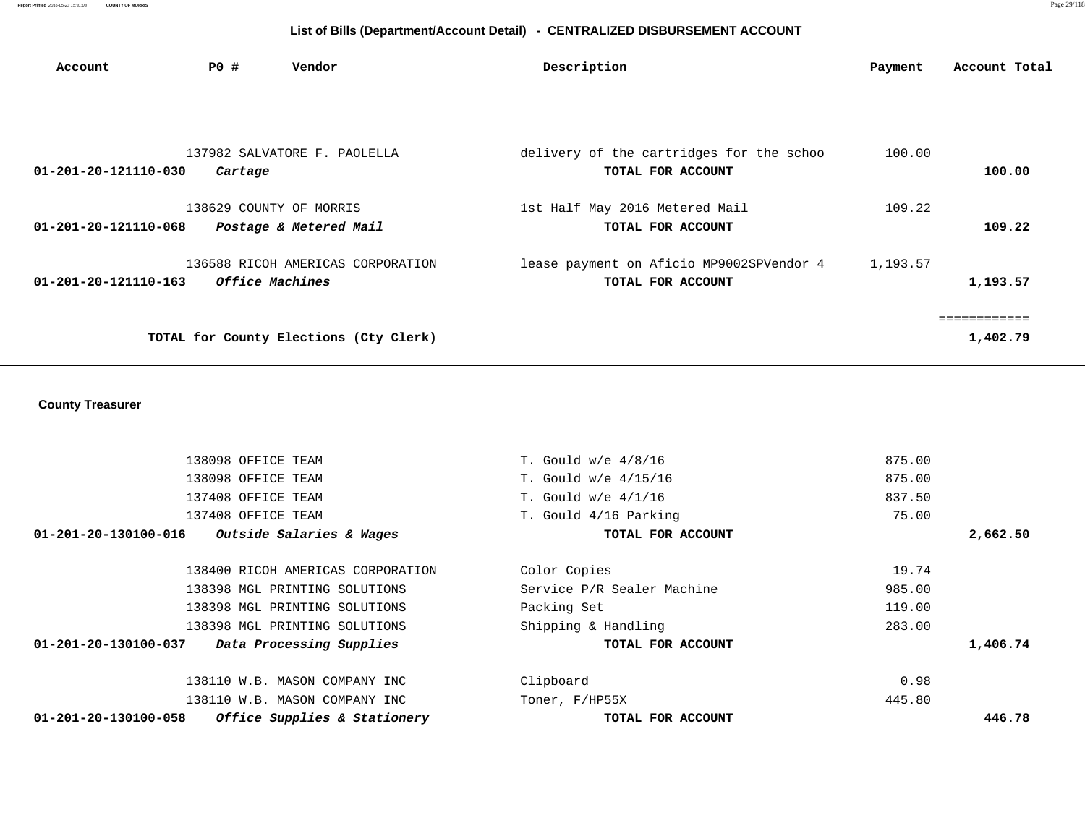**Report Printed** 2016-05-23 15:31:08 **COUNTY OF MORRIS** Page 29/118

# **List of Bills (Department/Account Detail) - CENTRALIZED DISBURSEMENT ACCOUNT**

| Account                        | <b>PO #</b> | Vendor                                                             | Description                                                   | Payment  | Account Total            |
|--------------------------------|-------------|--------------------------------------------------------------------|---------------------------------------------------------------|----------|--------------------------|
|                                |             |                                                                    |                                                               |          |                          |
| 01-201-20-121110-030           | Cartage     | 137982 SALVATORE F. PAOLELLA                                       | delivery of the cartridges for the schoo<br>TOTAL FOR ACCOUNT | 100.00   | 100.00                   |
| $01 - 201 - 20 - 121110 - 068$ |             | 138629 COUNTY OF MORRIS<br>Postage & Metered Mail                  | 1st Half May 2016 Metered Mail<br>TOTAL FOR ACCOUNT           | 109.22   | 109.22                   |
| 01-201-20-121110-163           |             | 136588 RICOH AMERICAS CORPORATION<br><i><b>Office Machines</b></i> | lease payment on Aficio MP9002SPVendor 4<br>TOTAL FOR ACCOUNT | 1,193.57 | 1,193.57                 |
|                                |             | TOTAL for County Elections (Cty Clerk)                             |                                                               |          | ============<br>1,402.79 |

# **County Treasurer**

| 138098 OFFICE TEAM                                             | T. Gould $w/e$ 4/8/16      | 875.00   |
|----------------------------------------------------------------|----------------------------|----------|
| 138098 OFFICE TEAM                                             | T. Gould $w/e$ 4/15/16     | 875.00   |
| 137408 OFFICE TEAM                                             | T. Gould $w/e$ 4/1/16      | 837.50   |
| 137408 OFFICE TEAM                                             | T. Gould 4/16 Parking      | 75.00    |
| Outside Salaries & Wages<br>01-201-20-130100-016               | TOTAL FOR ACCOUNT          | 2,662.50 |
| 138400 RICOH AMERICAS CORPORATION                              | Color Copies               | 19.74    |
| 138398 MGL PRINTING SOLUTIONS                                  | Service P/R Sealer Machine | 985.00   |
| 138398 MGL PRINTING SOLUTIONS                                  | Packing Set                | 119.00   |
| 138398 MGL PRINTING SOLUTIONS                                  | Shipping & Handling        | 283.00   |
| 01-201-20-130100-037<br>Data Processing Supplies               | TOTAL FOR ACCOUNT          | 1,406.74 |
| 138110 W.B. MASON COMPANY INC                                  | Clipboard                  | 0.98     |
| 138110 W.B. MASON COMPANY INC                                  | Toner, F/HP55X             | 445.80   |
| Office Supplies & Stationery<br>$01 - 201 - 20 - 130100 - 058$ | TOTAL FOR ACCOUNT          | 446.78   |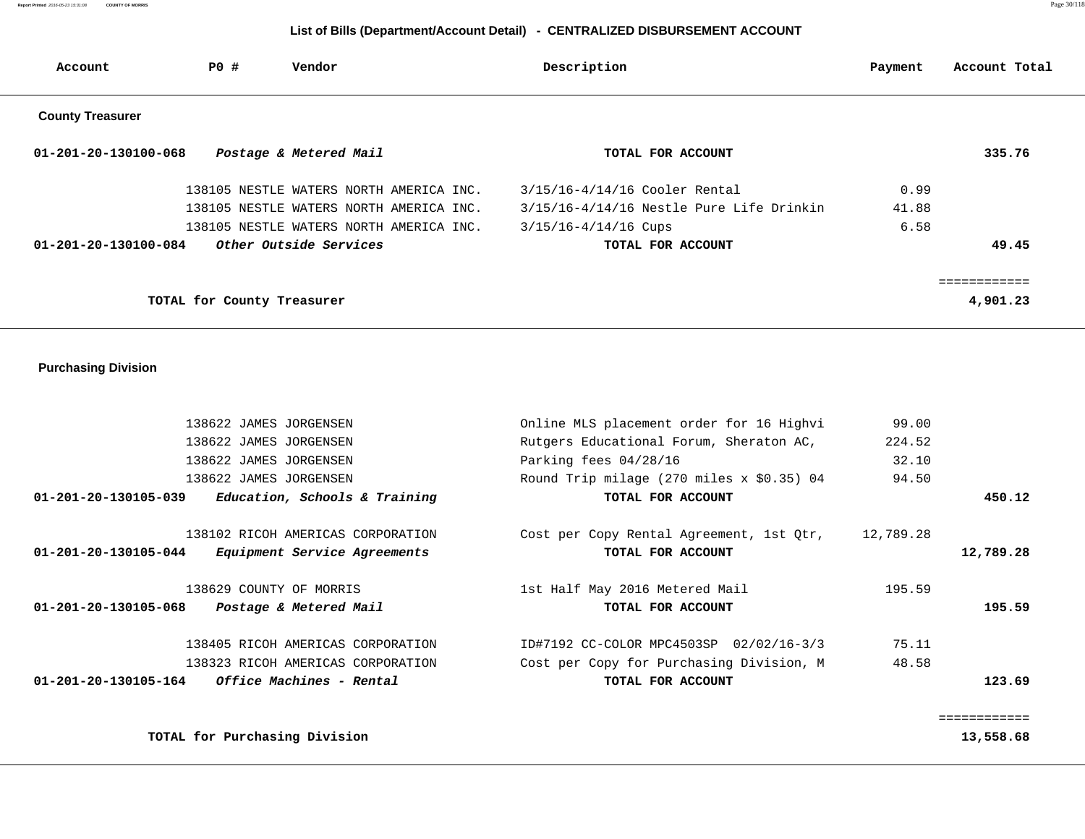# **List of Bills (Department/Account Detail) - CENTRALIZED DISBURSEMENT ACCOUNT**

| Account                 | PO #                       | Vendor                                  | Description                              | Payment | Account Total |
|-------------------------|----------------------------|-----------------------------------------|------------------------------------------|---------|---------------|
| <b>County Treasurer</b> |                            |                                         |                                          |         |               |
| 01-201-20-130100-068    |                            | Postage & Metered Mail                  | TOTAL FOR ACCOUNT                        |         | 335.76        |
|                         |                            | 138105 NESTLE WATERS NORTH AMERICA INC. | 3/15/16-4/14/16 Cooler Rental            | 0.99    |               |
|                         |                            | 138105 NESTLE WATERS NORTH AMERICA INC. | 3/15/16-4/14/16 Nestle Pure Life Drinkin | 41.88   |               |
|                         |                            | 138105 NESTLE WATERS NORTH AMERICA INC. | $3/15/16 - 4/14/16$ Cups                 | 6.58    |               |
| 01-201-20-130100-084    |                            | Other Outside Services                  | TOTAL FOR ACCOUNT                        |         | 49.45         |
|                         |                            |                                         |                                          |         | :==========   |
|                         | TOTAL for County Treasurer |                                         |                                          |         | 4,901.23      |

 **Purchasing Division** 

|           | 99.00     | Online MLS placement order for 16 Highvi  | 138622 JAMES JORGENSEN                                   |  |
|-----------|-----------|-------------------------------------------|----------------------------------------------------------|--|
|           | 224.52    | Rutgers Educational Forum, Sheraton AC,   | 138622 JAMES JORGENSEN                                   |  |
|           | 32.10     | Parking fees $04/28/16$                   | 138622 JAMES JORGENSEN                                   |  |
|           | 94.50     | Round Trip milage (270 miles x \$0.35) 04 | 138622 JAMES JORGENSEN                                   |  |
| 450.12    |           | TOTAL FOR ACCOUNT                         | Education, Schools & Training<br>01-201-20-130105-039    |  |
|           | 12,789.28 | Cost per Copy Rental Agreement, 1st Qtr,  | 138102 RICOH AMERICAS CORPORATION                        |  |
| 12,789.28 |           | TOTAL FOR ACCOUNT                         | 01-201-20-130105-044<br>Equipment Service Agreements     |  |
|           | 195.59    | 1st Half May 2016 Metered Mail            | 138629 COUNTY OF MORRIS                                  |  |
| 195.59    |           | TOTAL FOR ACCOUNT                         | $01 - 201 - 20 - 130105 - 068$<br>Postage & Metered Mail |  |
|           | 75.11     | ID#7192 CC-COLOR MPC4503SP 02/02/16-3/3   | 138405 RICOH AMERICAS CORPORATION                        |  |
|           | 48.58     | Cost per Copy for Purchasing Division, M  | 138323 RICOH AMERICAS CORPORATION                        |  |
| 123.69    |           | TOTAL FOR ACCOUNT                         | <i>Office Machines - Rental</i><br>01-201-20-130105-164  |  |
|           |           |                                           |                                                          |  |
| 13,558.68 |           |                                           | TOTAL for Purchasing Division                            |  |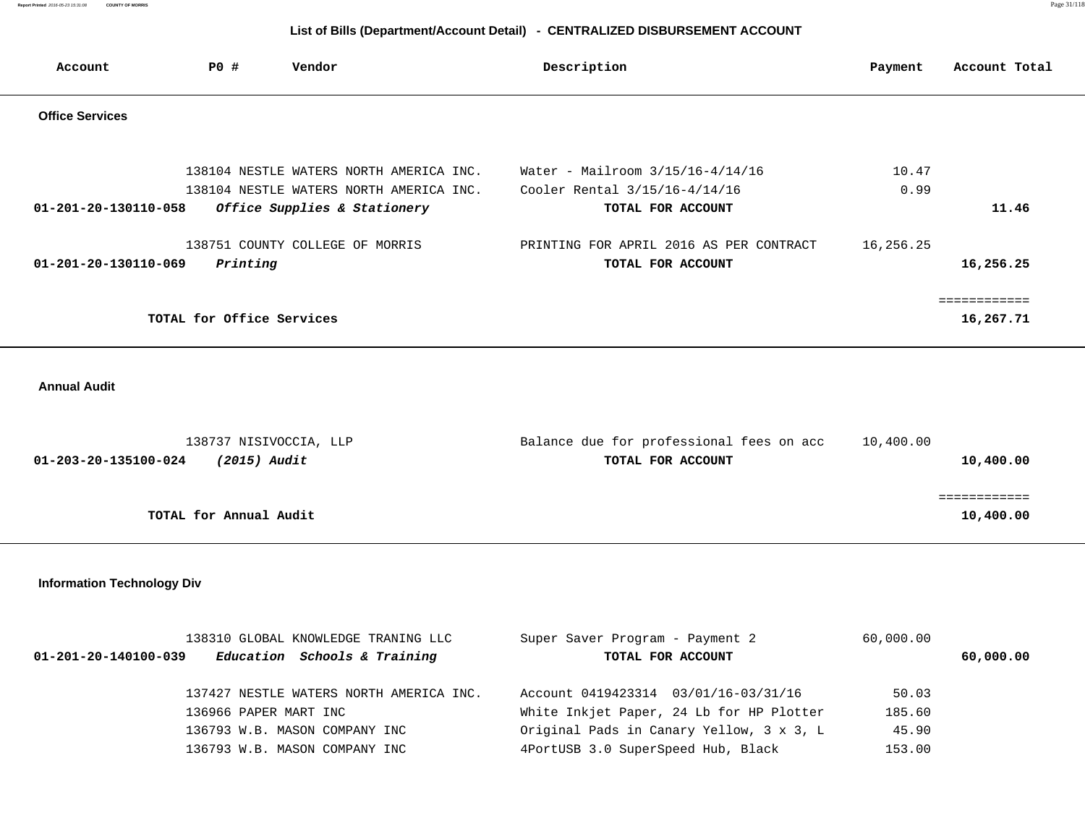**Report Printed** 2016-05-23 15:31:08 **COUNTY OF MORRIS** Page 31/118

# **List of Bills (Department/Account Detail) - CENTRALIZED DISBURSEMENT ACCOUNT**

| Account                | PO#                       | Vendor                                  | Description                             | Payment   | Account Total |
|------------------------|---------------------------|-----------------------------------------|-----------------------------------------|-----------|---------------|
| <b>Office Services</b> |                           |                                         |                                         |           |               |
|                        |                           |                                         |                                         |           |               |
|                        |                           | 138104 NESTLE WATERS NORTH AMERICA INC. | Water - Mailroom $3/15/16-4/14/16$      | 10.47     |               |
|                        |                           | 138104 NESTLE WATERS NORTH AMERICA INC. | Cooler Rental 3/15/16-4/14/16           | 0.99      |               |
| 01-201-20-130110-058   |                           | Office Supplies & Stationery            | TOTAL FOR ACCOUNT                       |           | 11.46         |
|                        |                           | 138751 COUNTY COLLEGE OF MORRIS         | PRINTING FOR APRIL 2016 AS PER CONTRACT | 16,256.25 |               |
| 01-201-20-130110-069   | Printing                  |                                         | TOTAL FOR ACCOUNT                       |           | 16,256.25     |
|                        |                           |                                         |                                         |           | ============  |
|                        | TOTAL for Office Services |                                         |                                         |           | 16,267.71     |
|                        |                           |                                         |                                         |           |               |

 **Annual Audit** 

| 138737 NISIVOCCIA, LLP               | Balance due for professional fees on acc | 10,400.00 |
|--------------------------------------|------------------------------------------|-----------|
| 01-203-20-135100-024<br>(2015) Audit | TOTAL FOR ACCOUNT                        | 10,400.00 |
|                                      |                                          |           |
|                                      |                                          |           |
| TOTAL for Annual Audit               |                                          | 10,400.00 |

 **Information Technology Div**

| 138310 GLOBAL KNOWLEDGE TRANING LLC                            | Super Saver Program - Payment 2          | 60,000.00 |           |
|----------------------------------------------------------------|------------------------------------------|-----------|-----------|
| Education Schools & Training<br>$01 - 201 - 20 - 140100 - 039$ | TOTAL FOR ACCOUNT                        |           | 60,000.00 |
| 137427 NESTLE WATERS NORTH AMERICA INC.                        | Account 0419423314 03/01/16-03/31/16     | 50.03     |           |
| 136966 PAPER MART INC                                          | White Inkjet Paper, 24 Lb for HP Plotter | 185.60    |           |
| 136793 W.B. MASON COMPANY INC                                  | Original Pads in Canary Yellow, 3 x 3, L | 45.90     |           |
| 136793 W.B. MASON COMPANY INC                                  | 4PortUSB 3.0 SuperSpeed Hub, Black       | 153.00    |           |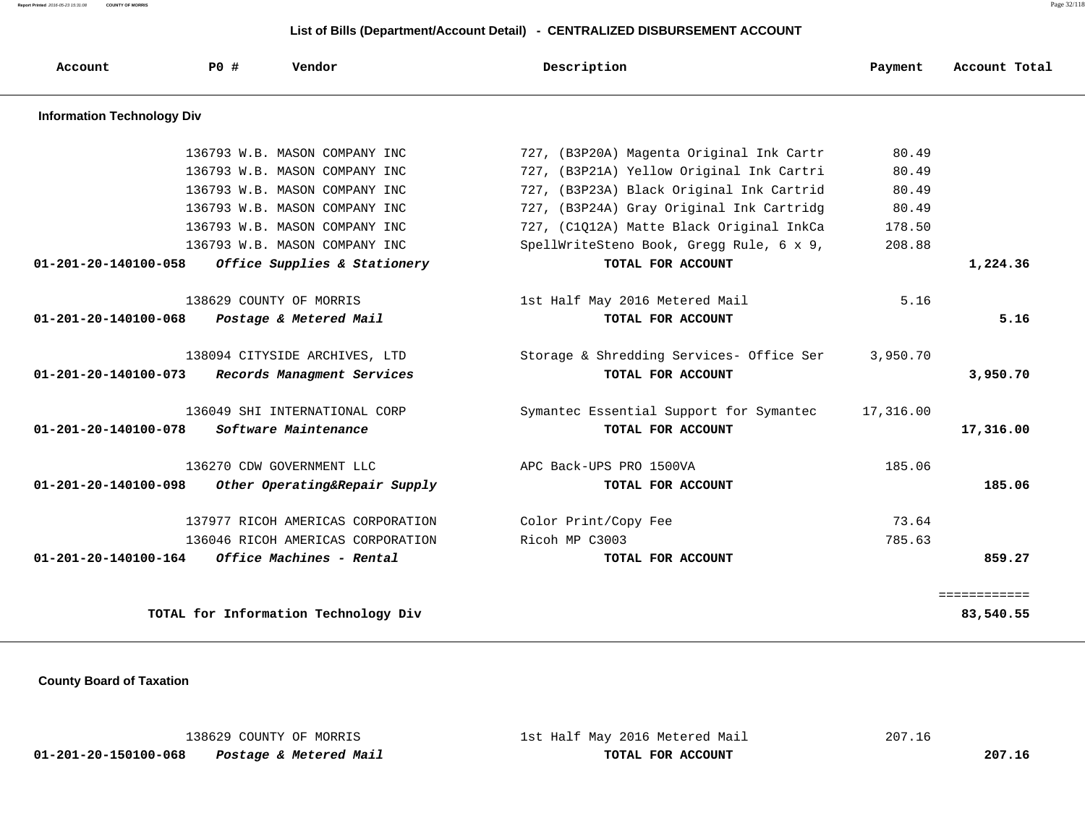**Report Printed** 2016-05-23 15:31:08 **COUNTY OF MORRIS** Page 32/118

# **List of Bills (Department/Account Detail) - CENTRALIZED DISBURSEMENT ACCOUNT**

| Account                           | PO# | Vendor                               | Description                              | Payment   | Account Total |
|-----------------------------------|-----|--------------------------------------|------------------------------------------|-----------|---------------|
| <b>Information Technology Div</b> |     |                                      |                                          |           |               |
|                                   |     | 136793 W.B. MASON COMPANY INC        | 727, (B3P20A) Magenta Original Ink Cartr | 80.49     |               |
|                                   |     | 136793 W.B. MASON COMPANY INC        | 727, (B3P21A) Yellow Original Ink Cartri | 80.49     |               |
|                                   |     | 136793 W.B. MASON COMPANY INC        | 727, (B3P23A) Black Original Ink Cartrid | 80.49     |               |
|                                   |     | 136793 W.B. MASON COMPANY INC        | 727, (B3P24A) Gray Original Ink Cartridg | 80.49     |               |
|                                   |     | 136793 W.B. MASON COMPANY INC        | 727, (C1Q12A) Matte Black Original InkCa | 178.50    |               |
|                                   |     | 136793 W.B. MASON COMPANY INC        | SpellWriteSteno Book, Gregg Rule, 6 x 9, | 208.88    |               |
| $01 - 201 - 20 - 140100 - 058$    |     | Office Supplies & Stationery         | TOTAL FOR ACCOUNT                        |           | 1,224.36      |
|                                   |     | 138629 COUNTY OF MORRIS              | 1st Half May 2016 Metered Mail           | 5.16      |               |
| $01 - 201 - 20 - 140100 - 068$    |     | Postage & Metered Mail               | TOTAL FOR ACCOUNT                        |           | 5.16          |
|                                   |     | 138094 CITYSIDE ARCHIVES, LTD        | Storage & Shredding Services- Office Ser | 3,950.70  |               |
| 01-201-20-140100-073              |     | Records Managment Services           | TOTAL FOR ACCOUNT                        |           | 3,950.70      |
|                                   |     | 136049 SHI INTERNATIONAL CORP        | Symantec Essential Support for Symantec  | 17,316.00 |               |
| $01 - 201 - 20 - 140100 - 078$    |     | Software Maintenance                 | TOTAL FOR ACCOUNT                        |           | 17,316.00     |
|                                   |     | 136270 CDW GOVERNMENT LLC            | APC Back-UPS PRO 1500VA                  | 185.06    |               |
| $01 - 201 - 20 - 140100 - 098$    |     | Other Operating&Repair Supply        | TOTAL FOR ACCOUNT                        |           | 185.06        |
|                                   |     | 137977 RICOH AMERICAS CORPORATION    | Color Print/Copy Fee                     | 73.64     |               |
|                                   |     | 136046 RICOH AMERICAS CORPORATION    | Ricoh MP C3003                           | 785.63    |               |
| 01-201-20-140100-164              |     | Office Machines - Rental             | TOTAL FOR ACCOUNT                        |           | 859.27        |
|                                   |     |                                      |                                          |           | ============  |
|                                   |     | TOTAL for Information Technology Div |                                          |           | 83,540.55     |
|                                   |     |                                      |                                          |           |               |

 **County Board of Taxation** 

|                      | 138629 COUNTY OF MORRIS | 1st Half May 2016 Metered Mail | 207.16 |
|----------------------|-------------------------|--------------------------------|--------|
| 01-201-20-150100-068 | Postage & Metered Mail  | TOTAL FOR ACCOUNT              | 207.16 |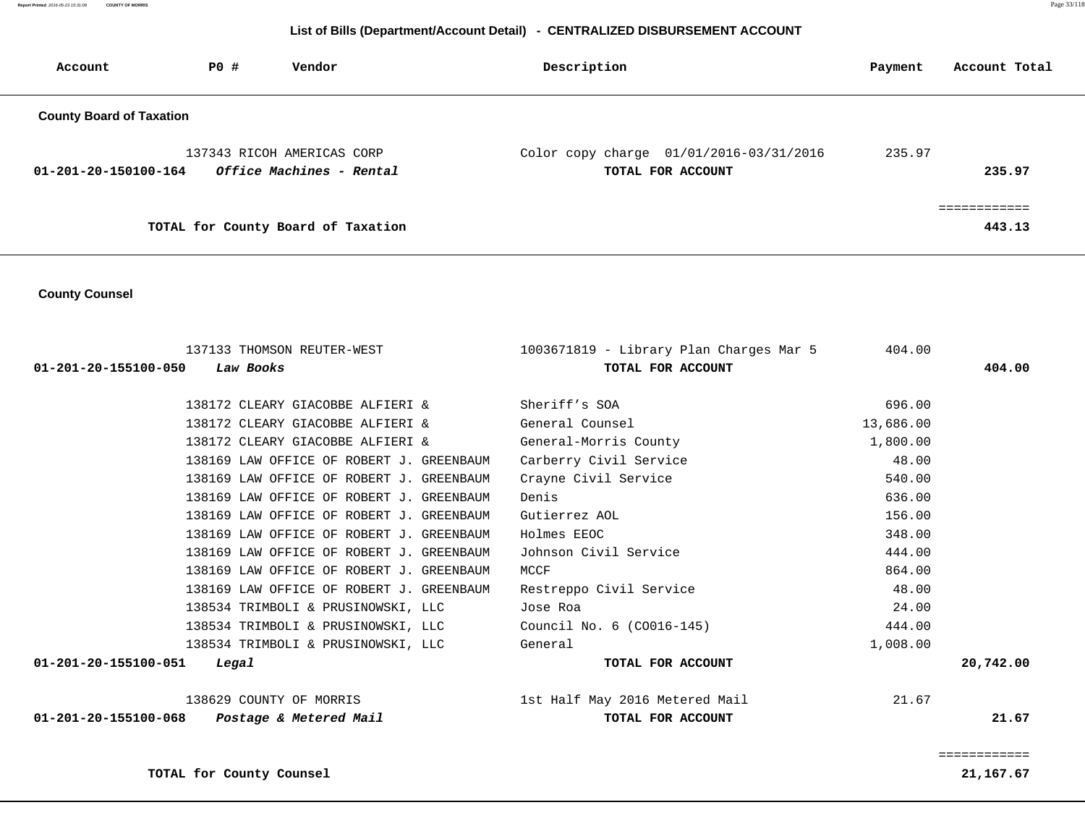#### **List of Bills (Department/Account Detail) - CENTRALIZED DISBURSEMENT ACCOUNT**

| Account                         | PO# | Vendor                                                 | Description                                                      | Payment | Account Total     |
|---------------------------------|-----|--------------------------------------------------------|------------------------------------------------------------------|---------|-------------------|
| <b>County Board of Taxation</b> |     |                                                        |                                                                  |         |                   |
| 01-201-20-150100-164            |     | 137343 RICOH AMERICAS CORP<br>Office Machines - Rental | Color copy charge $01/01/2016 - 03/31/2016$<br>TOTAL FOR ACCOUNT | 235.97  | 235.97            |
|                                 |     | TOTAL for County Board of Taxation                     |                                                                  |         | -------<br>443.13 |

 **County Counsel** 

 137133 THOMSON REUTER-WEST 1003671819 - Library Plan Charges Mar 5 404.00  **01-201-20-155100-050 Law Books TOTAL FOR ACCOUNT 404.00** 138172 CLEARY GIACOBBE ALFIERI & Sheriff's SOA 696.00 138172 CLEARY GIACOBBE ALFIERI & General Counsel 138172 CLEARY GIACOBBE ALFIERI & Seneral Counsel 138172 CLEARY GIACOBBE ALFIERI & General-Morris County 1,800.00 138169 LAW OFFICE OF ROBERT J. GREENBAUM Carberry Civil Service 48.00 138169 LAW OFFICE OF ROBERT J. GREENBAUM Crayne Civil Service 540.00 138169 LAW OFFICE OF ROBERT J. GREENBAUM Denis 636.00 138169 LAW OFFICE OF ROBERT J. GREENBAUM Gutierrez AOL 156.00 138169 LAW OFFICE OF ROBERT J. GREENBAUM Holmes EEOC 348.00 138169 LAW OFFICE OF ROBERT J. GREENBAUM Johnson Civil Service 444.00 138169 LAW OFFICE OF ROBERT J. GREENBAUM MCCF NOTED SOME RESOLUTION OF RESOLUTION OF RESOLUTION OF RESOLUTION 138169 LAW OFFICE OF ROBERT J. GREENBAUM Restreppo Civil Service 48.00 138534 TRIMBOLI & PRUSINOWSKI, LLC Jose Roa 24.00 138534 TRIMBOLI & PRUSINOWSKI, LLC Council No. 6 (CO016-145) 444.00 138534 TRIMBOLI & PRUSINOWSKI, LLC General 1,008.00  **01-201-20-155100-051 Legal TOTAL FOR ACCOUNT 20,742.00** 138629 COUNTY OF MORRIS 1st Half May 2016 Metered Mail 21.67  **01-201-20-155100-068 Postage & Metered Mail TOTAL FOR ACCOUNT 21.67**

============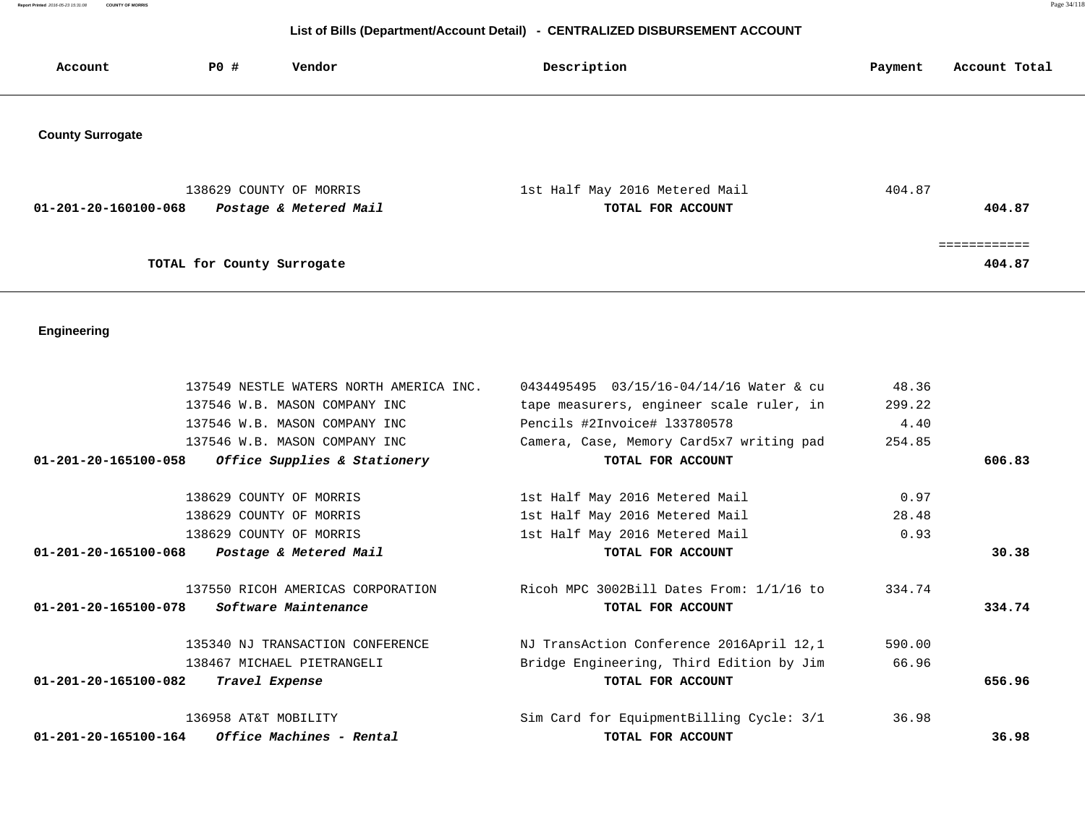**Report Printed** 2016-05-23 15:31:08 **COUNTY OF MORRIS** Page 34/118

# **List of Bills (Department/Account Detail) - CENTRALIZED DISBURSEMENT ACCOUNT**

| Account                 | P0#                        | Vendor                                            | Description                                         | Payment | Account Total         |
|-------------------------|----------------------------|---------------------------------------------------|-----------------------------------------------------|---------|-----------------------|
| <b>County Surrogate</b> |                            |                                                   |                                                     |         |                       |
| 01-201-20-160100-068    |                            | 138629 COUNTY OF MORRIS<br>Postage & Metered Mail | 1st Half May 2016 Metered Mail<br>TOTAL FOR ACCOUNT | 404.87  | 404.87                |
|                         | TOTAL for County Surrogate |                                                   |                                                     |         | :==========<br>404.87 |

# **Engineering**

| 137549 NESTLE WATERS NORTH AMERICA INC.             | 0434495495 03/15/16-04/14/16 Water & cu  | 48.36  |        |
|-----------------------------------------------------|------------------------------------------|--------|--------|
| 137546 W.B. MASON COMPANY INC                       | tape measurers, engineer scale ruler, in | 299.22 |        |
| 137546 W.B. MASON COMPANY INC                       | Pencils #2Invoice# 133780578             | 4.40   |        |
| 137546 W.B. MASON COMPANY INC                       | Camera, Case, Memory Card5x7 writing pad | 254.85 |        |
| $01-201-20-165100-058$ Office Supplies & Stationery | TOTAL FOR ACCOUNT                        |        | 606.83 |
| 138629 COUNTY OF MORRIS                             | 1st Half May 2016 Metered Mail           | 0.97   |        |
| 138629 COUNTY OF MORRIS                             | 1st Half May 2016 Metered Mail           | 28.48  |        |
| 138629 COUNTY OF MORRIS                             | 1st Half May 2016 Metered Mail           | 0.93   |        |
| 01-201-20-165100-068<br>Postage & Metered Mail      | TOTAL FOR ACCOUNT                        |        | 30.38  |
| 137550 RICOH AMERICAS CORPORATION                   | Ricoh MPC 3002Bill Dates From: 1/1/16 to | 334.74 |        |
| <i>Software Maintenance</i><br>01-201-20-165100-078 | TOTAL FOR ACCOUNT                        |        | 334.74 |
| 135340 NJ TRANSACTION CONFERENCE                    | NJ TransAction Conference 2016April 12,1 | 590.00 |        |
| 138467 MICHAEL PIETRANGELI                          | Bridge Engineering, Third Edition by Jim | 66.96  |        |
| $01 - 201 - 20 - 165100 - 082$<br>Travel Expense    | TOTAL FOR ACCOUNT                        |        | 656.96 |
| 136958 AT&T MOBILITY                                | Sim Card for EquipmentBilling Cycle: 3/1 | 36.98  |        |
| Office Machines - Rental<br>01-201-20-165100-164    | TOTAL FOR ACCOUNT                        |        | 36.98  |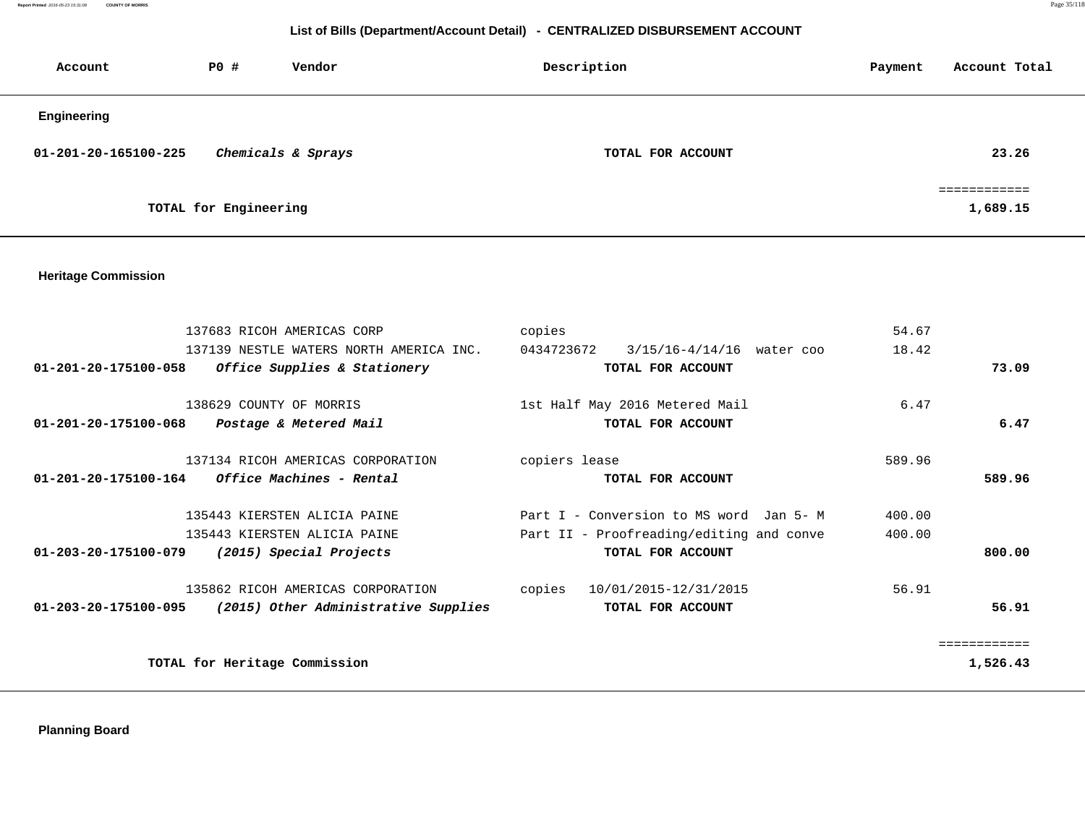# **List of Bills (Department/Account Detail) - CENTRALIZED DISBURSEMENT ACCOUNT**

| Account              | $P0$ #                | Vendor             | Description       | Payment | Account Total            |
|----------------------|-----------------------|--------------------|-------------------|---------|--------------------------|
| Engineering          |                       |                    |                   |         |                          |
| 01-201-20-165100-225 |                       | Chemicals & Sprays | TOTAL FOR ACCOUNT |         | 23.26                    |
|                      | TOTAL for Engineering |                    |                   |         | ============<br>1,689.15 |

## **Heritage Commission**

| 137683 RICOH AMERICAS CORP                                   | copies                                      | 54.67        |
|--------------------------------------------------------------|---------------------------------------------|--------------|
| 137139 NESTLE WATERS NORTH AMERICA INC.                      | 0434723672<br>$3/15/16 - 4/14/16$ water coo | 18.42        |
| 01-201-20-175100-058<br>Office Supplies & Stationery         | TOTAL FOR ACCOUNT                           | 73.09        |
| 138629 COUNTY OF MORRIS                                      | 1st Half May 2016 Metered Mail              | 6.47         |
| 01-201-20-175100-068<br>Postage & Metered Mail               | TOTAL FOR ACCOUNT                           | 6.47         |
| 137134 RICOH AMERICAS CORPORATION                            | copiers lease                               | 589.96       |
| <i>Office Machines - Rental</i><br>01-201-20-175100-164      | TOTAL FOR ACCOUNT                           | 589.96       |
| 135443 KIERSTEN ALICIA PAINE                                 | Part I - Conversion to MS word Jan 5- M     | 400.00       |
| 135443 KIERSTEN ALICIA PAINE                                 | Part II - Proofreading/editing and conve    | 400.00       |
| 01-203-20-175100-079<br>(2015) Special Projects              | TOTAL FOR ACCOUNT                           | 800.00       |
| 135862 RICOH AMERICAS CORPORATION                            | copies<br>10/01/2015-12/31/2015             | 56.91        |
| 01-203-20-175100-095<br>(2015) Other Administrative Supplies | TOTAL FOR ACCOUNT                           | 56.91        |
|                                                              |                                             | ============ |
| TOTAL for Heritage Commission                                |                                             | 1,526.43     |

 **Planning Board**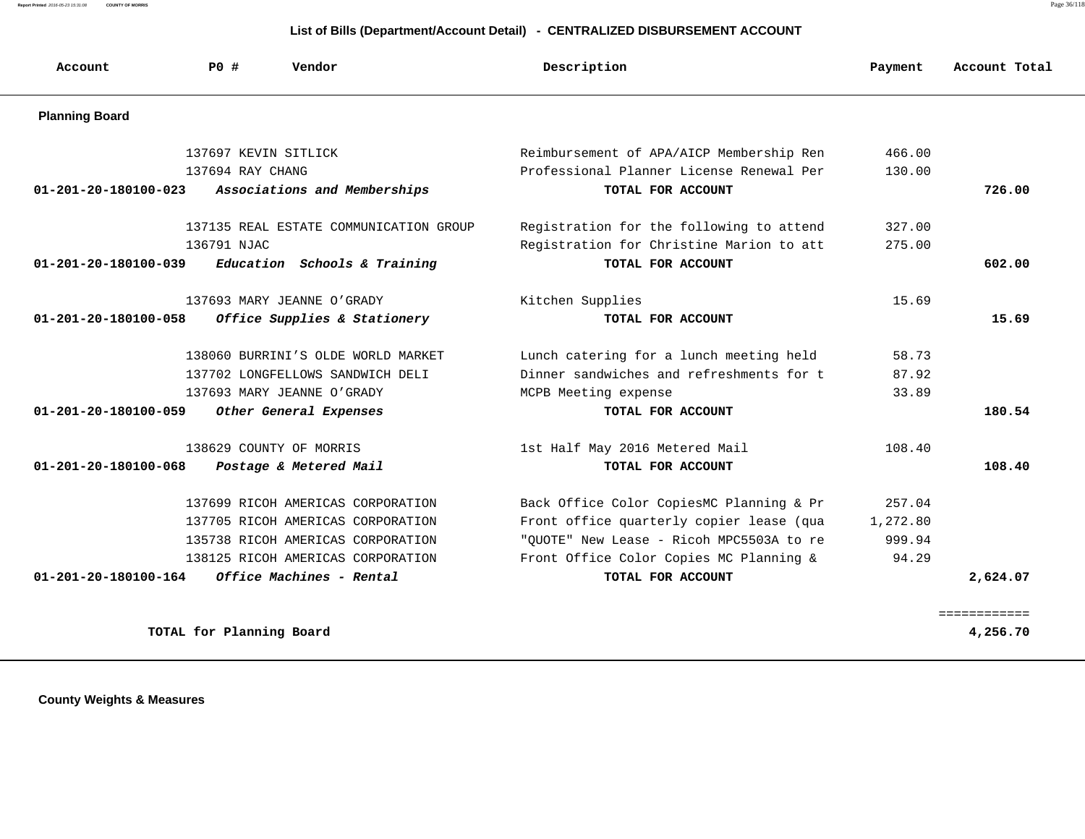**Report Printed** 2016-05-23 15:31:08 **COUNTY OF MORRIS** Page 36/118

# **List of Bills (Department/Account Detail) - CENTRALIZED DISBURSEMENT ACCOUNT**

| Account                        | <b>PO #</b>              | Vendor                                 | Description                              | Payment  | Account Total |
|--------------------------------|--------------------------|----------------------------------------|------------------------------------------|----------|---------------|
| <b>Planning Board</b>          |                          |                                        |                                          |          |               |
|                                |                          | 137697 KEVIN SITLICK                   | Reimbursement of APA/AICP Membership Ren | 466.00   |               |
|                                | 137694 RAY CHANG         |                                        | Professional Planner License Renewal Per | 130.00   |               |
| $01 - 201 - 20 - 180100 - 023$ |                          | Associations and Memberships           | TOTAL FOR ACCOUNT                        |          | 726.00        |
|                                |                          | 137135 REAL ESTATE COMMUNICATION GROUP | Registration for the following to attend | 327.00   |               |
|                                | 136791 NJAC              |                                        | Registration for Christine Marion to att | 275.00   |               |
| $01 - 201 - 20 - 180100 - 039$ |                          | Education Schools & Training           | TOTAL FOR ACCOUNT                        |          | 602.00        |
|                                |                          | 137693 MARY JEANNE O'GRADY             | Kitchen Supplies                         | 15.69    |               |
| 01-201-20-180100-058           |                          | Office Supplies & Stationery           | TOTAL FOR ACCOUNT                        |          | 15.69         |
|                                |                          | 138060 BURRINI'S OLDE WORLD MARKET     | Lunch catering for a lunch meeting held  | 58.73    |               |
|                                |                          | 137702 LONGFELLOWS SANDWICH DELI       | Dinner sandwiches and refreshments for t | 87.92    |               |
|                                |                          | 137693 MARY JEANNE O'GRADY             | MCPB Meeting expense                     | 33.89    |               |
| 01-201-20-180100-059           |                          | Other General Expenses                 | TOTAL FOR ACCOUNT                        |          | 180.54        |
|                                |                          | 138629 COUNTY OF MORRIS                | 1st Half May 2016 Metered Mail           | 108.40   |               |
| $01 - 201 - 20 - 180100 - 068$ |                          | Postage & Metered Mail                 | TOTAL FOR ACCOUNT                        |          | 108.40        |
|                                |                          | 137699 RICOH AMERICAS CORPORATION      | Back Office Color CopiesMC Planning & Pr | 257.04   |               |
|                                |                          | 137705 RICOH AMERICAS CORPORATION      | Front office quarterly copier lease (qua | 1,272.80 |               |
|                                |                          | 135738 RICOH AMERICAS CORPORATION      | "OUOTE" New Lease - Ricoh MPC5503A to re | 999.94   |               |
|                                |                          | 138125 RICOH AMERICAS CORPORATION      | Front Office Color Copies MC Planning &  | 94.29    |               |
| $01 - 201 - 20 - 180100 - 164$ |                          | Office Machines - Rental               | TOTAL FOR ACCOUNT                        |          | 2,624.07      |
|                                |                          |                                        |                                          |          | ============  |
|                                | TOTAL for Planning Board |                                        |                                          |          | 4,256.70      |

 **County Weights & Measures**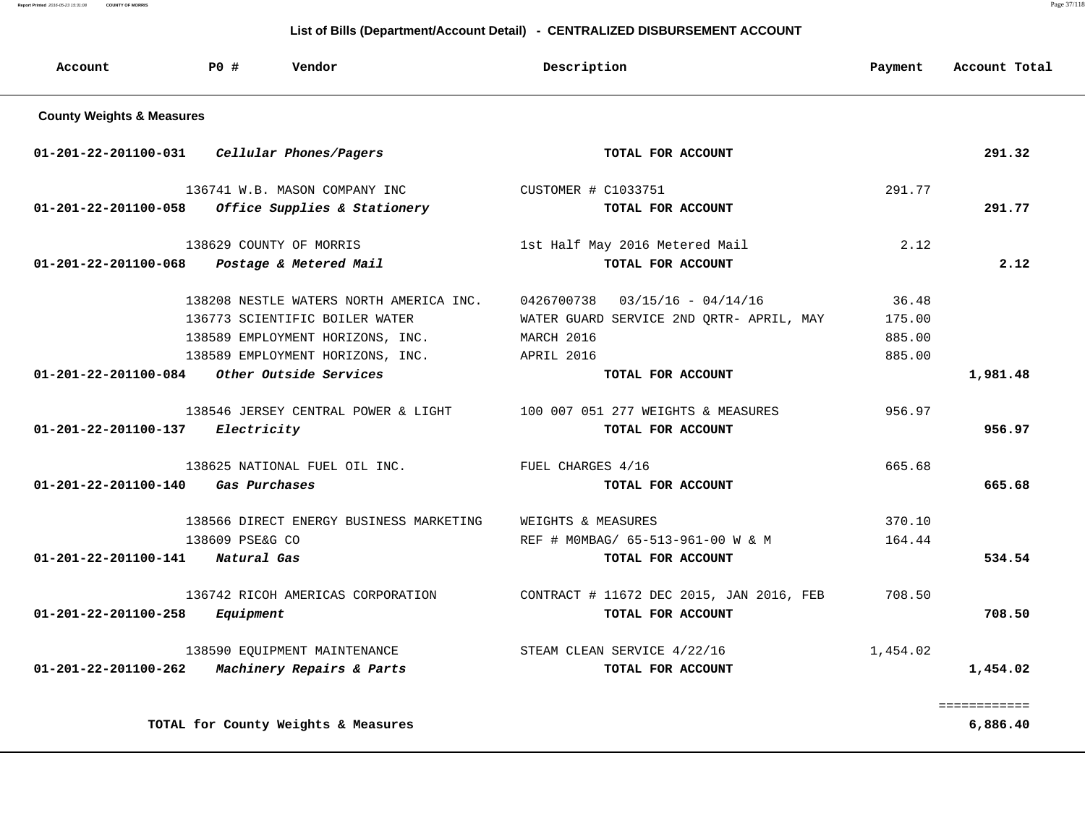**Report Printed** 2016-05-23 15:31:08 **COUNTY OF MORRIS** Page 37/118

| Account<br>PO#<br>Vendor             |                 |                                         | Description                              | Payment  | Account Total |
|--------------------------------------|-----------------|-----------------------------------------|------------------------------------------|----------|---------------|
| <b>County Weights &amp; Measures</b> |                 |                                         |                                          |          |               |
| 01-201-22-201100-031                 |                 | Cellular Phones/Pagers                  | TOTAL FOR ACCOUNT                        |          | 291.32        |
|                                      |                 | 136741 W.B. MASON COMPANY INC           | CUSTOMER # C1033751                      | 291.77   |               |
| $01 - 201 - 22 - 201100 - 058$       |                 | Office Supplies & Stationery            | TOTAL FOR ACCOUNT                        |          | 291.77        |
|                                      |                 | 138629 COUNTY OF MORRIS                 | 1st Half May 2016 Metered Mail           | 2.12     |               |
| 01-201-22-201100-068                 |                 | Postage & Metered Mail                  | TOTAL FOR ACCOUNT                        |          | 2.12          |
|                                      |                 | 138208 NESTLE WATERS NORTH AMERICA INC. | 0426700738<br>$03/15/16 - 04/14/16$      | 36.48    |               |
|                                      |                 | 136773 SCIENTIFIC BOILER WATER          | WATER GUARD SERVICE 2ND ORTR- APRIL, MAY | 175.00   |               |
|                                      |                 | 138589 EMPLOYMENT HORIZONS, INC.        | MARCH 2016                               | 885.00   |               |
|                                      |                 | 138589 EMPLOYMENT HORIZONS, INC.        | APRIL 2016                               | 885.00   |               |
| 01-201-22-201100-084                 |                 | Other Outside Services                  | TOTAL FOR ACCOUNT                        |          | 1,981.48      |
|                                      |                 | 138546 JERSEY CENTRAL POWER & LIGHT     | 100 007 051 277 WEIGHTS & MEASURES       | 956.97   |               |
| 01-201-22-201100-137                 | Electricity     |                                         | TOTAL FOR ACCOUNT                        |          | 956.97        |
|                                      |                 | 138625 NATIONAL FUEL OIL INC.           | FUEL CHARGES 4/16                        | 665.68   |               |
| $01 - 201 - 22 - 201100 - 140$       | Gas Purchases   |                                         | TOTAL FOR ACCOUNT                        |          | 665.68        |
|                                      |                 | 138566 DIRECT ENERGY BUSINESS MARKETING | WEIGHTS & MEASURES                       | 370.10   |               |
|                                      | 138609 PSE&G CO |                                         | REF # MOMBAG/ 65-513-961-00 W & M        | 164.44   |               |
| 01-201-22-201100-141                 | Natural Gas     |                                         | TOTAL FOR ACCOUNT                        |          | 534.54        |
|                                      |                 | 136742 RICOH AMERICAS CORPORATION       | CONTRACT # 11672 DEC 2015, JAN 2016, FEB | 708.50   |               |
| 01-201-22-201100-258                 | Equipment       |                                         | TOTAL FOR ACCOUNT                        |          | 708.50        |
|                                      |                 | 138590 EQUIPMENT MAINTENANCE            | STEAM CLEAN SERVICE 4/22/16              | 1,454.02 |               |
| $01 - 201 - 22 - 201100 - 262$       |                 | Machinery Repairs & Parts               | TOTAL FOR ACCOUNT                        |          | 1,454.02      |
|                                      |                 |                                         |                                          |          | ============  |
|                                      |                 | TOTAL for County Weights & Measures     |                                          |          | 6,886.40      |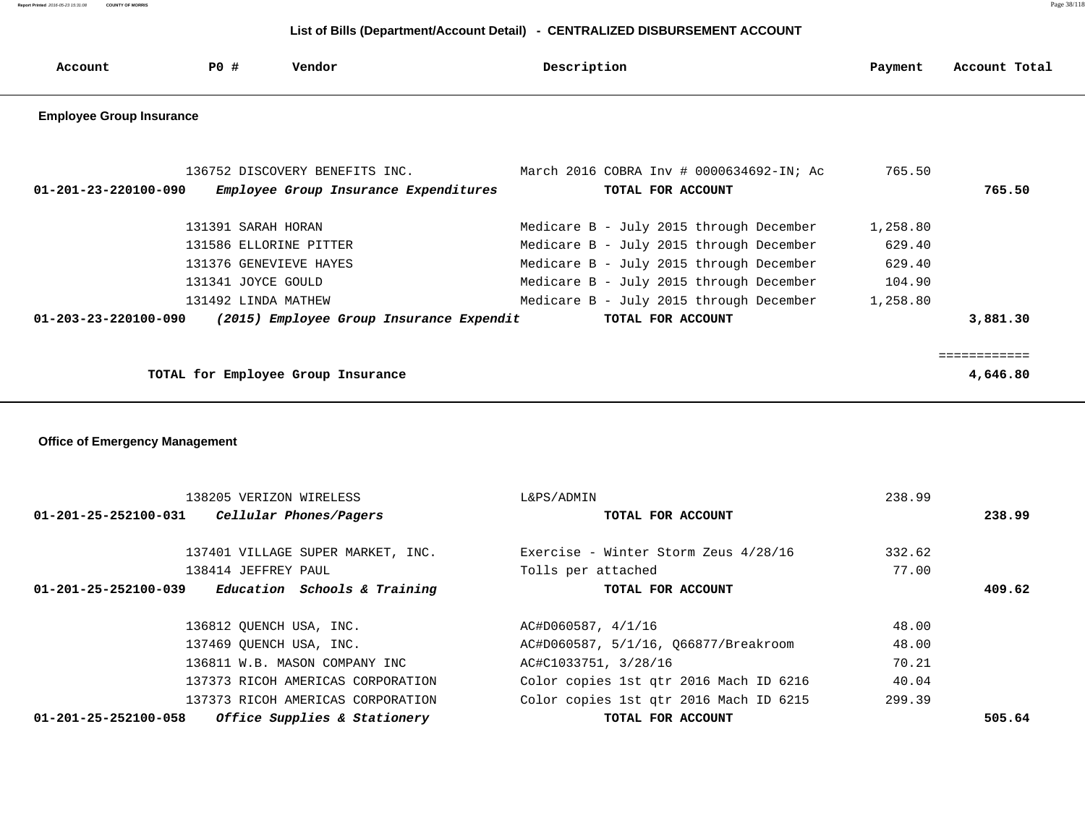**Report Printed** 2016-05-23 15:31:08 **COUNTY OF MORRIS** Page 38/118

| Account                                                                               | PO#                     | Vendor                                | Description                              | Payment  | Account Total |
|---------------------------------------------------------------------------------------|-------------------------|---------------------------------------|------------------------------------------|----------|---------------|
| <b>Employee Group Insurance</b>                                                       |                         |                                       |                                          |          |               |
|                                                                                       |                         |                                       |                                          |          |               |
|                                                                                       |                         | 136752 DISCOVERY BENEFITS INC.        | March 2016 COBRA Inv # 0000634692-IN; Ac | 765.50   |               |
| $01 - 201 - 23 - 220100 - 090$                                                        |                         | Employee Group Insurance Expenditures | TOTAL FOR ACCOUNT                        |          | 765.50        |
|                                                                                       | 131391 SARAH HORAN      |                                       | Medicare B - July 2015 through December  | 1,258.80 |               |
|                                                                                       | 131586 ELLORINE PITTER  |                                       | Medicare B - July 2015 through December  | 629.40   |               |
|                                                                                       | 131376 GENEVIEVE HAYES  |                                       | Medicare B - July 2015 through December  | 629.40   |               |
|                                                                                       | 131341 JOYCE GOULD      |                                       | Medicare B - July 2015 through December  | 104.90   |               |
|                                                                                       | 131492 LINDA MATHEW     |                                       | Medicare B - July 2015 through December  | 1,258.80 |               |
| (2015) Employee Group Insurance Expendit<br>TOTAL FOR ACCOUNT<br>01-203-23-220100-090 |                         |                                       |                                          |          | 3,881.30      |
|                                                                                       |                         |                                       |                                          |          |               |
|                                                                                       |                         |                                       |                                          |          | ============  |
|                                                                                       |                         | TOTAL for Employee Group Insurance    |                                          |          | 4,646.80      |
|                                                                                       |                         |                                       |                                          |          |               |
|                                                                                       |                         |                                       |                                          |          |               |
| <b>Office of Emergency Management</b>                                                 |                         |                                       |                                          |          |               |
|                                                                                       |                         |                                       |                                          |          |               |
|                                                                                       |                         |                                       |                                          |          |               |
|                                                                                       | 138205 VERIZON WIRELESS |                                       | L&PS/ADMIN                               | 238.99   |               |
| 01-201-25-252100-031                                                                  |                         | Cellular Phones/Pagers                | TOTAL FOR ACCOUNT                        |          | 238.99        |
|                                                                                       |                         | 137401 VILLAGE SUPER MARKET, INC.     | Exercise - Winter Storm Zeus 4/28/16     | 332.62   |               |
|                                                                                       | 138414 JEFFREY PAUL     |                                       | Tolls per attached                       | 77.00    |               |
| $01 - 201 - 25 - 252100 - 039$                                                        |                         | Education Schools & Training          | TOTAL FOR ACCOUNT                        |          | 409.62        |

| 01-201-25-252100-058 | Office Supplies & Stationery      | TOTAL FOR ACCOUNT                      |        | 505.64 |
|----------------------|-----------------------------------|----------------------------------------|--------|--------|
|                      | 137373 RICOH AMERICAS CORPORATION | Color copies 1st gtr 2016 Mach ID 6215 | 299.39 |        |
|                      | 137373 RICOH AMERICAS CORPORATION | Color copies 1st qtr 2016 Mach ID 6216 | 40.04  |        |
|                      | 136811 W.B. MASON COMPANY INC     | AC#C1033751, 3/28/16                   | 70.21  |        |
|                      | 137469 OUENCH USA, INC.           | AC#D060587, 5/1/16, Q66877/Breakroom   | 48.00  |        |
|                      | 136812 QUENCH USA, INC.           | AC#D060587, 4/1/16                     | 48.00  |        |
|                      |                                   |                                        |        |        |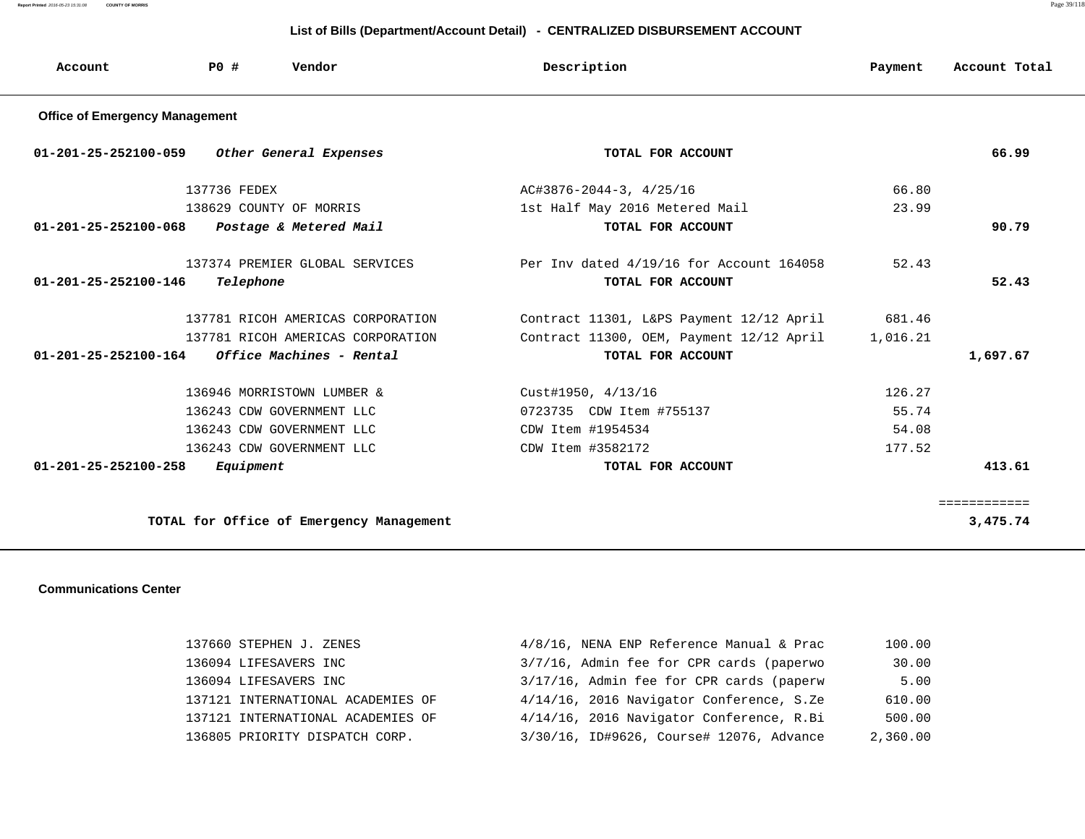**Report Printed** 2016-05-23 15:31:08 **COUNTY OF MORRIS** Page 39/118

### **List of Bills (Department/Account Detail) - CENTRALIZED DISBURSEMENT ACCOUNT**

| Account                               | PO#          | Vendor                            | Description                              | Payment  | Account Total |
|---------------------------------------|--------------|-----------------------------------|------------------------------------------|----------|---------------|
| <b>Office of Emergency Management</b> |              |                                   |                                          |          |               |
| $01 - 201 - 25 - 252100 - 059$        |              | Other General Expenses            | TOTAL FOR ACCOUNT                        |          | 66.99         |
|                                       | 137736 FEDEX |                                   | AC#3876-2044-3, 4/25/16                  | 66.80    |               |
|                                       |              | 138629 COUNTY OF MORRIS           | 1st Half May 2016 Metered Mail           | 23.99    |               |
| $01 - 201 - 25 - 252100 - 068$        |              | Postage & Metered Mail            | TOTAL FOR ACCOUNT                        |          | 90.79         |
|                                       |              | 137374 PREMIER GLOBAL SERVICES    | Per Inv dated 4/19/16 for Account 164058 | 52.43    |               |
| $01 - 201 - 25 - 252100 - 146$        | Telephone    |                                   | TOTAL FOR ACCOUNT                        |          | 52.43         |
|                                       |              | 137781 RICOH AMERICAS CORPORATION | Contract 11301, L&PS Payment 12/12 April | 681.46   |               |
|                                       |              | 137781 RICOH AMERICAS CORPORATION | Contract 11300, OEM, Payment 12/12 April | 1,016.21 |               |
| 01-201-25-252100-164                  |              | Office Machines - Rental          | TOTAL FOR ACCOUNT                        |          | 1,697.67      |
|                                       |              | 136946 MORRISTOWN LUMBER &        | Cust#1950, 4/13/16                       | 126.27   |               |
|                                       |              | 136243 CDW GOVERNMENT LLC         | 0723735 CDW Item #755137                 | 55.74    |               |
|                                       |              | 136243 CDW GOVERNMENT LLC         | CDW Item #1954534                        | 54.08    |               |
|                                       |              | 136243 CDW GOVERNMENT LLC         | CDW Item #3582172                        | 177.52   |               |
| 01-201-25-252100-258                  | Equipment    |                                   | TOTAL FOR ACCOUNT                        |          | 413.61        |
|                                       |              |                                   |                                          |          | ============  |

TOTAL for Office of Emergency Management 3,475.74

#### **Communications Center**

| 137660 STEPHEN J. ZENES           | $4/8/16$ , NENA ENP Reference Manual & Prac | 100.00   |
|-----------------------------------|---------------------------------------------|----------|
| 136094 LIFESAVERS INC             | 3/7/16, Admin fee for CPR cards (paperwo    | 30.00    |
| 136094 LIFESAVERS INC             | 3/17/16, Admin fee for CPR cards (paperw    | 5.00     |
| 137121 INTERNATIONAL ACADEMIES OF | 4/14/16, 2016 Navigator Conference, S.Ze    | 610.00   |
| 137121 INTERNATIONAL ACADEMIES OF | 4/14/16, 2016 Navigator Conference, R.Bi    | 500.00   |
| 136805 PRIORITY DISPATCH CORP.    | 3/30/16, ID#9626, Course# 12076, Advance    | 2,360.00 |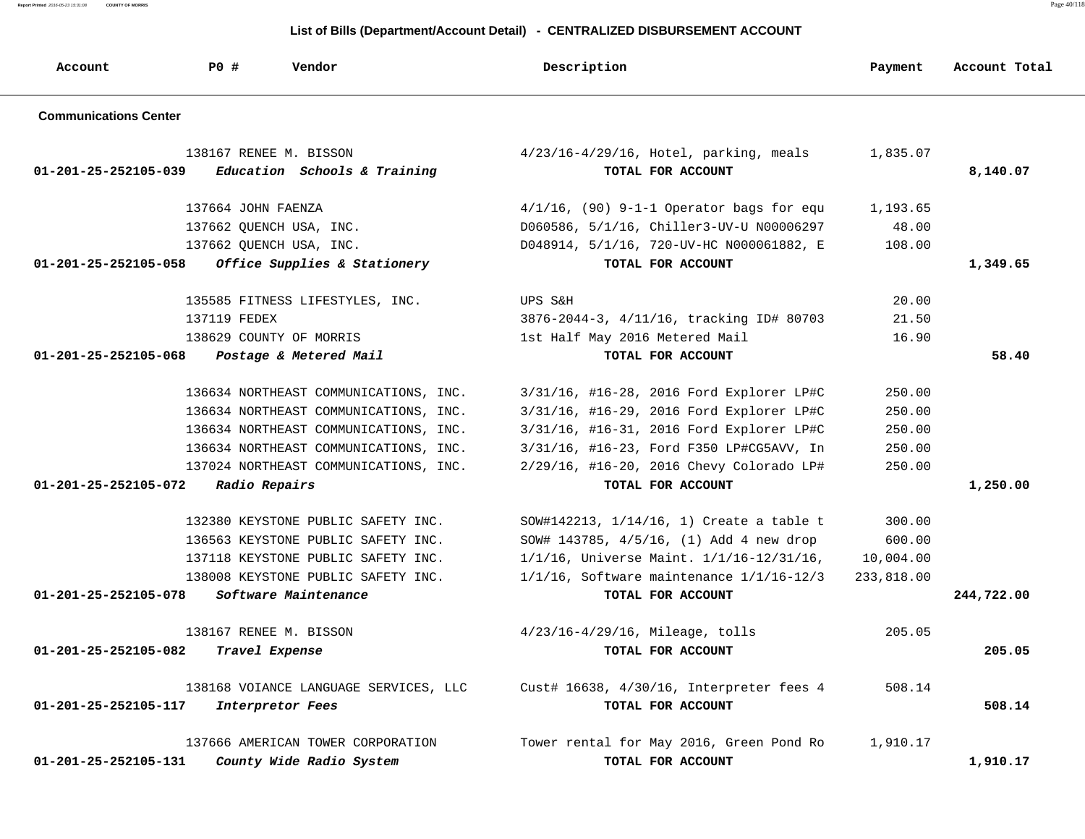**Report Printed** 2016-05-23 15:31:08 **COUNTY OF MORRIS** Page 40/118

| Account                      | PO#<br>Vendor                                          | Description                                                      | Payment    | Account Total |
|------------------------------|--------------------------------------------------------|------------------------------------------------------------------|------------|---------------|
| <b>Communications Center</b> |                                                        |                                                                  |            |               |
| 01-201-25-252105-039         | 138167 RENEE M. BISSON<br>Education Schools & Training | $4/23/16 - 4/29/16$ , Hotel, parking, meals<br>TOTAL FOR ACCOUNT | 1,835.07   | 8,140.07      |
|                              | 137664 JOHN FAENZA                                     | $4/1/16$ , (90) 9-1-1 Operator bags for equ                      | 1,193.65   |               |
|                              | 137662 QUENCH USA, INC.                                | D060586, 5/1/16, Chiller3-UV-U N00006297                         | 48.00      |               |
|                              | 137662 QUENCH USA, INC.                                | D048914, 5/1/16, 720-UV-HC N000061882, E                         | 108.00     |               |
| 01-201-25-252105-058         | Office Supplies & Stationery                           | TOTAL FOR ACCOUNT                                                |            | 1,349.65      |
|                              | 135585 FITNESS LIFESTYLES, INC.                        | UPS S&H                                                          | 20.00      |               |
|                              | 137119 FEDEX                                           | 3876-2044-3, 4/11/16, tracking ID# 80703                         | 21.50      |               |
|                              | 138629 COUNTY OF MORRIS                                | 1st Half May 2016 Metered Mail                                   | 16.90      |               |
| 01-201-25-252105-068         | Postage & Metered Mail                                 | TOTAL FOR ACCOUNT                                                |            | 58.40         |
|                              | 136634 NORTHEAST COMMUNICATIONS, INC.                  | 3/31/16, #16-28, 2016 Ford Explorer LP#C                         | 250.00     |               |
|                              | 136634 NORTHEAST COMMUNICATIONS, INC.                  | 3/31/16, #16-29, 2016 Ford Explorer LP#C                         | 250.00     |               |
|                              | 136634 NORTHEAST COMMUNICATIONS, INC.                  | 3/31/16, #16-31, 2016 Ford Explorer LP#C                         | 250.00     |               |
|                              | 136634 NORTHEAST COMMUNICATIONS, INC.                  | 3/31/16, #16-23, Ford F350 LP#CG5AVV, In                         | 250.00     |               |
|                              | 137024 NORTHEAST COMMUNICATIONS, INC.                  | 2/29/16, #16-20, 2016 Chevy Colorado LP#                         | 250.00     |               |
| 01-201-25-252105-072         | Radio Repairs                                          | TOTAL FOR ACCOUNT                                                |            | 1,250.00      |
|                              | 132380 KEYSTONE PUBLIC SAFETY INC.                     | SOW#142213, 1/14/16, 1) Create a table t                         | 300.00     |               |
|                              | 136563 KEYSTONE PUBLIC SAFETY INC.                     | SOW# 143785, 4/5/16, (1) Add 4 new drop                          | 600.00     |               |
|                              | 137118 KEYSTONE PUBLIC SAFETY INC.                     | 1/1/16, Universe Maint. 1/1/16-12/31/16,                         | 10,004.00  |               |
|                              | 138008 KEYSTONE PUBLIC SAFETY INC.                     | $1/1/16$ , Software maintenance $1/1/16-12/3$                    | 233,818.00 |               |
| 01-201-25-252105-078         | Software Maintenance                                   | TOTAL FOR ACCOUNT                                                |            | 244,722.00    |
|                              | 138167 RENEE M. BISSON                                 | $4/23/16 - 4/29/16$ , Mileage, tolls                             | 205.05     |               |
| 01-201-25-252105-082         | Travel Expense                                         | TOTAL FOR ACCOUNT                                                |            | 205.05        |
|                              | 138168 VOIANCE LANGUAGE SERVICES, LLC                  | Cust# 16638, 4/30/16, Interpreter fees 4                         | 508.14     |               |
| 01-201-25-252105-117         | Interpretor Fees                                       | TOTAL FOR ACCOUNT                                                |            | 508.14        |
|                              | 137666 AMERICAN TOWER CORPORATION                      | Tower rental for May 2016, Green Pond Ro                         | 1,910.17   |               |
| 01-201-25-252105-131         | County Wide Radio System                               | TOTAL FOR ACCOUNT                                                |            | 1,910.17      |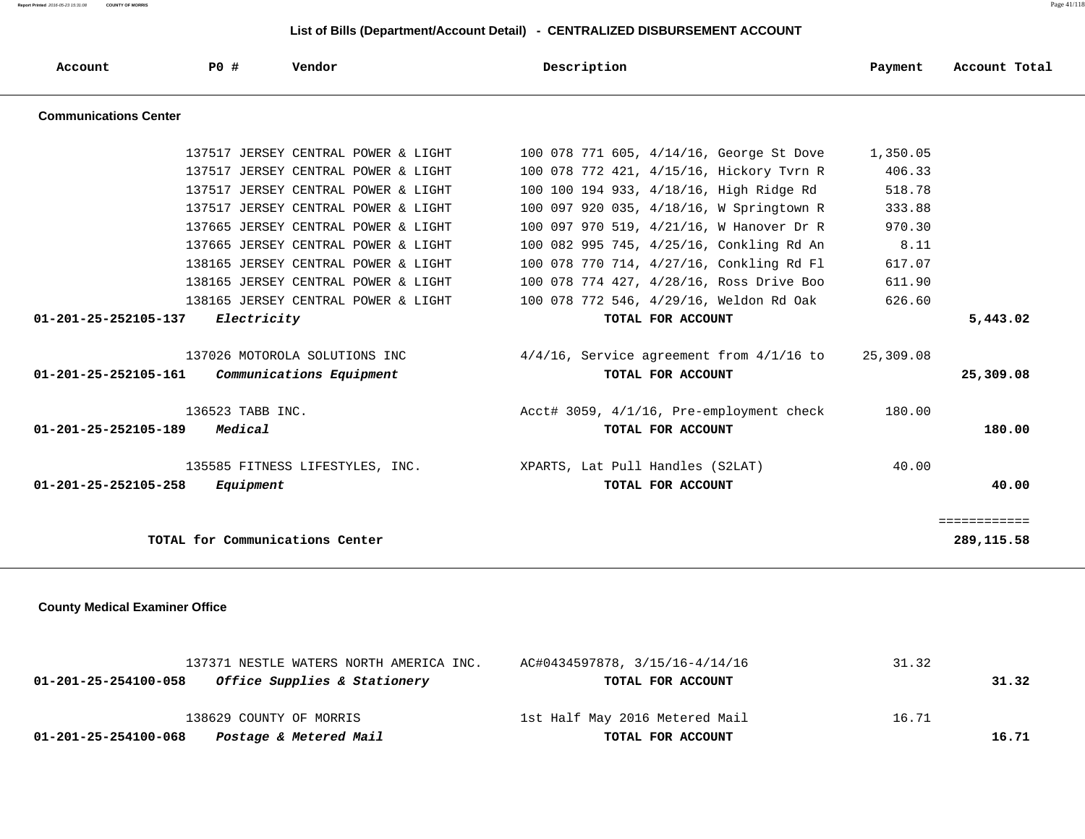**Report Printed** 2016-05-23 15:31:08 **COUNTY OF MORRIS** Page 41/118

### **List of Bills (Department/Account Detail) - CENTRALIZED DISBURSEMENT ACCOUNT**

| Account                        | PO#                             | Vendor                              | Description                                   | Payment   | Account Total |
|--------------------------------|---------------------------------|-------------------------------------|-----------------------------------------------|-----------|---------------|
| <b>Communications Center</b>   |                                 |                                     |                                               |           |               |
|                                |                                 | 137517 JERSEY CENTRAL POWER & LIGHT | 100 078 771 605, 4/14/16, George St Dove      | 1,350.05  |               |
|                                |                                 | 137517 JERSEY CENTRAL POWER & LIGHT | 100 078 772 421, 4/15/16, Hickory Tyrn R      | 406.33    |               |
|                                |                                 | 137517 JERSEY CENTRAL POWER & LIGHT | 100 100 194 933, 4/18/16, High Ridge Rd       | 518.78    |               |
|                                |                                 | 137517 JERSEY CENTRAL POWER & LIGHT | 100 097 920 035, 4/18/16, W Springtown R      | 333.88    |               |
|                                |                                 | 137665 JERSEY CENTRAL POWER & LIGHT | 100 097 970 519, 4/21/16, W Hanover Dr R      | 970.30    |               |
|                                |                                 | 137665 JERSEY CENTRAL POWER & LIGHT | 100 082 995 745, 4/25/16, Conkling Rd An      | 8.11      |               |
|                                |                                 | 138165 JERSEY CENTRAL POWER & LIGHT | 100 078 770 714, 4/27/16, Conkling Rd Fl      | 617.07    |               |
|                                |                                 | 138165 JERSEY CENTRAL POWER & LIGHT | 100 078 774 427, 4/28/16, Ross Drive Boo      | 611.90    |               |
|                                |                                 | 138165 JERSEY CENTRAL POWER & LIGHT | 100 078 772 546, 4/29/16, Weldon Rd Oak       | 626.60    |               |
| 01-201-25-252105-137           | Electricity                     |                                     | TOTAL FOR ACCOUNT                             |           | 5,443.02      |
|                                |                                 | 137026 MOTOROLA SOLUTIONS INC       | $4/4/16$ , Service agreement from $4/1/16$ to | 25,309.08 |               |
| 01-201-25-252105-161           |                                 | Communications Equipment            | TOTAL FOR ACCOUNT                             |           | 25,309.08     |
|                                | 136523 TABB INC.                |                                     | Acct# 3059, 4/1/16, Pre-employment check      | 180.00    |               |
| $01 - 201 - 25 - 252105 - 189$ | Medical                         |                                     | TOTAL FOR ACCOUNT                             |           | 180.00        |
|                                |                                 | 135585 FITNESS LIFESTYLES, INC.     | XPARTS, Lat Pull Handles (S2LAT)              | 40.00     |               |
| 01-201-25-252105-258           | Equipment                       |                                     | TOTAL FOR ACCOUNT                             |           | 40.00         |
|                                |                                 |                                     |                                               |           | ============  |
|                                | TOTAL for Communications Center |                                     |                                               |           | 289,115.58    |
|                                |                                 |                                     |                                               |           |               |

 **County Medical Examiner Office**

| 137371 NESTLE WATERS NORTH AMERICA INC.              | AC#0434597878, 3/15/16-4/14/16 | 31.32 |  |
|------------------------------------------------------|--------------------------------|-------|--|
| Office Supplies & Stationery<br>01-201-25-254100-058 | TOTAL FOR ACCOUNT              | 31.32 |  |
| 138629 COUNTY OF MORRIS                              | 1st Half May 2016 Metered Mail | 16.71 |  |
| Postage & Metered Mail<br>01-201-25-254100-068       | TOTAL FOR ACCOUNT              | 16.71 |  |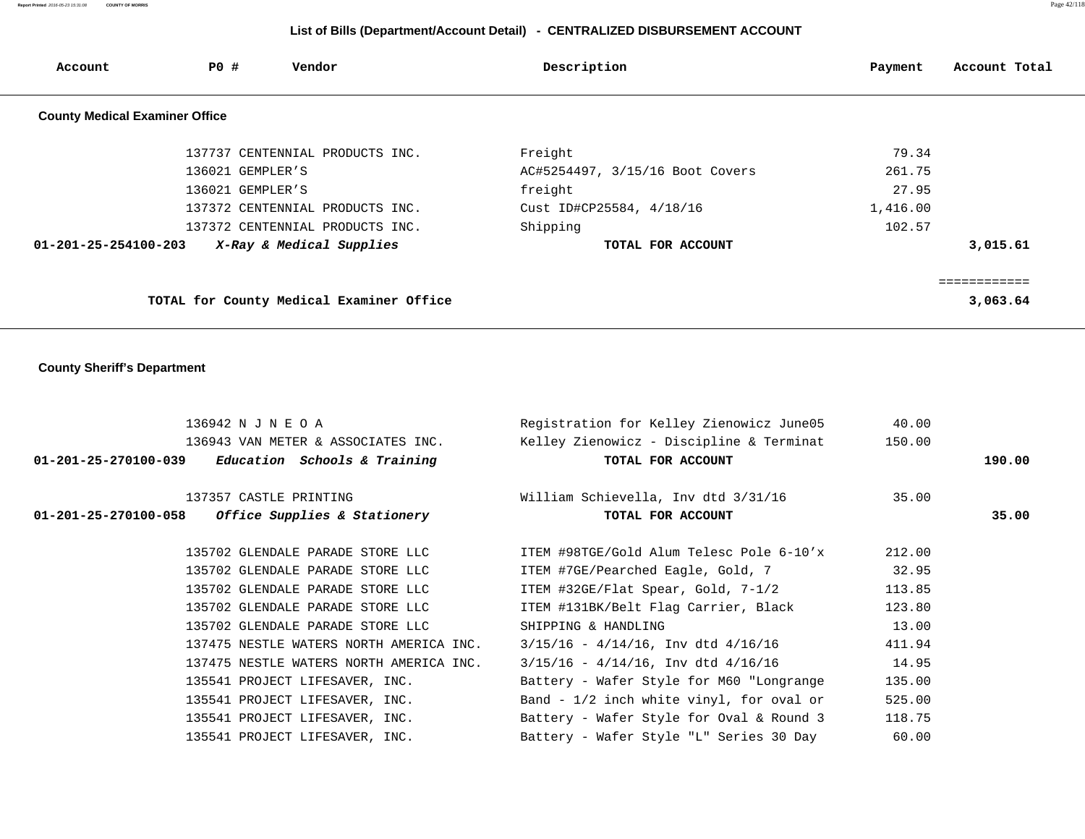# **List of Bills (Department/Account Detail) - CENTRALIZED DISBURSEMENT ACCOUNT**

| Account                               | PO #             | Vendor                                   | Description                     | Payment  | Account Total |
|---------------------------------------|------------------|------------------------------------------|---------------------------------|----------|---------------|
| <b>County Medical Examiner Office</b> |                  |                                          |                                 |          |               |
|                                       |                  | 137737 CENTENNIAL PRODUCTS INC.          | Freight                         | 79.34    |               |
|                                       | 136021 GEMPLER'S |                                          | AC#5254497, 3/15/16 Boot Covers | 261.75   |               |
|                                       | 136021 GEMPLER'S |                                          | freight                         | 27.95    |               |
|                                       |                  | 137372 CENTENNIAL PRODUCTS INC.          | Cust ID#CP25584, 4/18/16        | 1,416.00 |               |
|                                       |                  | 137372 CENTENNIAL PRODUCTS INC.          | Shipping                        | 102.57   |               |
| 01-201-25-254100-203                  |                  | X-Ray & Medical Supplies                 | TOTAL FOR ACCOUNT               |          | 3,015.61      |
|                                       |                  |                                          |                                 |          |               |
|                                       |                  | TOTAL for County Medical Examiner Office |                                 |          | 3,063.64      |

 **County Sheriff's Department**

| 136942 N J N E O A                                  | Registration for Kelley Zienowicz June05   | 40.00  |        |
|-----------------------------------------------------|--------------------------------------------|--------|--------|
| 136943 VAN METER & ASSOCIATES INC.                  | Kelley Zienowicz - Discipline & Terminat   | 150.00 |        |
| $01-201-25-270100-039$ Education Schools & Training | TOTAL FOR ACCOUNT                          |        | 190.00 |
| 137357 CASTLE PRINTING                              | William Schievella, Inv dtd 3/31/16        | 35.00  |        |
| $01-201-25-270100-058$ Office Supplies & Stationery | TOTAL FOR ACCOUNT                          |        | 35.00  |
| 135702 GLENDALE PARADE STORE LLC                    | ITEM #98TGE/Gold Alum Telesc Pole 6-10'x   | 212.00 |        |
| 135702 GLENDALE PARADE STORE LLC                    | ITEM #7GE/Pearched Eagle, Gold, 7          | 32.95  |        |
| 135702 GLENDALE PARADE STORE LLC                    | ITEM #32GE/Flat Spear, Gold, 7-1/2         | 113.85 |        |
| 135702 GLENDALE PARADE STORE LLC                    | ITEM #131BK/Belt Flag Carrier, Black       | 123.80 |        |
| 135702 GLENDALE PARADE STORE LLC                    | SHIPPING & HANDLING                        | 13.00  |        |
| 137475 NESTLE WATERS NORTH AMERICA INC.             | $3/15/16 - 4/14/16$ , Inv dtd $4/16/16$    | 411.94 |        |
| 137475 NESTLE WATERS NORTH AMERICA INC.             | $3/15/16 - 4/14/16$ , Inv dtd $4/16/16$    | 14.95  |        |
| 135541 PROJECT LIFESAVER, INC.                      | Battery - Wafer Style for M60 "Longrange   | 135.00 |        |
| 135541 PROJECT LIFESAVER, INC.                      | Band - $1/2$ inch white vinyl, for oval or | 525.00 |        |
| 135541 PROJECT LIFESAVER, INC.                      | Battery - Wafer Style for Oval & Round 3   | 118.75 |        |
| 135541 PROJECT LIFESAVER, INC.                      | Battery - Wafer Style "L" Series 30 Day    | 60.00  |        |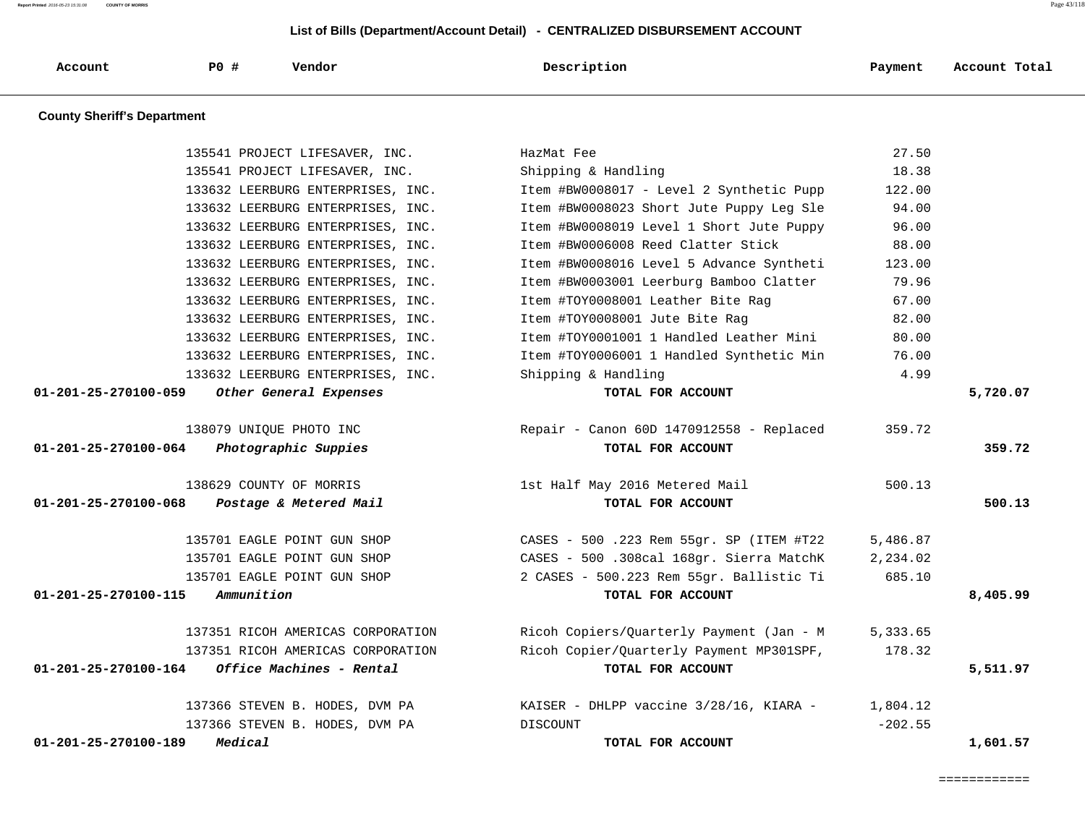**Report Printed** 2016-05-23 15:31:08 **COUNTY OF MORRIS** Page 43/118

### **List of Bills (Department/Account Detail) - CENTRALIZED DISBURSEMENT ACCOUNT**

| Account | P0# | Vendor | Description | Payment | Account Total |
|---------|-----|--------|-------------|---------|---------------|
|         |     |        |             |         |               |

 **County Sheriff's Department**

| 135541 PROJECT LIFESAVER, INC.                           | HazMat Fee                               | 27.50     |          |
|----------------------------------------------------------|------------------------------------------|-----------|----------|
| 135541 PROJECT LIFESAVER, INC.                           | Shipping & Handling                      | 18.38     |          |
| 133632 LEERBURG ENTERPRISES, INC.                        | Item #BW0008017 - Level 2 Synthetic Pupp | 122.00    |          |
| 133632 LEERBURG ENTERPRISES, INC.                        | Item #BW0008023 Short Jute Puppy Leg Sle | 94.00     |          |
| 133632 LEERBURG ENTERPRISES, INC.                        | Item #BW0008019 Level 1 Short Jute Puppy | 96.00     |          |
| 133632 LEERBURG ENTERPRISES, INC.                        | Item #BW0006008 Reed Clatter Stick       | 88.00     |          |
| 133632 LEERBURG ENTERPRISES, INC.                        | Item #BW0008016 Level 5 Advance Syntheti | 123.00    |          |
| 133632 LEERBURG ENTERPRISES, INC.                        | Item #BW0003001 Leerburg Bamboo Clatter  | 79.96     |          |
| 133632 LEERBURG ENTERPRISES, INC.                        | Item #TOY0008001 Leather Bite Rag        | 67.00     |          |
| 133632 LEERBURG ENTERPRISES, INC.                        | Item #TOY0008001 Jute Bite Rag           | 82.00     |          |
| 133632 LEERBURG ENTERPRISES, INC.                        | Item #TOY0001001 1 Handled Leather Mini  | 80.00     |          |
| 133632 LEERBURG ENTERPRISES, INC.                        | Item #TOY0006001 1 Handled Synthetic Min | 76.00     |          |
| 133632 LEERBURG ENTERPRISES, INC.                        | Shipping & Handling                      | 4.99      |          |
| $01 - 201 - 25 - 270100 - 059$<br>Other General Expenses | TOTAL FOR ACCOUNT                        |           | 5,720.07 |
| 138079 UNIOUE PHOTO INC                                  | Repair - Canon 60D 1470912558 - Replaced | 359.72    |          |
| Photographic Suppies<br>01-201-25-270100-064             | TOTAL FOR ACCOUNT                        |           | 359.72   |
| 138629 COUNTY OF MORRIS                                  | 1st Half May 2016 Metered Mail           | 500.13    |          |
| Postage & Metered Mail<br>01-201-25-270100-068           | TOTAL FOR ACCOUNT                        |           | 500.13   |
| 135701 EAGLE POINT GUN SHOP                              | CASES - 500 .223 Rem 55gr. SP (ITEM #T22 | 5,486.87  |          |
| 135701 EAGLE POINT GUN SHOP                              | CASES - 500 .308cal 168gr. Sierra MatchK | 2,234.02  |          |
| 135701 EAGLE POINT GUN SHOP                              | 2 CASES - 500.223 Rem 55gr. Ballistic Ti | 685.10    |          |
| Ammunition<br>01-201-25-270100-115                       | TOTAL FOR ACCOUNT                        |           | 8,405.99 |
| 137351 RICOH AMERICAS CORPORATION                        | Ricoh Copiers/Quarterly Payment (Jan - M | 5,333.65  |          |
| 137351 RICOH AMERICAS CORPORATION                        | Ricoh Copier/Quarterly Payment MP301SPF, | 178.32    |          |
| 01-201-25-270100-164<br>Office Machines - Rental         | TOTAL FOR ACCOUNT                        |           | 5,511.97 |
| 137366 STEVEN B. HODES, DVM PA                           | KAISER - DHLPP vaccine 3/28/16, KIARA -  | 1,804.12  |          |
| 137366 STEVEN B. HODES, DVM PA                           | DISCOUNT                                 | $-202.55$ |          |
| 01-201-25-270100-189<br>Medical                          | TOTAL FOR ACCOUNT                        |           | 1,601.57 |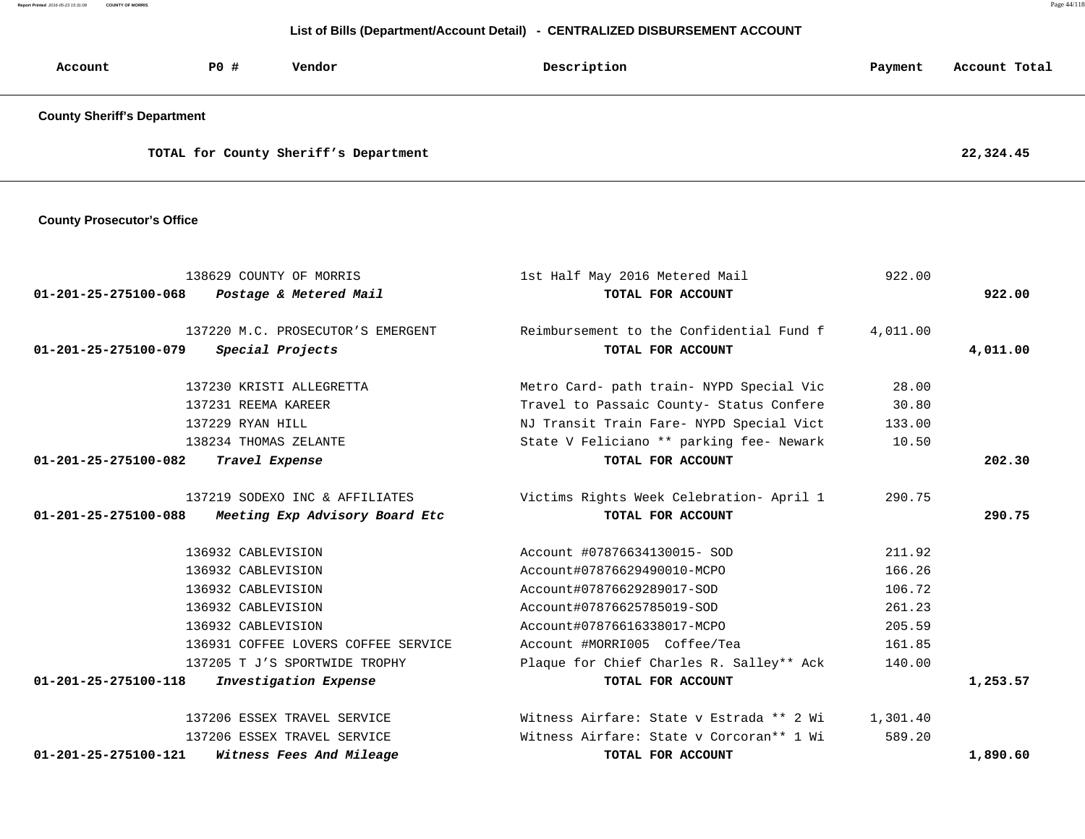**Report Printed** 2016-05-23 15:31:08 **COUNTY OF MORRIS** Page 44/118

#### **List of Bills (Department/Account Detail) - CENTRALIZED DISBURSEMENT ACCOUNT**

| Account                            | P0 # | Vendor                                | Description | Payment | Account Total |
|------------------------------------|------|---------------------------------------|-------------|---------|---------------|
| <b>County Sheriff's Department</b> |      |                                       |             |         |               |
|                                    |      | TOTAL for County Sheriff's Department |             |         | 22,324.45     |

 **County Prosecutor's Office**

| 138629 COUNTY OF MORRIS                                    | 1st Half May 2016 Metered Mail           | 922.00   |          |
|------------------------------------------------------------|------------------------------------------|----------|----------|
| 01-201-25-275100-068<br>Postage & Metered Mail             | TOTAL FOR ACCOUNT                        |          | 922.00   |
| 137220 M.C. PROSECUTOR'S EMERGENT                          | Reimbursement to the Confidential Fund f | 4,011.00 |          |
| 01-201-25-275100-079<br>Special Projects                   | TOTAL FOR ACCOUNT                        |          | 4,011.00 |
| 137230 KRISTI ALLEGRETTA                                   | Metro Card- path train- NYPD Special Vic | 28.00    |          |
| 137231 REEMA KAREER                                        | Travel to Passaic County- Status Confere | 30.80    |          |
| 137229 RYAN HILL                                           | NJ Transit Train Fare- NYPD Special Vict | 133.00   |          |
| 138234 THOMAS ZELANTE                                      | State V Feliciano ** parking fee- Newark | 10.50    |          |
| $01 - 201 - 25 - 275100 - 082$<br>Travel Expense           | TOTAL FOR ACCOUNT                        |          | 202.30   |
| 137219 SODEXO INC & AFFILIATES                             | Victims Rights Week Celebration- April 1 | 290.75   |          |
| 01-201-25-275100-088 Meeting Exp Advisory Board Etc        | TOTAL FOR ACCOUNT                        |          | 290.75   |
| 136932 CABLEVISION                                         | Account #07876634130015- SOD             | 211.92   |          |
| 136932 CABLEVISION                                         | Account#07876629490010-MCPO              | 166.26   |          |
| 136932 CABLEVISION                                         | Account#07876629289017-SOD               | 106.72   |          |
| 136932 CABLEVISION                                         | Account#07876625785019-SOD               | 261.23   |          |
| 136932 CABLEVISION                                         | Account#07876616338017-MCPO              | 205.59   |          |
| 136931 COFFEE LOVERS COFFEE SERVICE                        | Account #MORRI005 Coffee/Tea             | 161.85   |          |
| 137205 T J'S SPORTWIDE TROPHY                              | Plaque for Chief Charles R. Salley** Ack | 140.00   |          |
| $01 - 201 - 25 - 275100 - 118$<br>Investigation Expense    | TOTAL FOR ACCOUNT                        |          | 1,253.57 |
| 137206 ESSEX TRAVEL SERVICE                                | Witness Airfare: State v Estrada ** 2 Wi | 1,301.40 |          |
| 137206 ESSEX TRAVEL SERVICE                                | Witness Airfare: State y Corcoran** 1 Wi | 589.20   |          |
| $01 - 201 - 25 - 275100 - 121$<br>Witness Fees And Mileage | TOTAL FOR ACCOUNT                        |          | 1,890.60 |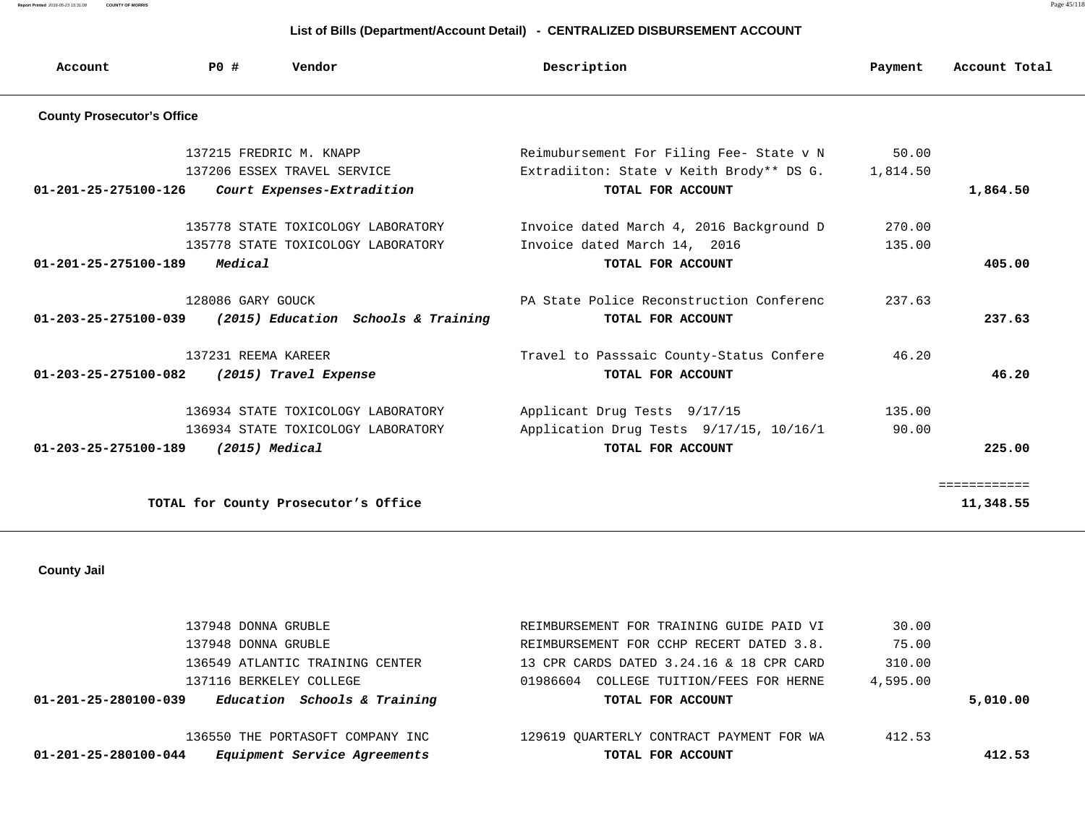**Report Printed** 2016-05-23 15:31:08 **COUNTY OF MORRIS** Page 45/118

### **List of Bills (Department/Account Detail) - CENTRALIZED DISBURSEMENT ACCOUNT**

| Account                           | P0#                 | Vendor                               | Description                              | Payment  | Account Total |
|-----------------------------------|---------------------|--------------------------------------|------------------------------------------|----------|---------------|
| <b>County Prosecutor's Office</b> |                     |                                      |                                          |          |               |
|                                   |                     | 137215 FREDRIC M. KNAPP              | Reimubursement For Filing Fee- State v N | 50.00    |               |
|                                   |                     | 137206 ESSEX TRAVEL SERVICE          | Extradiiton: State v Keith Brody** DS G. | 1,814.50 |               |
| 01-201-25-275100-126              |                     | Court Expenses-Extradition           | TOTAL FOR ACCOUNT                        |          | 1,864.50      |
|                                   |                     | 135778 STATE TOXICOLOGY LABORATORY   | Invoice dated March 4, 2016 Background D | 270.00   |               |
|                                   |                     | 135778 STATE TOXICOLOGY LABORATORY   | Invoice dated March 14, 2016             | 135.00   |               |
| $01 - 201 - 25 - 275100 - 189$    | Medical             |                                      | TOTAL FOR ACCOUNT                        |          | 405.00        |
|                                   | 128086 GARY GOUCK   |                                      | PA State Police Reconstruction Conferenc | 237.63   |               |
| $01 - 203 - 25 - 275100 - 039$    |                     | (2015) Education Schools & Training  | TOTAL FOR ACCOUNT                        |          | 237.63        |
|                                   | 137231 REEMA KAREER |                                      | Travel to Passsaic County-Status Confere | 46.20    |               |
| $01 - 203 - 25 - 275100 - 082$    |                     | (2015) Travel Expense                | TOTAL FOR ACCOUNT                        |          | 46.20         |
|                                   |                     | 136934 STATE TOXICOLOGY LABORATORY   | Applicant Drug Tests 9/17/15             | 135.00   |               |
|                                   |                     | 136934 STATE TOXICOLOGY LABORATORY   | Application Drug Tests 9/17/15, 10/16/1  | 90.00    |               |
| $01 - 203 - 25 - 275100 - 189$    | (2015) Medical      |                                      | TOTAL FOR ACCOUNT                        |          | 225.00        |
|                                   |                     |                                      |                                          |          | ============  |
|                                   |                     | TOTAL for County Prosecutor's Office |                                          |          | 11,348.55     |
|                                   |                     |                                      |                                          |          |               |

#### **County Jail**

| Equipment Service Agreements<br>01-201-25-280100-044 | TOTAL FOR ACCOUNT                          |          | 412.53   |
|------------------------------------------------------|--------------------------------------------|----------|----------|
| 136550 THE PORTASOFT COMPANY INC                     | 129619 OUARTERLY CONTRACT PAYMENT FOR WA   | 412.53   |          |
| Education Schools & Training<br>01-201-25-280100-039 | TOTAL FOR ACCOUNT                          |          | 5,010.00 |
| 137116 BERKELEY COLLEGE                              | COLLEGE TUITION/FEES FOR HERNE<br>01986604 | 4,595.00 |          |
| 136549 ATLANTIC TRAINING CENTER                      | 13 CPR CARDS DATED 3.24.16 & 18 CPR CARD   | 310.00   |          |
| 137948 DONNA GRUBLE                                  | REIMBURSEMENT FOR CCHP RECERT DATED 3.8.   | 75.00    |          |
| 137948 DONNA GRUBLE                                  | REIMBURSEMENT FOR TRAINING GUIDE PAID VI   | 30.00    |          |
|                                                      |                                            |          |          |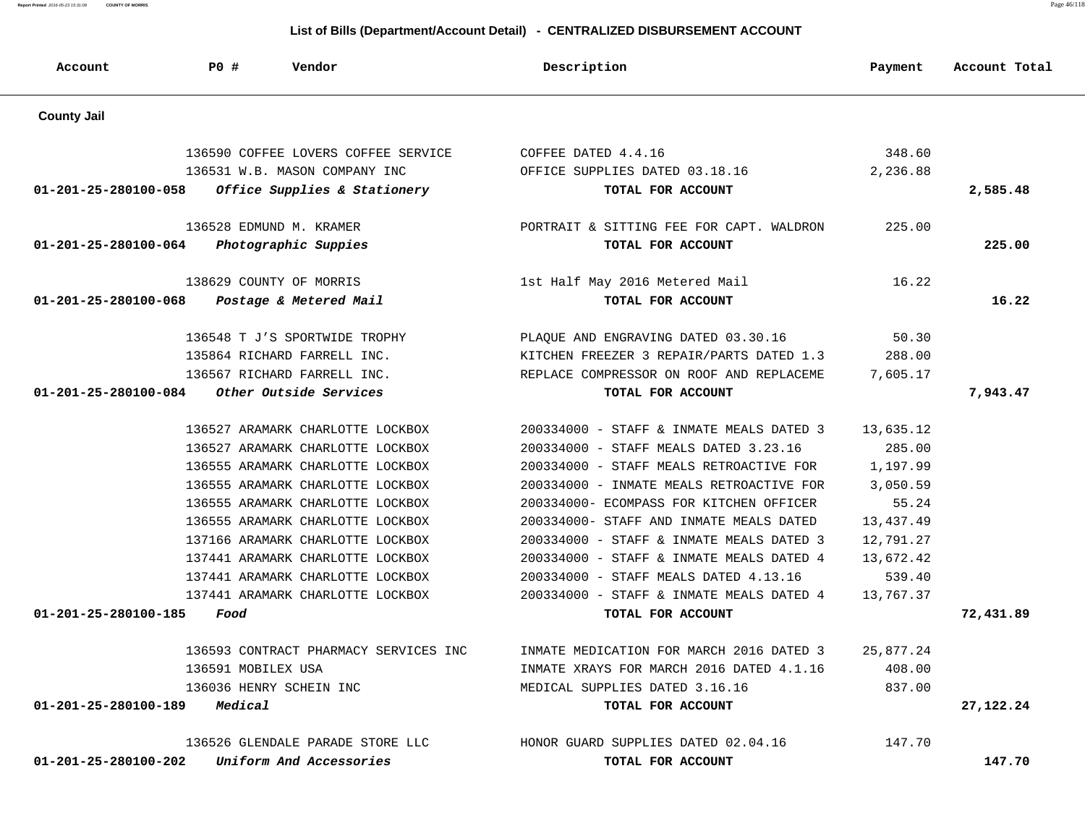| List of Bills (Department/Account Detail) - CENTRALIZED DISBURSEMENT ACCOUNT |                         |                                       |                                          |           |               |  |
|------------------------------------------------------------------------------|-------------------------|---------------------------------------|------------------------------------------|-----------|---------------|--|
| Account                                                                      | PO#                     | Vendor                                | Description                              | Payment   | Account Total |  |
| <b>County Jail</b>                                                           |                         |                                       |                                          |           |               |  |
|                                                                              |                         | 136590 COFFEE LOVERS COFFEE SERVICE   | COFFEE DATED 4.4.16                      | 348.60    |               |  |
|                                                                              |                         | 136531 W.B. MASON COMPANY INC         | OFFICE SUPPLIES DATED 03.18.16           | 2,236.88  |               |  |
| 01-201-25-280100-058                                                         |                         | Office Supplies & Stationery          | TOTAL FOR ACCOUNT                        |           | 2,585.48      |  |
|                                                                              | 136528 EDMUND M. KRAMER |                                       | PORTRAIT & SITTING FEE FOR CAPT. WALDRON | 225.00    |               |  |
| 01-201-25-280100-064                                                         |                         | Photographic Suppies                  | TOTAL FOR ACCOUNT                        |           | 225.00        |  |
|                                                                              | 138629 COUNTY OF MORRIS |                                       | 1st Half May 2016 Metered Mail           | 16.22     |               |  |
| 01-201-25-280100-068                                                         |                         | Postage & Metered Mail                | TOTAL FOR ACCOUNT                        |           | 16.22         |  |
|                                                                              |                         | 136548 T J'S SPORTWIDE TROPHY         | PLAQUE AND ENGRAVING DATED 03.30.16      | 50.30     |               |  |
|                                                                              |                         | 135864 RICHARD FARRELL INC.           | KITCHEN FREEZER 3 REPAIR/PARTS DATED 1.3 | 288.00    |               |  |
|                                                                              |                         | 136567 RICHARD FARRELL INC.           | REPLACE COMPRESSOR ON ROOF AND REPLACEME | 7,605.17  |               |  |
| 01-201-25-280100-084                                                         |                         | Other Outside Services                | TOTAL FOR ACCOUNT                        |           | 7,943.47      |  |
|                                                                              |                         | 136527 ARAMARK CHARLOTTE LOCKBOX      | 200334000 - STAFF & INMATE MEALS DATED 3 | 13,635.12 |               |  |
|                                                                              |                         | 136527 ARAMARK CHARLOTTE LOCKBOX      | 200334000 - STAFF MEALS DATED 3.23.16    | 285.00    |               |  |
|                                                                              |                         | 136555 ARAMARK CHARLOTTE LOCKBOX      | 200334000 - STAFF MEALS RETROACTIVE FOR  | 1,197.99  |               |  |
|                                                                              |                         | 136555 ARAMARK CHARLOTTE LOCKBOX      | 200334000 - INMATE MEALS RETROACTIVE FOR | 3,050.59  |               |  |
|                                                                              |                         | 136555 ARAMARK CHARLOTTE LOCKBOX      | 200334000- ECOMPASS FOR KITCHEN OFFICER  | 55.24     |               |  |
|                                                                              |                         | 136555 ARAMARK CHARLOTTE LOCKBOX      | 200334000- STAFF AND INMATE MEALS DATED  | 13,437.49 |               |  |
|                                                                              |                         | 137166 ARAMARK CHARLOTTE LOCKBOX      | 200334000 - STAFF & INMATE MEALS DATED 3 | 12,791.27 |               |  |
|                                                                              |                         | 137441 ARAMARK CHARLOTTE LOCKBOX      | 200334000 - STAFF & INMATE MEALS DATED 4 | 13,672.42 |               |  |
|                                                                              |                         | 137441 ARAMARK CHARLOTTE LOCKBOX      | 200334000 - STAFF MEALS DATED 4.13.16    | 539.40    |               |  |
|                                                                              |                         | 137441 ARAMARK CHARLOTTE LOCKBOX      | 200334000 - STAFF & INMATE MEALS DATED 4 | 13,767.37 |               |  |
| 01-201-25-280100-185                                                         | Food                    |                                       | TOTAL FOR ACCOUNT                        |           | 72,431.89     |  |
|                                                                              |                         | 136593 CONTRACT PHARMACY SERVICES INC | INMATE MEDICATION FOR MARCH 2016 DATED 3 | 25,877.24 |               |  |
|                                                                              | 136591 MOBILEX USA      |                                       | INMATE XRAYS FOR MARCH 2016 DATED 4.1.16 | 408.00    |               |  |
|                                                                              |                         | 136036 HENRY SCHEIN INC               | MEDICAL SUPPLIES DATED 3.16.16           | 837.00    |               |  |
| $01 - 201 - 25 - 280100 - 189$ Medical                                       |                         |                                       | TOTAL FOR ACCOUNT                        |           | 27, 122. 24   |  |
|                                                                              |                         | 136526 GLENDALE PARADE STORE LLC      | HONOR GUARD SUPPLIES DATED 02.04.16      | 147.70    |               |  |
| $01 - 201 - 25 - 280100 - 202$                                               |                         | Uniform And Accessories               | TOTAL FOR ACCOUNT                        |           | 147.70        |  |

**Report Printed** 2016-05-23 15:31:08 **COUNTY OF MORRIS** Page 46/118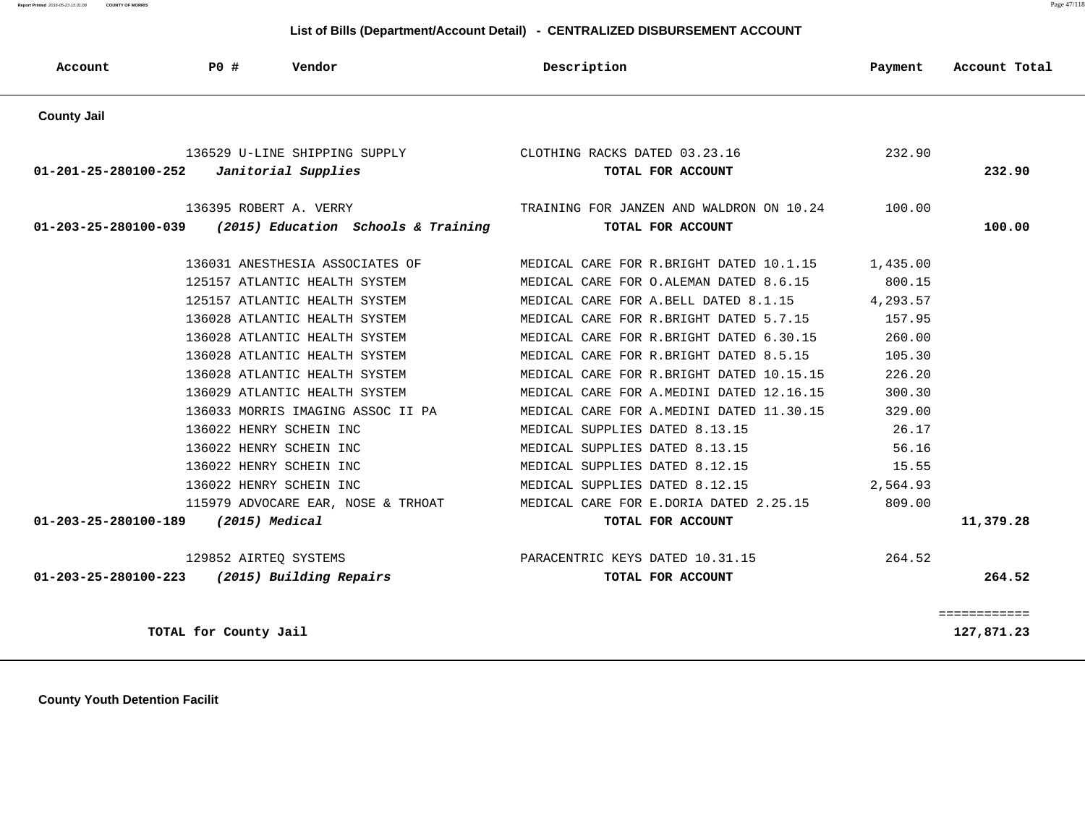**Report Printed** 2016-05-23 15:31:08 **COUNTY OF MORRIS** Page 47/118

### **List of Bills (Department/Account Detail) - CENTRALIZED DISBURSEMENT ACCOUNT**

| Account              | PO#                   | Vendor                              | Description                     |                                           | Payment  | Account Total |
|----------------------|-----------------------|-------------------------------------|---------------------------------|-------------------------------------------|----------|---------------|
| <b>County Jail</b>   |                       |                                     |                                 |                                           |          |               |
|                      |                       | 136529 U-LINE SHIPPING SUPPLY       | CLOTHING RACKS DATED 03.23.16   |                                           | 232.90   |               |
| 01-201-25-280100-252 |                       | Janitorial Supplies                 |                                 | TOTAL FOR ACCOUNT                         |          | 232.90        |
|                      |                       | 136395 ROBERT A. VERRY              |                                 | TRAINING FOR JANZEN AND WALDRON ON 10.24  | 100.00   |               |
| 01-203-25-280100-039 |                       | (2015) Education Schools & Training |                                 | TOTAL FOR ACCOUNT                         |          | 100.00        |
|                      |                       | 136031 ANESTHESIA ASSOCIATES OF     |                                 | MEDICAL CARE FOR R.BRIGHT DATED 10.1.15   | 1,435.00 |               |
|                      |                       | 125157 ATLANTIC HEALTH SYSTEM       |                                 | MEDICAL CARE FOR O.ALEMAN DATED 8.6.15    | 800.15   |               |
|                      |                       | 125157 ATLANTIC HEALTH SYSTEM       |                                 | MEDICAL CARE FOR A.BELL DATED 8.1.15      | 4,293.57 |               |
|                      |                       | 136028 ATLANTIC HEALTH SYSTEM       |                                 | MEDICAL CARE FOR R.BRIGHT DATED 5.7.15    | 157.95   |               |
|                      |                       | 136028 ATLANTIC HEALTH SYSTEM       |                                 | MEDICAL CARE FOR R. BRIGHT DATED 6.30.15  | 260.00   |               |
|                      |                       | 136028 ATLANTIC HEALTH SYSTEM       |                                 | MEDICAL CARE FOR R.BRIGHT DATED 8.5.15    | 105.30   |               |
|                      |                       | 136028 ATLANTIC HEALTH SYSTEM       |                                 | MEDICAL CARE FOR R.BRIGHT DATED 10.15.15  | 226.20   |               |
|                      |                       | 136029 ATLANTIC HEALTH SYSTEM       |                                 | MEDICAL CARE FOR A. MEDINI DATED 12.16.15 | 300.30   |               |
|                      |                       | 136033 MORRIS IMAGING ASSOC II PA   |                                 | MEDICAL CARE FOR A. MEDINI DATED 11.30.15 | 329.00   |               |
|                      |                       | 136022 HENRY SCHEIN INC             | MEDICAL SUPPLIES DATED 8.13.15  |                                           | 26.17    |               |
|                      |                       | 136022 HENRY SCHEIN INC             | MEDICAL SUPPLIES DATED 8.13.15  |                                           | 56.16    |               |
|                      |                       | 136022 HENRY SCHEIN INC             | MEDICAL SUPPLIES DATED 8.12.15  |                                           | 15.55    |               |
|                      |                       | 136022 HENRY SCHEIN INC             | MEDICAL SUPPLIES DATED 8.12.15  |                                           | 2,564.93 |               |
|                      |                       | 115979 ADVOCARE EAR, NOSE & TRHOAT  |                                 | MEDICAL CARE FOR E.DORIA DATED 2.25.15    | 809.00   |               |
| 01-203-25-280100-189 |                       | (2015) Medical                      |                                 | TOTAL FOR ACCOUNT                         |          | 11,379.28     |
|                      |                       | 129852 AIRTEQ SYSTEMS               | PARACENTRIC KEYS DATED 10.31.15 |                                           | 264.52   |               |
| 01-203-25-280100-223 |                       | (2015) Building Repairs             |                                 | TOTAL FOR ACCOUNT                         |          | 264.52        |
|                      |                       |                                     |                                 |                                           |          | ============  |
|                      | TOTAL for County Jail |                                     |                                 |                                           |          | 127,871.23    |

 **County Youth Detention Facilit**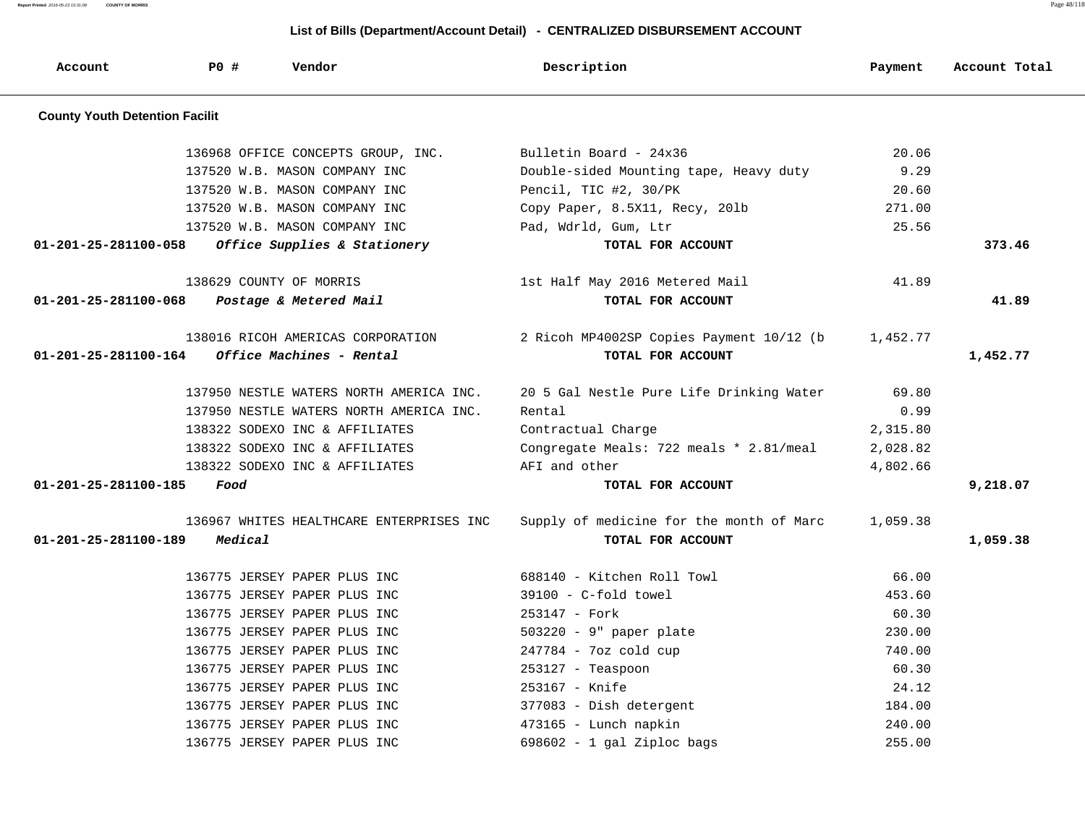**Report Printed** 2016-05-23 15:31:08 **COUNTY OF MORRIS** Page 48/118

| Account                               | PO#     | Vendor                                   | Description                              | Payment  | Account Total |
|---------------------------------------|---------|------------------------------------------|------------------------------------------|----------|---------------|
| <b>County Youth Detention Facilit</b> |         |                                          |                                          |          |               |
|                                       |         | 136968 OFFICE CONCEPTS GROUP, INC.       | Bulletin Board - 24x36                   | 20.06    |               |
|                                       |         | 137520 W.B. MASON COMPANY INC            | Double-sided Mounting tape, Heavy duty   | 9.29     |               |
|                                       |         | 137520 W.B. MASON COMPANY INC            | Pencil, TIC #2, 30/PK                    | 20.60    |               |
|                                       |         | 137520 W.B. MASON COMPANY INC            | Copy Paper, 8.5X11, Recy, 201b           | 271.00   |               |
|                                       |         | 137520 W.B. MASON COMPANY INC            | Pad, Wdrld, Gum, Ltr                     | 25.56    |               |
| 01-201-25-281100-058                  |         | Office Supplies & Stationery             | TOTAL FOR ACCOUNT                        |          | 373.46        |
|                                       |         | 138629 COUNTY OF MORRIS                  | 1st Half May 2016 Metered Mail           | 41.89    |               |
| 01-201-25-281100-068                  |         | Postage & Metered Mail                   | TOTAL FOR ACCOUNT                        |          | 41.89         |
|                                       |         | 138016 RICOH AMERICAS CORPORATION        | 2 Ricoh MP4002SP Copies Payment 10/12 (b | 1,452.77 |               |
| 01-201-25-281100-164                  |         | Office Machines - Rental                 | TOTAL FOR ACCOUNT                        |          | 1,452.77      |
|                                       |         | 137950 NESTLE WATERS NORTH AMERICA INC.  | 20 5 Gal Nestle Pure Life Drinking Water | 69.80    |               |
|                                       |         | 137950 NESTLE WATERS NORTH AMERICA INC.  | Rental                                   | 0.99     |               |
|                                       |         | 138322 SODEXO INC & AFFILIATES           | Contractual Charge                       | 2,315.80 |               |
|                                       |         | 138322 SODEXO INC & AFFILIATES           | Congregate Meals: 722 meals * 2.81/meal  | 2,028.82 |               |
|                                       |         | 138322 SODEXO INC & AFFILIATES           | AFI and other                            | 4,802.66 |               |
| 01-201-25-281100-185                  | Food    |                                          | TOTAL FOR ACCOUNT                        |          | 9,218.07      |
|                                       |         | 136967 WHITES HEALTHCARE ENTERPRISES INC | Supply of medicine for the month of Marc | 1,059.38 |               |
| 01-201-25-281100-189                  | Medical |                                          | TOTAL FOR ACCOUNT                        |          | 1,059.38      |
|                                       |         | 136775 JERSEY PAPER PLUS INC             | 688140 - Kitchen Roll Towl               | 66.00    |               |
|                                       |         | 136775 JERSEY PAPER PLUS INC             | $39100 - C$ -fold towel                  | 453.60   |               |
|                                       |         | 136775 JERSEY PAPER PLUS INC             | 253147 - Fork                            | 60.30    |               |
|                                       |         | 136775 JERSEY PAPER PLUS INC             | $503220 - 9$ " paper plate               | 230.00   |               |
|                                       |         | 136775 JERSEY PAPER PLUS INC             | 247784 - 7oz cold cup                    | 740.00   |               |
|                                       |         | 136775 JERSEY PAPER PLUS INC             | $253127$ - Teaspoon                      | 60.30    |               |
|                                       |         | 136775 JERSEY PAPER PLUS INC             | 253167 - Knife                           | 24.12    |               |
|                                       |         | 136775 JERSEY PAPER PLUS INC             | 377083 - Dish detergent                  | 184.00   |               |
|                                       |         | 136775 JERSEY PAPER PLUS INC             | 473165 - Lunch napkin                    | 240.00   |               |
|                                       |         | 136775 JERSEY PAPER PLUS INC             | $698602 - 1$ gal Ziploc bags             | 255.00   |               |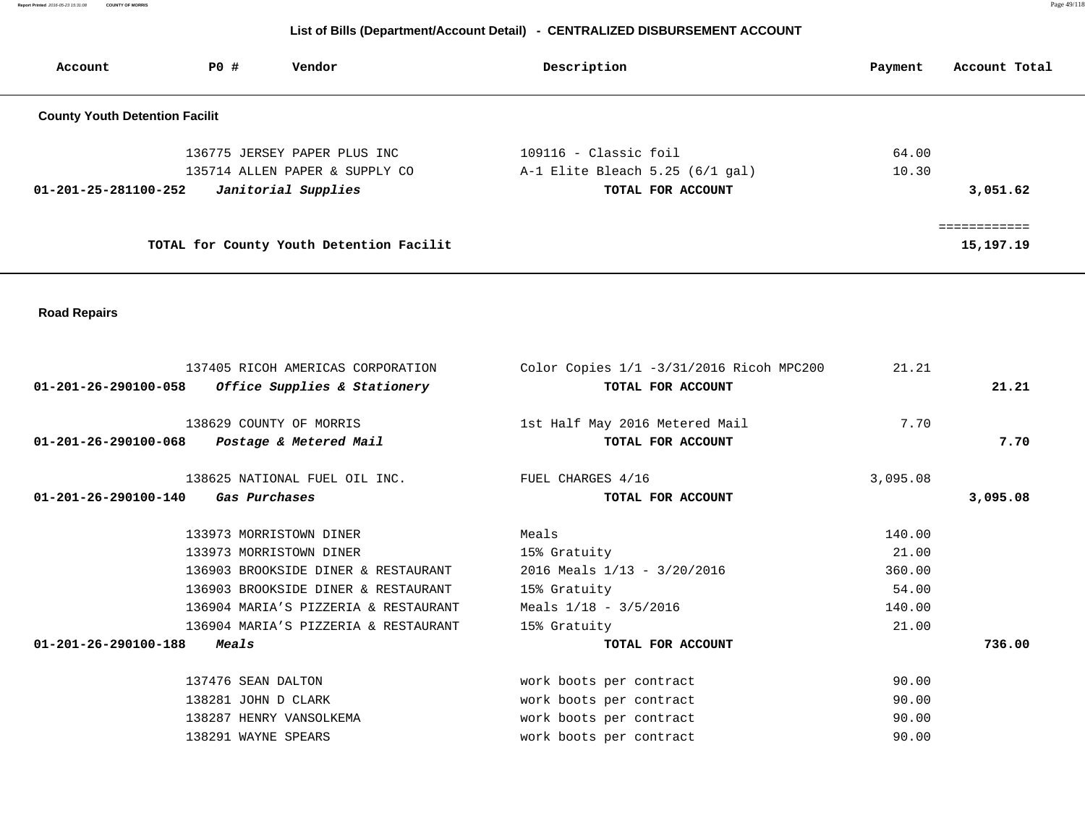**Report Printed** 2016-05-23 15:31:08 **COUNTY OF MORRIS** Page 49/118

| Account                               | <b>PO #</b>         | Vendor                                                         |       | Description                                                | Payment        | Account Total             |
|---------------------------------------|---------------------|----------------------------------------------------------------|-------|------------------------------------------------------------|----------------|---------------------------|
| <b>County Youth Detention Facilit</b> |                     |                                                                |       |                                                            |                |                           |
|                                       |                     | 136775 JERSEY PAPER PLUS INC<br>135714 ALLEN PAPER & SUPPLY CO |       | $109116$ - Classic foil<br>A-1 Elite Bleach 5.25 (6/1 gal) | 64.00<br>10.30 |                           |
| $01 - 201 - 25 - 281100 - 252$        |                     | Janitorial Supplies                                            |       | TOTAL FOR ACCOUNT                                          |                | 3,051.62                  |
|                                       |                     | TOTAL for County Youth Detention Facilit                       |       |                                                            |                | ============<br>15,197.19 |
| <b>Road Repairs</b>                   |                     |                                                                |       |                                                            |                |                           |
|                                       |                     | 137405 RICOH AMERICAS CORPORATION                              |       | Color Copies 1/1 -3/31/2016 Ricoh MPC200                   | 21.21          |                           |
| 01-201-26-290100-058                  |                     | Office Supplies & Stationery                                   |       | TOTAL FOR ACCOUNT                                          |                | 21.21                     |
|                                       |                     | 138629 COUNTY OF MORRIS                                        |       | 1st Half May 2016 Metered Mail                             | 7.70           |                           |
| 01-201-26-290100-068                  |                     | Postage & Metered Mail                                         |       | TOTAL FOR ACCOUNT                                          |                | 7.70                      |
|                                       |                     | 138625 NATIONAL FUEL OIL INC.                                  |       | FUEL CHARGES 4/16                                          | 3,095.08       |                           |
| $01 - 201 - 26 - 290100 - 140$        |                     | Gas Purchases                                                  |       | TOTAL FOR ACCOUNT                                          |                | 3,095.08                  |
|                                       |                     | 133973 MORRISTOWN DINER                                        | Meals |                                                            | 140.00         |                           |
|                                       |                     | 133973 MORRISTOWN DINER                                        |       | 15% Gratuity                                               | 21.00          |                           |
|                                       |                     | 136903 BROOKSIDE DINER & RESTAURANT                            |       | 2016 Meals 1/13 - 3/20/2016                                | 360.00         |                           |
|                                       |                     | 136903 BROOKSIDE DINER & RESTAURANT                            |       | 15% Gratuity                                               | 54.00          |                           |
|                                       |                     | 136904 MARIA'S PIZZERIA & RESTAURANT                           |       | Meals $1/18 - 3/5/2016$                                    | 140.00         |                           |
|                                       |                     | 136904 MARIA'S PIZZERIA & RESTAURANT                           |       | 15% Gratuity                                               | 21.00          |                           |
| $01 - 201 - 26 - 290100 - 188$        | <i><b>Meals</b></i> |                                                                |       | TOTAL FOR ACCOUNT                                          |                | 736.00                    |
|                                       |                     | 137476 SEAN DALTON                                             |       | work boots per contract                                    | 90.00          |                           |
|                                       |                     | 138281 JOHN D CLARK                                            |       | work boots per contract                                    | 90.00          |                           |
|                                       |                     | 138287 HENRY VANSOLKEMA                                        |       | work boots per contract                                    | 90.00          |                           |
|                                       |                     | 138291 WAYNE SPEARS                                            |       | work boots per contract                                    | 90.00          |                           |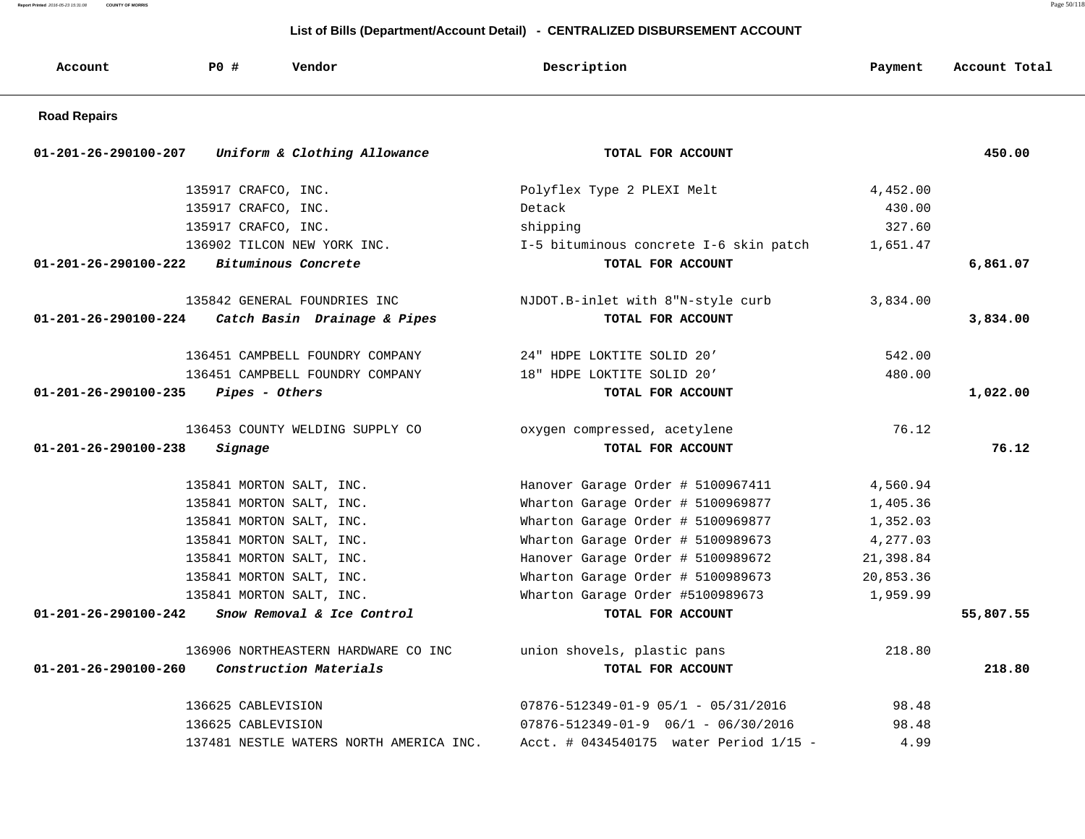**Report Printed** 2016-05-23 15:31:08 **COUNTY OF MORRIS** Page 50/118

| Account                        | <b>PO #</b>           | Vendor                                  | Description                                     | Payment   | Account Total |
|--------------------------------|-----------------------|-----------------------------------------|-------------------------------------------------|-----------|---------------|
| <b>Road Repairs</b>            |                       |                                         |                                                 |           |               |
| 01-201-26-290100-207           |                       | Uniform & Clothing Allowance            | TOTAL FOR ACCOUNT                               |           | 450.00        |
|                                | 135917 CRAFCO, INC.   |                                         | Polyflex Type 2 PLEXI Melt                      | 4,452.00  |               |
|                                | 135917 CRAFCO, INC.   |                                         | Detack                                          | 430.00    |               |
|                                | 135917 CRAFCO, INC.   |                                         | shipping                                        | 327.60    |               |
|                                |                       | 136902 TILCON NEW YORK INC.             | I-5 bituminous concrete I-6 skin patch          | 1,651.47  |               |
| $01 - 201 - 26 - 290100 - 222$ |                       | Bituminous Concrete                     | TOTAL FOR ACCOUNT                               |           | 6,861.07      |
|                                |                       | 135842 GENERAL FOUNDRIES INC            | NJDOT.B-inlet with 8"N-style curb               | 3,834.00  |               |
| 01-201-26-290100-224           |                       | Catch Basin Drainage & Pipes            | TOTAL FOR ACCOUNT                               |           | 3,834.00      |
|                                |                       | 136451 CAMPBELL FOUNDRY COMPANY         | 24" HDPE LOKTITE SOLID 20'                      | 542.00    |               |
|                                |                       | 136451 CAMPBELL FOUNDRY COMPANY         | 18" HDPE LOKTITE SOLID 20'                      | 480.00    |               |
| $01 - 201 - 26 - 290100 - 235$ | <i>Pipes - Others</i> |                                         | TOTAL FOR ACCOUNT                               |           | 1,022.00      |
|                                |                       | 136453 COUNTY WELDING SUPPLY CO         | oxygen compressed, acetylene                    | 76.12     |               |
| 01-201-26-290100-238           | Signage               |                                         | TOTAL FOR ACCOUNT                               |           | 76.12         |
|                                |                       | 135841 MORTON SALT, INC.                | Hanover Garage Order # 5100967411               | 4,560.94  |               |
|                                |                       | 135841 MORTON SALT, INC.                | Wharton Garage Order # 5100969877               | 1,405.36  |               |
|                                |                       | 135841 MORTON SALT, INC.                | Wharton Garage Order # 5100969877               | 1,352.03  |               |
|                                |                       | 135841 MORTON SALT, INC.                | Wharton Garage Order # 5100989673               | 4,277.03  |               |
|                                |                       | 135841 MORTON SALT, INC.                | Hanover Garage Order # 5100989672               | 21,398.84 |               |
|                                |                       | 135841 MORTON SALT, INC.                | Wharton Garage Order # 5100989673               | 20,853.36 |               |
|                                |                       | 135841 MORTON SALT, INC.                | Wharton Garage Order #5100989673                | 1,959.99  |               |
| $01 - 201 - 26 - 290100 - 242$ |                       | Snow Removal & Ice Control              | TOTAL FOR ACCOUNT                               |           | 55,807.55     |
|                                |                       | 136906 NORTHEASTERN HARDWARE CO INC     | union shovels, plastic pans                     | 218.80    |               |
| 01-201-26-290100-260           |                       | Construction Materials                  | TOTAL FOR ACCOUNT                               |           | 218.80        |
|                                | 136625 CABLEVISION    |                                         | $07876 - 512349 - 01 - 9$ $05/1$ - $05/31/2016$ | 98.48     |               |
|                                | 136625 CABLEVISION    |                                         | $07876 - 512349 - 01 - 9$ $06/1$ - 06/30/2016   | 98.48     |               |
|                                |                       | 137481 NESTLE WATERS NORTH AMERICA INC. | Acct. # 0434540175 water Period 1/15 -          | 4.99      |               |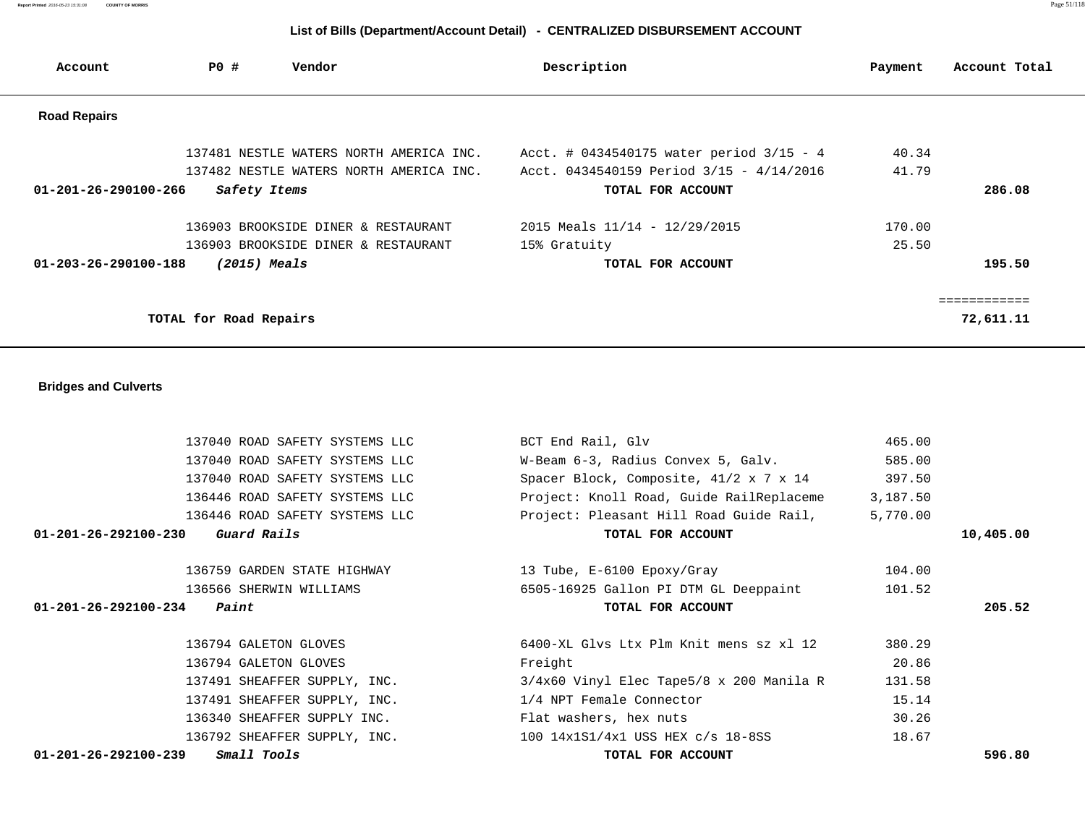137040 ROAD SAFETY SYSTEMS LLC W-Beam 6-3, Radius Convex 5, Galv. 585.00 137040 ROAD SAFETY SYSTEMS LLC Spacer Block, Composite,  $41/2 \times 7 \times 14$  397.50 136446 ROAD SAFETY SYSTEMS LLC Project: Knoll Road, Guide RailReplaceme 3,187.50 136446 ROAD SAFETY SYSTEMS LLC Project: Pleasant Hill Road Guide Rail, 5,770.00  **01-201-26-292100-230 Guard Rails TOTAL FOR ACCOUNT 10,405.00** 136759 GARDEN STATE HIGHWAY 13 Tube, E-6100 Epoxy/Gray 104.00 136566 SHERWIN WILLIAMS 6505-16925 Gallon PI DTM GL Deeppaint 101.52  **01-201-26-292100-234 Paint TOTAL FOR ACCOUNT 205.52** 136794 GALETON GLOVES 6400-XL Glvs Ltx Plm Knit mens sz xl 12 380.29 136794 GALETON GLOVES Freight 20.86 137491 SHEAFFER SUPPLY, INC. 3/4x60 Vinyl Elec Tape5/8 x 200 Manila R 131.58 137491 SHEAFFER SUPPLY, INC. 1/4 NPT Female Connector 15.14 136340 SHEAFFER SUPPLY INC. Flat washers, hex nuts 30.26 136792 SHEAFFER SUPPLY, INC. 100 14x1S1/4x1 USS HEX c/s 18-8SS 18.67  **01-201-26-292100-239 Small Tools TOTAL FOR ACCOUNT 596.80**

137040 ROAD SAFETY SYSTEMS LLC BCT End Rail, Glv 865.00

#### **Bridges and Culverts**

| Account                        | PO#                    | Vendor                                  | Description                                  | Payment | Account Total |
|--------------------------------|------------------------|-----------------------------------------|----------------------------------------------|---------|---------------|
| <b>Road Repairs</b>            |                        |                                         |                                              |         |               |
|                                |                        | 137481 NESTLE WATERS NORTH AMERICA INC. | Acct. # $0434540175$ water period $3/15 - 4$ | 40.34   |               |
|                                |                        | 137482 NESTLE WATERS NORTH AMERICA INC. | Acct. 0434540159 Period 3/15 - 4/14/2016     | 41.79   |               |
| $01 - 201 - 26 - 290100 - 266$ | Safety Items           |                                         | TOTAL FOR ACCOUNT                            |         | 286.08        |
|                                |                        | 136903 BROOKSIDE DINER & RESTAURANT     | 2015 Meals 11/14 - 12/29/2015                | 170.00  |               |
|                                |                        | 136903 BROOKSIDE DINER & RESTAURANT     | 15% Gratuity                                 | 25.50   |               |
| 01-203-26-290100-188           | $(2015)$ Meals         |                                         | TOTAL FOR ACCOUNT                            |         | 195.50        |
|                                |                        |                                         |                                              |         | ============  |
|                                | TOTAL for Road Repairs |                                         |                                              |         | 72,611.11     |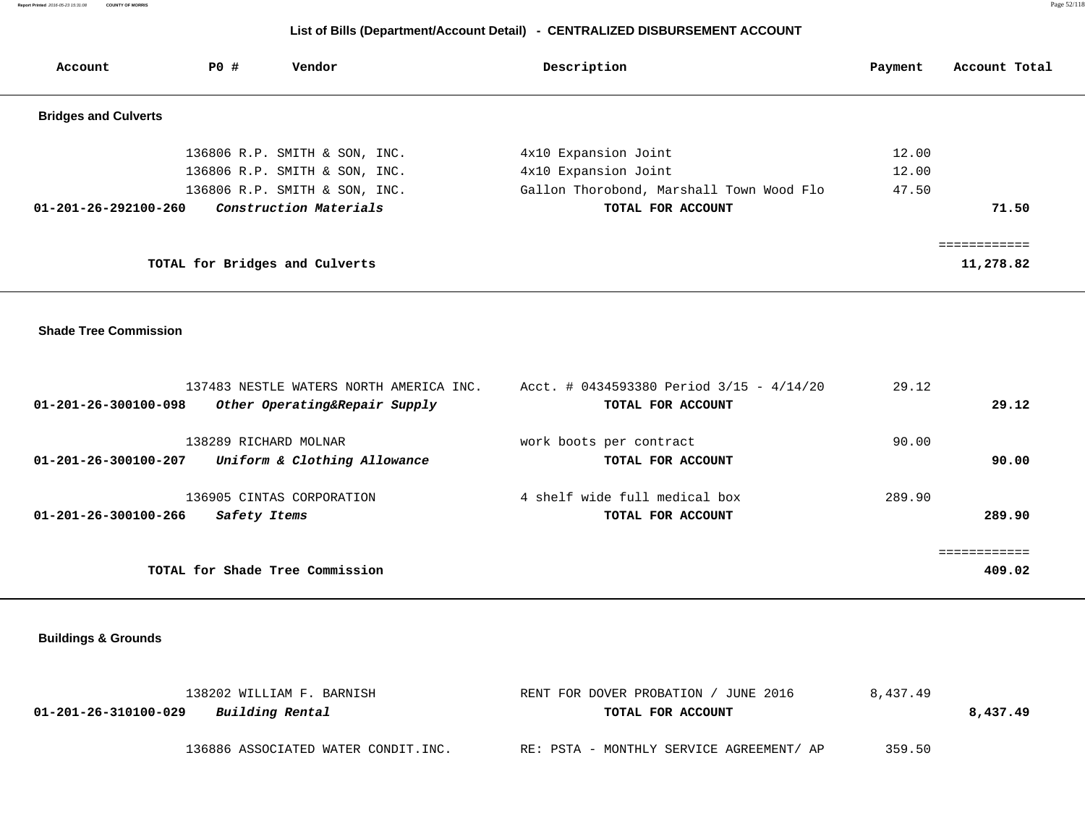**Report Printed** 2016-05-23 15:31:08 **COUNTY OF MORRIS** Page 52/118

# **List of Bills (Department/Account Detail) - CENTRALIZED DISBURSEMENT ACCOUNT**

| Account                        | PO # | Vendor                         | Description                              | Payment | Account Total |
|--------------------------------|------|--------------------------------|------------------------------------------|---------|---------------|
| <b>Bridges and Culverts</b>    |      |                                |                                          |         |               |
|                                |      | 136806 R.P. SMITH & SON, INC.  | 4x10 Expansion Joint                     | 12.00   |               |
|                                |      | 136806 R.P. SMITH & SON, INC.  | 4x10 Expansion Joint                     | 12.00   |               |
|                                |      | 136806 R.P. SMITH & SON, INC.  | Gallon Thorobond, Marshall Town Wood Flo | 47.50   |               |
| $01 - 201 - 26 - 292100 - 260$ |      | Construction Materials         | TOTAL FOR ACCOUNT                        |         | 71.50         |
|                                |      |                                |                                          |         | ===========   |
|                                |      | TOTAL for Bridges and Culverts |                                          |         | 11,278.82     |
|                                |      |                                |                                          |         |               |
|                                |      |                                |                                          |         |               |

#### **Shade Tree Commission**

| $01 - 201 - 26 - 300100 - 098$ | 137483 NESTLE WATERS NORTH AMERICA INC.<br>Other Operating&Repair Supply | Acct. # 0434593380 Period $3/15 - 4/14/20$<br>TOTAL FOR ACCOUNT | 29.12  | 29.12        |
|--------------------------------|--------------------------------------------------------------------------|-----------------------------------------------------------------|--------|--------------|
|                                |                                                                          |                                                                 |        |              |
|                                | 138289 RICHARD MOLNAR                                                    | work boots per contract                                         | 90.00  |              |
| $01 - 201 - 26 - 300100 - 207$ | Uniform & Clothing Allowance                                             | TOTAL FOR ACCOUNT                                               |        | 90.00        |
|                                | 136905 CINTAS CORPORATION                                                | 4 shelf wide full medical box                                   | 289.90 |              |
| $01 - 201 - 26 - 300100 - 266$ | Safety Items                                                             | TOTAL FOR ACCOUNT                                               |        | 289.90       |
|                                |                                                                          |                                                                 |        | ============ |
|                                | TOTAL for Shade Tree Commission                                          |                                                                 |        | 409.02       |
|                                |                                                                          |                                                                 |        |              |

 **Buildings & Grounds** 

| 138202 WILLIAM F. BARNISH               | RENT FOR DOVER PROBATION / JUNE 2016     | 8,437.49 |          |
|-----------------------------------------|------------------------------------------|----------|----------|
| Building Rental<br>01-201-26-310100-029 | TOTAL FOR ACCOUNT                        |          | 8,437.49 |
|                                         |                                          |          |          |
| 136886 ASSOCIATED WATER CONDIT.INC.     | RE: PSTA - MONTHLY SERVICE AGREEMENT/ AP | 359.50   |          |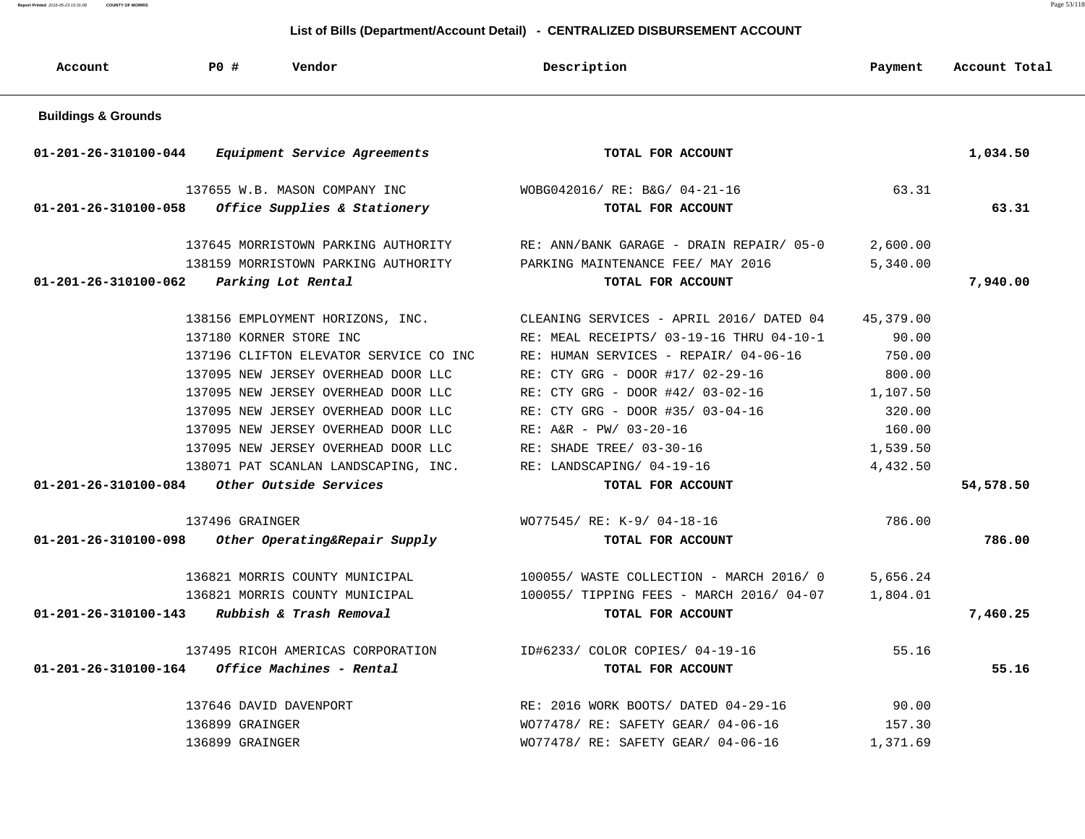**Report Printed** 2016-05-23 15:31:08 **COUNTY OF MORRIS** Page 53/118

| Account                        | <b>PO #</b><br>Vendor                  | Description                              | Payment   | Account Total |
|--------------------------------|----------------------------------------|------------------------------------------|-----------|---------------|
| <b>Buildings &amp; Grounds</b> |                                        |                                          |           |               |
| 01-201-26-310100-044           | Equipment Service Agreements           | TOTAL FOR ACCOUNT                        |           | 1,034.50      |
|                                | 137655 W.B. MASON COMPANY INC          | WOBG042016/ RE: B&G/ 04-21-16            | 63.31     |               |
| 01-201-26-310100-058           | Office Supplies & Stationery           | TOTAL FOR ACCOUNT                        |           | 63.31         |
|                                | 137645 MORRISTOWN PARKING AUTHORITY    | RE: ANN/BANK GARAGE - DRAIN REPAIR/ 05-0 | 2,600.00  |               |
|                                | 138159 MORRISTOWN PARKING AUTHORITY    | PARKING MAINTENANCE FEE/ MAY 2016        | 5,340.00  |               |
| 01-201-26-310100-062           | Parking Lot Rental                     | TOTAL FOR ACCOUNT                        |           | 7,940.00      |
|                                | 138156 EMPLOYMENT HORIZONS, INC.       | CLEANING SERVICES - APRIL 2016/ DATED 04 | 45,379.00 |               |
|                                | 137180 KORNER STORE INC                | RE: MEAL RECEIPTS/ 03-19-16 THRU 04-10-1 | 90.00     |               |
|                                | 137196 CLIFTON ELEVATOR SERVICE CO INC | RE: HUMAN SERVICES - REPAIR/ 04-06-16    | 750.00    |               |
|                                | 137095 NEW JERSEY OVERHEAD DOOR LLC    | RE: CTY GRG - DOOR #17/ 02-29-16         | 800.00    |               |
|                                | 137095 NEW JERSEY OVERHEAD DOOR LLC    | RE: CTY GRG - DOOR #42/ 03-02-16         | 1,107.50  |               |
|                                | 137095 NEW JERSEY OVERHEAD DOOR LLC    | RE: CTY GRG - DOOR #35/ 03-04-16         | 320.00    |               |
|                                | 137095 NEW JERSEY OVERHEAD DOOR LLC    | $RE: A&R - PW/ 03-20-16$                 | 160.00    |               |
|                                | 137095 NEW JERSEY OVERHEAD DOOR LLC    | RE: SHADE TREE/ 03-30-16                 | 1,539.50  |               |
|                                | 138071 PAT SCANLAN LANDSCAPING, INC.   | RE: LANDSCAPING/ 04-19-16                | 4,432.50  |               |
| $01 - 201 - 26 - 310100 - 084$ | Other Outside Services                 | TOTAL FOR ACCOUNT                        |           | 54,578.50     |
|                                | 137496 GRAINGER                        | WO77545/ RE: K-9/ 04-18-16               | 786.00    |               |
| 01-201-26-310100-098           | Other Operating&Repair Supply          | TOTAL FOR ACCOUNT                        |           | 786.00        |
|                                | 136821 MORRIS COUNTY MUNICIPAL         | 100055/ WASTE COLLECTION - MARCH 2016/ 0 | 5,656.24  |               |
|                                | 136821 MORRIS COUNTY MUNICIPAL         | 100055/ TIPPING FEES - MARCH 2016/ 04-07 | 1,804.01  |               |
| 01-201-26-310100-143           | Rubbish & Trash Removal                | TOTAL FOR ACCOUNT                        |           | 7,460.25      |
|                                | 137495 RICOH AMERICAS CORPORATION      | ID#6233/ COLOR COPIES/ 04-19-16          | 55.16     |               |
| 01-201-26-310100-164           | Office Machines - Rental               | TOTAL FOR ACCOUNT                        |           | 55.16         |
|                                | 137646 DAVID DAVENPORT                 | RE: 2016 WORK BOOTS/ DATED 04-29-16      | 90.00     |               |
|                                | 136899 GRAINGER                        | WO77478/ RE: SAFETY GEAR/ 04-06-16       | 157.30    |               |
|                                | 136899 GRAINGER                        | WO77478/ RE: SAFETY GEAR/ 04-06-16       | 1,371.69  |               |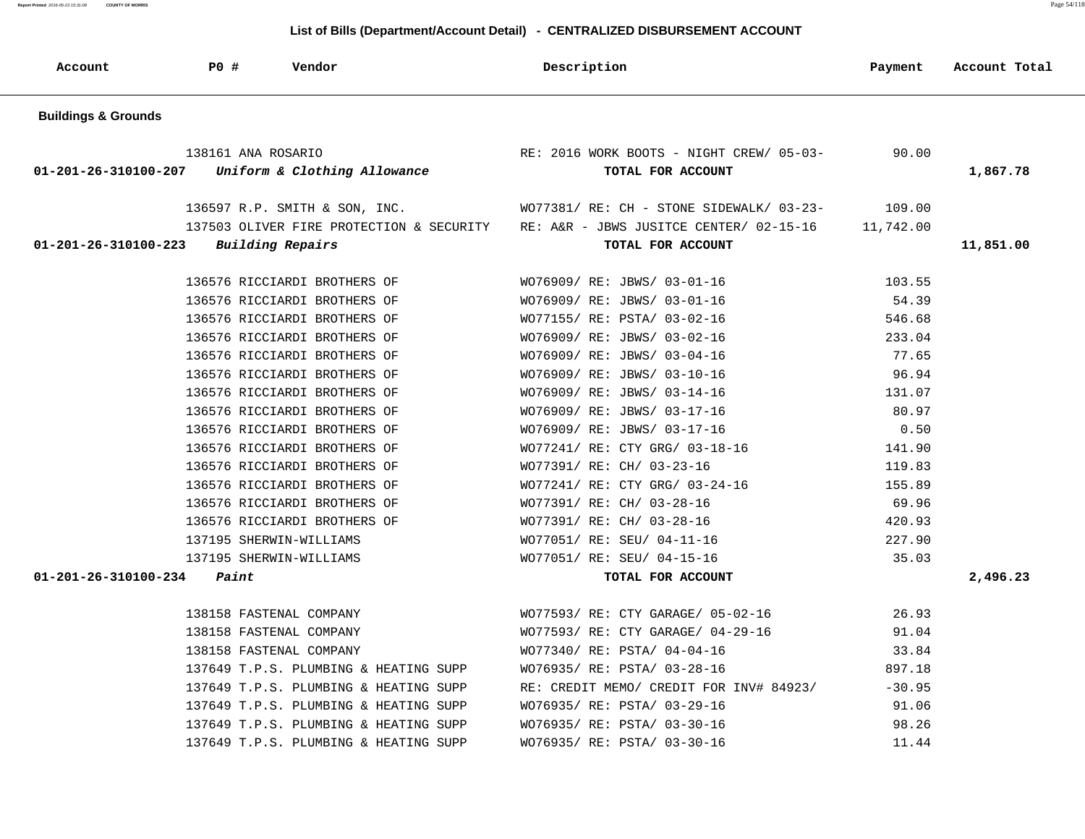**Report Printed** 2016-05-23 15:31:08 **COUNTY OF MORRIS** Page 54/118

#### **List of Bills (Department/Account Detail) - CENTRALIZED DISBURSEMENT ACCOUNT**

 **Account P0 # Vendor Description Payment Account Total**

| <b>Buildings &amp; Grounds</b>                  |                                                   |                                                                                            |          |           |
|-------------------------------------------------|---------------------------------------------------|--------------------------------------------------------------------------------------------|----------|-----------|
|                                                 | 138161 ANA ROSARIO                                | RE: 2016 WORK BOOTS - NIGHT CREW/ 05-03-                                                   | 90.00    |           |
|                                                 | 01-201-26-310100-207 Uniform & Clothing Allowance | TOTAL FOR ACCOUNT                                                                          |          | 1,867.78  |
|                                                 | 136597 R.P. SMITH & SON, INC.                     | WO77381/ RE: CH - STONE SIDEWALK/ 03-23-                                                   | 109.00   |           |
|                                                 |                                                   | 137503 OLIVER FIRE PROTECTION & SECURITY RE: A&R - JBWS JUSITCE CENTER/ 02-15-16 11,742.00 |          |           |
| $01 - 201 - 26 - 310100 - 223$ Building Repairs |                                                   | TOTAL FOR ACCOUNT                                                                          |          | 11,851.00 |
|                                                 | 136576 RICCIARDI BROTHERS OF                      | WO76909/ RE: JBWS/ 03-01-16                                                                | 103.55   |           |
|                                                 | 136576 RICCIARDI BROTHERS OF                      | WO76909/ RE: JBWS/ 03-01-16                                                                | 54.39    |           |
|                                                 | 136576 RICCIARDI BROTHERS OF                      | WO77155/ RE: PSTA/ 03-02-16                                                                | 546.68   |           |
|                                                 | 136576 RICCIARDI BROTHERS OF                      | WO76909/ RE: JBWS/ 03-02-16                                                                | 233.04   |           |
|                                                 | 136576 RICCIARDI BROTHERS OF                      | WO76909/ RE: JBWS/ 03-04-16                                                                | 77.65    |           |
|                                                 | 136576 RICCIARDI BROTHERS OF                      | WO76909/ RE: JBWS/ 03-10-16                                                                | 96.94    |           |
|                                                 | 136576 RICCIARDI BROTHERS OF                      | WO76909/ RE: JBWS/ 03-14-16                                                                | 131.07   |           |
|                                                 | 136576 RICCIARDI BROTHERS OF                      | WO76909/ RE: JBWS/ 03-17-16                                                                | 80.97    |           |
|                                                 | 136576 RICCIARDI BROTHERS OF                      | WO76909/ RE: JBWS/ 03-17-16                                                                | 0.50     |           |
|                                                 | 136576 RICCIARDI BROTHERS OF                      | WO77241/ RE: CTY GRG/ 03-18-16                                                             | 141.90   |           |
|                                                 | 136576 RICCIARDI BROTHERS OF                      | WO77391/ RE: CH/ 03-23-16                                                                  | 119.83   |           |
|                                                 | 136576 RICCIARDI BROTHERS OF                      | WO77241/ RE: CTY GRG/ 03-24-16                                                             | 155.89   |           |
|                                                 | 136576 RICCIARDI BROTHERS OF                      | WO77391/ RE: CH/ 03-28-16                                                                  | 69.96    |           |
|                                                 | 136576 RICCIARDI BROTHERS OF                      | WO77391/ RE: CH/ 03-28-16                                                                  | 420.93   |           |
|                                                 | 137195 SHERWIN-WILLIAMS                           | WO77051/ RE: SEU/ 04-11-16                                                                 | 227.90   |           |
|                                                 | 137195 SHERWIN-WILLIAMS                           | WO77051/ RE: SEU/ 04-15-16                                                                 | 35.03    |           |
| 01-201-26-310100-234                            | Paint                                             | TOTAL FOR ACCOUNT                                                                          |          | 2,496.23  |
|                                                 | 138158 FASTENAL COMPANY                           | WO77593/ RE: CTY GARAGE/ 05-02-16                                                          | 26.93    |           |
|                                                 | 138158 FASTENAL COMPANY                           | WO77593/ RE: CTY GARAGE/ 04-29-16                                                          | 91.04    |           |
|                                                 | 138158 FASTENAL COMPANY                           | WO77340/ RE: PSTA/ 04-04-16                                                                | 33.84    |           |
|                                                 | 137649 T.P.S. PLUMBING & HEATING SUPP             | WO76935/ RE: PSTA/ 03-28-16                                                                | 897.18   |           |
|                                                 | 137649 T.P.S. PLUMBING & HEATING SUPP             | RE: CREDIT MEMO/ CREDIT FOR INV# 84923/                                                    | $-30.95$ |           |
|                                                 | 137649 T.P.S. PLUMBING & HEATING SUPP             | WO76935/ RE: PSTA/ 03-29-16                                                                | 91.06    |           |
|                                                 | 137649 T.P.S. PLUMBING & HEATING SUPP             | WO76935/ RE: PSTA/ 03-30-16                                                                | 98.26    |           |
|                                                 | 137649 T.P.S. PLUMBING & HEATING SUPP             | WO76935/ RE: PSTA/ 03-30-16                                                                | 11.44    |           |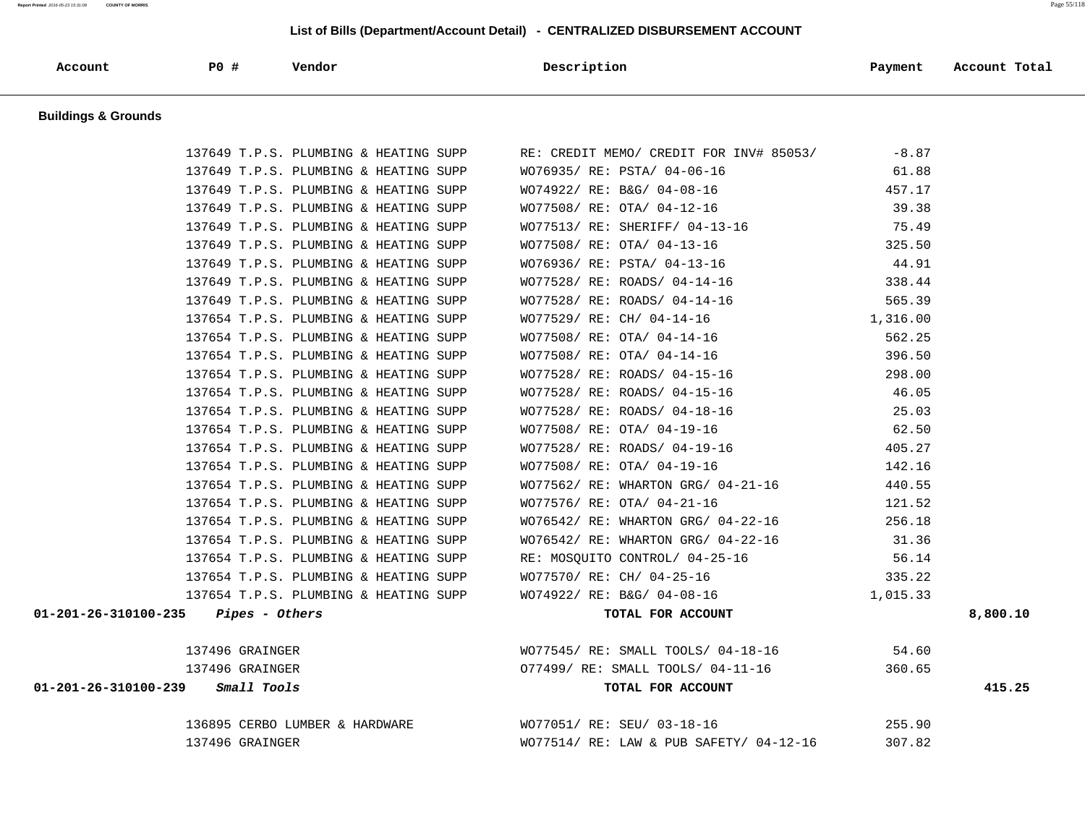#### **List of Bills (Department/Account Detail) - CENTRALIZED DISBURSEMENT ACCOUNT**

| Account | P0 | Vendor | Description | Payment | Account Total |
|---------|----|--------|-------------|---------|---------------|
|---------|----|--------|-------------|---------|---------------|

 **Buildings & Grounds** 

| 137649 T.P.S. PLUMBING & HEATING SUPP      | RE: CREDIT MEMO/ CREDIT FOR INV# 85053/                   | $-8.87$  |          |
|--------------------------------------------|-----------------------------------------------------------|----------|----------|
| 137649 T.P.S. PLUMBING & HEATING SUPP      | WO76935/ RE: PSTA/ 04-06-16                               | 61.88    |          |
| 137649 T.P.S. PLUMBING & HEATING SUPP      | WO74922/ RE: B&G/ 04-08-16                                | 457.17   |          |
| 137649 T.P.S. PLUMBING & HEATING SUPP      | WO77508/ RE: OTA/ 04-12-16                                | 39.38    |          |
| 137649 T.P.S. PLUMBING & HEATING SUPP      | WO77513/ RE: SHERIFF/ 04-13-16                            | 75.49    |          |
| 137649 T.P.S. PLUMBING & HEATING SUPP      | WO77508/ RE: OTA/ 04-13-16                                | 325.50   |          |
| 137649 T.P.S. PLUMBING & HEATING SUPP      | WO76936/ RE: PSTA/ 04-13-16                               | 44.91    |          |
| 137649 T.P.S. PLUMBING & HEATING SUPP      | WO77528/ RE: ROADS/ 04-14-16                              | 338.44   |          |
| 137649 T.P.S. PLUMBING & HEATING SUPP      | WO77528/ RE: ROADS/ 04-14-16                              | 565.39   |          |
| 137654 T.P.S. PLUMBING & HEATING SUPP      | WO77529/ RE: CH/ 04-14-16                                 | 1,316.00 |          |
| 137654 T.P.S. PLUMBING & HEATING SUPP      | WO77508/ RE: OTA/ 04-14-16                                | 562.25   |          |
| 137654 T.P.S. PLUMBING & HEATING SUPP      | WO77508/ RE: OTA/ 04-14-16                                | 396.50   |          |
| 137654 T.P.S. PLUMBING & HEATING SUPP      | WO77528/ RE: ROADS/ 04-15-16                              | 298.00   |          |
| 137654 T.P.S. PLUMBING & HEATING SUPP      | WO77528/ RE: ROADS/ 04-15-16                              | 46.05    |          |
| 137654 T.P.S. PLUMBING & HEATING SUPP      | WO77528/ RE: ROADS/ 04-18-16                              | 25.03    |          |
| 137654 T.P.S. PLUMBING & HEATING SUPP      | WO77508/ RE: OTA/ 04-19-16                                | 62.50    |          |
| 137654 T.P.S. PLUMBING & HEATING SUPP      | WO77528/ RE: ROADS/ 04-19-16                              | 405.27   |          |
| 137654 T.P.S. PLUMBING & HEATING SUPP      | WO77508/ RE: OTA/ 04-19-16                                | 142.16   |          |
| 137654 T.P.S. PLUMBING & HEATING SUPP      | WO77562/ RE: WHARTON GRG/ 04-21-16                        | 440.55   |          |
| 137654 T.P.S. PLUMBING & HEATING SUPP      | WO77576/ RE: OTA/ 04-21-16                                | 121.52   |          |
| 137654 T.P.S. PLUMBING & HEATING SUPP      | $WO76542/$ RE: WHARTON GRG/ 04-22-16                      | 256.18   |          |
| 137654 T.P.S. PLUMBING & HEATING SUPP      | WO76542/ RE: WHARTON GRG/ 04-22-16                        | 31.36    |          |
| 137654 T.P.S. PLUMBING & HEATING SUPP      | RE: MOSQUITO CONTROL/ 04-25-16                            | 56.14    |          |
| 137654 T.P.S. PLUMBING & HEATING SUPP      | WO77570/ RE: CH/ 04-25-16                                 | 335.22   |          |
| 137654 T.P.S. PLUMBING & HEATING SUPP      | WO74922/ RE: B&G/ 04-08-16                                | 1,015.33 |          |
| $01-201-26-310100-235$ Pipes - Others      | TOTAL FOR ACCOUNT                                         |          | 8,800.10 |
| 137496 GRAINGER                            | WO77545/RE: SMALL TOOLS/04-18-16 54.60                    |          |          |
| 137496 GRAINGER                            | 077499/ RE: SMALL TOOLS/ 04-11-16                         | 360.65   |          |
| $01 - 201 - 26 - 310100 - 239$ Small Tools | TOTAL FOR ACCOUNT                                         |          | 415.25   |
|                                            | 136895 CERBO LUMBER & HARDWARE WO77051/ RE: SEU/ 03-18-16 | 255.90   |          |
| 137496 GRAINGER                            | WO77514/ RE: LAW & PUB SAFETY/ 04-12-16                   | 307.82   |          |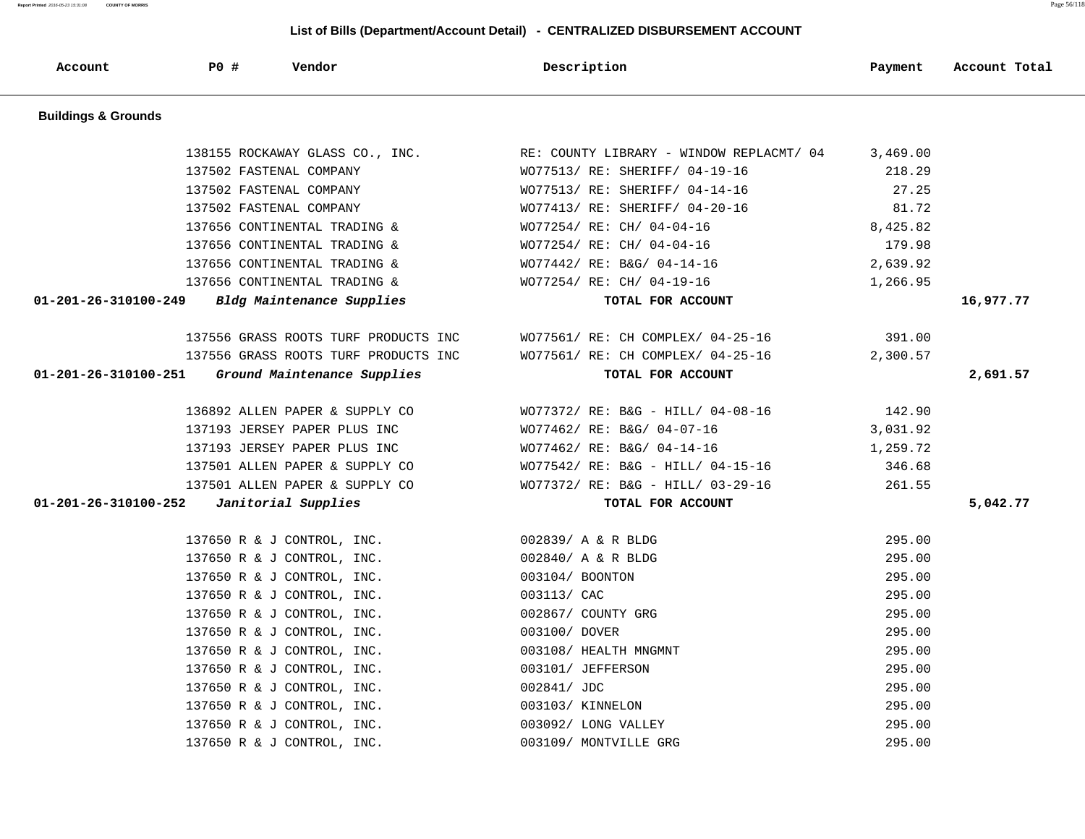**Report Printed** 2016-05-23 15:31:08 **COUNTY OF MORRIS** Page 56/118

| Account                        | PO#                        | Vendor                               | Description                              | Payment  | Account Total |
|--------------------------------|----------------------------|--------------------------------------|------------------------------------------|----------|---------------|
| <b>Buildings &amp; Grounds</b> |                            |                                      |                                          |          |               |
|                                |                            | 138155 ROCKAWAY GLASS CO., INC.      | RE: COUNTY LIBRARY - WINDOW REPLACMT/ 04 | 3,469.00 |               |
|                                | 137502 FASTENAL COMPANY    |                                      | WO77513/ RE: SHERIFF/ 04-19-16           | 218.29   |               |
|                                | 137502 FASTENAL COMPANY    |                                      | WO77513/ RE: SHERIFF/ 04-14-16           | 27.25    |               |
|                                | 137502 FASTENAL COMPANY    |                                      | WO77413/ RE: SHERIFF/ 04-20-16           | 81.72    |               |
|                                |                            | 137656 CONTINENTAL TRADING &         | WO77254/ RE: CH/ 04-04-16                | 8,425.82 |               |
|                                |                            | 137656 CONTINENTAL TRADING &         | WO77254/ RE: CH/ 04-04-16                | 179.98   |               |
|                                |                            | 137656 CONTINENTAL TRADING &         | WO77442/ RE: B&G/ 04-14-16               | 2,639.92 |               |
|                                |                            | 137656 CONTINENTAL TRADING &         | WO77254/ RE: CH/ 04-19-16                | 1,266.95 |               |
| $01 - 201 - 26 - 310100 - 249$ |                            | Bldg Maintenance Supplies            | TOTAL FOR ACCOUNT                        |          | 16,977.77     |
|                                |                            | 137556 GRASS ROOTS TURF PRODUCTS INC | WO77561/ RE: CH COMPLEX/ 04-25-16        | 391.00   |               |
|                                |                            | 137556 GRASS ROOTS TURF PRODUCTS INC | WO77561/ RE: CH COMPLEX/ 04-25-16        | 2,300.57 |               |
| 01-201-26-310100-251           |                            | Ground Maintenance Supplies          | TOTAL FOR ACCOUNT                        |          | 2,691.57      |
|                                |                            | 136892 ALLEN PAPER & SUPPLY CO       | WO77372/ RE: B&G - HILL/ 04-08-16        | 142.90   |               |
|                                |                            | 137193 JERSEY PAPER PLUS INC         | WO77462/ RE: B&G/ 04-07-16               | 3,031.92 |               |
|                                |                            | 137193 JERSEY PAPER PLUS INC         | WO77462/ RE: B&G/ 04-14-16               | 1,259.72 |               |
|                                |                            | 137501 ALLEN PAPER & SUPPLY CO       | WO77542/ RE: B&G - HILL/ 04-15-16        | 346.68   |               |
|                                |                            | 137501 ALLEN PAPER & SUPPLY CO       | WO77372/ RE: B&G - HILL/ 03-29-16        | 261.55   |               |
| $01 - 201 - 26 - 310100 - 252$ | Janitorial Supplies        |                                      | TOTAL FOR ACCOUNT                        |          | 5,042.77      |
|                                | 137650 R & J CONTROL, INC. |                                      | 002839/ A & R BLDG                       | 295.00   |               |
|                                | 137650 R & J CONTROL, INC. |                                      | 002840/ A & R BLDG                       | 295.00   |               |
|                                | 137650 R & J CONTROL, INC. |                                      | 003104/ BOONTON                          | 295.00   |               |
|                                | 137650 R & J CONTROL, INC. |                                      | 003113/ CAC                              | 295.00   |               |
|                                | 137650 R & J CONTROL, INC. |                                      | 002867/ COUNTY GRG                       | 295.00   |               |
|                                | 137650 R & J CONTROL, INC. |                                      | 003100/ DOVER                            | 295.00   |               |
|                                | 137650 R & J CONTROL, INC. |                                      | 003108/ HEALTH MNGMNT                    | 295.00   |               |
|                                | 137650 R & J CONTROL, INC. |                                      | 003101/ JEFFERSON                        | 295.00   |               |
|                                | 137650 R & J CONTROL, INC. |                                      | 002841/ JDC                              | 295.00   |               |
|                                | 137650 R & J CONTROL, INC. |                                      | 003103/ KINNELON                         | 295.00   |               |
|                                | 137650 R & J CONTROL, INC. |                                      | 003092/ LONG VALLEY                      | 295.00   |               |
|                                | 137650 R & J CONTROL, INC. |                                      | 003109/ MONTVILLE GRG                    | 295.00   |               |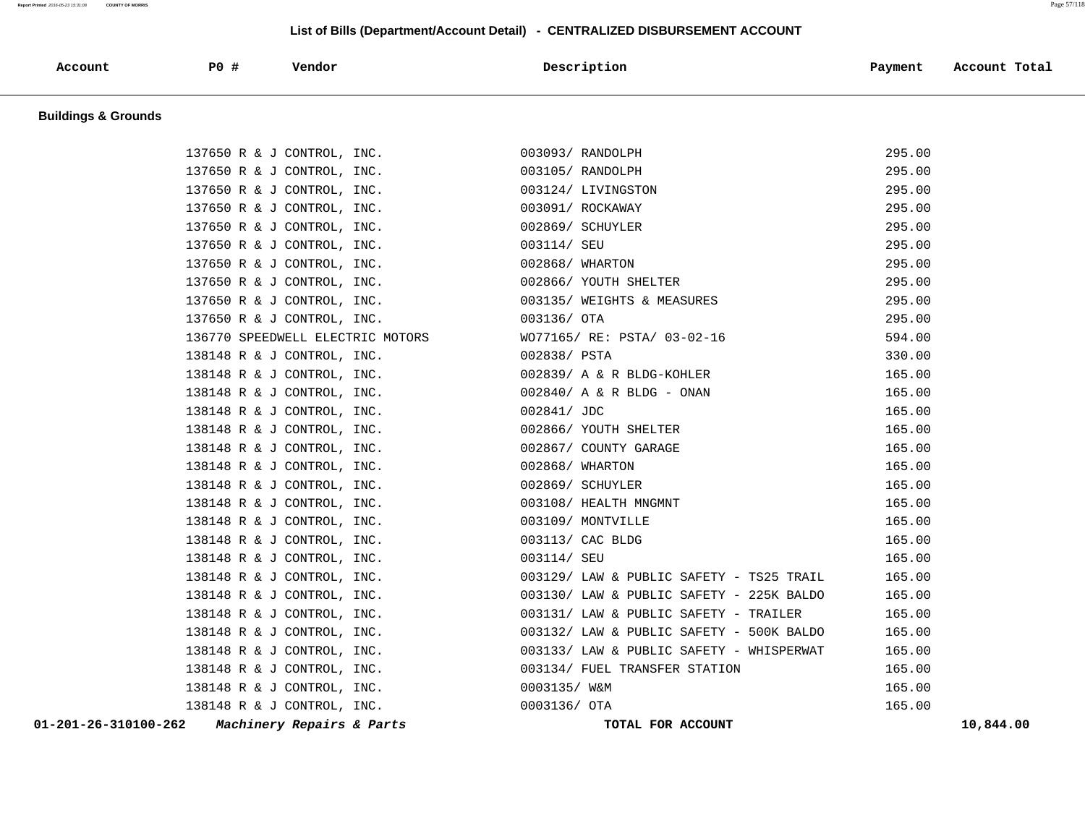#### **Report Printed** 2016-05-23 15:31:08 **COUNTY OF MORRIS** Page 57/118

#### **List of Bills (Department/Account Detail) - CENTRALIZED DISBURSEMENT ACCOUNT**

| Account                        | $P0$ # | Vendor | Description | Payment | Account Total |
|--------------------------------|--------|--------|-------------|---------|---------------|
| <b>Buildings &amp; Grounds</b> |        |        |             |         |               |

 137650 R & J CONTROL, INC. 003093/ RANDOLPH 295.00 137650 R & J CONTROL, INC. 003105/ RANDOLPH 295.00 137650 R & J CONTROL, INC. 003124/ LIVINGSTON 295.00 137650 R & J CONTROL, INC. 003091/ ROCKAWAY 295.00 137650 R & J CONTROL, INC. 002869/ SCHUYLER 295.00 137650 R & J CONTROL, INC. 003114/ SEU 295.00 137650 R & J CONTROL, INC. 002868/ WHARTON 295.00 137650 R & J CONTROL, INC. 002866/ YOUTH SHELTER 295.00 137650 R & J CONTROL, INC. 003135/ WEIGHTS & MEASURES 295.00 137650 R & J CONTROL, INC. 003136/ OTA 295.00 136770 SPEEDWELL ELECTRIC MOTORS WO77165/ RE: PSTA/ 03-02-16 594.00 138148 R & J CONTROL, INC. 002838/ PSTA 330.00 138148 R & J CONTROL, INC. 002839/ A & R BLDG-KOHLER 165.00 138148 R & J CONTROL, INC. 002840/ A & R BLDG - ONAN 165.00 138148 R & J CONTROL, INC. 002841/ JDC 165.00 138148 R & J CONTROL, INC.  $002866/$  YOUTH SHELTER 165.00 138148 R & J CONTROL, INC. 002867/ COUNTY GARAGE 165.00 138148 R & J CONTROL, INC. 002868/ WHARTON 165.00 138148 R & J CONTROL, INC. 002869/ SCHUYLER 165.00 138148 R & J CONTROL, INC. 003108/ HEALTH MNGMNT 165.00 138148 R & J CONTROL, INC. 003109/ MONTVILLE 165.00 138148 R & J CONTROL, INC. 003113/ CAC BLDG 165.00 138148 R & J CONTROL, INC. 003114/ SEU 165.00 138148 R & J CONTROL, INC. 003129/ LAW & PUBLIC SAFETY - TS25 TRAIL 165.00 138148 R & J CONTROL, INC. 003130/ LAW & PUBLIC SAFETY - 225K BALDO 165.00 138148 R & J CONTROL, INC. 003131/ LAW & PUBLIC SAFETY - TRAILER 165.00 138148 R & J CONTROL, INC. 003132/ LAW & PUBLIC SAFETY - 500K BALDO 165.00 138148 R & J CONTROL, INC. 003133/ LAW & PUBLIC SAFETY - WHISPERWAT 165.00 138148 R & J CONTROL, INC. 003134/ FUEL TRANSFER STATION 165.00 138148 R & J CONTROL, INC. 0003135/ W&M 165.00 138148 R & J CONTROL, INC. 0003136/ OTA 165.00  **01-201-26-310100-262 Machinery Repairs & Parts TOTAL FOR ACCOUNT 10,844.00**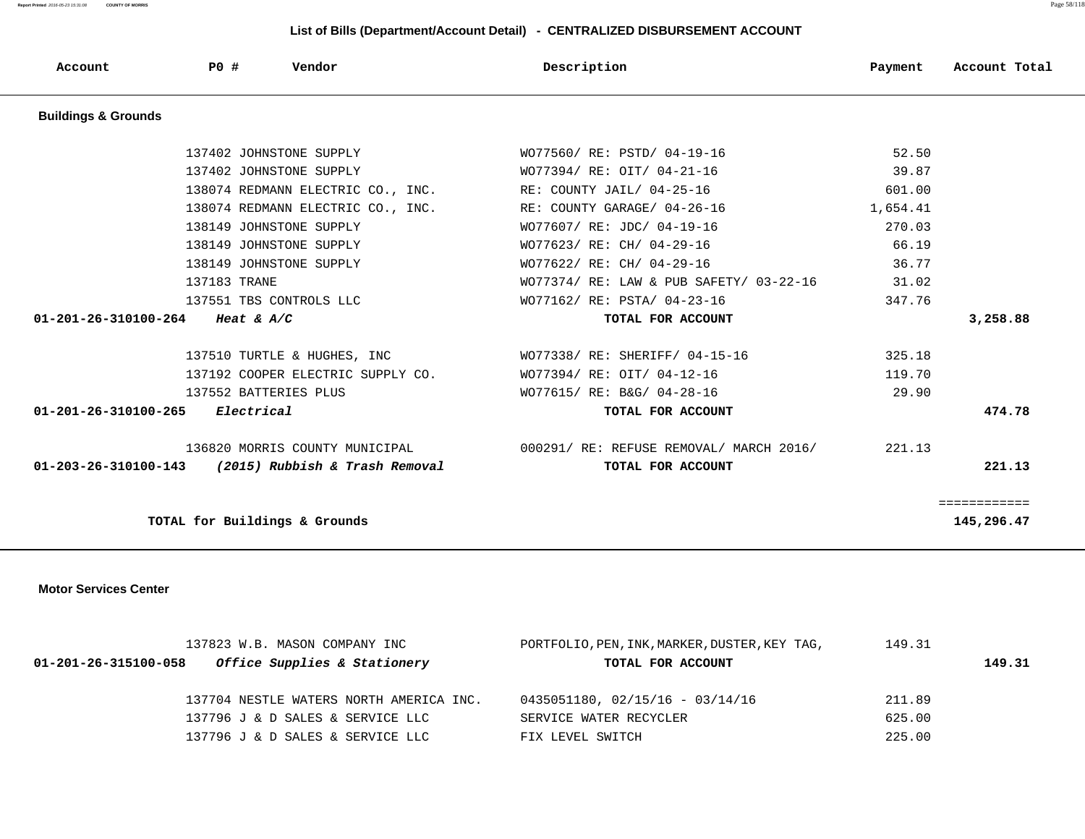**Report Printed** 2016-05-23 15:31:08 **COUNTY OF MORRIS** Page 58/118

#### **List of Bills (Department/Account Detail) - CENTRALIZED DISBURSEMENT ACCOUNT**

| Account                        | PO #         | Vendor                                              | Description                                   | Payment  | Account Total |
|--------------------------------|--------------|-----------------------------------------------------|-----------------------------------------------|----------|---------------|
| <b>Buildings &amp; Grounds</b> |              |                                                     |                                               |          |               |
|                                |              | 137402 JOHNSTONE SUPPLY                             | WO77560/ RE: PSTD/ 04-19-16                   | 52.50    |               |
|                                |              | 137402 JOHNSTONE SUPPLY                             | WO77394/ RE: OIT/ 04-21-16                    | 39.87    |               |
|                                |              | 138074 REDMANN ELECTRIC CO., INC.                   | RE: COUNTY JAIL/ 04-25-16                     | 601.00   |               |
|                                |              | 138074 REDMANN ELECTRIC CO., INC.                   | RE: COUNTY GARAGE/ 04-26-16                   | 1,654.41 |               |
|                                |              | 138149 JOHNSTONE SUPPLY                             | WO77607/ RE: JDC/ 04-19-16                    | 270.03   |               |
|                                |              | 138149 JOHNSTONE SUPPLY                             | WO77623/ RE: CH/ 04-29-16                     | 66.19    |               |
|                                |              | 138149 JOHNSTONE SUPPLY                             | WO77622/ RE: CH/ 04-29-16                     | 36.77    |               |
|                                | 137183 TRANE |                                                     | WO77374/ RE: LAW & PUB SAFETY/ 03-22-16       | 31.02    |               |
|                                |              | 137551 TBS CONTROLS LLC                             | WO77162/ RE: PSTA/ 04-23-16                   | 347.76   |               |
| 01-201-26-310100-264           | Heat & $A/C$ |                                                     | TOTAL FOR ACCOUNT                             |          | 3,258.88      |
|                                |              |                                                     |                                               |          |               |
|                                |              | 137510 TURTLE & HUGHES, INC                         | WO77338/ RE: SHERIFF/ 04-15-16                | 325.18   |               |
|                                |              | 137192 COOPER ELECTRIC SUPPLY CO.                   | WO77394/ RE: OIT/ 04-12-16                    | 119.70   |               |
|                                |              | 137552 BATTERIES PLUS                               | WO77615/ RE: B&G/ 04-28-16                    | 29.90    |               |
| 01-201-26-310100-265           | Electrical   |                                                     | TOTAL FOR ACCOUNT                             |          | 474.78        |
|                                |              | 136820 MORRIS COUNTY MUNICIPAL                      | 000291/ RE: REFUSE REMOVAL/ MARCH 2016/       | 221.13   |               |
|                                |              | 01-203-26-310100-143 (2015) Rubbish & Trash Removal | TOTAL FOR ACCOUNT                             |          | 221.13        |
|                                |              |                                                     |                                               |          |               |
|                                |              |                                                     |                                               |          | ============  |
|                                |              | TOTAL for Buildings & Grounds                       |                                               |          | 145,296.47    |
|                                |              |                                                     |                                               |          |               |
| <b>Motor Services Center</b>   |              |                                                     |                                               |          |               |
|                                |              |                                                     |                                               |          |               |
|                                |              |                                                     |                                               |          |               |
|                                |              | 137823 W.B. MASON COMPANY INC                       | PORTFOLIO, PEN, INK, MARKER, DUSTER, KEY TAG, | 149.31   |               |

 **01-201-26-315100-058 Office Supplies & Stationery TOTAL FOR ACCOUNT 149.31** 137704 NESTLE WATERS NORTH AMERICA INC. 0435051180, 02/15/16 - 03/14/16 211.89 137796 J & D SALES & SERVICE LLC SERVICE WATER RECYCLER 625.00 137796 J & D SALES & SERVICE LLC FIX LEVEL SWITCH 225.00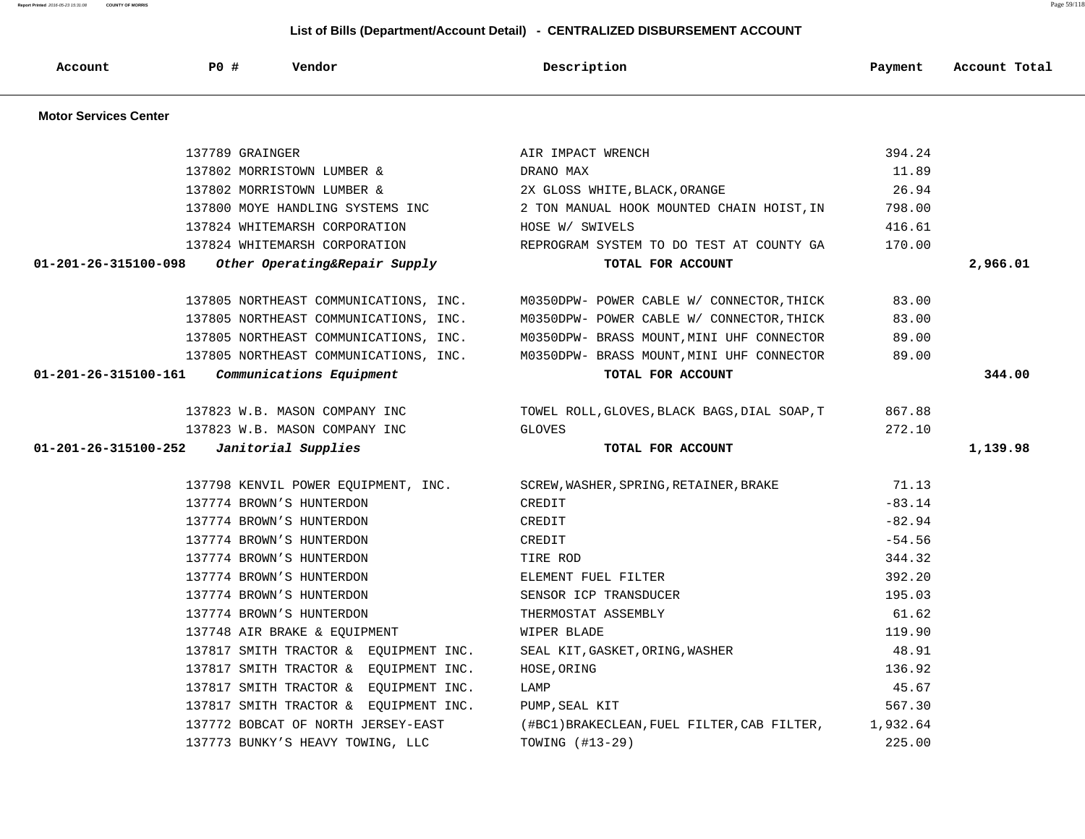| <b>Motor Services Center</b> |                                       |                                              |          |          |
|------------------------------|---------------------------------------|----------------------------------------------|----------|----------|
|                              | 137789 GRAINGER                       | AIR IMPACT WRENCH                            | 394.24   |          |
|                              | 137802 MORRISTOWN LUMBER &            | DRANO MAX                                    | 11.89    |          |
|                              | 137802 MORRISTOWN LUMBER &            | 2X GLOSS WHITE, BLACK, ORANGE                | 26.94    |          |
|                              | 137800 MOYE HANDLING SYSTEMS INC      | 2 TON MANUAL HOOK MOUNTED CHAIN HOIST, IN    | 798.00   |          |
|                              | 137824 WHITEMARSH CORPORATION         | HOSE W/ SWIVELS                              | 416.61   |          |
|                              | 137824 WHITEMARSH CORPORATION         | REPROGRAM SYSTEM TO DO TEST AT COUNTY GA     | 170.00   |          |
| 01-201-26-315100-098         | Other Operating&Repair Supply         | TOTAL FOR ACCOUNT                            |          | 2,966.01 |
|                              | 137805 NORTHEAST COMMUNICATIONS, INC. | M0350DPW- POWER CABLE W/ CONNECTOR, THICK    | 83.00    |          |
|                              | 137805 NORTHEAST COMMUNICATIONS, INC. | M0350DPW- POWER CABLE W/ CONNECTOR, THICK    | 83.00    |          |
|                              | 137805 NORTHEAST COMMUNICATIONS, INC. | M0350DPW- BRASS MOUNT, MINI UHF CONNECTOR    | 89.00    |          |
|                              | 137805 NORTHEAST COMMUNICATIONS, INC. | M0350DPW- BRASS MOUNT, MINI UHF CONNECTOR    | 89.00    |          |
| 01-201-26-315100-161         | Communications Equipment              | TOTAL FOR ACCOUNT                            |          | 344.00   |
|                              | 137823 W.B. MASON COMPANY INC         | TOWEL ROLL, GLOVES, BLACK BAGS, DIAL SOAP, T | 867.88   |          |
|                              | 137823 W.B. MASON COMPANY INC         | <b>GLOVES</b>                                | 272.10   |          |
| 01-201-26-315100-252         | Janitorial Supplies                   | TOTAL FOR ACCOUNT                            |          | 1,139.98 |
|                              | 137798 KENVIL POWER EOUIPMENT, INC.   | SCREW, WASHER, SPRING, RETAINER, BRAKE       | 71.13    |          |
|                              | 137774 BROWN'S HUNTERDON              | CREDIT                                       | $-83.14$ |          |
|                              | 137774 BROWN'S HUNTERDON              | CREDIT                                       | $-82.94$ |          |
|                              | 137774 BROWN'S HUNTERDON              | CREDIT                                       | $-54.56$ |          |
|                              | 137774 BROWN'S HUNTERDON              | TIRE ROD                                     | 344.32   |          |
|                              | 137774 BROWN'S HUNTERDON              | ELEMENT FUEL FILTER                          | 392.20   |          |
|                              | 137774 BROWN'S HUNTERDON              | SENSOR ICP TRANSDUCER                        | 195.03   |          |
|                              | 137774 BROWN'S HUNTERDON              | THERMOSTAT ASSEMBLY                          | 61.62    |          |
|                              | 137748 AIR BRAKE & EQUIPMENT          | WIPER BLADE                                  | 119.90   |          |
|                              | 137817 SMITH TRACTOR & EOUIPMENT INC. | SEAL KIT, GASKET, ORING, WASHER              | 48.91    |          |
|                              | 137817 SMITH TRACTOR & EOUIPMENT INC. | HOSE, ORING                                  | 136.92   |          |
|                              | 137817 SMITH TRACTOR & EQUIPMENT INC. | LAMP                                         | 45.67    |          |
|                              | 137817 SMITH TRACTOR & EQUIPMENT INC. | PUMP, SEAL KIT                               | 567.30   |          |
|                              | 137772 BOBCAT OF NORTH JERSEY-EAST    | (#BC1)BRAKECLEAN, FUEL FILTER, CAB FILTER,   | 1,932.64 |          |
|                              | 137773 BUNKY'S HEAVY TOWING, LLC      | TOWING (#13-29)                              | 225.00   |          |

 **List of Bills (Department/Account Detail) - CENTRALIZED DISBURSEMENT ACCOUNT**

 **Account P0 # Vendor Description Payment Account Total**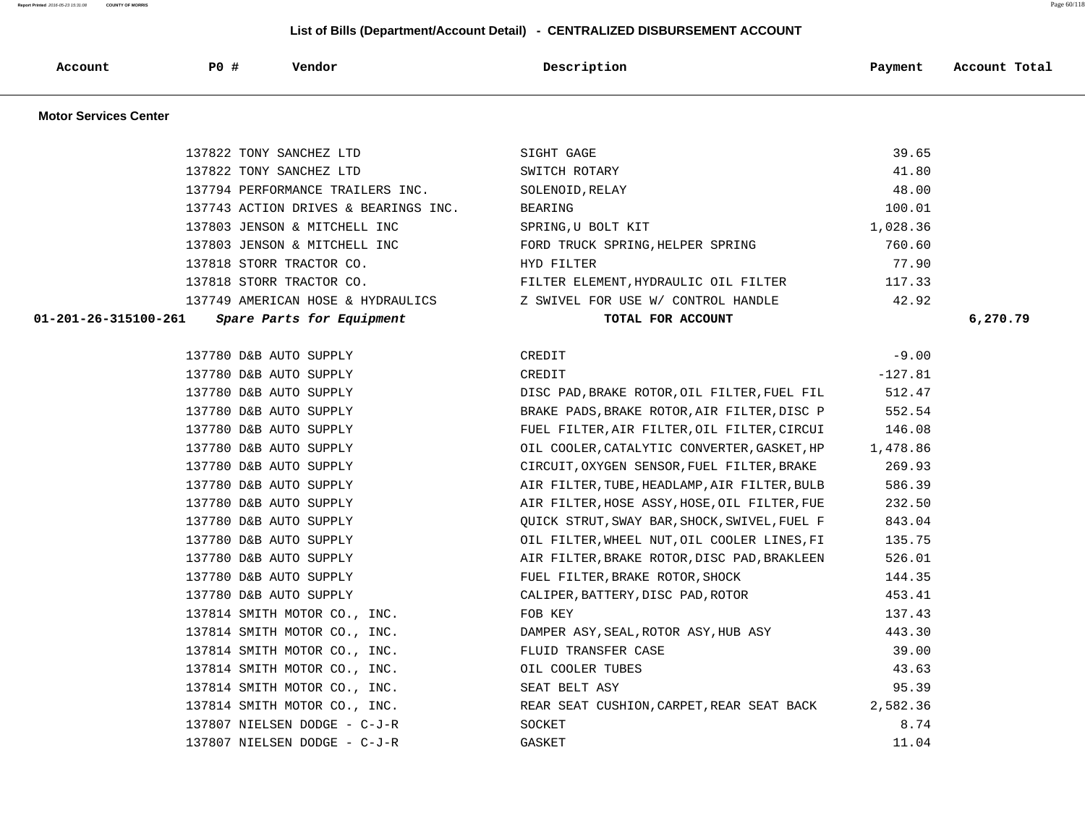**Report Printed** 2016-05-23 15:31:08 **COUNTY OF MORRIS** Page 60/118

| Account                      | P0 #                                             | Vendor                               | Description                                                                    | Payment          | Account Total |
|------------------------------|--------------------------------------------------|--------------------------------------|--------------------------------------------------------------------------------|------------------|---------------|
| <b>Motor Services Center</b> |                                                  |                                      |                                                                                |                  |               |
|                              |                                                  | 137822 TONY SANCHEZ LTD              | SIGHT GAGE                                                                     | 39.65            |               |
|                              |                                                  | 137822 TONY SANCHEZ LTD              | SWITCH ROTARY                                                                  | 41.80            |               |
|                              |                                                  | 137794 PERFORMANCE TRAILERS INC.     | SOLENOID, RELAY                                                                | 48.00            |               |
|                              |                                                  | 137743 ACTION DRIVES & BEARINGS INC. | <b>BEARING</b>                                                                 | 100.01           |               |
|                              |                                                  | 137803 JENSON & MITCHELL INC         | SPRING, U BOLT KIT                                                             | 1,028.36         |               |
|                              |                                                  | 137803 JENSON & MITCHELL INC         | FORD TRUCK SPRING, HELPER SPRING                                               | 760.60           |               |
|                              |                                                  | 137818 STORR TRACTOR CO.             | HYD FILTER                                                                     | 77.90            |               |
|                              |                                                  | 137818 STORR TRACTOR CO.             | FILTER ELEMENT, HYDRAULIC OIL FILTER                                           | 117.33           |               |
|                              |                                                  | 137749 AMERICAN HOSE & HYDRAULICS    | Z SWIVEL FOR USE W/ CONTROL HANDLE                                             | 42.92            |               |
| 01-201-26-315100-261         |                                                  | Spare Parts for Equipment            | TOTAL FOR ACCOUNT                                                              |                  | 6,270.79      |
|                              |                                                  |                                      |                                                                                |                  |               |
|                              | 137780 D&B AUTO SUPPLY                           |                                      | CREDIT                                                                         | $-9.00$          |               |
|                              | 137780 D&B AUTO SUPPLY                           |                                      | CREDIT                                                                         | $-127.81$        |               |
|                              | 137780 D&B AUTO SUPPLY                           |                                      | DISC PAD, BRAKE ROTOR, OIL FILTER, FUEL FIL                                    | 512.47           |               |
|                              | 137780 D&B AUTO SUPPLY                           |                                      | BRAKE PADS, BRAKE ROTOR, AIR FILTER, DISC P                                    | 552.54           |               |
|                              | 137780 D&B AUTO SUPPLY                           |                                      | FUEL FILTER, AIR FILTER, OIL FILTER, CIRCUI                                    | 146.08           |               |
|                              | 137780 D&B AUTO SUPPLY                           |                                      | OIL COOLER, CATALYTIC CONVERTER, GASKET, HP                                    | 1,478.86         |               |
|                              | 137780 D&B AUTO SUPPLY                           |                                      | CIRCUIT, OXYGEN SENSOR, FUEL FILTER, BRAKE                                     | 269.93           |               |
|                              | 137780 D&B AUTO SUPPLY                           |                                      | AIR FILTER, TUBE, HEADLAMP, AIR FILTER, BULB                                   | 586.39           |               |
|                              | 137780 D&B AUTO SUPPLY                           |                                      | AIR FILTER, HOSE ASSY, HOSE, OIL FILTER, FUE                                   | 232.50           |               |
|                              | 137780 D&B AUTO SUPPLY<br>137780 D&B AUTO SUPPLY |                                      | QUICK STRUT, SWAY BAR, SHOCK, SWIVEL, FUEL F                                   | 843.04<br>135.75 |               |
|                              | 137780 D&B AUTO SUPPLY                           |                                      | OIL FILTER, WHEEL NUT, OIL COOLER LINES, FI                                    | 526.01           |               |
|                              | 137780 D&B AUTO SUPPLY                           |                                      | AIR FILTER, BRAKE ROTOR, DISC PAD, BRAKLEEN<br>FUEL FILTER, BRAKE ROTOR, SHOCK | 144.35           |               |
|                              | 137780 D&B AUTO SUPPLY                           |                                      | CALIPER, BATTERY, DISC PAD, ROTOR                                              | 453.41           |               |
|                              |                                                  | 137814 SMITH MOTOR CO., INC.         | FOB KEY                                                                        | 137.43           |               |
|                              |                                                  | 137814 SMITH MOTOR CO., INC.         | DAMPER ASY, SEAL, ROTOR ASY, HUB ASY                                           | 443.30           |               |
|                              |                                                  | 137814 SMITH MOTOR CO., INC.         | FLUID TRANSFER CASE                                                            | 39.00            |               |
|                              |                                                  | 137814 SMITH MOTOR CO., INC.         | OIL COOLER TUBES                                                               | 43.63            |               |
|                              |                                                  | 137814 SMITH MOTOR CO., INC.         | SEAT BELT ASY                                                                  | 95.39            |               |
|                              |                                                  | 137814 SMITH MOTOR CO., INC.         | REAR SEAT CUSHION, CARPET, REAR SEAT BACK                                      | 2,582.36         |               |
|                              |                                                  | 137807 NIELSEN DODGE - C-J-R         | SOCKET                                                                         | 8.74             |               |
|                              |                                                  | 137807 NIELSEN DODGE - C-J-R         | <b>GASKET</b>                                                                  | 11.04            |               |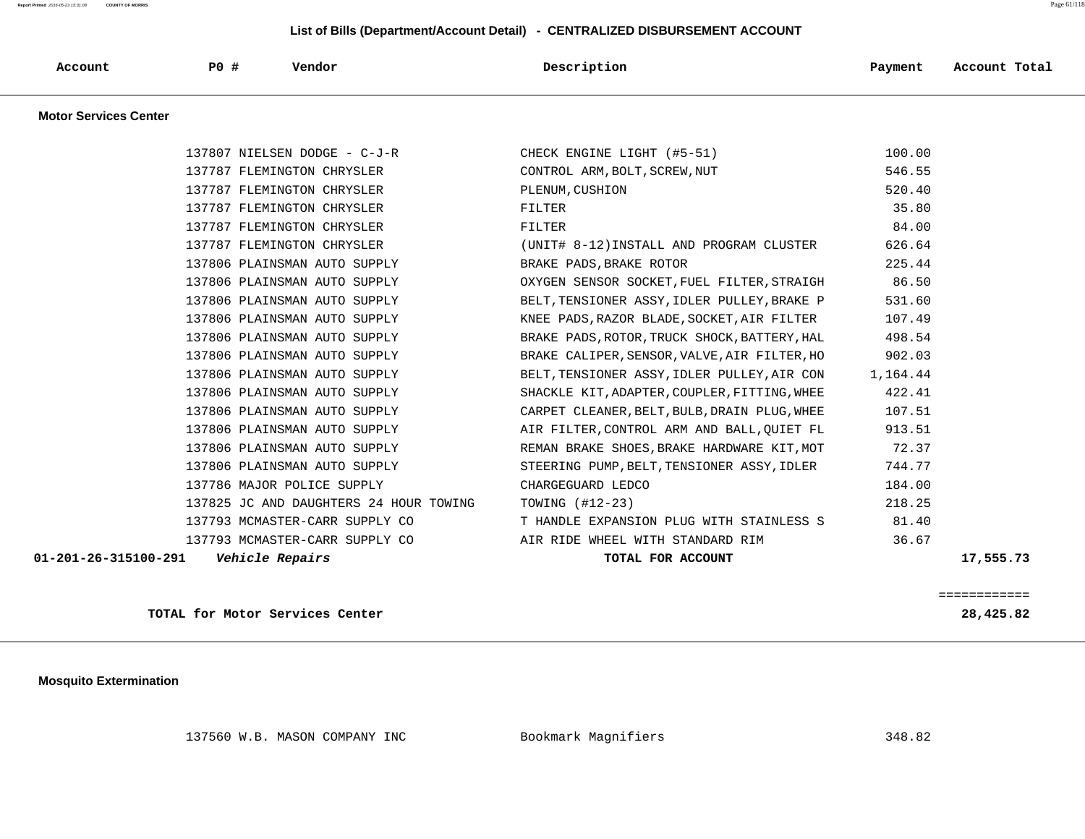**Report Printed** 2016-05-23 15:31:08 **COUNTY OF MORRIS** Page 61/118

#### **List of Bills (Department/Account Detail) - CENTRALIZED DISBURSEMENT ACCOUNT**

| P <sub>0</sub><br><b>Account</b><br>- 41 | Vendor | Description | Payment | Tota.<br>Account |
|------------------------------------------|--------|-------------|---------|------------------|
|------------------------------------------|--------|-------------|---------|------------------|

 **Motor Services Center** 

| 01-201-26-315100-291    Vehicle Repairs | TOTAL FOR ACCOUNT                                               | 17,555.73 |
|-----------------------------------------|-----------------------------------------------------------------|-----------|
|                                         | 137793 MCMASTER-CARR SUPPLY CO AIR RIDE WHEEL WITH STANDARD RIM | 36.67     |
| 137793 MCMASTER-CARR SUPPLY CO          | T HANDLE EXPANSION PLUG WITH STAINLESS S                        | 81.40     |
| 137825 JC AND DAUGHTERS 24 HOUR TOWING  | TOWING $(\text{\#}12-23)$                                       | 218.25    |
| 137786 MAJOR POLICE SUPPLY              | CHARGEGUARD LEDCO                                               | 184.00    |
| 137806 PLAINSMAN AUTO SUPPLY            | STEERING PUMP, BELT, TENSIONER ASSY, IDLER                      | 744.77    |
| 137806 PLAINSMAN AUTO SUPPLY            | REMAN BRAKE SHOES, BRAKE HARDWARE KIT, MOT                      | 72.37     |
| 137806 PLAINSMAN AUTO SUPPLY            | AIR FILTER, CONTROL ARM AND BALL, QUIET FL                      | 913.51    |
| 137806 PLAINSMAN AUTO SUPPLY            | CARPET CLEANER, BELT, BULB, DRAIN PLUG, WHEE                    | 107.51    |
| 137806 PLAINSMAN AUTO SUPPLY            | SHACKLE KIT, ADAPTER, COUPLER, FITTING, WHEE                    | 422.41    |
| 137806 PLAINSMAN AUTO SUPPLY            | BELT, TENSIONER ASSY, IDLER PULLEY, AIR CON                     | 1,164.44  |
| 137806 PLAINSMAN AUTO SUPPLY            | BRAKE CALIPER, SENSOR, VALVE, AIR FILTER, HO                    | 902.03    |
| 137806 PLAINSMAN AUTO SUPPLY            | BRAKE PADS, ROTOR, TRUCK SHOCK, BATTERY, HAL                    | 498.54    |
| 137806 PLAINSMAN AUTO SUPPLY            | KNEE PADS, RAZOR BLADE, SOCKET, AIR FILTER                      | 107.49    |
| 137806 PLAINSMAN AUTO SUPPLY            | BELT, TENSIONER ASSY, IDLER PULLEY, BRAKE P                     | 531.60    |
| 137806 PLAINSMAN AUTO SUPPLY            | OXYGEN SENSOR SOCKET, FUEL FILTER, STRAIGH                      | 86.50     |
| 137806 PLAINSMAN AUTO SUPPLY            | BRAKE PADS, BRAKE ROTOR                                         | 225.44    |
| 137787 FLEMINGTON CHRYSLER              | (UNIT# 8-12)INSTALL AND PROGRAM CLUSTER                         | 626.64    |
| 137787 FLEMINGTON CHRYSLER              | FILTER                                                          | 84.00     |
| 137787 FLEMINGTON CHRYSLER              | FILTER                                                          | 35.80     |
| 137787 FLEMINGTON CHRYSLER              | PLENUM, CUSHION                                                 | 520.40    |
| 137787 FLEMINGTON CHRYSLER              | CONTROL ARM, BOLT, SCREW, NUT                                   | 546.55    |
| 137807 NIELSEN DODGE - C-J-R            | CHECK ENGINE LIGHT (#5-51)                                      | 100.00    |

**TOTAL for Motor Services Center 28,425.82**

============

 **Mosquito Extermination** 

137560 W.B. MASON COMPANY INC Bookmark Magnifiers 348.82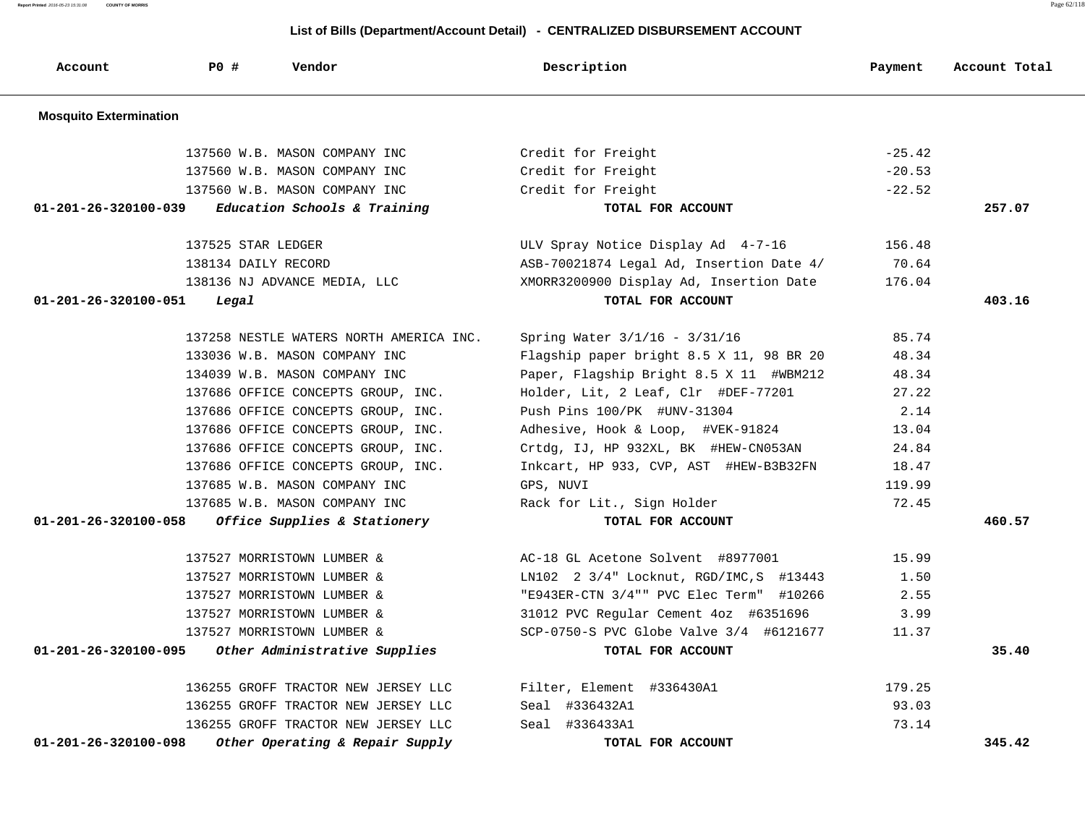| Account                        | PO#<br>Vendor                           | Description                              | Payment  | Account Total |
|--------------------------------|-----------------------------------------|------------------------------------------|----------|---------------|
| <b>Mosquito Extermination</b>  |                                         |                                          |          |               |
|                                | 137560 W.B. MASON COMPANY INC           | Credit for Freight                       | $-25.42$ |               |
|                                | 137560 W.B. MASON COMPANY INC           | Credit for Freight                       | $-20.53$ |               |
|                                | 137560 W.B. MASON COMPANY INC           | Credit for Freight                       | $-22.52$ |               |
| 01-201-26-320100-039           | Education Schools & Training            | TOTAL FOR ACCOUNT                        |          | 257.07        |
|                                | 137525 STAR LEDGER                      | ULV Spray Notice Display Ad 4-7-16       | 156.48   |               |
|                                | 138134 DAILY RECORD                     | ASB-70021874 Legal Ad, Insertion Date 4/ | 70.64    |               |
|                                | 138136 NJ ADVANCE MEDIA, LLC            | XMORR3200900 Display Ad, Insertion Date  | 176.04   |               |
| $01 - 201 - 26 - 320100 - 051$ | Legal                                   | TOTAL FOR ACCOUNT                        |          | 403.16        |
|                                | 137258 NESTLE WATERS NORTH AMERICA INC. | Spring Water 3/1/16 - 3/31/16            | 85.74    |               |
|                                | 133036 W.B. MASON COMPANY INC           | Flagship paper bright 8.5 X 11, 98 BR 20 | 48.34    |               |
|                                | 134039 W.B. MASON COMPANY INC           | Paper, Flagship Bright 8.5 X 11 #WBM212  | 48.34    |               |
|                                | 137686 OFFICE CONCEPTS GROUP, INC.      | Holder, Lit, 2 Leaf, Clr #DEF-77201      | 27.22    |               |
|                                | 137686 OFFICE CONCEPTS GROUP, INC.      | Push Pins 100/PK #UNV-31304              | 2.14     |               |
|                                | 137686 OFFICE CONCEPTS GROUP, INC.      | Adhesive, Hook & Loop, #VEK-91824        | 13.04    |               |
|                                | 137686 OFFICE CONCEPTS GROUP, INC.      | Crtdg, IJ, HP 932XL, BK #HEW-CN053AN     | 24.84    |               |
|                                | 137686 OFFICE CONCEPTS GROUP, INC.      | Inkcart, HP 933, CVP, AST #HEW-B3B32FN   | 18.47    |               |
|                                | 137685 W.B. MASON COMPANY INC           | GPS, NUVI                                | 119.99   |               |
|                                | 137685 W.B. MASON COMPANY INC           | Rack for Lit., Sign Holder               | 72.45    |               |
| $01 - 201 - 26 - 320100 - 058$ | Office Supplies & Stationery            | TOTAL FOR ACCOUNT                        |          | 460.57        |
|                                | 137527 MORRISTOWN LUMBER &              | AC-18 GL Acetone Solvent #8977001        | 15.99    |               |
|                                | 137527 MORRISTOWN LUMBER &              | LN102 2 3/4" Locknut, RGD/IMC, S #13443  | 1.50     |               |
|                                | 137527 MORRISTOWN LUMBER &              | "E943ER-CTN 3/4"" PVC Elec Term" #10266  | 2.55     |               |
|                                | 137527 MORRISTOWN LUMBER &              | 31012 PVC Regular Cement 4oz #6351696    | 3.99     |               |
|                                | 137527 MORRISTOWN LUMBER &              | SCP-0750-S PVC Globe Valve 3/4 #6121677  | 11.37    |               |
| 01-201-26-320100-095           | Other Administrative Supplies           | TOTAL FOR ACCOUNT                        |          | 35.40         |
|                                | 136255 GROFF TRACTOR NEW JERSEY LLC     | Filter, Element #336430A1                | 179.25   |               |
|                                | 136255 GROFF TRACTOR NEW JERSEY LLC     | Seal #336432A1                           | 93.03    |               |
|                                | 136255 GROFF TRACTOR NEW JERSEY LLC     | Seal #336433A1                           | 73.14    |               |
| 01-201-26-320100-098           | Other Operating & Repair Supply         | TOTAL FOR ACCOUNT                        |          | 345.42        |

 **List of Bills (Department/Account Detail) - CENTRALIZED DISBURSEMENT ACCOUNT**

**Report Printed** 2016-05-23 15:31:08 **COUNTY OF MORRIS** Page 62/118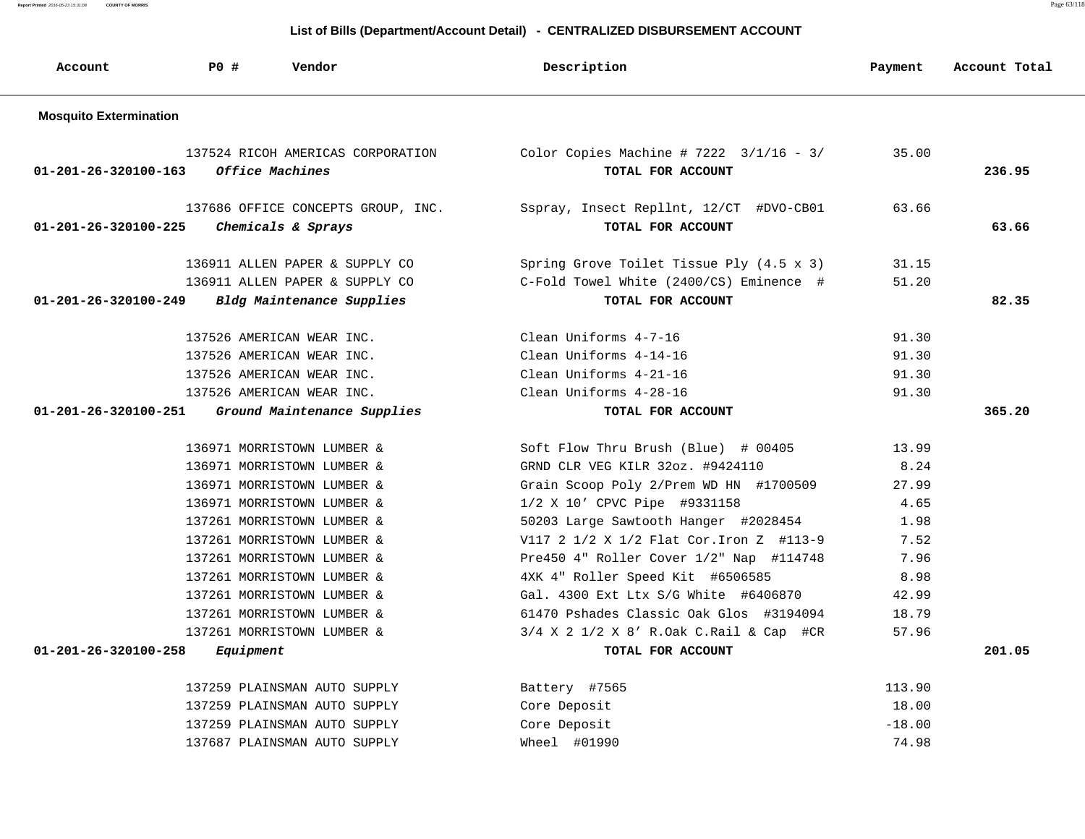**Report Printed** 2016-05-23 15:31:08 **COUNTY OF MORRIS** Page 63/118

| Account                        | <b>PO #</b><br>Vendor                                    | Description                                                        | Payment  | Account Total |
|--------------------------------|----------------------------------------------------------|--------------------------------------------------------------------|----------|---------------|
| <b>Mosquito Extermination</b>  |                                                          |                                                                    |          |               |
| $01 - 201 - 26 - 320100 - 163$ | 137524 RICOH AMERICAS CORPORATION<br>Office Machines     | Color Copies Machine # $7222$ $3/1/16$ - $3/$<br>TOTAL FOR ACCOUNT | 35.00    | 236.95        |
| $01 - 201 - 26 - 320100 - 225$ | 137686 OFFICE CONCEPTS GROUP, INC.<br>Chemicals & Sprays | Sspray, Insect Repllnt, 12/CT #DVO-CB01<br>TOTAL FOR ACCOUNT       | 63.66    | 63.66         |
|                                | 136911 ALLEN PAPER & SUPPLY CO                           | Spring Grove Toilet Tissue Ply (4.5 x 3)                           | 31.15    |               |
|                                | 136911 ALLEN PAPER & SUPPLY CO                           | C-Fold Towel White (2400/CS) Eminence #                            | 51.20    |               |
| $01 - 201 - 26 - 320100 - 249$ | Bldg Maintenance Supplies                                | TOTAL FOR ACCOUNT                                                  |          | 82.35         |
|                                | 137526 AMERICAN WEAR INC.                                | Clean Uniforms 4-7-16                                              | 91.30    |               |
|                                | 137526 AMERICAN WEAR INC.                                | Clean Uniforms 4-14-16                                             | 91.30    |               |
|                                | 137526 AMERICAN WEAR INC.                                | Clean Uniforms 4-21-16                                             | 91.30    |               |
|                                | 137526 AMERICAN WEAR INC.                                | Clean Uniforms 4-28-16                                             | 91.30    |               |
| $01 - 201 - 26 - 320100 - 251$ | Ground Maintenance Supplies                              | TOTAL FOR ACCOUNT                                                  |          | 365.20        |
|                                | 136971 MORRISTOWN LUMBER &                               | Soft Flow Thru Brush (Blue) # 00405                                | 13.99    |               |
|                                | 136971 MORRISTOWN LUMBER &                               | GRND CLR VEG KILR 32oz. #9424110                                   | 8.24     |               |
|                                | 136971 MORRISTOWN LUMBER &                               | Grain Scoop Poly 2/Prem WD HN #1700509                             | 27.99    |               |
|                                | 136971 MORRISTOWN LUMBER &                               | 1/2 X 10' CPVC Pipe #9331158                                       | 4.65     |               |
|                                | 137261 MORRISTOWN LUMBER &                               | 50203 Large Sawtooth Hanger #2028454                               | 1.98     |               |
|                                | 137261 MORRISTOWN LUMBER &                               | V117 2 1/2 X 1/2 Flat Cor. Iron Z #113-9                           | 7.52     |               |
|                                | 137261 MORRISTOWN LUMBER &                               | Pre450 4" Roller Cover 1/2" Nap #114748                            | 7.96     |               |
|                                | 137261 MORRISTOWN LUMBER &                               | 4XK 4" Roller Speed Kit #6506585                                   | 8.98     |               |
|                                | 137261 MORRISTOWN LUMBER &                               | Gal. 4300 Ext Ltx S/G White #6406870                               | 42.99    |               |
|                                | 137261 MORRISTOWN LUMBER &                               | 61470 Pshades Classic Oak Glos #3194094                            | 18.79    |               |
|                                | 137261 MORRISTOWN LUMBER &                               | 3/4 X 2 1/2 X 8' R.Oak C.Rail & Cap #CR                            | 57.96    |               |
| $01 - 201 - 26 - 320100 - 258$ | Equipment                                                | TOTAL FOR ACCOUNT                                                  |          | 201.05        |
|                                | 137259 PLAINSMAN AUTO SUPPLY                             | Battery #7565                                                      | 113.90   |               |
|                                | 137259 PLAINSMAN AUTO SUPPLY                             | Core Deposit                                                       | 18.00    |               |
|                                | 137259 PLAINSMAN AUTO SUPPLY                             | Core Deposit                                                       | $-18.00$ |               |
|                                | 137687 PLAINSMAN AUTO SUPPLY                             | Wheel #01990                                                       | 74.98    |               |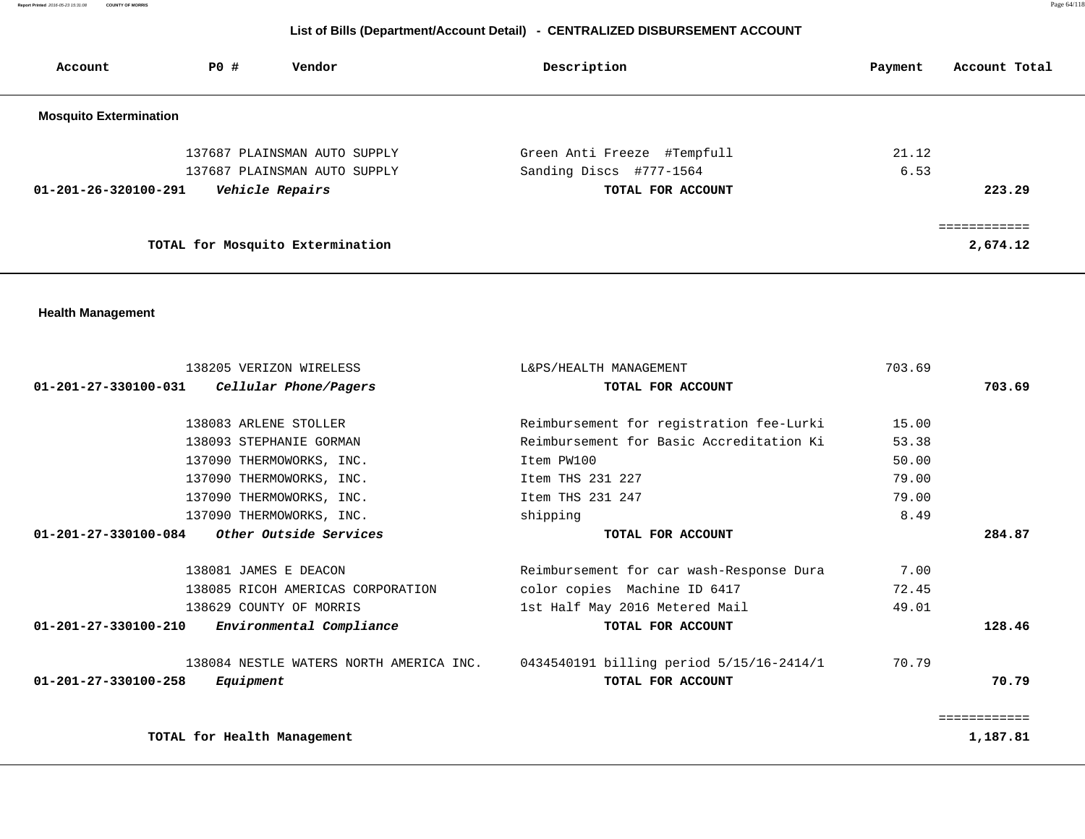**Report Printed** 2016-05-23 15:31:08 **COUNTY OF MORRIS** Page 64/118

| Account                        | P0 #                        | Vendor                                  | Description                              | Payment | Account Total            |
|--------------------------------|-----------------------------|-----------------------------------------|------------------------------------------|---------|--------------------------|
| <b>Mosquito Extermination</b>  |                             |                                         |                                          |         |                          |
|                                |                             | 137687 PLAINSMAN AUTO SUPPLY            | Green Anti Freeze #Tempfull              | 21.12   |                          |
|                                |                             | 137687 PLAINSMAN AUTO SUPPLY            | Sanding Discs #777-1564                  | 6.53    |                          |
| $01 - 201 - 26 - 320100 - 291$ |                             | Vehicle Repairs                         | TOTAL FOR ACCOUNT                        |         | 223.29                   |
|                                |                             |                                         |                                          |         |                          |
|                                |                             | TOTAL for Mosquito Extermination        |                                          |         | 2,674.12                 |
| <b>Health Management</b>       |                             |                                         |                                          |         |                          |
|                                |                             |                                         |                                          |         |                          |
|                                |                             | 138205 VERIZON WIRELESS                 | L&PS/HEALTH MANAGEMENT                   | 703.69  |                          |
| 01-201-27-330100-031           |                             | Cellular Phone/Pagers                   | TOTAL FOR ACCOUNT                        |         | 703.69                   |
|                                |                             | 138083 ARLENE STOLLER                   | Reimbursement for registration fee-Lurki | 15.00   |                          |
|                                |                             | 138093 STEPHANIE GORMAN                 | Reimbursement for Basic Accreditation Ki | 53.38   |                          |
|                                |                             | 137090 THERMOWORKS, INC.                | Item PW100                               | 50.00   |                          |
|                                |                             | 137090 THERMOWORKS, INC.                | Item THS 231 227                         | 79.00   |                          |
|                                |                             | 137090 THERMOWORKS, INC.                | Item THS 231 247                         | 79.00   |                          |
|                                |                             | 137090 THERMOWORKS, INC.                | shipping                                 | 8.49    |                          |
| 01-201-27-330100-084           |                             | Other Outside Services                  | TOTAL FOR ACCOUNT                        |         | 284.87                   |
|                                |                             | 138081 JAMES E DEACON                   | Reimbursement for car wash-Response Dura | 7.00    |                          |
|                                |                             | 138085 RICOH AMERICAS CORPORATION       | color copies Machine ID 6417             | 72.45   |                          |
|                                |                             | 138629 COUNTY OF MORRIS                 | 1st Half May 2016 Metered Mail           | 49.01   |                          |
| 01-201-27-330100-210           |                             | Environmental Compliance                | TOTAL FOR ACCOUNT                        |         | 128.46                   |
|                                |                             | 138084 NESTLE WATERS NORTH AMERICA INC. | 0434540191 billing period 5/15/16-2414/1 | 70.79   |                          |
| $01 - 201 - 27 - 330100 - 258$ | Equipment                   |                                         | TOTAL FOR ACCOUNT                        |         | 70.79                    |
|                                | TOTAL for Health Management |                                         |                                          |         | ============<br>1,187.81 |
|                                |                             |                                         |                                          |         |                          |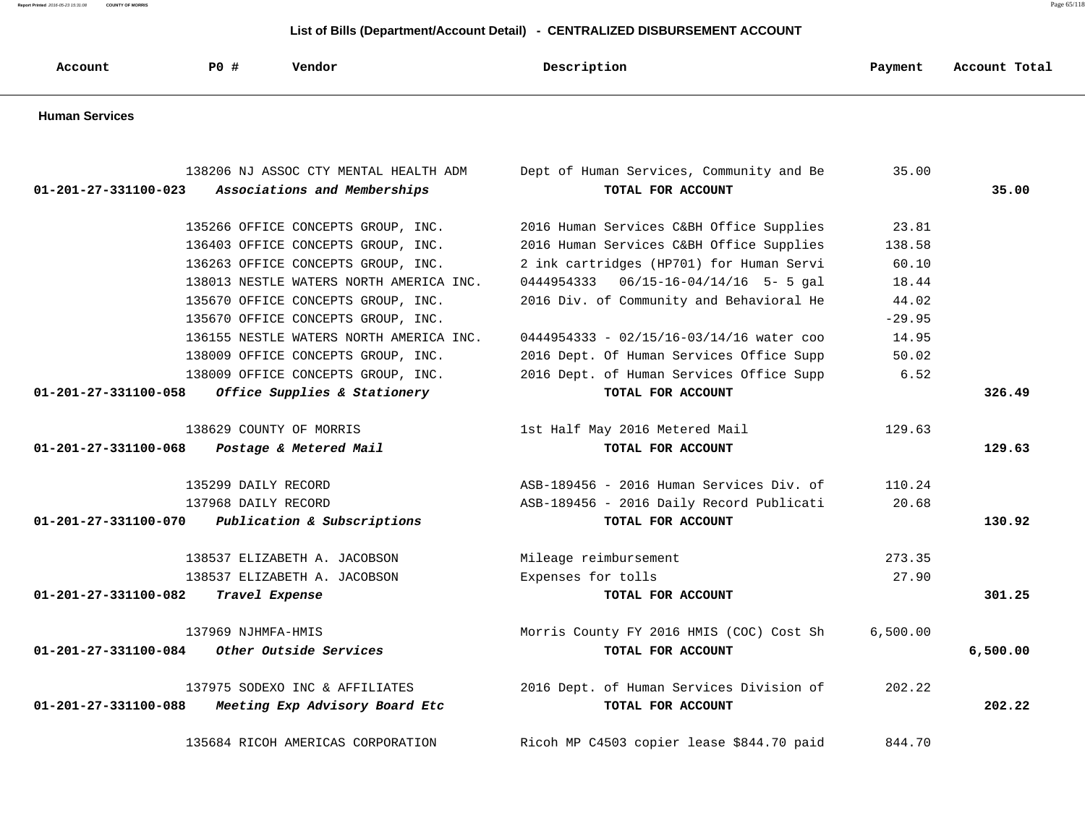**Report Printed** 2016-05-23 15:31:08 **COUNTY OF MORRIS** Page 65/118

| Account                        | <b>PO #</b>         | Vendor                                  | Description                               | Payment  | Account Total |
|--------------------------------|---------------------|-----------------------------------------|-------------------------------------------|----------|---------------|
| <b>Human Services</b>          |                     |                                         |                                           |          |               |
|                                |                     | 138206 NJ ASSOC CTY MENTAL HEALTH ADM   | Dept of Human Services, Community and Be  | 35.00    |               |
| $01 - 201 - 27 - 331100 - 023$ |                     | Associations and Memberships            | TOTAL FOR ACCOUNT                         |          | 35.00         |
|                                |                     | 135266 OFFICE CONCEPTS GROUP, INC.      | 2016 Human Services C&BH Office Supplies  | 23.81    |               |
|                                |                     | 136403 OFFICE CONCEPTS GROUP, INC.      | 2016 Human Services C&BH Office Supplies  | 138.58   |               |
|                                |                     | 136263 OFFICE CONCEPTS GROUP, INC.      | 2 ink cartridges (HP701) for Human Servi  | 60.10    |               |
|                                |                     | 138013 NESTLE WATERS NORTH AMERICA INC. | 0444954333  06/15-16-04/14/16  5- 5 gal   | 18.44    |               |
|                                |                     | 135670 OFFICE CONCEPTS GROUP, INC.      | 2016 Div. of Community and Behavioral He  | 44.02    |               |
|                                |                     | 135670 OFFICE CONCEPTS GROUP, INC.      |                                           | $-29.95$ |               |
|                                |                     | 136155 NESTLE WATERS NORTH AMERICA INC. | 0444954333 - 02/15/16-03/14/16 water coo  | 14.95    |               |
|                                |                     | 138009 OFFICE CONCEPTS GROUP, INC.      | 2016 Dept. Of Human Services Office Supp  | 50.02    |               |
|                                |                     | 138009 OFFICE CONCEPTS GROUP, INC.      | 2016 Dept. of Human Services Office Supp  | 6.52     |               |
| 01-201-27-331100-058           |                     | Office Supplies & Stationery            | TOTAL FOR ACCOUNT                         |          | 326.49        |
|                                |                     | 138629 COUNTY OF MORRIS                 | 1st Half May 2016 Metered Mail            | 129.63   |               |
| $01 - 201 - 27 - 331100 - 068$ |                     | Postage & Metered Mail                  | TOTAL FOR ACCOUNT                         |          | 129.63        |
|                                | 135299 DAILY RECORD |                                         | ASB-189456 - 2016 Human Services Div. of  | 110.24   |               |
|                                | 137968 DAILY RECORD |                                         | ASB-189456 - 2016 Daily Record Publicati  | 20.68    |               |
| $01 - 201 - 27 - 331100 - 070$ |                     | Publication & Subscriptions             | TOTAL FOR ACCOUNT                         |          | 130.92        |
|                                |                     | 138537 ELIZABETH A. JACOBSON            | Mileage reimbursement                     | 273.35   |               |
|                                |                     | 138537 ELIZABETH A. JACOBSON            | Expenses for tolls                        | 27.90    |               |
| $01 - 201 - 27 - 331100 - 082$ | Travel Expense      |                                         | TOTAL FOR ACCOUNT                         |          | 301.25        |
|                                | 137969 NJHMFA-HMIS  |                                         | Morris County FY 2016 HMIS (COC) Cost Sh  | 6,500.00 |               |
| 01-201-27-331100-084           |                     | Other Outside Services                  | TOTAL FOR ACCOUNT                         |          | 6,500.00      |
|                                |                     | 137975 SODEXO INC & AFFILIATES          | 2016 Dept. of Human Services Division of  | 202.22   |               |
| 01-201-27-331100-088           |                     | Meeting Exp Advisory Board Etc          | TOTAL FOR ACCOUNT                         |          | 202.22        |
|                                |                     | 135684 RICOH AMERICAS CORPORATION       | Ricoh MP C4503 copier lease \$844.70 paid | 844.70   |               |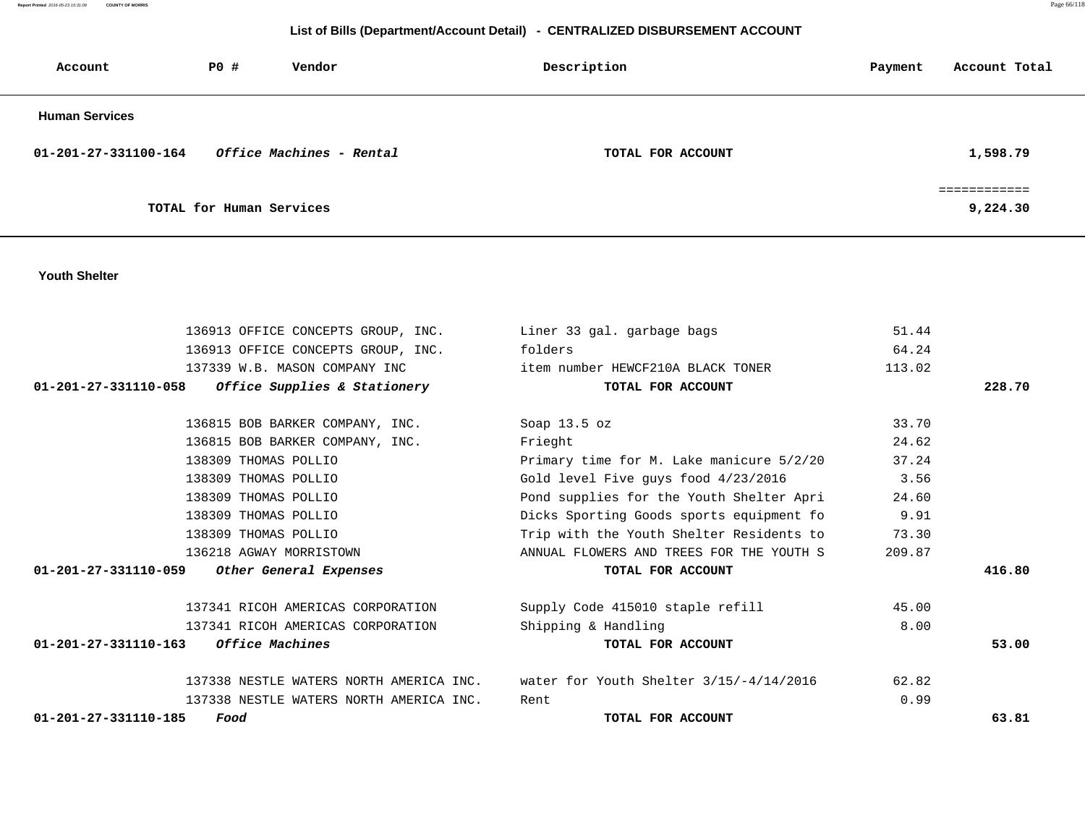| Report Printed 2016-05-23 15:31:08 COUNTY OF MORRIS | Page 66/118 |
|-----------------------------------------------------|-------------|
|                                                     |             |

# **List of Bills (Department/Account Detail) - CENTRALIZED DISBURSEMENT ACCOUNT**

| Account               | PO#<br>Vendor            | Description       | Account Total<br>Payment |
|-----------------------|--------------------------|-------------------|--------------------------|
| <b>Human Services</b> |                          |                   |                          |
| 01-201-27-331100-164  | Office Machines - Rental | TOTAL FOR ACCOUNT | 1,598.79                 |
|                       |                          |                   | ============             |
|                       | TOTAL for Human Services |                   | 9,224.30                 |

#### **Youth Shelter**

| 136913 OFFICE CONCEPTS GROUP, INC.                              | Liner 33 gal. garbage bags                                                      | 51.44  |        |
|-----------------------------------------------------------------|---------------------------------------------------------------------------------|--------|--------|
| 136913 OFFICE CONCEPTS GROUP, INC.                              | folders                                                                         | 64.24  |        |
| 137339 W.B. MASON COMPANY INC                                   | item number HEWCF210A BLACK TONER                                               | 113.02 |        |
| 01-201-27-331110-058<br>Office Supplies & Stationery            | TOTAL FOR ACCOUNT                                                               |        | 228.70 |
| 136815 BOB BARKER COMPANY, INC.                                 | Soap $13.5$ oz                                                                  | 33.70  |        |
| 136815 BOB BARKER COMPANY, INC.                                 | Frieght                                                                         | 24.62  |        |
| 138309 THOMAS POLLIO                                            | Primary time for M. Lake manicure 5/2/20                                        | 37.24  |        |
| 138309 THOMAS POLLIO                                            | Gold level Five guys food 4/23/2016                                             | 3.56   |        |
| 138309 THOMAS POLLIO                                            | Pond supplies for the Youth Shelter Apri                                        | 24.60  |        |
| 138309 THOMAS POLLIO                                            | Dicks Sporting Goods sports equipment fo                                        | 9.91   |        |
| 138309 THOMAS POLLIO                                            | Trip with the Youth Shelter Residents to                                        | 73.30  |        |
| 136218 AGWAY MORRISTOWN                                         | ANNUAL FLOWERS AND TREES FOR THE YOUTH S                                        | 209.87 |        |
| $01 - 201 - 27 - 331110 - 059$<br>Other General Expenses        | TOTAL FOR ACCOUNT                                                               |        | 416.80 |
| 137341 RICOH AMERICAS CORPORATION                               | Supply Code 415010 staple refill                                                | 45.00  |        |
| 137341 RICOH AMERICAS CORPORATION                               | Shipping & Handling                                                             | 8.00   |        |
| $01 - 201 - 27 - 331110 - 163$<br><i><b>Office Machines</b></i> | TOTAL FOR ACCOUNT                                                               |        | 53.00  |
|                                                                 | 137338 NESTLE WATERS NORTH AMERICA INC. water for Youth Shelter 3/15/-4/14/2016 | 62.82  |        |
| 137338 NESTLE WATERS NORTH AMERICA INC.                         | Rent                                                                            | 0.99   |        |
| 01-201-27-331110-185<br>Food                                    | TOTAL FOR ACCOUNT                                                               |        | 63.81  |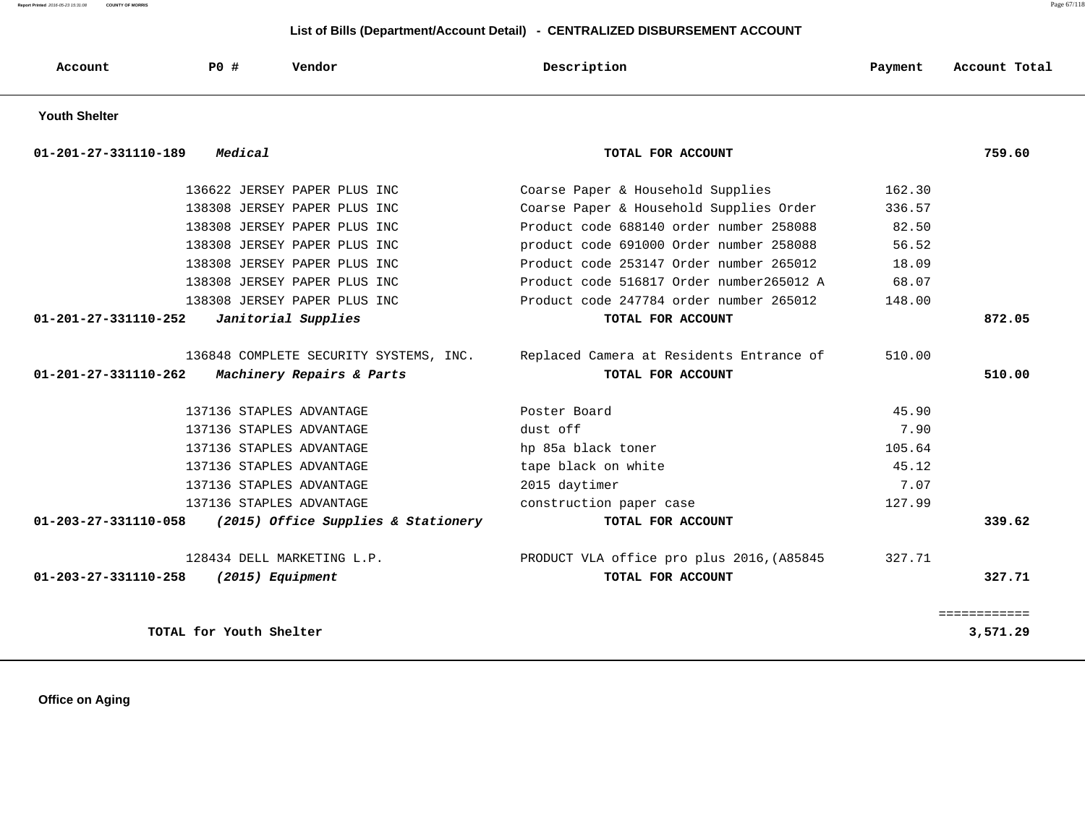**Report Printed** 2016-05-23 15:31:08 **COUNTY OF MORRIS** Page 67/118

### **List of Bills (Department/Account Detail) - CENTRALIZED DISBURSEMENT ACCOUNT**

| Account                        | PO #                    | Vendor                                 | Description                               | Payment | Account Total |
|--------------------------------|-------------------------|----------------------------------------|-------------------------------------------|---------|---------------|
| <b>Youth Shelter</b>           |                         |                                        |                                           |         |               |
| 01-201-27-331110-189           | Medical                 |                                        | TOTAL FOR ACCOUNT                         |         | 759.60        |
|                                |                         | 136622 JERSEY PAPER PLUS INC           | Coarse Paper & Household Supplies         | 162.30  |               |
|                                |                         | 138308 JERSEY PAPER PLUS INC           | Coarse Paper & Household Supplies Order   | 336.57  |               |
|                                |                         | 138308 JERSEY PAPER PLUS INC           | Product code 688140 order number 258088   | 82.50   |               |
|                                |                         | 138308 JERSEY PAPER PLUS INC           | product code 691000 Order number 258088   | 56.52   |               |
|                                |                         | 138308 JERSEY PAPER PLUS INC           | Product code 253147 Order number 265012   | 18.09   |               |
|                                |                         | 138308 JERSEY PAPER PLUS INC           | Product code 516817 Order number265012 A  | 68.07   |               |
|                                |                         | 138308 JERSEY PAPER PLUS INC           | Product code 247784 order number 265012   | 148.00  |               |
| 01-201-27-331110-252           |                         | Janitorial Supplies                    | TOTAL FOR ACCOUNT                         |         | 872.05        |
|                                |                         |                                        |                                           |         |               |
|                                |                         | 136848 COMPLETE SECURITY SYSTEMS, INC. | Replaced Camera at Residents Entrance of  | 510.00  |               |
| 01-201-27-331110-262           |                         | Machinery Repairs & Parts              | TOTAL FOR ACCOUNT                         |         | 510.00        |
|                                |                         | 137136 STAPLES ADVANTAGE               | Poster Board                              | 45.90   |               |
|                                |                         | 137136 STAPLES ADVANTAGE               | dust off                                  | 7.90    |               |
|                                |                         | 137136 STAPLES ADVANTAGE               | hp 85a black toner                        | 105.64  |               |
|                                |                         | 137136 STAPLES ADVANTAGE               | tape black on white                       | 45.12   |               |
|                                |                         | 137136 STAPLES ADVANTAGE               | 2015 daytimer                             | 7.07    |               |
|                                |                         | 137136 STAPLES ADVANTAGE               | construction paper case                   | 127.99  |               |
| $01 - 203 - 27 - 331110 - 058$ |                         | (2015) Office Supplies & Stationery    | TOTAL FOR ACCOUNT                         |         | 339.62        |
|                                |                         | 128434 DELL MARKETING L.P.             | PRODUCT VLA office pro plus 2016, (A85845 | 327.71  |               |
| 01-203-27-331110-258           |                         | (2015) Equipment                       | TOTAL FOR ACCOUNT                         |         | 327.71        |
|                                |                         |                                        |                                           |         | ============  |
|                                | TOTAL for Youth Shelter |                                        |                                           |         | 3,571.29      |

 **Office on Aging**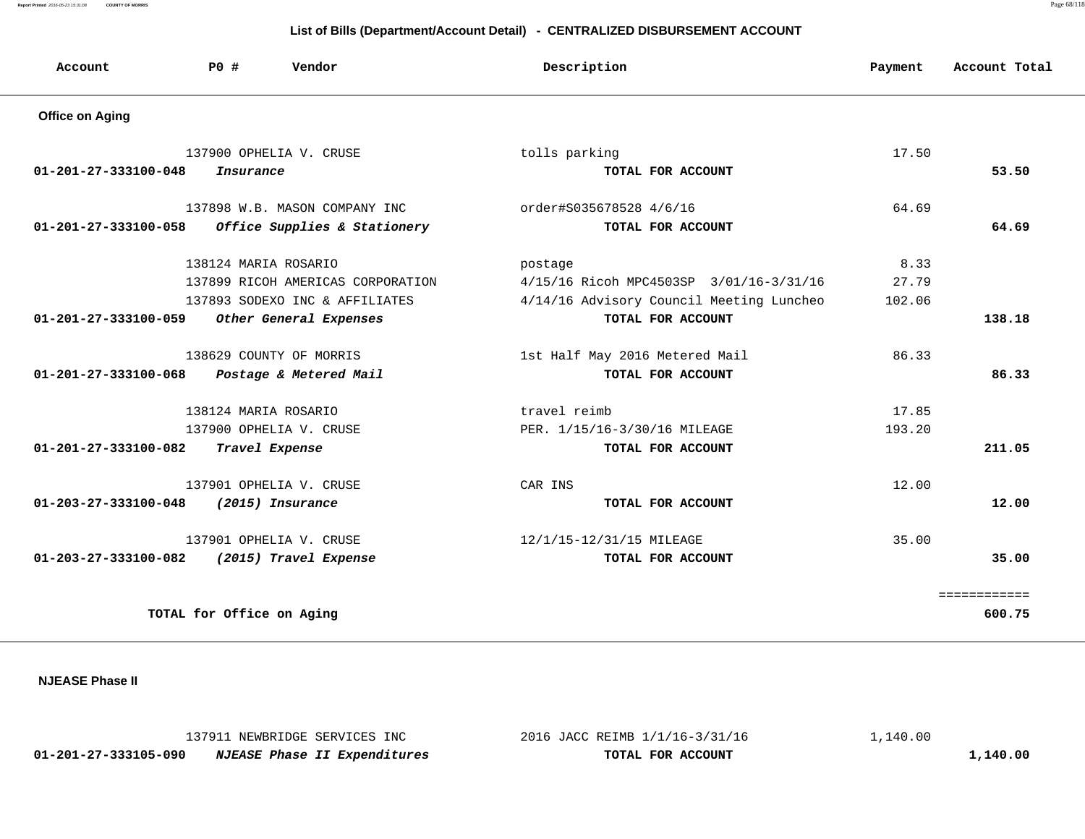**Report Printed** 2016-05-23 15:31:08 **COUNTY OF MORRIS** Page 68/118

# **List of Bills (Department/Account Detail) - CENTRALIZED DISBURSEMENT ACCOUNT**

| Account                        | P0 #                      | Vendor                            | Description                              | Payment | Account Total |
|--------------------------------|---------------------------|-----------------------------------|------------------------------------------|---------|---------------|
| <b>Office on Aging</b>         |                           |                                   |                                          |         |               |
|                                |                           | 137900 OPHELIA V. CRUSE           | tolls parking                            | 17.50   |               |
| 01-201-27-333100-048           | Insurance                 |                                   | TOTAL FOR ACCOUNT                        |         | 53.50         |
|                                |                           | 137898 W.B. MASON COMPANY INC     | order#S035678528 4/6/16                  | 64.69   |               |
| $01 - 201 - 27 - 333100 - 058$ |                           | Office Supplies & Stationery      | TOTAL FOR ACCOUNT                        |         | 64.69         |
|                                | 138124 MARIA ROSARIO      |                                   | postage                                  | 8.33    |               |
|                                |                           | 137899 RICOH AMERICAS CORPORATION | 4/15/16 Ricoh MPC4503SP 3/01/16-3/31/16  | 27.79   |               |
|                                |                           | 137893 SODEXO INC & AFFILIATES    | 4/14/16 Advisory Council Meeting Luncheo | 102.06  |               |
| 01-201-27-333100-059           |                           | Other General Expenses            | TOTAL FOR ACCOUNT                        |         | 138.18        |
|                                |                           | 138629 COUNTY OF MORRIS           | 1st Half May 2016 Metered Mail           | 86.33   |               |
| 01-201-27-333100-068           |                           | Postage & Metered Mail            | TOTAL FOR ACCOUNT                        |         | 86.33         |
|                                | 138124 MARIA ROSARIO      |                                   | travel reimb                             | 17.85   |               |
|                                |                           | 137900 OPHELIA V. CRUSE           | PER. 1/15/16-3/30/16 MILEAGE             | 193.20  |               |
| 01-201-27-333100-082           |                           | Travel Expense                    | TOTAL FOR ACCOUNT                        |         | 211.05        |
|                                |                           | 137901 OPHELIA V. CRUSE           | CAR INS                                  | 12.00   |               |
| 01-203-27-333100-048           |                           | (2015) Insurance                  | TOTAL FOR ACCOUNT                        |         | 12.00         |
|                                |                           | 137901 OPHELIA V. CRUSE           | 12/1/15-12/31/15 MILEAGE                 | 35.00   |               |
| 01-203-27-333100-082           |                           | (2015) Travel Expense             | TOTAL FOR ACCOUNT                        |         | 35.00         |
|                                |                           |                                   |                                          |         |               |
|                                | TOTAL for Office on Aging |                                   |                                          |         | 600.75        |

 **NJEASE Phase II** 

|                      | 137911 NEWBRIDGE SERVICES INC       | 2016 JACC REIMB 1/1/16-3/31/16 | ,140.00 |
|----------------------|-------------------------------------|--------------------------------|---------|
| 01-201-27-333105-090 | <i>NJEASE Phase II Expenditures</i> | TOTAL FOR ACCOUNT              | ,140.00 |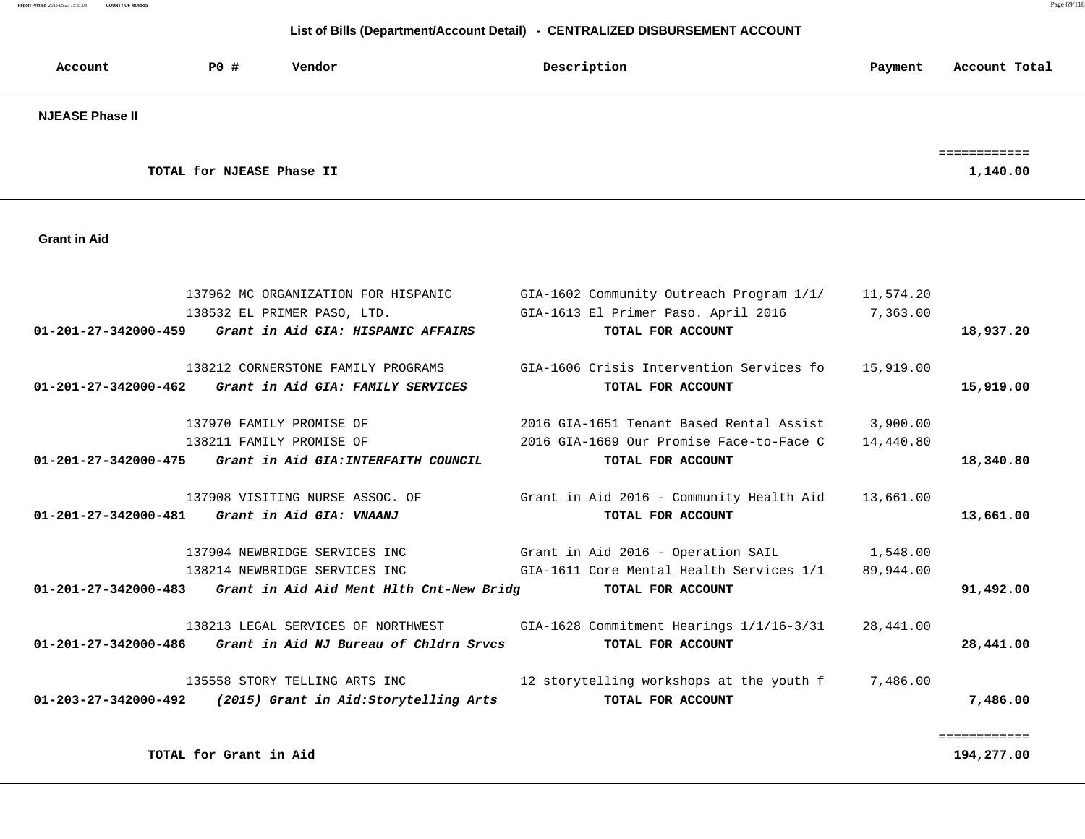**Report Printed** 2016-05-23 15:31:08 **COUNTY OF MORRIS** Page 69/118

| Account                        | P0 #<br>Vendor                  |                                          | Description                                                                     | Payment               | Account Total            |
|--------------------------------|---------------------------------|------------------------------------------|---------------------------------------------------------------------------------|-----------------------|--------------------------|
| <b>NJEASE Phase II</b>         |                                 |                                          |                                                                                 |                       |                          |
|                                | TOTAL for NJEASE Phase II       |                                          |                                                                                 |                       | ============<br>1,140.00 |
|                                |                                 |                                          |                                                                                 |                       |                          |
| <b>Grant in Aid</b>            |                                 |                                          |                                                                                 |                       |                          |
|                                |                                 |                                          |                                                                                 |                       |                          |
|                                | 138532 EL PRIMER PASO, LTD.     | 137962 MC ORGANIZATION FOR HISPANIC      | GIA-1602 Community Outreach Program 1/1/<br>GIA-1613 El Primer Paso. April 2016 | 11,574.20<br>7,363.00 |                          |
| $01 - 201 - 27 - 342000 - 459$ |                                 | Grant in Aid GIA: HISPANIC AFFAIRS       | TOTAL FOR ACCOUNT                                                               |                       | 18,937.20                |
|                                |                                 | 138212 CORNERSTONE FAMILY PROGRAMS       | GIA-1606 Crisis Intervention Services fo                                        | 15,919.00             |                          |
| $01 - 201 - 27 - 342000 - 462$ |                                 | Grant in Aid GIA: FAMILY SERVICES        | TOTAL FOR ACCOUNT                                                               |                       | 15,919.00                |
|                                | 137970 FAMILY PROMISE OF        |                                          | 2016 GIA-1651 Tenant Based Rental Assist                                        | 3,900,00              |                          |
|                                | 138211 FAMILY PROMISE OF        |                                          | 2016 GIA-1669 Our Promise Face-to-Face C                                        | 14,440.80             |                          |
| $01 - 201 - 27 - 342000 - 475$ |                                 | Grant in Aid GIA: INTERFAITH COUNCIL     | TOTAL FOR ACCOUNT                                                               |                       | 18,340.80                |
|                                | 137908 VISITING NURSE ASSOC. OF |                                          | Grant in Aid 2016 - Community Health Aid                                        | 13,661.00             |                          |
| $01 - 201 - 27 - 342000 - 481$ | Grant in Aid GIA: VNAANJ        |                                          | TOTAL FOR ACCOUNT                                                               |                       | 13,661.00                |
|                                | 137904 NEWBRIDGE SERVICES INC   |                                          | Grant in Aid 2016 - Operation SAIL                                              | 1,548.00              |                          |
|                                | 138214 NEWBRIDGE SERVICES INC   |                                          | GIA-1611 Core Mental Health Services 1/1                                        | 89,944.00             |                          |
| $01 - 201 - 27 - 342000 - 483$ |                                 | Grant in Aid Aid Ment Hlth Cnt-New Bridg | TOTAL FOR ACCOUNT                                                               |                       | 91,492.00                |
|                                |                                 | 138213 LEGAL SERVICES OF NORTHWEST       | GIA-1628 Commitment Hearings 1/1/16-3/31                                        | 28,441.00             |                          |
| $01 - 201 - 27 - 342000 - 486$ |                                 | Grant in Aid NJ Bureau of Chldrn Srvcs   | TOTAL FOR ACCOUNT                                                               |                       | 28,441.00                |
|                                | 135558 STORY TELLING ARTS INC   |                                          | 12 storytelling workshops at the youth f                                        | 7,486.00              |                          |
| $01 - 203 - 27 - 342000 - 492$ |                                 | (2015) Grant in Aid:Storytelling Arts    | TOTAL FOR ACCOUNT                                                               |                       | 7,486.00                 |
|                                |                                 |                                          |                                                                                 |                       |                          |
|                                | TOTAL for Grant in Aid          |                                          |                                                                                 |                       | 194,277.00               |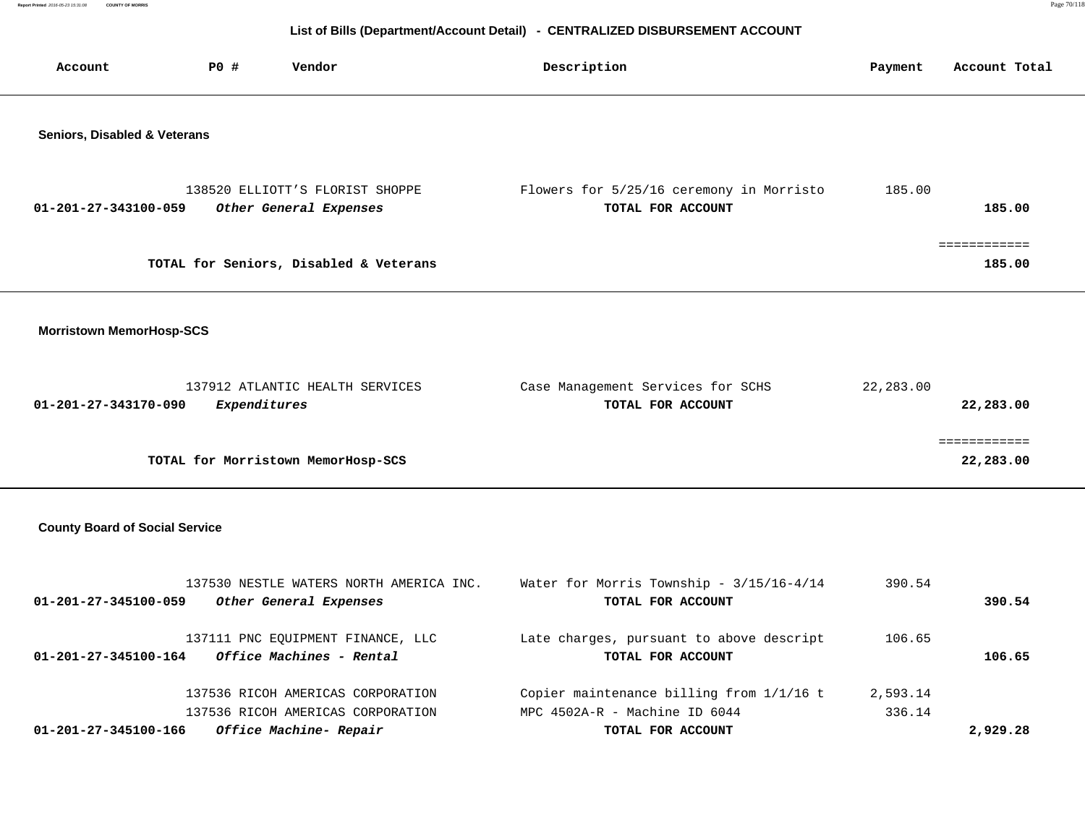**Report Printed** 2016-05-23 15:31:08 **COUNTY OF MORRIS** Page 70/118

| Account                               | <b>PO #</b><br>Vendor                                                                            | Description                                                                                    | Payment            | Account Total             |
|---------------------------------------|--------------------------------------------------------------------------------------------------|------------------------------------------------------------------------------------------------|--------------------|---------------------------|
| Seniors, Disabled & Veterans          | 138520 ELLIOTT'S FLORIST SHOPPE                                                                  | Flowers for 5/25/16 ceremony in Morristo                                                       | 185.00             |                           |
| 01-201-27-343100-059                  | Other General Expenses                                                                           | TOTAL FOR ACCOUNT                                                                              |                    | 185.00                    |
|                                       | TOTAL for Seniors, Disabled & Veterans                                                           |                                                                                                |                    | 185.00                    |
| <b>Morristown MemorHosp-SCS</b>       |                                                                                                  |                                                                                                |                    |                           |
| 01-201-27-343170-090                  | 137912 ATLANTIC HEALTH SERVICES<br>Expenditures                                                  | Case Management Services for SCHS<br>TOTAL FOR ACCOUNT                                         | 22,283.00          | 22,283.00                 |
|                                       | TOTAL for Morristown MemorHosp-SCS                                                               |                                                                                                |                    | ============<br>22,283.00 |
| <b>County Board of Social Service</b> |                                                                                                  |                                                                                                |                    |                           |
| 01-201-27-345100-059                  | 137530 NESTLE WATERS NORTH AMERICA INC.<br>Other General Expenses                                | Water for Morris Township - 3/15/16-4/14<br>TOTAL FOR ACCOUNT                                  | 390.54             | 390.54                    |
| 01-201-27-345100-164                  | 137111 PNC EQUIPMENT FINANCE, LLC<br>Office Machines - Rental                                    | Late charges, pursuant to above descript<br>TOTAL FOR ACCOUNT                                  | 106.65             | 106.65                    |
| 01-201-27-345100-166                  | 137536 RICOH AMERICAS CORPORATION<br>137536 RICOH AMERICAS CORPORATION<br>Office Machine- Repair | Copier maintenance billing from 1/1/16 t<br>MPC 4502A-R - Machine ID 6044<br>TOTAL FOR ACCOUNT | 2,593.14<br>336.14 | 2,929.28                  |
|                                       |                                                                                                  |                                                                                                |                    |                           |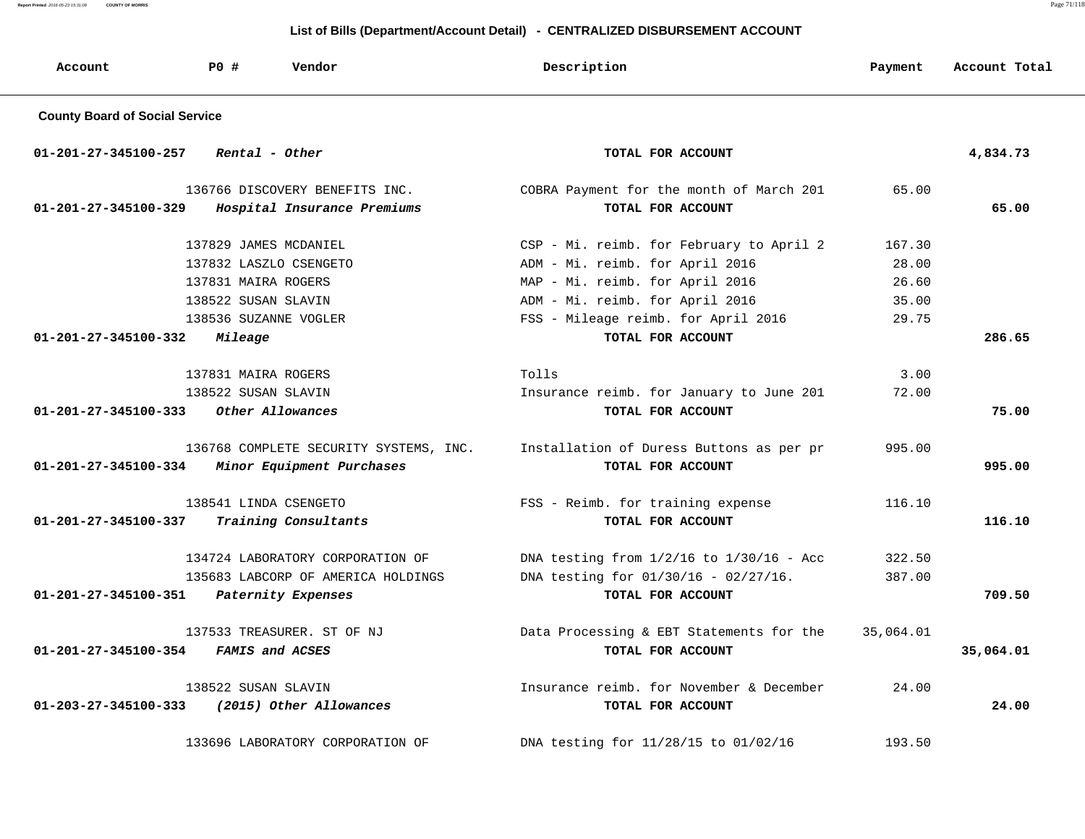**Report Printed** 2016-05-23 15:31:08 **COUNTY OF MORRIS** Page 71/118

| Account                               | <b>PO #</b><br>Vendor                  | Description                                  | Payment   | Account Total |
|---------------------------------------|----------------------------------------|----------------------------------------------|-----------|---------------|
| <b>County Board of Social Service</b> |                                        |                                              |           |               |
| 01-201-27-345100-257                  | Rental - Other                         | TOTAL FOR ACCOUNT                            |           | 4,834.73      |
|                                       | 136766 DISCOVERY BENEFITS INC.         | COBRA Payment for the month of March 201     | 65.00     |               |
| $01 - 201 - 27 - 345100 - 329$        | Hospital Insurance Premiums            | TOTAL FOR ACCOUNT                            |           | 65.00         |
|                                       | 137829 JAMES MCDANIEL                  | CSP - Mi. reimb. for February to April 2     | 167.30    |               |
|                                       | 137832 LASZLO CSENGETO                 | ADM - Mi. reimb. for April 2016              | 28.00     |               |
|                                       | 137831 MAIRA ROGERS                    | MAP - Mi. reimb. for April 2016              | 26.60     |               |
|                                       | 138522 SUSAN SLAVIN                    | ADM - Mi. reimb. for April 2016              | 35.00     |               |
|                                       | 138536 SUZANNE VOGLER                  | FSS - Mileage reimb. for April 2016          | 29.75     |               |
| 01-201-27-345100-332                  | Mileage                                | TOTAL FOR ACCOUNT                            |           | 286.65        |
|                                       | 137831 MAIRA ROGERS                    | Tolls                                        | 3.00      |               |
|                                       | 138522 SUSAN SLAVIN                    | Insurance reimb. for January to June 201     | 72.00     |               |
| $01 - 201 - 27 - 345100 - 333$        | Other Allowances                       | TOTAL FOR ACCOUNT                            |           | 75.00         |
|                                       | 136768 COMPLETE SECURITY SYSTEMS, INC. | Installation of Duress Buttons as per pr     | 995.00    |               |
| 01-201-27-345100-334                  | Minor Equipment Purchases              | TOTAL FOR ACCOUNT                            |           | 995.00        |
|                                       | 138541 LINDA CSENGETO                  | FSS - Reimb. for training expense            | 116.10    |               |
| 01-201-27-345100-337                  | Training Consultants                   | TOTAL FOR ACCOUNT                            |           | 116.10        |
|                                       | 134724 LABORATORY CORPORATION OF       | DNA testing from $1/2/16$ to $1/30/16$ - Acc | 322.50    |               |
|                                       | 135683 LABCORP OF AMERICA HOLDINGS     | DNA testing for $01/30/16 - 02/27/16$ .      | 387.00    |               |
| 01-201-27-345100-351                  | Paternity Expenses                     | TOTAL FOR ACCOUNT                            |           | 709.50        |
|                                       | 137533 TREASURER. ST OF NJ             | Data Processing & EBT Statements for the     | 35,064.01 |               |
| 01-201-27-345100-354                  | FAMIS and ACSES                        | TOTAL FOR ACCOUNT                            |           | 35,064.01     |
|                                       | 138522 SUSAN SLAVIN                    | Insurance reimb. for November & December     | 24.00     |               |
| $01 - 203 - 27 - 345100 - 333$        | (2015) Other Allowances                | TOTAL FOR ACCOUNT                            |           | 24.00         |
|                                       | 133696 LABORATORY CORPORATION OF       | DNA testing for 11/28/15 to 01/02/16         | 193.50    |               |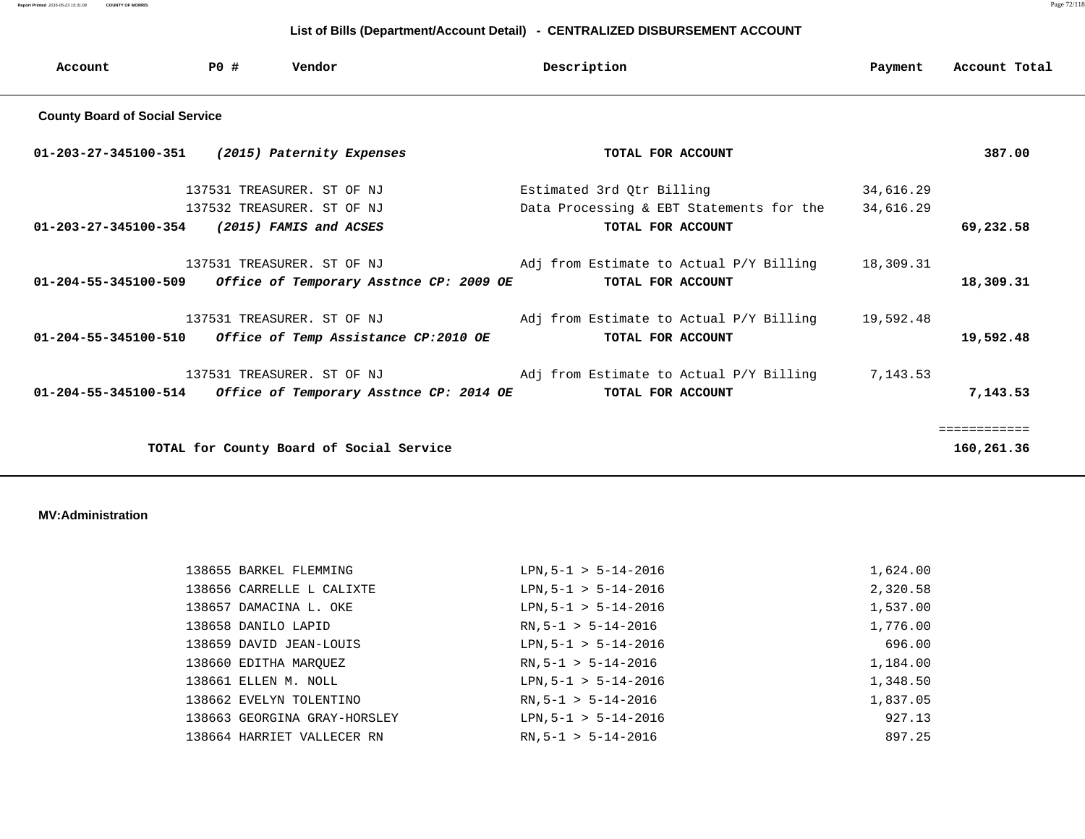**Report Printed** 2016-05-23 15:31:08 **COUNTY OF MORRIS** Page 72/118

### **List of Bills (Department/Account Detail) - CENTRALIZED DISBURSEMENT ACCOUNT**

| Account                               | P0 # | Vendor                                   | Description                              | Payment   | Account Total |  |  |  |
|---------------------------------------|------|------------------------------------------|------------------------------------------|-----------|---------------|--|--|--|
| <b>County Board of Social Service</b> |      |                                          |                                          |           |               |  |  |  |
| 01-203-27-345100-351                  |      | (2015) Paternity Expenses                | TOTAL FOR ACCOUNT                        |           | 387.00        |  |  |  |
|                                       |      | 137531 TREASURER. ST OF NJ               | Estimated 3rd Qtr Billing                | 34,616.29 |               |  |  |  |
|                                       |      | 137532 TREASURER. ST OF NJ               | Data Processing & EBT Statements for the | 34,616.29 |               |  |  |  |
| $01 - 203 - 27 - 345100 - 354$        |      | (2015) FAMIS and ACSES                   | TOTAL FOR ACCOUNT                        |           | 69,232.58     |  |  |  |
|                                       |      | 137531 TREASURER. ST OF NJ               | Adj from Estimate to Actual P/Y Billing  | 18,309.31 |               |  |  |  |
| $01 - 204 - 55 - 345100 - 509$        |      | Office of Temporary Asstnce CP: 2009 OE  | TOTAL FOR ACCOUNT                        |           | 18,309.31     |  |  |  |
|                                       |      | 137531 TREASURER. ST OF NJ               | Adj from Estimate to Actual P/Y Billing  | 19,592.48 |               |  |  |  |
| $01 - 204 - 55 - 345100 - 510$        |      | Office of Temp Assistance CP:2010 OE     | TOTAL FOR ACCOUNT                        |           | 19,592.48     |  |  |  |
|                                       |      | 137531 TREASURER. ST OF NJ               | Adj from Estimate to Actual P/Y Billing  | 7,143.53  |               |  |  |  |
| 01-204-55-345100-514                  |      | Office of Temporary Asstnce CP: 2014 OE  | TOTAL FOR ACCOUNT                        |           | 7,143.53      |  |  |  |
|                                       |      |                                          |                                          |           | ============  |  |  |  |
|                                       |      | TOTAL for County Board of Social Service |                                          |           | 160,261.36    |  |  |  |

#### **MV:Administration**

| 138655 BARKEL FLEMMING       | $LPN, 5-1 > 5-14-2016$ | 1,624.00 |
|------------------------------|------------------------|----------|
| 138656 CARRELLE L CALIXTE    | $LPN, 5-1 > 5-14-2016$ | 2,320.58 |
| 138657 DAMACINA L. OKE       | $LPN, 5-1 > 5-14-2016$ | 1,537.00 |
| 138658 DANILO LAPID          | $RN, 5-1 > 5-14-2016$  | 1,776.00 |
| 138659 DAVID JEAN-LOUIS      | $LPN, 5-1 > 5-14-2016$ | 696.00   |
| 138660 EDITHA MAROUEZ        | $RN, 5-1 > 5-14-2016$  | 1,184.00 |
| 138661 ELLEN M. NOLL         | $LPN, 5-1 > 5-14-2016$ | 1,348.50 |
| 138662 EVELYN TOLENTINO      | $RN, 5-1 > 5-14-2016$  | 1,837.05 |
| 138663 GEORGINA GRAY-HORSLEY | $LPN, 5-1 > 5-14-2016$ | 927.13   |
| 138664 HARRIET VALLECER RN   | $RN, 5-1 > 5-14-2016$  | 897.25   |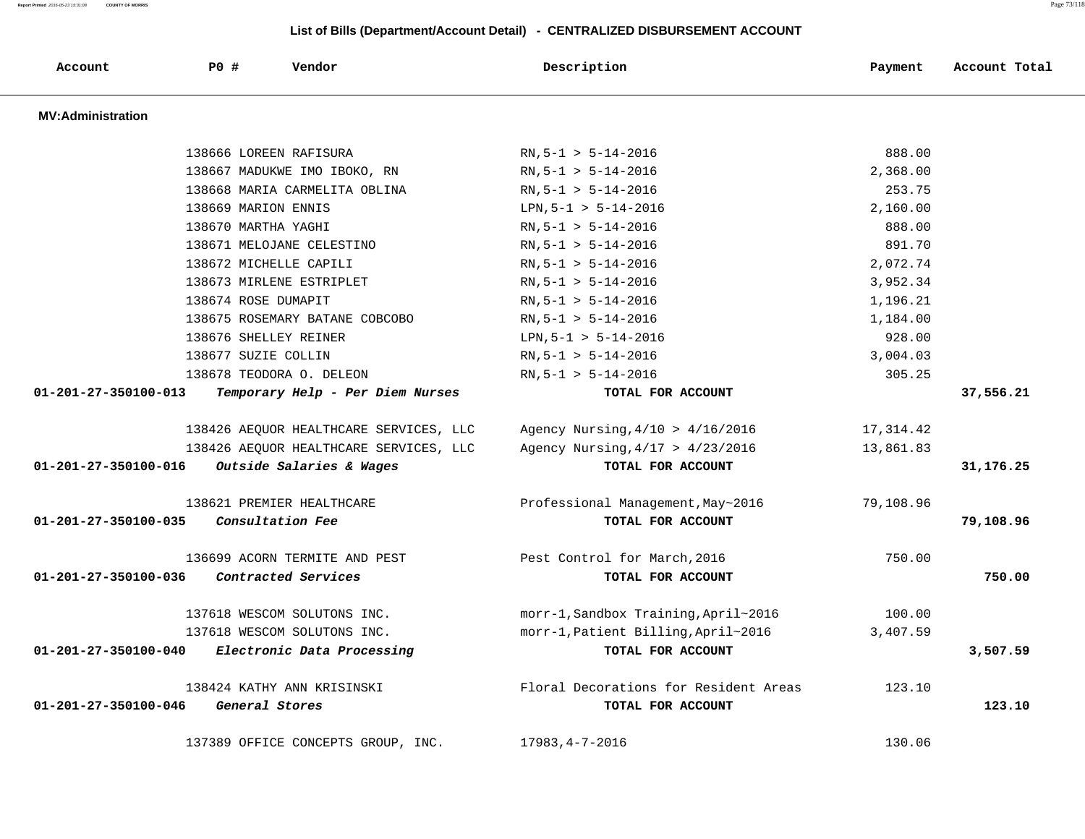**Report Printed** 2016-05-23 15:31:08 **COUNTY OF MORRIS** Page 73/118

| Account                        | <b>PO #</b>         | Vendor                                 | Description                           | Payment   | Account Total |
|--------------------------------|---------------------|----------------------------------------|---------------------------------------|-----------|---------------|
| <b>MV:Administration</b>       |                     |                                        |                                       |           |               |
|                                |                     | 138666 LOREEN RAFISURA                 | $RN, 5-1 > 5-14-2016$                 | 888.00    |               |
|                                |                     | 138667 MADUKWE IMO IBOKO, RN           | $RN, 5-1 > 5-14-2016$                 | 2,368.00  |               |
|                                |                     | 138668 MARIA CARMELITA OBLINA          | $RN, 5-1 > 5-14-2016$                 | 253.75    |               |
|                                | 138669 MARION ENNIS |                                        | LPN, $5-1 > 5-14-2016$                | 2,160.00  |               |
|                                | 138670 MARTHA YAGHI |                                        | $RN, 5-1 > 5-14-2016$                 | 888.00    |               |
|                                |                     | 138671 MELOJANE CELESTINO              | $RN, 5-1 > 5-14-2016$                 | 891.70    |               |
|                                |                     | 138672 MICHELLE CAPILI                 | $RN, 5-1 > 5-14-2016$                 | 2,072.74  |               |
|                                |                     | 138673 MIRLENE ESTRIPLET               | $RN, 5-1 > 5-14-2016$                 | 3,952.34  |               |
|                                | 138674 ROSE DUMAPIT |                                        | $RN, 5-1 > 5-14-2016$                 | 1,196.21  |               |
|                                |                     | 138675 ROSEMARY BATANE COBCOBO         | $RN, 5-1 > 5-14-2016$                 | 1,184.00  |               |
|                                |                     | 138676 SHELLEY REINER                  | $LPN, 5-1 > 5-14-2016$                | 928.00    |               |
|                                | 138677 SUZIE COLLIN |                                        | $RN, 5-1 > 5-14-2016$                 | 3,004.03  |               |
|                                |                     | 138678 TEODORA O. DELEON               | $RN, 5-1 > 5-14-2016$                 | 305.25    |               |
| 01-201-27-350100-013           |                     | Temporary Help - Per Diem Nurses       | TOTAL FOR ACCOUNT                     |           | 37,556.21     |
|                                |                     | 138426 AEQUOR HEALTHCARE SERVICES, LLC | Agency Nursing, $4/10$ > $4/16/2016$  | 17,314.42 |               |
|                                |                     | 138426 AEQUOR HEALTHCARE SERVICES, LLC | Agency Nursing, $4/17 > 4/23/2016$    | 13,861.83 |               |
| 01-201-27-350100-016           |                     | Outside Salaries & Wages               | TOTAL FOR ACCOUNT                     |           | 31,176.25     |
|                                |                     | 138621 PREMIER HEALTHCARE              | Professional Management, May~2016     | 79,108.96 |               |
| $01 - 201 - 27 - 350100 - 035$ | Consultation Fee    |                                        | TOTAL FOR ACCOUNT                     |           | 79,108.96     |
|                                |                     | 136699 ACORN TERMITE AND PEST          | Pest Control for March, 2016          | 750.00    |               |
| 01-201-27-350100-036           |                     | Contracted Services                    | TOTAL FOR ACCOUNT                     |           | 750.00        |
|                                |                     | 137618 WESCOM SOLUTONS INC.            | morr-1, Sandbox Training, April~2016  | 100.00    |               |
|                                |                     | 137618 WESCOM SOLUTONS INC.            | morr-1, Patient Billing, April~2016   | 3,407.59  |               |
| $01 - 201 - 27 - 350100 - 040$ |                     | Electronic Data Processing             | TOTAL FOR ACCOUNT                     |           | 3,507.59      |
|                                |                     | 138424 KATHY ANN KRISINSKI             | Floral Decorations for Resident Areas | 123.10    |               |
| 01-201-27-350100-046           | General Stores      |                                        | TOTAL FOR ACCOUNT                     |           | 123.10        |
|                                |                     | 137389 OFFICE CONCEPTS GROUP, INC.     | $17983, 4 - 7 - 2016$                 | 130.06    |               |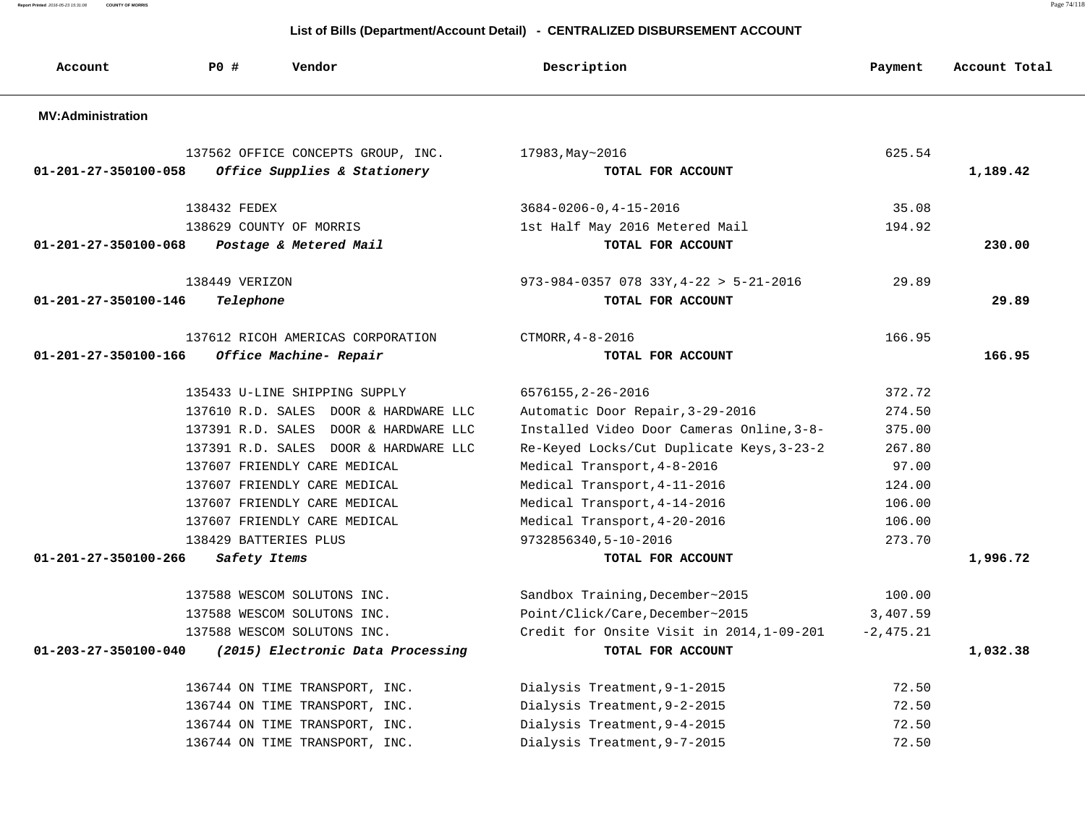**Report Printed** 2016-05-23 15:31:08 **COUNTY OF MORRIS** Page 74/118

| Account                        | P0#            | Vendor                                | Description                                          | Payment     | Account Total |
|--------------------------------|----------------|---------------------------------------|------------------------------------------------------|-------------|---------------|
| <b>MV:Administration</b>       |                |                                       |                                                      |             |               |
|                                |                | 137562 OFFICE CONCEPTS GROUP, INC.    | 17983, May~2016                                      | 625.54      |               |
| $01 - 201 - 27 - 350100 - 058$ |                | Office Supplies & Stationery          | TOTAL FOR ACCOUNT                                    |             | 1,189.42      |
|                                | 138432 FEDEX   |                                       | $3684 - 0206 - 0, 4 - 15 - 2016$                     | 35.08       |               |
|                                |                | 138629 COUNTY OF MORRIS               | 1st Half May 2016 Metered Mail                       | 194.92      |               |
| 01-201-27-350100-068           |                | Postage & Metered Mail                | TOTAL FOR ACCOUNT                                    |             | 230.00        |
|                                | 138449 VERIZON |                                       | $973 - 984 - 0357$ 078 33Y, $4 - 22 > 5 - 21 - 2016$ | 29.89       |               |
| 01-201-27-350100-146           | Telephone      |                                       | TOTAL FOR ACCOUNT                                    |             | 29.89         |
|                                |                | 137612 RICOH AMERICAS CORPORATION     | CTMORR, 4-8-2016                                     | 166.95      |               |
| 01-201-27-350100-166           |                | Office Machine- Repair                | TOTAL FOR ACCOUNT                                    |             | 166.95        |
|                                |                | 135433 U-LINE SHIPPING SUPPLY         | 6576155, 2-26-2016                                   | 372.72      |               |
|                                |                | 137610 R.D. SALES DOOR & HARDWARE LLC | Automatic Door Repair, 3-29-2016                     | 274.50      |               |
|                                |                | 137391 R.D. SALES DOOR & HARDWARE LLC | Installed Video Door Cameras Online, 3-8-            | 375.00      |               |
|                                |                | 137391 R.D. SALES DOOR & HARDWARE LLC | Re-Keyed Locks/Cut Duplicate Keys, 3-23-2            | 267.80      |               |
|                                |                | 137607 FRIENDLY CARE MEDICAL          | Medical Transport, 4-8-2016                          | 97.00       |               |
|                                |                | 137607 FRIENDLY CARE MEDICAL          | Medical Transport, 4-11-2016                         | 124.00      |               |
|                                |                | 137607 FRIENDLY CARE MEDICAL          | Medical Transport, 4-14-2016                         | 106.00      |               |
|                                |                | 137607 FRIENDLY CARE MEDICAL          | Medical Transport, 4-20-2016                         | 106.00      |               |
|                                |                | 138429 BATTERIES PLUS                 | 9732856340,5-10-2016                                 | 273.70      |               |
| 01-201-27-350100-266           | Safety Items   |                                       | TOTAL FOR ACCOUNT                                    |             | 1,996.72      |
|                                |                | 137588 WESCOM SOLUTONS INC.           | Sandbox Training, December~2015                      | 100.00      |               |
|                                |                | 137588 WESCOM SOLUTONS INC.           | Point/Click/Care, December~2015                      | 3,407.59    |               |
|                                |                | 137588 WESCOM SOLUTONS INC.           | Credit for Onsite Visit in 2014, 1-09-201            | $-2,475.21$ |               |
| $01 - 203 - 27 - 350100 - 040$ |                | (2015) Electronic Data Processing     | TOTAL FOR ACCOUNT                                    |             | 1,032.38      |
|                                |                | 136744 ON TIME TRANSPORT, INC.        | Dialysis Treatment, 9-1-2015                         | 72.50       |               |
|                                |                | 136744 ON TIME TRANSPORT, INC.        | Dialysis Treatment, 9-2-2015                         | 72.50       |               |
|                                |                | 136744 ON TIME TRANSPORT, INC.        | Dialysis Treatment, 9-4-2015                         | 72.50       |               |
|                                |                | 136744 ON TIME TRANSPORT, INC.        | Dialysis Treatment, 9-7-2015                         | 72.50       |               |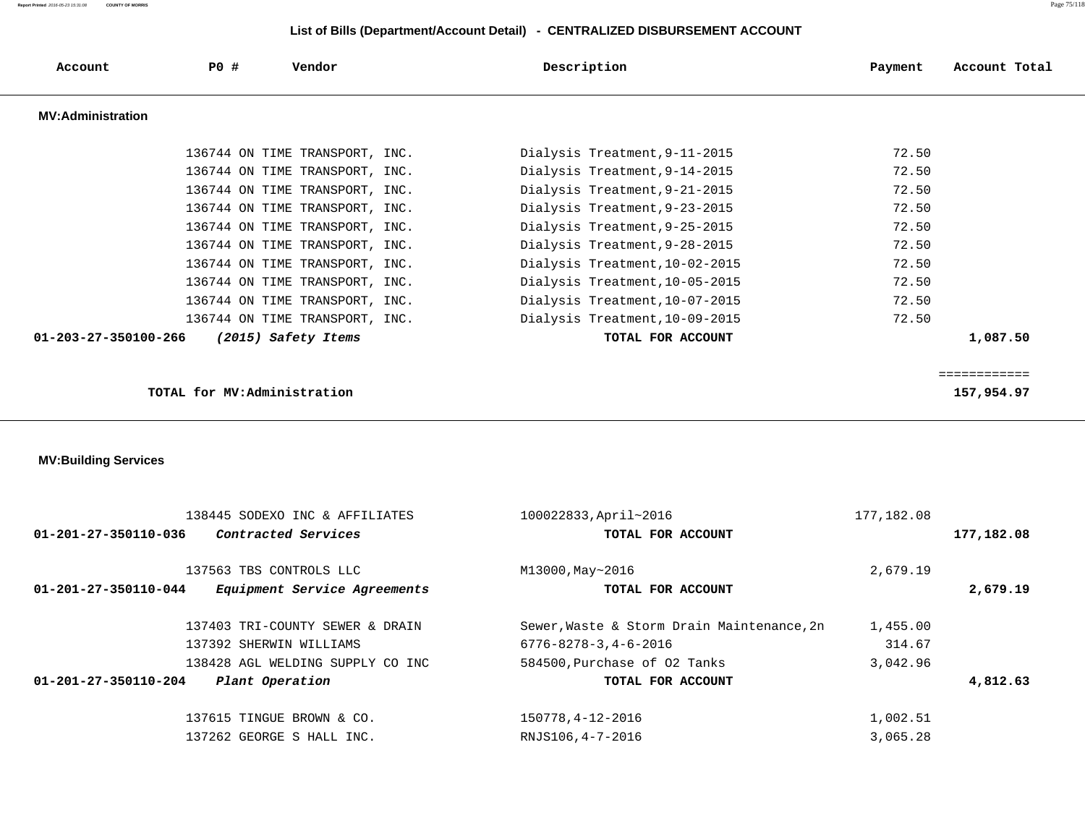| Account                        | <b>PO #</b>                 | Vendor                           | Description                                | Payment    | Account Total              |
|--------------------------------|-----------------------------|----------------------------------|--------------------------------------------|------------|----------------------------|
| <b>MV:Administration</b>       |                             |                                  |                                            |            |                            |
|                                |                             |                                  |                                            |            |                            |
|                                |                             | 136744 ON TIME TRANSPORT, INC.   | Dialysis Treatment, 9-11-2015              | 72.50      |                            |
|                                |                             | 136744 ON TIME TRANSPORT, INC.   | Dialysis Treatment, 9-14-2015              | 72.50      |                            |
|                                |                             | 136744 ON TIME TRANSPORT, INC.   | Dialysis Treatment, 9-21-2015              | 72.50      |                            |
|                                |                             | 136744 ON TIME TRANSPORT, INC.   | Dialysis Treatment, 9-23-2015              | 72.50      |                            |
|                                |                             | 136744 ON TIME TRANSPORT, INC.   | Dialysis Treatment, 9-25-2015              | 72.50      |                            |
|                                |                             | 136744 ON TIME TRANSPORT, INC.   | Dialysis Treatment, 9-28-2015              | 72.50      |                            |
|                                |                             | 136744 ON TIME TRANSPORT, INC.   | Dialysis Treatment, 10-02-2015             | 72.50      |                            |
|                                |                             | 136744 ON TIME TRANSPORT, INC.   | Dialysis Treatment, 10-05-2015             | 72.50      |                            |
|                                |                             | 136744 ON TIME TRANSPORT, INC.   | Dialysis Treatment, 10-07-2015             | 72.50      |                            |
|                                |                             | 136744 ON TIME TRANSPORT, INC.   | Dialysis Treatment, 10-09-2015             | 72.50      |                            |
| 01-203-27-350100-266           |                             | (2015) Safety Items              | TOTAL FOR ACCOUNT                          |            | 1,087.50                   |
|                                |                             |                                  |                                            |            |                            |
|                                | TOTAL for MV:Administration |                                  |                                            |            | ============<br>157,954.97 |
|                                |                             |                                  |                                            |            |                            |
|                                |                             |                                  |                                            |            |                            |
|                                |                             |                                  |                                            |            |                            |
| <b>MV:Building Services</b>    |                             |                                  |                                            |            |                            |
|                                |                             |                                  |                                            |            |                            |
|                                |                             | 138445 SODEXO INC & AFFILIATES   | 100022833, April~2016                      | 177,182.08 |                            |
| 01-201-27-350110-036           |                             | Contracted Services              | TOTAL FOR ACCOUNT                          |            | 177,182.08                 |
|                                |                             |                                  |                                            |            |                            |
|                                |                             | 137563 TBS CONTROLS LLC          | M13000, May~2016                           | 2,679.19   |                            |
| 01-201-27-350110-044           |                             | Equipment Service Agreements     | TOTAL FOR ACCOUNT                          |            | 2,679.19                   |
|                                |                             | 137403 TRI-COUNTY SEWER & DRAIN  | Sewer, Waste & Storm Drain Maintenance, 2n | 1,455.00   |                            |
|                                |                             | 137392 SHERWIN WILLIAMS          | $6776 - 8278 - 3, 4 - 6 - 2016$            | 314.67     |                            |
|                                |                             | 138428 AGL WELDING SUPPLY CO INC | 584500, Purchase of 02 Tanks               | 3,042.96   |                            |
| $01 - 201 - 27 - 350110 - 204$ |                             | Plant Operation                  | TOTAL FOR ACCOUNT                          |            | 4,812.63                   |
|                                |                             | 137615 TINGUE BROWN & CO.        | 150778, 4-12-2016                          | 1,002.51   |                            |
|                                |                             | 137262 GEORGE S HALL INC.        |                                            |            |                            |
|                                |                             |                                  | RNJS106, 4-7-2016                          | 3,065.28   |                            |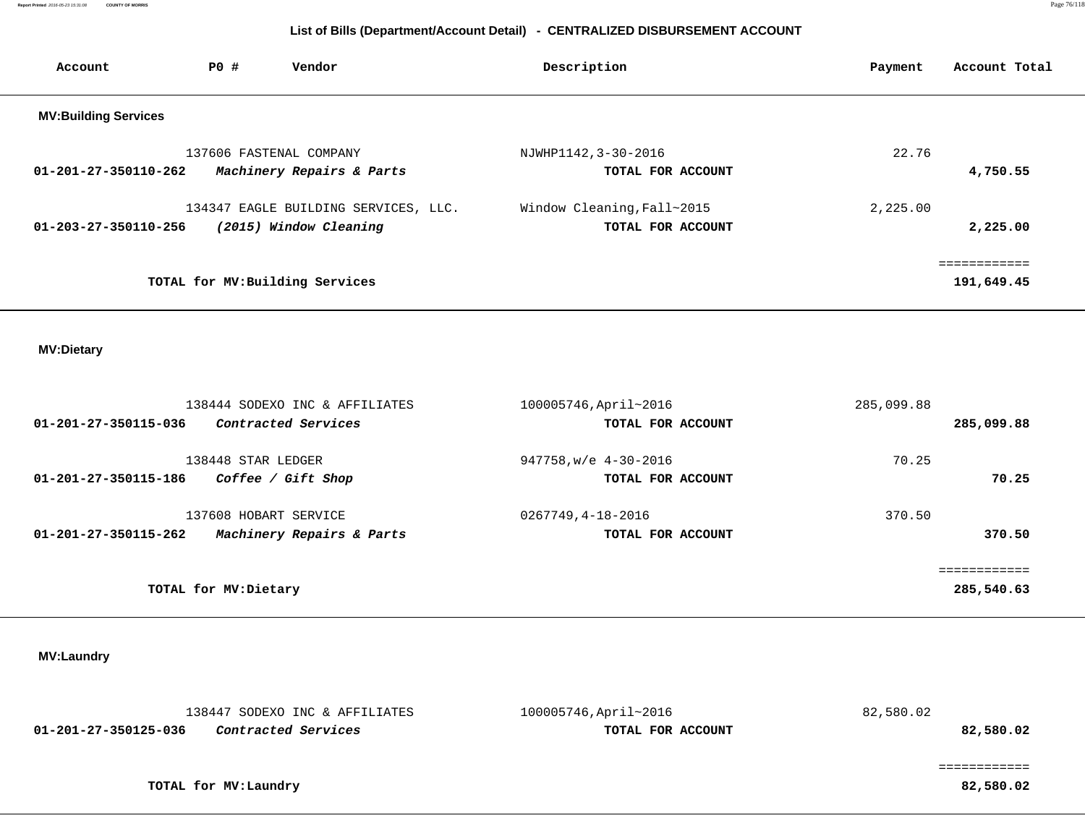| Account                     | PO# | Vendor                               | Description                | Account Total<br>Payment |
|-----------------------------|-----|--------------------------------------|----------------------------|--------------------------|
| <b>MV:Building Services</b> |     |                                      |                            |                          |
|                             |     | 137606 FASTENAL COMPANY              | NJWHP1142, 3-30-2016       | 22.76                    |
| 01-201-27-350110-262        |     | Machinery Repairs & Parts            | TOTAL FOR ACCOUNT          | 4,750.55                 |
|                             |     | 134347 EAGLE BUILDING SERVICES, LLC. | Window Cleaning, Fall~2015 | 2,225.00                 |
| 01-203-27-350110-256        |     | (2015) Window Cleaning               | TOTAL FOR ACCOUNT          | 2,225.00                 |
|                             |     |                                      |                            | ============             |
|                             |     | TOTAL for MV: Building Services      |                            | 191,649.45               |
|                             |     |                                      |                            |                          |

## **MV:Dietary**

|                      | 138444 SODEXO INC & AFFILIATES | 100005746, April~2016      | 285,099.88 |            |
|----------------------|--------------------------------|----------------------------|------------|------------|
| 01-201-27-350115-036 | Contracted Services            | TOTAL FOR ACCOUNT          |            | 285,099.88 |
|                      |                                |                            |            |            |
|                      | 138448 STAR LEDGER             | $947758$ , w/e $4-30-2016$ | 70.25      |            |
| 01-201-27-350115-186 | Coffee / Gift Shop             | TOTAL FOR ACCOUNT          |            | 70.25      |
|                      | 137608 HOBART SERVICE          | 0267749,4-18-2016          | 370.50     |            |
|                      |                                |                            |            |            |
| 01-201-27-350115-262 | Machinery Repairs & Parts      | TOTAL FOR ACCOUNT          |            | 370.50     |
|                      |                                |                            |            |            |
|                      |                                |                            |            |            |
|                      | TOTAL for MV: Dietary          |                            |            | 285,540.63 |
|                      |                                |                            |            |            |

## **MV:Laundry**

| 82,580.02 | 100005746, April~2016 | 138447 SODEXO INC & AFFILIATES |                      |  |
|-----------|-----------------------|--------------------------------|----------------------|--|
| 82,580.02 | TOTAL FOR ACCOUNT     | Contracted Services            | 01-201-27-350125-036 |  |
|           |                       |                                |                      |  |
|           |                       |                                |                      |  |
| 82,580.02 |                       | TOTAL for MV:Laundry           |                      |  |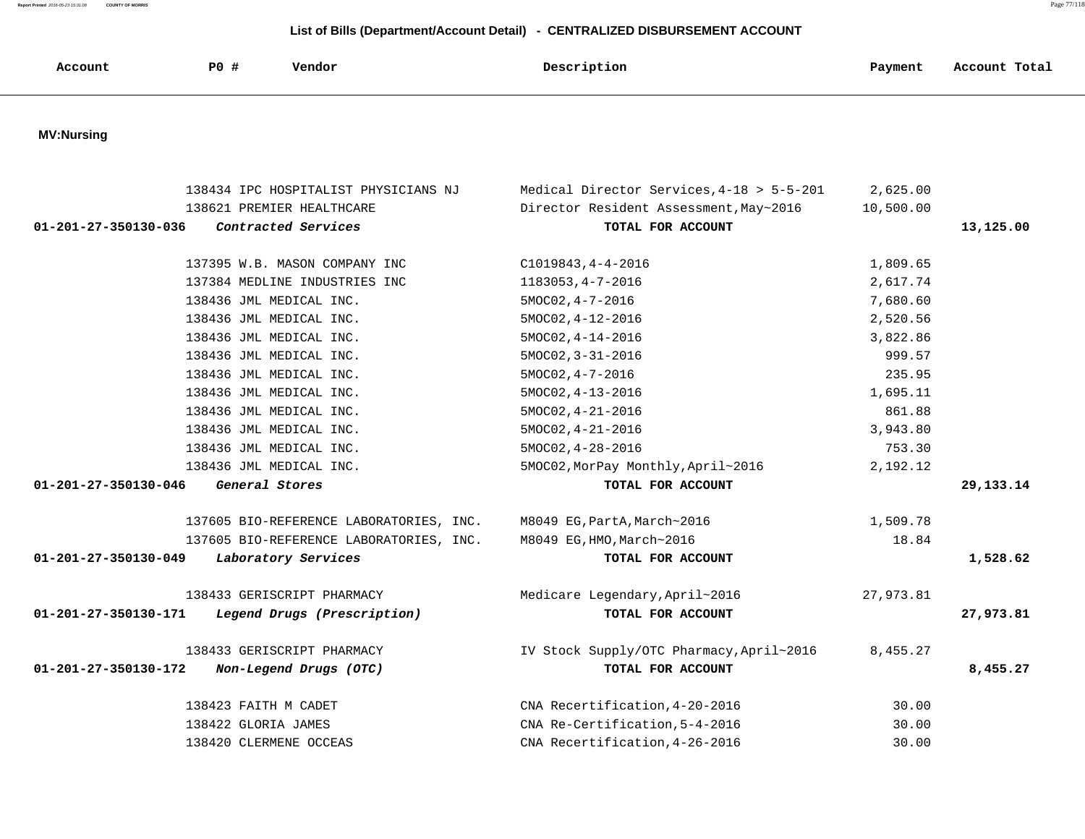**Report Printed** 2016-05-23 15:31:08 **COUNTY OF MORRIS** Page 77/118

| Account                        | <b>PO #</b> | Vendor                                  | Description                               | Payment   | Account Total |
|--------------------------------|-------------|-----------------------------------------|-------------------------------------------|-----------|---------------|
|                                |             |                                         |                                           |           |               |
| <b>MV:Nursing</b>              |             |                                         |                                           |           |               |
|                                |             | 138434 IPC HOSPITALIST PHYSICIANS NJ    | Medical Director Services, 4-18 > 5-5-201 | 2,625.00  |               |
|                                |             | 138621 PREMIER HEALTHCARE               | Director Resident Assessment, May~2016    | 10,500.00 |               |
| 01-201-27-350130-036           |             | Contracted Services                     | TOTAL FOR ACCOUNT                         |           | 13,125.00     |
|                                |             | 137395 W.B. MASON COMPANY INC           | $C1019843, 4 - 4 - 2016$                  | 1,809.65  |               |
|                                |             | 137384 MEDLINE INDUSTRIES INC           | 1183053, 4-7-2016                         | 2,617.74  |               |
|                                |             | 138436 JML MEDICAL INC.                 | $5MOCO2, 4-7-2016$                        | 7,680.60  |               |
|                                |             | 138436 JML MEDICAL INC.                 | 5MOC02, 4-12-2016                         | 2,520.56  |               |
|                                |             | 138436 JML MEDICAL INC.                 | $5MOCO2, 4-14-2016$                       | 3,822.86  |               |
|                                |             | 138436 JML MEDICAL INC.                 | 5MOC02, 3-31-2016                         | 999.57    |               |
|                                |             | 138436 JML MEDICAL INC.                 | $5MOCO2, 4-7-2016$                        | 235.95    |               |
|                                |             | 138436 JML MEDICAL INC.                 | $5MOCO2, 4-13-2016$                       | 1,695.11  |               |
|                                |             | 138436 JML MEDICAL INC.                 | $5MOCO2, 4-21-2016$                       | 861.88    |               |
|                                |             | 138436 JML MEDICAL INC.                 | $5MOCO2, 4-21-2016$                       | 3,943.80  |               |
|                                |             | 138436 JML MEDICAL INC.                 | $5MOCO2, 4-28-2016$                       | 753.30    |               |
|                                |             | 138436 JML MEDICAL INC.                 | 5MOC02, MorPay Monthly, April~2016        | 2,192.12  |               |
| $01 - 201 - 27 - 350130 - 046$ |             | General Stores                          | TOTAL FOR ACCOUNT                         |           | 29, 133. 14   |
|                                |             | 137605 BIO-REFERENCE LABORATORIES, INC. | M8049 EG, PartA, March~2016               | 1,509.78  |               |
|                                |             | 137605 BIO-REFERENCE LABORATORIES, INC. | M8049 EG, HMO, March~2016                 | 18.84     |               |
| 01-201-27-350130-049           |             | Laboratory Services                     | TOTAL FOR ACCOUNT                         |           | 1,528.62      |
|                                |             | 138433 GERISCRIPT PHARMACY              | Medicare Legendary, April~2016            | 27,973.81 |               |
| 01-201-27-350130-171           |             | Legend Drugs (Prescription)             | TOTAL FOR ACCOUNT                         |           | 27,973.81     |
|                                |             | 138433 GERISCRIPT PHARMACY              | IV Stock Supply/OTC Pharmacy, April~2016  | 8,455.27  |               |
| 01-201-27-350130-172           |             | Non-Legend Drugs (OTC)                  | TOTAL FOR ACCOUNT                         |           | 8,455.27      |
|                                |             | 138423 FAITH M CADET                    | CNA Recertification, 4-20-2016            | 30.00     |               |
|                                |             | 138422 GLORIA JAMES                     | CNA Re-Certification, 5-4-2016            | 30.00     |               |
|                                |             | 138420 CLERMENE OCCEAS                  | CNA Recertification, 4-26-2016            | 30.00     |               |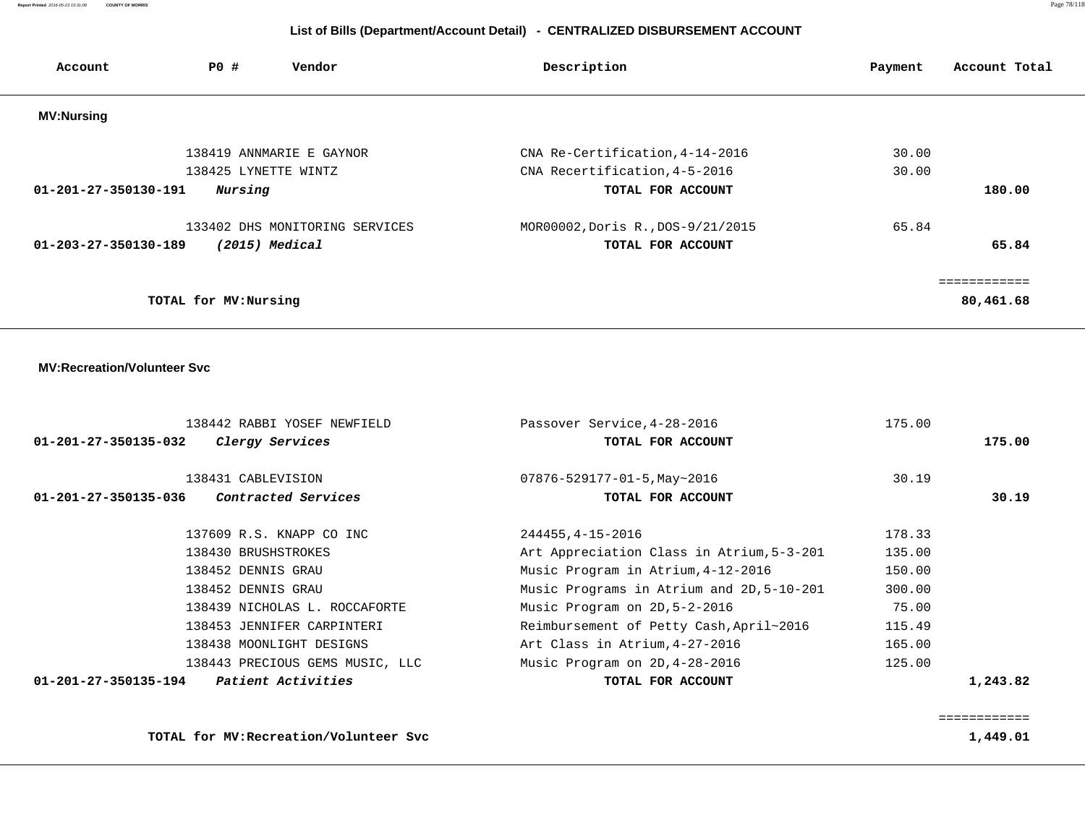**Report Printed** 2016-05-23 15:31:08 **COUNTY OF MORRIS** Page 78/118

# **List of Bills (Department/Account Detail) - CENTRALIZED DISBURSEMENT ACCOUNT**

| Account              | <b>PO #</b>           | Vendor                                         | Description                                      | Payment | Account Total |
|----------------------|-----------------------|------------------------------------------------|--------------------------------------------------|---------|---------------|
| <b>MV:Nursing</b>    |                       |                                                |                                                  |         |               |
|                      |                       | 138419 ANNMARIE E GAYNOR                       | CNA Re-Certification, 4-14-2016                  | 30.00   |               |
|                      | 138425 LYNETTE WINTZ  |                                                | CNA Recertification, 4-5-2016                    | 30.00   |               |
| 01-201-27-350130-191 | Nursing               |                                                | TOTAL FOR ACCOUNT                                |         | 180.00        |
|                      |                       | 133402 DHS MONITORING SERVICES                 | MOR00002, Doris R., DOS-9/21/2015                | 65.84   |               |
| 01-203-27-350130-189 |                       | $(2015)$ Medical                               | TOTAL FOR ACCOUNT                                |         | 65.84         |
|                      |                       |                                                |                                                  |         | ============  |
|                      | TOTAL for MV: Nursing |                                                |                                                  |         | 80,461.68     |
| 01-201-27-350135-032 |                       | 138442 RABBI YOSEF NEWFIELD<br>Clergy Services | Passover Service, 4-28-2016<br>TOTAL FOR ACCOUNT | 175.00  | 175.00        |
|                      |                       |                                                |                                                  |         |               |
|                      | 138431 CABLEVISION    |                                                | $07876 - 529177 - 01 - 5$ , May ~ 2016           | 30.19   |               |
| 01-201-27-350135-036 |                       | Contracted Services                            | TOTAL FOR ACCOUNT                                |         | 30.19         |
|                      |                       | 137609 R.S. KNAPP CO INC                       | 244455, 4-15-2016                                | 178.33  |               |
|                      | 138430 BRUSHSTROKES   |                                                | Art Appreciation Class in Atrium, 5-3-201        | 135.00  |               |
|                      | 138452 DENNIS GRAU    |                                                | Music Program in Atrium, 4-12-2016               | 150.00  |               |
|                      | 138452 DENNIS GRAU    |                                                | Music Programs in Atrium and 2D, 5-10-201        | 300.00  |               |
|                      |                       | 138439 NICHOLAS L. ROCCAFORTE                  | Music Program on 2D, 5-2-2016                    | 75.00   |               |
|                      |                       | 138453 JENNIFER CARPINTERI                     | Reimbursement of Petty Cash, April~2016          | 115.49  |               |
|                      |                       | 138438 MOONLIGHT DESIGNS                       | Art Class in Atrium, 4-27-2016                   | 165.00  |               |
|                      |                       | 138443 PRECIOUS GEMS MUSIC, LLC                | Music Program on 2D, 4-28-2016                   | 125.00  |               |
| 01-201-27-350135-194 |                       | <i>Patient Activities</i>                      | TOTAL FOR ACCOUNT                                |         | 1,243.82      |

============

**TOTAL for MV:Recreation/Volunteer Svc 1,449.01**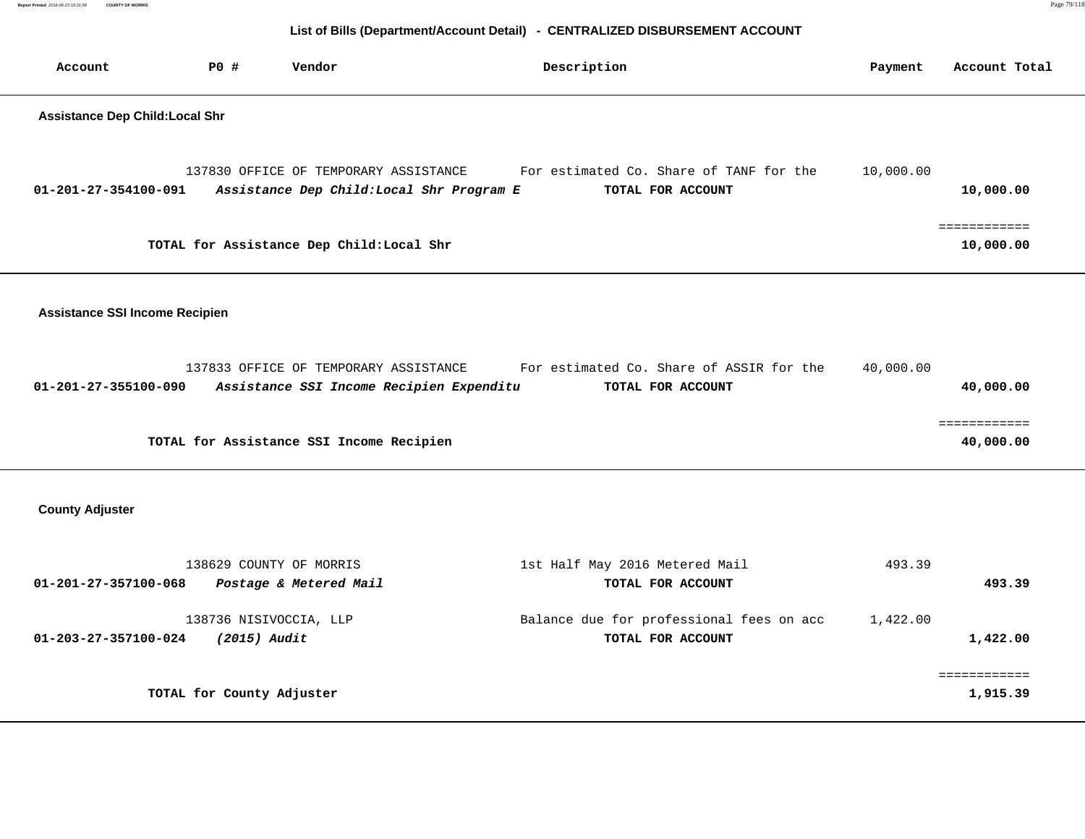**Report Printed** 2016-05-23 15:31:08 **COUNTY OF MORRIS** Page 79/118  **List of Bills (Department/Account Detail) - CENTRALIZED DISBURSEMENT ACCOUNT Account P0 # Vendor Description Payment Account Total**

## **Assistance Dep Child:Local Shr**

|                      | 137830 OFFICE OF TEMPORARY ASSISTANCE     | For estimated Co. Share of TANF for the | 10,000.00 |
|----------------------|-------------------------------------------|-----------------------------------------|-----------|
| 01-201-27-354100-091 | Assistance Dep Child: Local Shr Program E | TOTAL FOR ACCOUNT                       | 10,000.00 |
|                      |                                           |                                         |           |
|                      |                                           |                                         |           |
|                      | TOTAL for Assistance Dep Child:Local Shr  |                                         | 10,000.00 |

 **Assistance SSI Income Recipien**

|                      | 137833 OFFICE OF TEMPORARY ASSISTANCE    |                                          |                   | For estimated Co. Share of ASSIR for the | 40,000.00 |           |
|----------------------|------------------------------------------|------------------------------------------|-------------------|------------------------------------------|-----------|-----------|
| 01-201-27-355100-090 |                                          | Assistance SSI Income Recipien Expenditu | TOTAL FOR ACCOUNT |                                          |           | 40,000.00 |
|                      |                                          |                                          |                   |                                          |           |           |
|                      |                                          |                                          |                   |                                          |           |           |
|                      | TOTAL for Assistance SSI Income Recipien |                                          |                   |                                          |           | 40,000.00 |

 **County Adjuster** 

| 138629 COUNTY OF MORRIS                                                  | 1st Half May 2016 Metered Mail                                | 493.39               |
|--------------------------------------------------------------------------|---------------------------------------------------------------|----------------------|
| Postage & Metered Mail<br>01-201-27-357100-068                           | TOTAL FOR ACCOUNT                                             | 493.39               |
| 138736 NISIVOCCIA, LLP<br>(2015) Audit<br>$01 - 203 - 27 - 357100 - 024$ | Balance due for professional fees on acc<br>TOTAL FOR ACCOUNT | 1,422.00<br>1,422.00 |
|                                                                          |                                                               |                      |
| TOTAL for County Adjuster                                                |                                                               | 1,915.39             |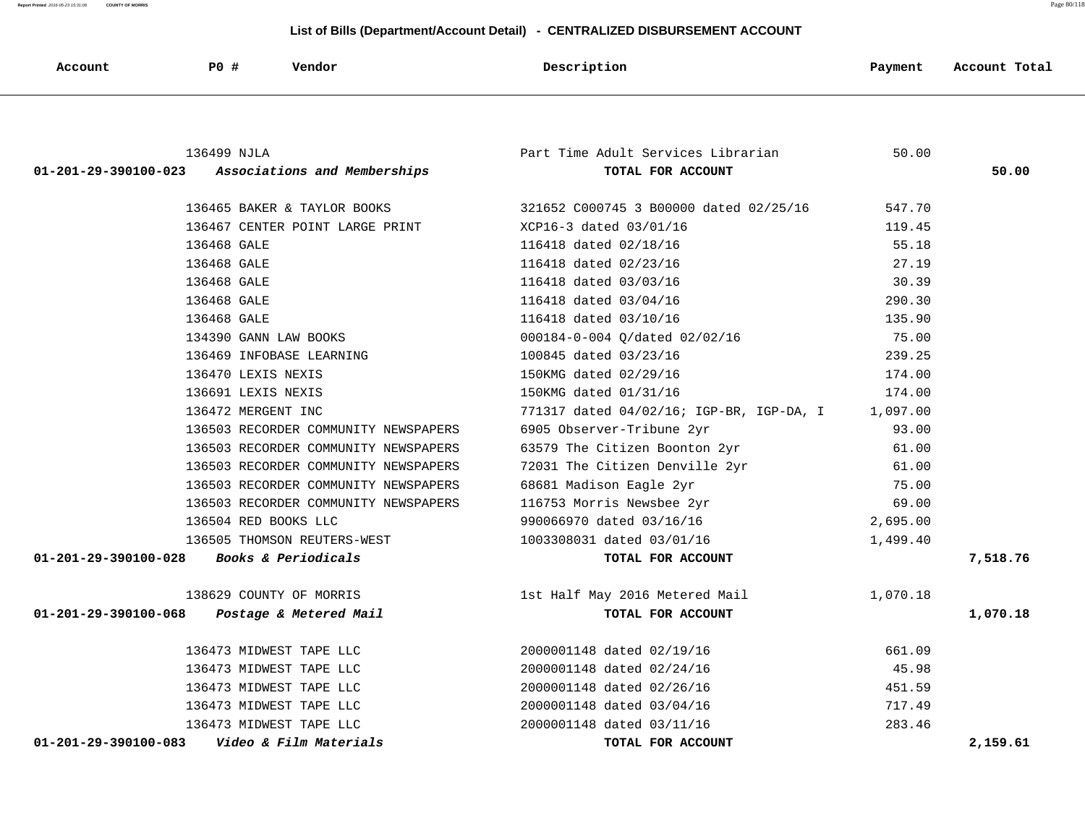-

| Account                        | <b>PO</b> #<br>Vendor                | Description                              | Payment  | Account Total |
|--------------------------------|--------------------------------------|------------------------------------------|----------|---------------|
|                                |                                      |                                          |          |               |
|                                | 136499 NJLA                          | Part Time Adult Services Librarian       | 50.00    |               |
| $01 - 201 - 29 - 390100 - 023$ | Associations and Memberships         | TOTAL FOR ACCOUNT                        |          | 50.00         |
|                                | 136465 BAKER & TAYLOR BOOKS          | 321652 C000745 3 B00000 dated 02/25/16   | 547.70   |               |
|                                | 136467 CENTER POINT LARGE PRINT      | XCP16-3 dated 03/01/16                   | 119.45   |               |
|                                | 136468 GALE                          | 116418 dated 02/18/16                    | 55.18    |               |
|                                | 136468 GALE                          | 116418 dated 02/23/16                    | 27.19    |               |
|                                | 136468 GALE                          | 116418 dated 03/03/16                    | 30.39    |               |
|                                | 136468 GALE                          | 116418 dated 03/04/16                    | 290.30   |               |
|                                | 136468 GALE                          | 116418 dated 03/10/16                    | 135.90   |               |
|                                | 134390 GANN LAW BOOKS                | 000184-0-004 Q/dated 02/02/16            | 75.00    |               |
|                                | 136469 INFOBASE LEARNING             | 100845 dated 03/23/16                    | 239.25   |               |
|                                | 136470 LEXIS NEXIS                   | 150KMG dated 02/29/16                    | 174.00   |               |
|                                | 136691 LEXIS NEXIS                   | 150KMG dated 01/31/16                    | 174.00   |               |
|                                | 136472 MERGENT INC                   | 771317 dated 04/02/16; IGP-BR, IGP-DA, I | 1,097.00 |               |
|                                | 136503 RECORDER COMMUNITY NEWSPAPERS | 6905 Observer-Tribune 2yr                | 93.00    |               |
|                                | 136503 RECORDER COMMUNITY NEWSPAPERS | 63579 The Citizen Boonton 2yr            | 61.00    |               |
|                                | 136503 RECORDER COMMUNITY NEWSPAPERS | 72031 The Citizen Denville 2yr           | 61.00    |               |
|                                | 136503 RECORDER COMMUNITY NEWSPAPERS | 68681 Madison Eagle 2yr                  | 75.00    |               |
|                                | 136503 RECORDER COMMUNITY NEWSPAPERS | 116753 Morris Newsbee 2yr                | 69.00    |               |
|                                | 136504 RED BOOKS LLC                 | 990066970 dated 03/16/16                 | 2,695.00 |               |
|                                | 136505 THOMSON REUTERS-WEST          | 1003308031 dated 03/01/16                | 1,499.40 |               |
| $01 - 201 - 29 - 390100 - 028$ | Books & Periodicals                  | TOTAL FOR ACCOUNT                        |          | 7,518.76      |
|                                | 138629 COUNTY OF MORRIS              | 1st Half May 2016 Metered Mail           | 1,070.18 |               |
| 01-201-29-390100-068           | Postage & Metered Mail               | TOTAL FOR ACCOUNT                        |          | 1,070.18      |
|                                |                                      |                                          |          |               |
|                                | 136473 MIDWEST TAPE LLC              | 2000001148 dated 02/19/16                | 661.09   |               |
|                                | 136473 MIDWEST TAPE LLC              | 2000001148 dated 02/24/16                | 45.98    |               |
|                                | 136473 MIDWEST TAPE LLC              | 2000001148 dated 02/26/16                | 451.59   |               |
|                                | 136473 MIDWEST TAPE LLC              | 2000001148 dated 03/04/16                | 717.49   |               |
|                                | 136473 MIDWEST TAPE LLC              | 2000001148 dated 03/11/16                | 283.46   |               |
| 01-201-29-390100-083           | Video & Film Materials               | TOTAL FOR ACCOUNT                        |          | 2,159.61      |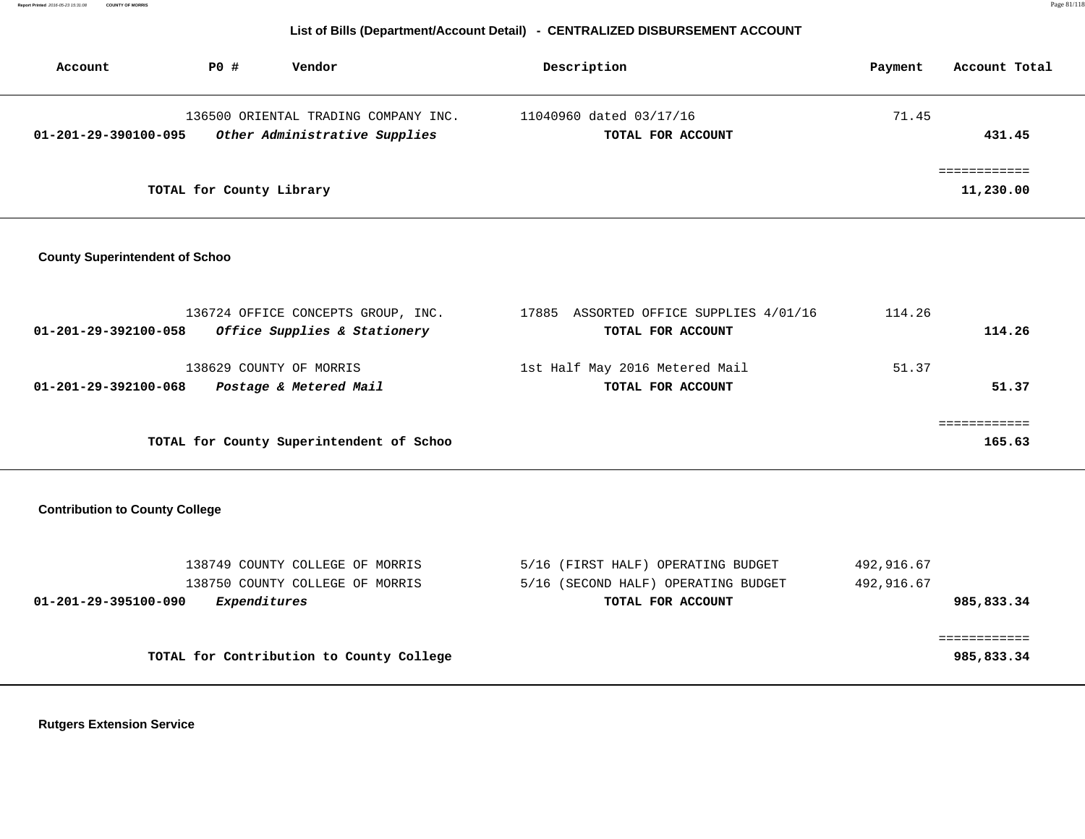**Report Printed** 2016-05-23 15:31:08 **COUNTY OF MORRIS** Page 81/118

## **List of Bills (Department/Account Detail) - CENTRALIZED DISBURSEMENT ACCOUNT**

| Account              | Vendor<br>PO#                                                         | Description                                  | Account Total<br>Payment |
|----------------------|-----------------------------------------------------------------------|----------------------------------------------|--------------------------|
| 01-201-29-390100-095 | 136500 ORIENTAL TRADING COMPANY INC.<br>Other Administrative Supplies | 11040960 dated 03/17/16<br>TOTAL FOR ACCOUNT | 71.45<br>431.45          |
|                      | TOTAL for County Library                                              |                                              | 11,230.00                |

## **County Superintendent of Schoo**

| 136724 OFFICE CONCEPTS GROUP, INC.                   | ASSORTED OFFICE SUPPLIES 4/01/16<br>17885 | 114.26 |
|------------------------------------------------------|-------------------------------------------|--------|
| Office Supplies & Stationery<br>01-201-29-392100-058 | TOTAL FOR ACCOUNT                         | 114.26 |
| 138629 COUNTY OF MORRIS                              | 1st Half May 2016 Metered Mail            | 51.37  |
| Postage & Metered Mail<br>01-201-29-392100-068       | TOTAL FOR ACCOUNT                         | 51.37  |
|                                                      |                                           |        |
| TOTAL for County Superintendent of Schoo             |                                           | 165.63 |

## **Contribution to County College**

| 138749 COUNTY COLLEGE OF MORRIS<br>138750 COUNTY COLLEGE OF MORRIS | 5/16 (FIRST HALF) OPERATING BUDGET<br>5/16 (SECOND HALF) OPERATING BUDGET | 492,916.67<br>492,916.67 |
|--------------------------------------------------------------------|---------------------------------------------------------------------------|--------------------------|
| <i>Expenditures</i><br>01-201-29-395100-090                        | TOTAL FOR ACCOUNT                                                         | 985,833.34               |
|                                                                    |                                                                           |                          |
|                                                                    |                                                                           |                          |
| TOTAL for Contribution to County College                           |                                                                           | 985,833.34               |

 **Rutgers Extension Service**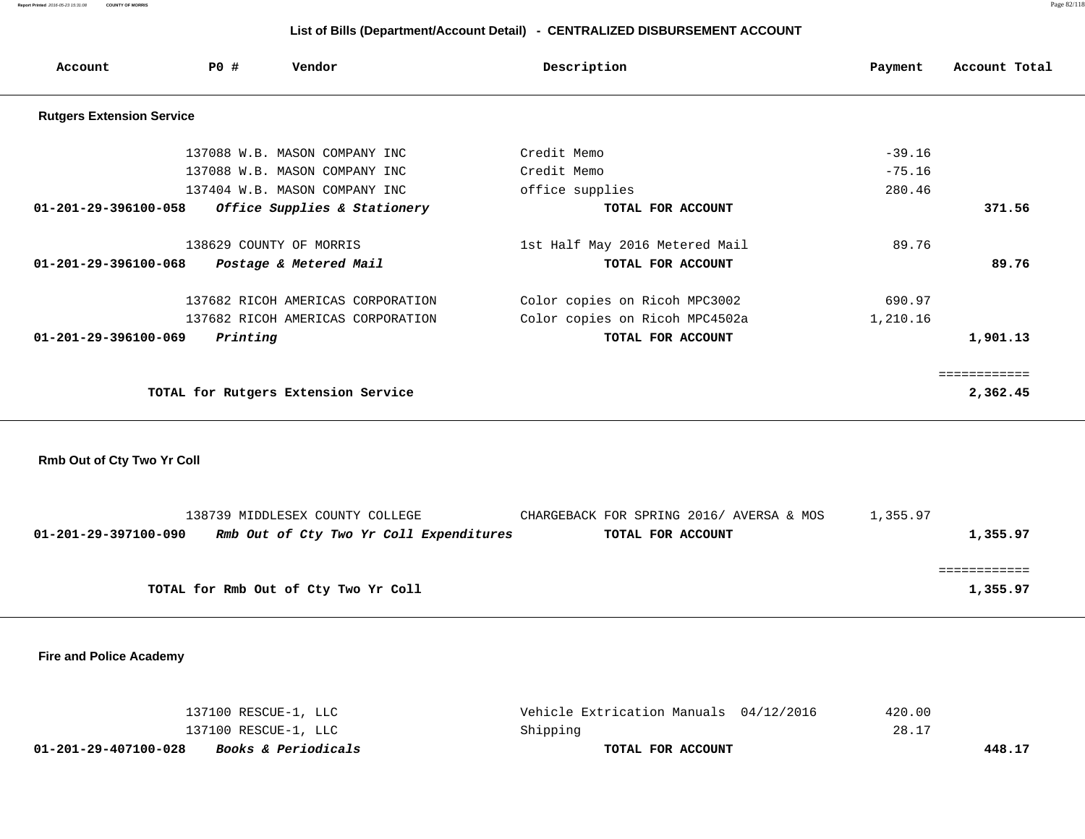**Report Printed** 2016-05-23 15:31:08 **COUNTY OF MORRIS** Page 82/118

# **List of Bills (Department/Account Detail) - CENTRALIZED DISBURSEMENT ACCOUNT**

| Account                          | PO#      | Vendor                              | Description                    | Payment  | Account Total |
|----------------------------------|----------|-------------------------------------|--------------------------------|----------|---------------|
| <b>Rutgers Extension Service</b> |          |                                     |                                |          |               |
|                                  |          | 137088 W.B. MASON COMPANY INC       | Credit Memo                    | $-39.16$ |               |
|                                  |          | 137088 W.B. MASON COMPANY INC       | Credit Memo                    | $-75.16$ |               |
|                                  |          | 137404 W.B. MASON COMPANY INC       | office supplies                | 280.46   |               |
| 01-201-29-396100-058             |          | Office Supplies & Stationery        | TOTAL FOR ACCOUNT              |          | 371.56        |
|                                  |          | 138629 COUNTY OF MORRIS             | 1st Half May 2016 Metered Mail | 89.76    |               |
| $01 - 201 - 29 - 396100 - 068$   |          | Postage & Metered Mail              | TOTAL FOR ACCOUNT              |          | 89.76         |
|                                  |          | 137682 RICOH AMERICAS CORPORATION   | Color copies on Ricoh MPC3002  | 690.97   |               |
|                                  |          | 137682 RICOH AMERICAS CORPORATION   | Color copies on Ricoh MPC4502a | 1,210.16 |               |
| 01-201-29-396100-069             | Printing |                                     | TOTAL FOR ACCOUNT              |          | 1,901.13      |
|                                  |          |                                     |                                |          | ============  |
|                                  |          | TOTAL for Rutgers Extension Service |                                |          | 2,362.45      |

 **Rmb Out of Cty Two Yr Coll**

|                      | 138739 MIDDLESEX COUNTY COLLEGE         | CHARGEBACK FOR SPRING 2016/AVERSA & MOS | l.355.97 |
|----------------------|-----------------------------------------|-----------------------------------------|----------|
| 01-201-29-397100-090 | Rmb Out of Cty Two Yr Coll Expenditures | TOTAL FOR ACCOUNT                       | 1,355.97 |
|                      |                                         |                                         |          |
|                      |                                         |                                         |          |
|                      | TOTAL for Rmb Out of Cty Two Yr Coll    |                                         | 1,355.97 |
|                      |                                         |                                         |          |

 **Fire and Police Academy** 

| 01-201-29-407100-028<br><i>Books &amp; Periodicals</i> | TOTAL FOR ACCOUNT                      | 448.17 |
|--------------------------------------------------------|----------------------------------------|--------|
| 137100 RESCUE-1, LLC                                   | Shipping                               | 28.17  |
| 137100 RESCUE-1, LLC                                   | Vehicle Extrication Manuals 04/12/2016 | 420.00 |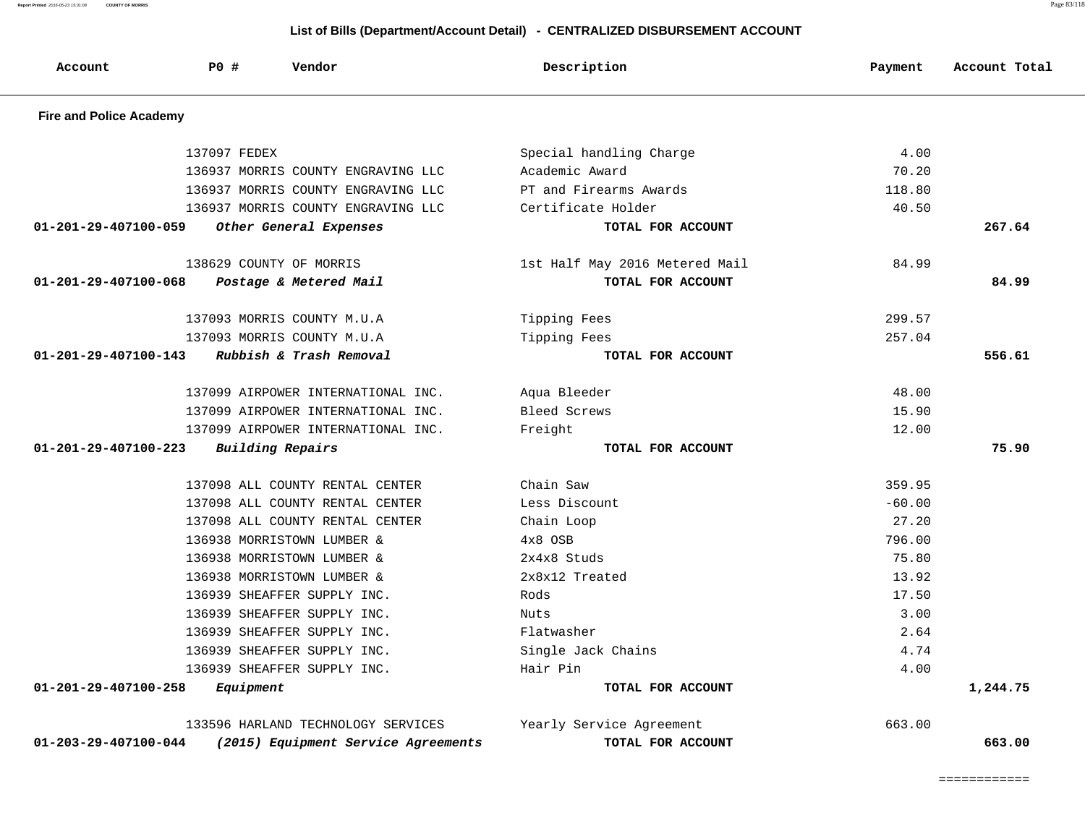**Report Printed** 2016-05-23 15:31:08 **COUNTY OF MORRIS** Page 83/118

| Account                        | <b>PO #</b>  | Vendor                              | Description                    | Payment  | Account Total |
|--------------------------------|--------------|-------------------------------------|--------------------------------|----------|---------------|
| <b>Fire and Police Academy</b> |              |                                     |                                |          |               |
|                                | 137097 FEDEX |                                     | Special handling Charge        | 4.00     |               |
|                                |              | 136937 MORRIS COUNTY ENGRAVING LLC  | Academic Award                 | 70.20    |               |
|                                |              | 136937 MORRIS COUNTY ENGRAVING LLC  | PT and Firearms Awards         | 118.80   |               |
|                                |              | 136937 MORRIS COUNTY ENGRAVING LLC  | Certificate Holder             | 40.50    |               |
| $01 - 201 - 29 - 407100 - 059$ |              | Other General Expenses              | TOTAL FOR ACCOUNT              |          | 267.64        |
|                                |              | 138629 COUNTY OF MORRIS             | 1st Half May 2016 Metered Mail | 84.99    |               |
| 01-201-29-407100-068           |              | Postage & Metered Mail              | TOTAL FOR ACCOUNT              |          | 84.99         |
|                                |              | 137093 MORRIS COUNTY M.U.A          | Tipping Fees                   | 299.57   |               |
|                                |              | 137093 MORRIS COUNTY M.U.A          | Tipping Fees                   | 257.04   |               |
| $01 - 201 - 29 - 407100 - 143$ |              | Rubbish & Trash Removal             | TOTAL FOR ACCOUNT              |          | 556.61        |
|                                |              | 137099 AIRPOWER INTERNATIONAL INC.  | Aqua Bleeder                   | 48.00    |               |
|                                |              | 137099 AIRPOWER INTERNATIONAL INC.  | Bleed Screws                   | 15.90    |               |
|                                |              | 137099 AIRPOWER INTERNATIONAL INC.  | Freight                        | 12.00    |               |
| 01-201-29-407100-223           |              | <b>Building Repairs</b>             | TOTAL FOR ACCOUNT              |          | 75.90         |
|                                |              | 137098 ALL COUNTY RENTAL CENTER     | Chain Saw                      | 359.95   |               |
|                                |              | 137098 ALL COUNTY RENTAL CENTER     | Less Discount                  | $-60.00$ |               |
|                                |              | 137098 ALL COUNTY RENTAL CENTER     | Chain Loop                     | 27.20    |               |
|                                |              | 136938 MORRISTOWN LUMBER &          | 4x8 OSB                        | 796.00   |               |
|                                |              | 136938 MORRISTOWN LUMBER &          | 2x4x8 Studs                    | 75.80    |               |
|                                |              | 136938 MORRISTOWN LUMBER &          | 2x8x12 Treated                 | 13.92    |               |
|                                |              | 136939 SHEAFFER SUPPLY INC.         | Rods                           | 17.50    |               |
|                                |              | 136939 SHEAFFER SUPPLY INC.         | Nuts                           | 3.00     |               |
|                                |              | 136939 SHEAFFER SUPPLY INC.         | Flatwasher                     | 2.64     |               |
|                                |              | 136939 SHEAFFER SUPPLY INC.         | Single Jack Chains             | 4.74     |               |
|                                |              | 136939 SHEAFFER SUPPLY INC.         | Hair Pin                       | 4.00     |               |
| 01-201-29-407100-258           | Equipment    |                                     | TOTAL FOR ACCOUNT              |          | 1,244.75      |
|                                |              | 133596 HARLAND TECHNOLOGY SERVICES  | Yearly Service Agreement       | 663.00   |               |
| 01-203-29-407100-044           |              | (2015) Equipment Service Agreements | TOTAL FOR ACCOUNT              |          | 663.00        |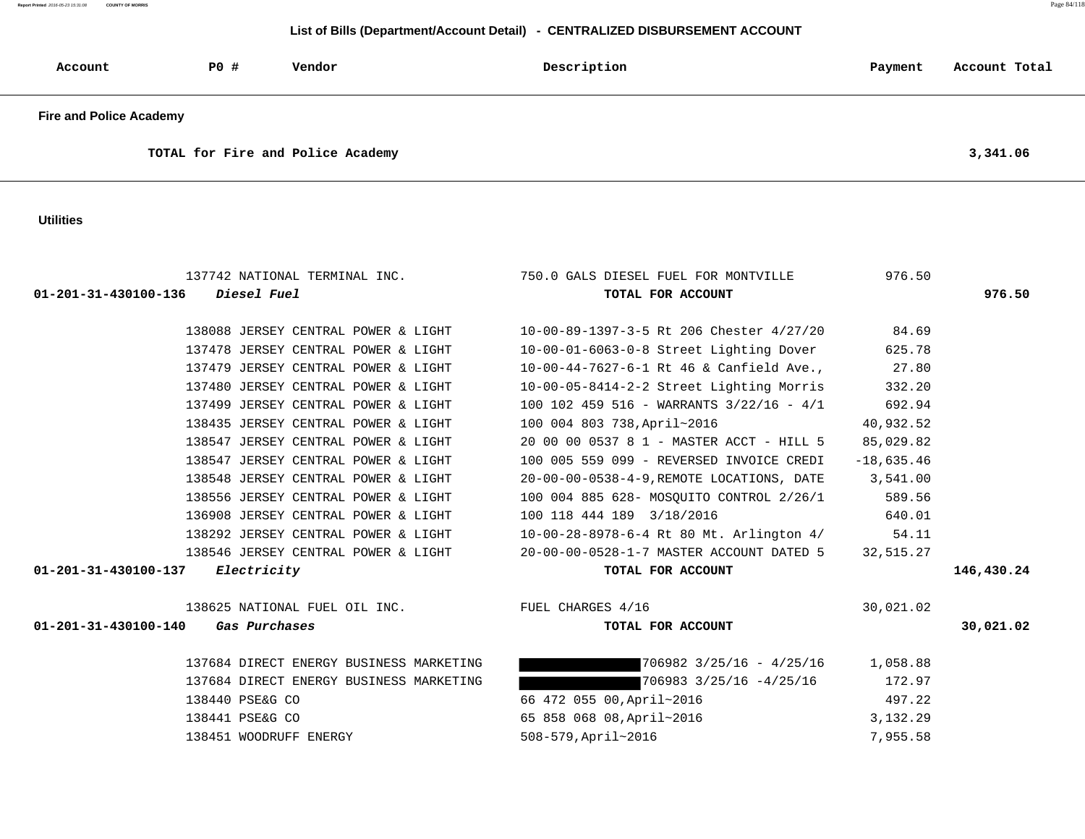**Report Printed** 2016-05-23 15:31:08 **COUNTY OF MORRIS** Page 84/118

## **List of Bills (Department/Account Detail) - CENTRALIZED DISBURSEMENT ACCOUNT**

| Account                        | P0# | Vendor | Description | Payment | Account Total |
|--------------------------------|-----|--------|-------------|---------|---------------|
| <b>Fire and Police Academy</b> |     |        |             |         |               |

**TOTAL for Fire and Police Academy 3,341.06**

 **Utilities** 

| 137742 NATIONAL TERMINAL INC.<br>$01 - 201 - 31 - 430100 - 136$ Diesel Fuel | 750.0 GALS DIESEL FUEL FOR MONTVILLE<br>TOTAL FOR ACCOUNT | 976.50       | 976.50     |
|-----------------------------------------------------------------------------|-----------------------------------------------------------|--------------|------------|
| 138088 JERSEY CENTRAL POWER & LIGHT                                         | 10-00-89-1397-3-5 Rt 206 Chester 4/27/20                  | 84.69        |            |
| 137478 JERSEY CENTRAL POWER & LIGHT                                         | 10-00-01-6063-0-8 Street Lighting Dover                   | 625.78       |            |
| 137479 JERSEY CENTRAL POWER & LIGHT                                         | 10-00-44-7627-6-1 Rt 46 & Canfield Ave.,                  | 27.80        |            |
| 137480 JERSEY CENTRAL POWER & LIGHT                                         | 10-00-05-8414-2-2 Street Lighting Morris                  | 332.20       |            |
| 137499 JERSEY CENTRAL POWER & LIGHT                                         | 100 102 459 516 - WARRANTS $3/22/16$ - $4/1$              | 692.94       |            |
| 138435 JERSEY CENTRAL POWER & LIGHT                                         | 100 004 803 738, April~2016                               | 40,932.52    |            |
| 138547 JERSEY CENTRAL POWER & LIGHT                                         | 20 00 00 0537 8 1 - MASTER ACCT - HILL 5                  | 85,029.82    |            |
| 138547 JERSEY CENTRAL POWER & LIGHT                                         | 100 005 559 099 - REVERSED INVOICE CREDI                  | $-18,635.46$ |            |
| 138548 JERSEY CENTRAL POWER & LIGHT                                         | 20-00-00-0538-4-9, REMOTE LOCATIONS, DATE 3,541.00        |              |            |
| 138556 JERSEY CENTRAL POWER & LIGHT                                         | 100 004 885 628- MOSQUITO CONTROL 2/26/1                  | 589.56       |            |
| 136908 JERSEY CENTRAL POWER & LIGHT                                         | 100 118 444 189 3/18/2016                                 | 640.01       |            |
| 138292 JERSEY CENTRAL POWER & LIGHT                                         | $10-00-28-8978-6-4$ Rt 80 Mt. Arlington 4/                | 54.11        |            |
| 138546 JERSEY CENTRAL POWER & LIGHT                                         | 20-00-00-0528-1-7 MASTER ACCOUNT DATED 5                  | 32,515.27    |            |
| 01-201-31-430100-137 Electricity                                            | TOTAL FOR ACCOUNT                                         |              | 146,430.24 |
| 138625 NATIONAL FUEL OIL INC. TUEL CHARGES 4/16                             |                                                           | 30,021.02    |            |
| 01-201-31-430100-140<br>Gas Purchases                                       | TOTAL FOR ACCOUNT                                         |              | 30,021.02  |
| 137684 DIRECT ENERGY BUSINESS MARKETING                                     | $706982$ $3/25/16 - 4/25/16$ 1,058.88                     |              |            |
| 137684 DIRECT ENERGY BUSINESS MARKETING                                     | 706983 3/25/16 -4/25/16                                   | 172.97       |            |
| 138440 PSE&G CO                                                             | 66 472 055 00, April~2016                                 | 497.22       |            |
| 138441 PSE&G CO                                                             | 65 858 068 08, April~2016                                 | 3,132.29     |            |
| 138451 WOODRUFF ENERGY                                                      | 508-579, April~2016                                       | 7,955.58     |            |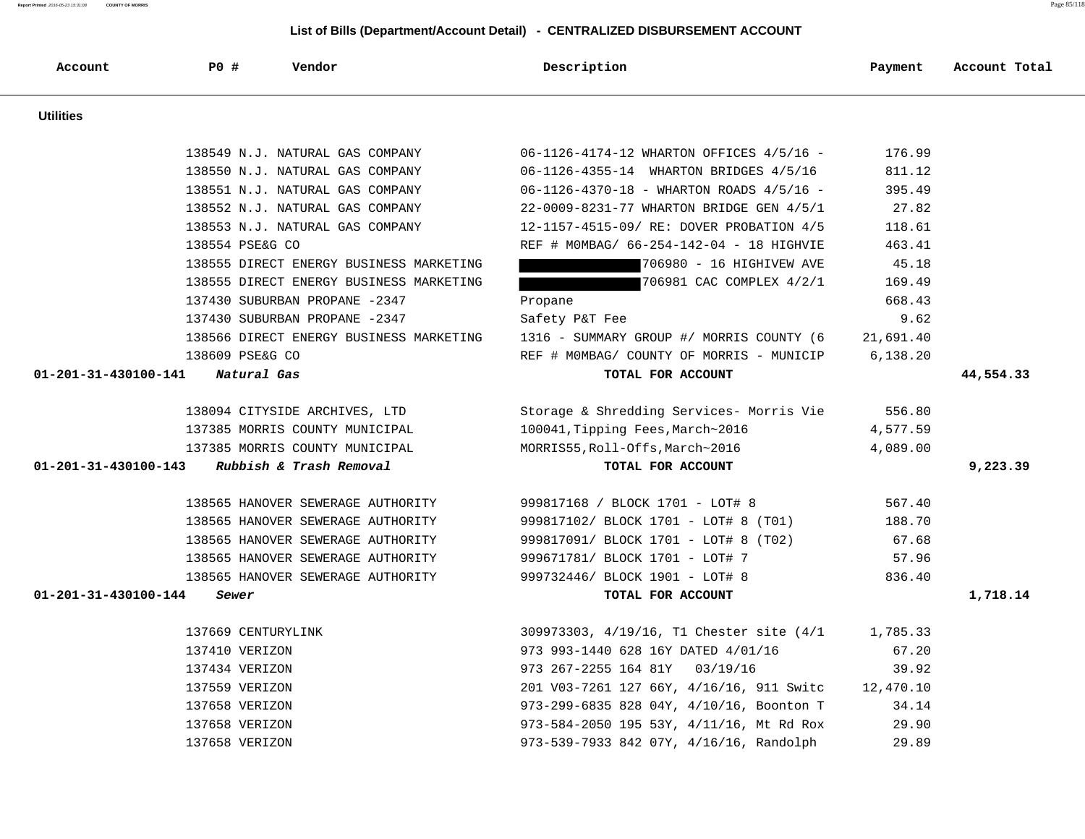138553 N.J. NATURAL GAS COMPANY 12-1157-4515-09/ RE: DOVER PROBATION 4/5 118.61 138554 PSE&G CO REF # M0MBAG/ 66-254-142-04 - 18 HIGHVIE 463.41 138555 DIRECT ENERGY BUSINESS MARKETING 706980 - 16 HIGHIVEW AVE 45.18 138555 DIRECT ENERGY BUSINESS MARKETING THE RELATION COMPLEX 4/2/1 169.49 137430 SUBURBAN PROPANE -2347 Propane 668.43 137430 SUBURBAN PROPANE -2347 Safety P&T Fee 9.62 138566 DIRECT ENERGY BUSINESS MARKETING 1316 - SUMMARY GROUP #/ MORRIS COUNTY (6 21,691.40 138609 PSE&G CO REF # M0MBAG/ COUNTY OF MORRIS - MUNICIP 6,138.20  **01-201-31-430100-141 Natural Gas TOTAL FOR ACCOUNT 44,554.33** 138094 CITYSIDE ARCHIVES, LTD Storage & Shredding Services- Morris Vie 556.80 137385 MORRIS COUNTY MUNICIPAL 100041,Tipping Fees,March~2016 4,577.59 137385 MORRIS COUNTY MUNICIPAL MORRIS55,Roll-Offs,March~2016 4,089.00  **01-201-31-430100-143 Rubbish & Trash Removal TOTAL FOR ACCOUNT 9,223.39** 138565 HANOVER SEWERAGE AUTHORITY 999817168 / BLOCK 1701 - LOT# 8 567.40 138565 HANOVER SEWERAGE AUTHORITY 999817102/ BLOCK 1701 - LOT# 8 (T01) 188.70 138565 HANOVER SEWERAGE AUTHORITY 999817091/ BLOCK 1701 - LOT# 8 (T02) 67.68 138565 HANOVER SEWERAGE AUTHORITY 999671781/ BLOCK 1701 - LOT# 7 57.96 138565 HANOVER SEWERAGE AUTHORITY 999732446/ BLOCK 1901 - LOT# 8 836.40  **01-201-31-430100-144 Sewer TOTAL FOR ACCOUNT 1,718.14** 137669 CENTURYLINK 309973303, 4/19/16, T1 Chester site (4/1 1,785.33 137410 VERIZON 67.20 137434 VERIZON 973 267-2255 164 81Y 03/19/16 39.92 137559 VERIZON 201 V03-7261 127 66Y, 4/16/16, 911 Switc 12,470.10 137658 VERIZON 973-299-6835 828 04Y, 4/10/16, Boonton T 34.14 137658 VERIZON 973-584-2050 195 53Y, 4/11/16, Mt Rd Rox 29.90 137658 VERIZON 973-539-7933 842 07Y, 4/16/16, Randolph 29.89

 **Utilities** 

 **Account P0 # Vendor Description Payment Account Total**

 138549 N.J. NATURAL GAS COMPANY 06-1126-4174-12 WHARTON OFFICES 4/5/16 - 176.99 138550 N.J. NATURAL GAS COMPANY 06-1126-4355-14 WHARTON BRIDGES 4/5/16 811.12 138551 N.J. NATURAL GAS COMPANY 06-1126-4370-18 - WHARTON ROADS 4/5/16 - 395.49 138552 N.J. NATURAL GAS COMPANY 22-0009-8231-77 WHARTON BRIDGE GEN 4/5/1 27.82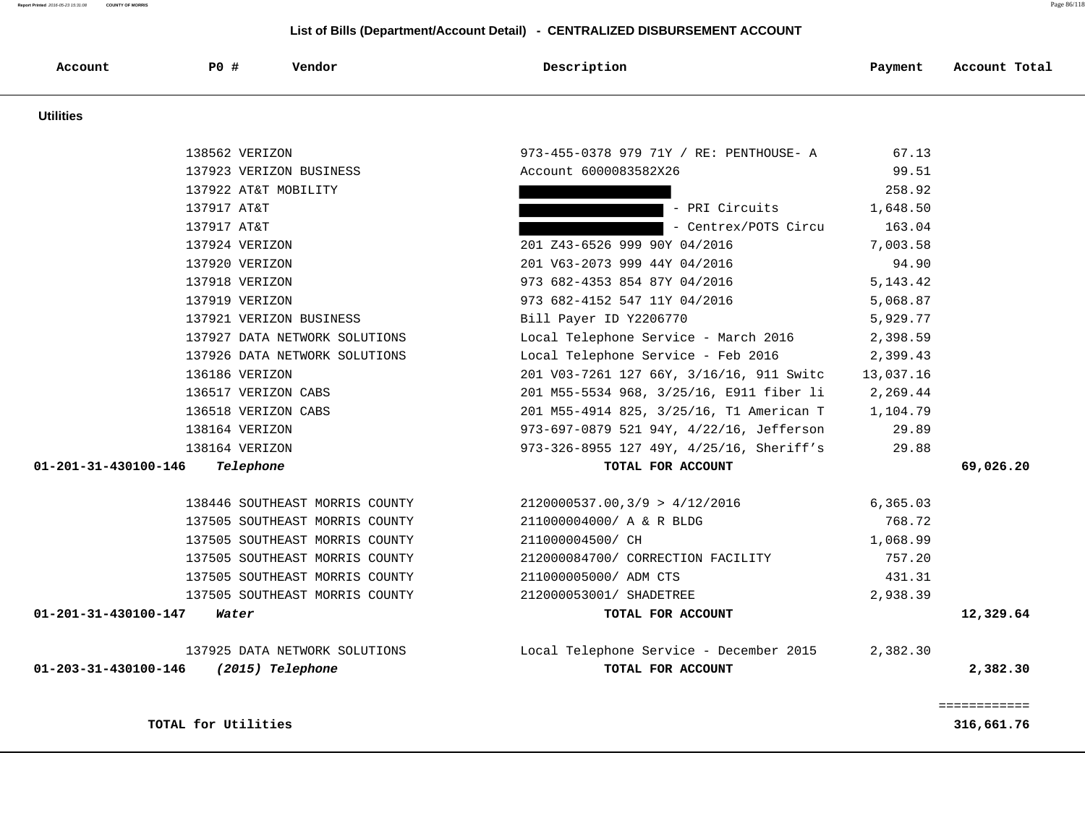**Report Printed** 2016-05-23 15:31:08 **COUNTY OF MORRIS** Page 86/118

| Account              | PO#                  | Vendor                         | Description                              | Payment    | Account Total |
|----------------------|----------------------|--------------------------------|------------------------------------------|------------|---------------|
| <b>Utilities</b>     |                      |                                |                                          |            |               |
|                      | 138562 VERIZON       |                                | 973-455-0378 979 71Y / RE: PENTHOUSE- A  | 67.13      |               |
|                      |                      | 137923 VERIZON BUSINESS        | Account 6000083582X26                    | 99.51      |               |
|                      | 137922 AT&T MOBILITY |                                |                                          | 258.92     |               |
|                      | 137917 AT&T          |                                | - PRI Circuits                           | 1,648.50   |               |
|                      | 137917 AT&T          |                                | - Centrex/POTS Circu                     | 163.04     |               |
|                      | 137924 VERIZON       |                                | 201 Z43-6526 999 90Y 04/2016             | 7,003.58   |               |
|                      | 137920 VERIZON       |                                | 201 V63-2073 999 44Y 04/2016             | 94.90      |               |
|                      | 137918 VERIZON       |                                | 973 682-4353 854 87Y 04/2016             | 5, 143. 42 |               |
|                      | 137919 VERIZON       |                                | 973 682-4152 547 11Y 04/2016             | 5,068.87   |               |
|                      |                      | 137921 VERIZON BUSINESS        | Bill Payer ID Y2206770                   | 5,929.77   |               |
|                      |                      | 137927 DATA NETWORK SOLUTIONS  | Local Telephone Service - March 2016     | 2,398.59   |               |
|                      |                      | 137926 DATA NETWORK SOLUTIONS  | Local Telephone Service - Feb 2016       | 2,399.43   |               |
|                      | 136186 VERIZON       |                                | 201 V03-7261 127 66Y, 3/16/16, 911 Switc | 13,037.16  |               |
|                      | 136517 VERIZON CABS  |                                | 201 M55-5534 968, 3/25/16, E911 fiber li | 2,269.44   |               |
|                      | 136518 VERIZON CABS  |                                | 201 M55-4914 825, 3/25/16, T1 American T | 1,104.79   |               |
|                      | 138164 VERIZON       |                                | 973-697-0879 521 94Y, 4/22/16, Jefferson | 29.89      |               |
|                      | 138164 VERIZON       |                                | 973-326-8955 127 49Y, 4/25/16, Sheriff's | 29.88      |               |
| 01-201-31-430100-146 | Telephone            |                                | TOTAL FOR ACCOUNT                        |            | 69,026.20     |
|                      |                      | 138446 SOUTHEAST MORRIS COUNTY | 2120000537.00, 3/9 > 4/12/2016           | 6, 365.03  |               |
|                      |                      | 137505 SOUTHEAST MORRIS COUNTY | 211000004000/ A & R BLDG                 | 768.72     |               |
|                      |                      | 137505 SOUTHEAST MORRIS COUNTY | 211000004500/ CH                         | 1,068.99   |               |
|                      |                      | 137505 SOUTHEAST MORRIS COUNTY | 212000084700/ CORRECTION FACILITY        | 757.20     |               |
|                      |                      | 137505 SOUTHEAST MORRIS COUNTY | 211000005000/ ADM CTS                    | 431.31     |               |
|                      |                      | 137505 SOUTHEAST MORRIS COUNTY | 212000053001/ SHADETREE                  | 2,938.39   |               |
| 01-201-31-430100-147 | Water                |                                | TOTAL FOR ACCOUNT                        |            | 12,329.64     |
|                      |                      | 137925 DATA NETWORK SOLUTIONS  | Local Telephone Service - December 2015  | 2,382.30   |               |
| 01-203-31-430100-146 |                      | (2015) Telephone               | TOTAL FOR ACCOUNT                        |            | 2,382.30      |
|                      |                      |                                |                                          |            | ============  |
|                      | TOTAL for Utilities  |                                |                                          |            | 316,661.76    |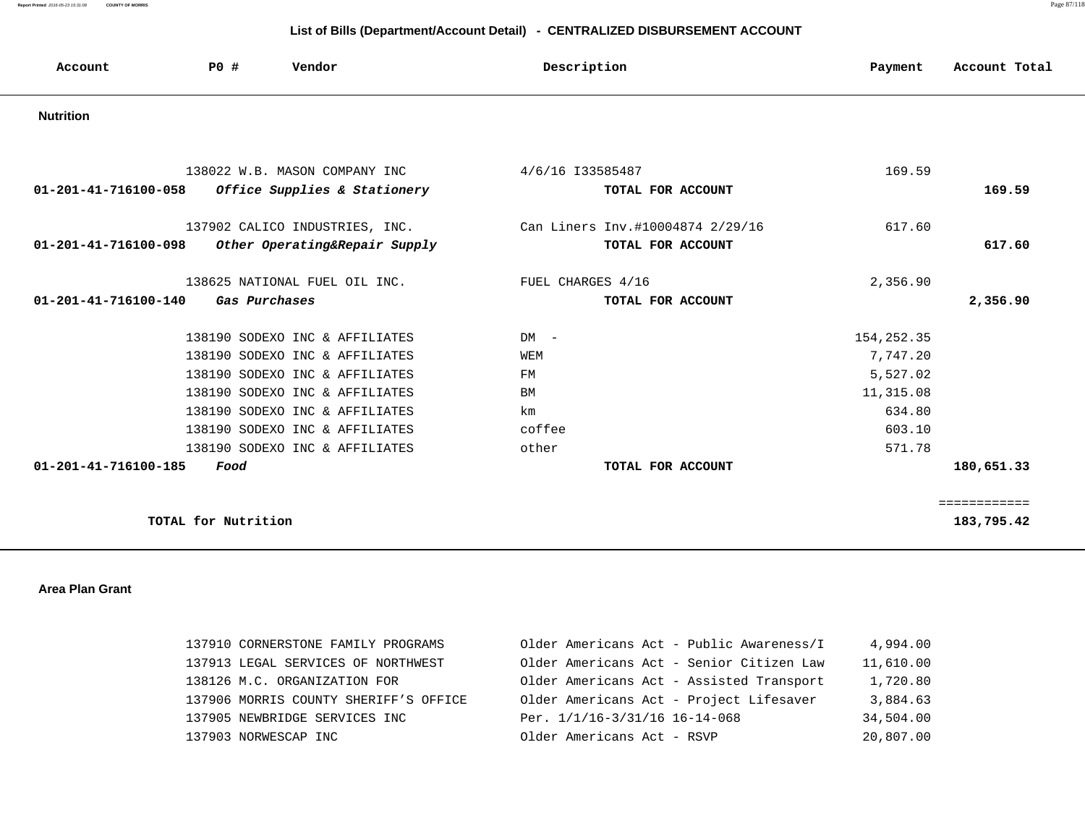**Report Printed** 2016-05-23 15:31:08 **COUNTY OF MORRIS** Page 87/118

# **List of Bills (Department/Account Detail) - CENTRALIZED DISBURSEMENT ACCOUNT**

| Account                        | PO#                 | Vendor                                                                                                                                                                                                                                     | Description                                                             | Payment                                                                        | Account Total              |
|--------------------------------|---------------------|--------------------------------------------------------------------------------------------------------------------------------------------------------------------------------------------------------------------------------------------|-------------------------------------------------------------------------|--------------------------------------------------------------------------------|----------------------------|
| <b>Nutrition</b>               |                     |                                                                                                                                                                                                                                            |                                                                         |                                                                                |                            |
| 01-201-41-716100-058           |                     | 138022 W.B. MASON COMPANY INC<br>Office Supplies & Stationery                                                                                                                                                                              | 4/6/16 133585487<br>TOTAL FOR ACCOUNT                                   | 169.59                                                                         | 169.59                     |
| 01-201-41-716100-098           |                     | 137902 CALICO INDUSTRIES, INC.<br>Other Operating&Repair Supply                                                                                                                                                                            | Can Liners Inv.#10004874 2/29/16<br>TOTAL FOR ACCOUNT                   | 617.60                                                                         | 617.60                     |
| $01 - 201 - 41 - 716100 - 140$ | Gas Purchases       | 138625 NATIONAL FUEL OIL INC.                                                                                                                                                                                                              | FUEL CHARGES 4/16<br>TOTAL FOR ACCOUNT                                  | 2,356.90                                                                       | 2,356.90                   |
| 01-201-41-716100-185           | Food                | 138190 SODEXO INC & AFFILIATES<br>138190 SODEXO INC & AFFILIATES<br>138190 SODEXO INC & AFFILIATES<br>138190 SODEXO INC & AFFILIATES<br>138190 SODEXO INC & AFFILIATES<br>138190 SODEXO INC & AFFILIATES<br>138190 SODEXO INC & AFFILIATES | $DM -$<br>WEM<br>FM<br>BM<br>km<br>coffee<br>other<br>TOTAL FOR ACCOUNT | 154, 252.35<br>7,747.20<br>5,527.02<br>11,315.08<br>634.80<br>603.10<br>571.78 | 180,651.33                 |
|                                | TOTAL for Nutrition |                                                                                                                                                                                                                                            |                                                                         |                                                                                | ============<br>183,795.42 |

### **Area Plan Grant**

| 137910 CORNERSTONE FAMILY PROGRAMS    | Older Americans Act - Public Awareness/I | 4,994.00  |
|---------------------------------------|------------------------------------------|-----------|
| 137913 LEGAL SERVICES OF NORTHWEST    | Older Americans Act - Senior Citizen Law | 11,610.00 |
| 138126 M.C. ORGANIZATION FOR          | Older Americans Act - Assisted Transport | 1,720.80  |
| 137906 MORRIS COUNTY SHERIFF'S OFFICE | Older Americans Act - Project Lifesaver  | 3,884.63  |
| 137905 NEWBRIDGE SERVICES INC         | Per. 1/1/16-3/31/16 16-14-068            | 34,504.00 |
| 137903 NORWESCAP INC                  | Older Americans Act - RSVP               | 20,807.00 |
|                                       |                                          |           |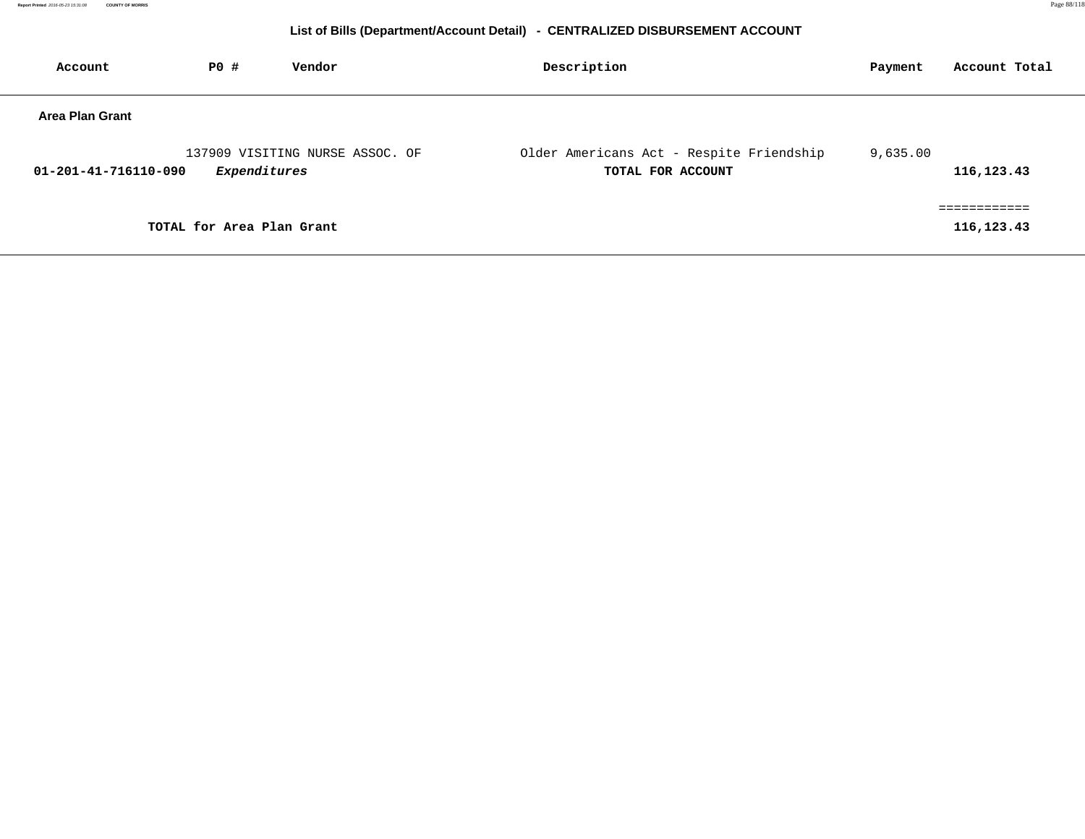| Account                | <b>PO #</b>               | Vendor                          | Description                                                   | Payment  | Account Total          |
|------------------------|---------------------------|---------------------------------|---------------------------------------------------------------|----------|------------------------|
| <b>Area Plan Grant</b> |                           |                                 |                                                               |          |                        |
| 01-201-41-716110-090   | Expenditures              | 137909 VISITING NURSE ASSOC. OF | Older Americans Act - Respite Friendship<br>TOTAL FOR ACCOUNT | 9,635.00 | 116,123.43             |
|                        | TOTAL for Area Plan Grant |                                 |                                                               |          | --------<br>116,123.43 |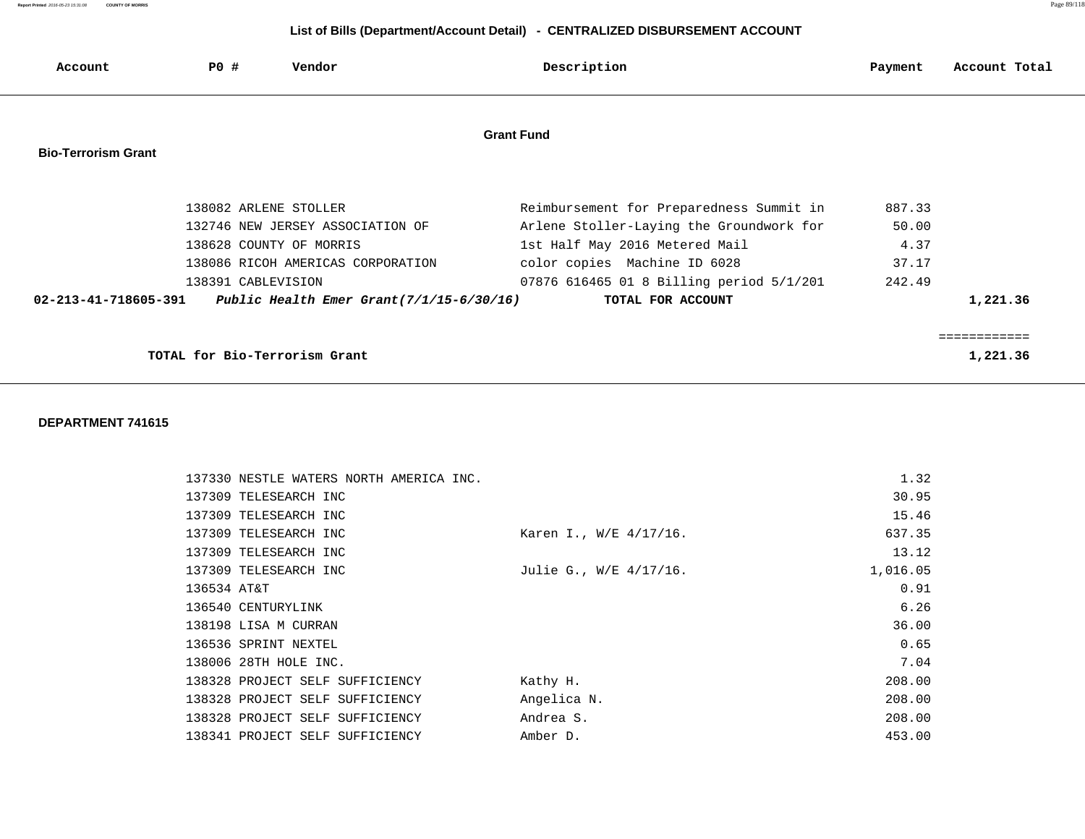**Report Printed** 2016-05-23 15:31:08 **COUNTY OF MORRIS** Page 89/118

## **List of Bills (Department/Account Detail) - CENTRALIZED DISBURSEMENT ACCOUNT**

| Account                    | <b>PO #</b>           | Vendor                                      | Description                              | Payment | Account Total |
|----------------------------|-----------------------|---------------------------------------------|------------------------------------------|---------|---------------|
|                            |                       |                                             | <b>Grant Fund</b>                        |         |               |
| <b>Bio-Terrorism Grant</b> |                       |                                             |                                          |         |               |
|                            | 138082 ARLENE STOLLER |                                             | Reimbursement for Preparedness Summit in | 887.33  |               |
|                            |                       | 132746 NEW JERSEY ASSOCIATION OF            | Arlene Stoller-Laying the Groundwork for | 50.00   |               |
|                            |                       | 138628 COUNTY OF MORRIS                     | 1st Half May 2016 Metered Mail           | 4.37    |               |
|                            |                       | 138086 RICOH AMERICAS CORPORATION           | color copies Machine ID 6028             | 37.17   |               |
|                            | 138391 CABLEVISION    |                                             | 07876 616465 01 8 Billing period 5/1/201 | 242.49  |               |
| 02-213-41-718605-391       |                       | Public Health Emer Grant $(7/1/15-6/30/16)$ | TOTAL FOR ACCOUNT                        |         | 1,221.36      |
|                            |                       |                                             |                                          |         | :==========   |
|                            |                       | TOTAL for Bio-Terrorism Grant               |                                          |         | 1,221.36      |

| 137330 NESTLE WATERS NORTH AMERICA INC. |                        | 1.32     |
|-----------------------------------------|------------------------|----------|
| 137309 TELESEARCH INC                   |                        | 30.95    |
| 137309 TELESEARCH INC                   |                        | 15.46    |
| 137309 TELESEARCH INC                   | Karen I., W/E 4/17/16. | 637.35   |
| 137309 TELESEARCH INC                   |                        | 13.12    |
| 137309 TELESEARCH INC                   | Julie G., W/E 4/17/16. | 1,016.05 |
| 136534 AT&T                             |                        | 0.91     |
| 136540 CENTURYLINK                      |                        | 6.26     |
| 138198 LISA M CURRAN                    |                        | 36.00    |
| 136536 SPRINT NEXTEL                    |                        | 0.65     |
| 138006 28TH HOLE INC.                   |                        | 7.04     |
| 138328 PROJECT SELF SUFFICIENCY         | Kathy H.               | 208.00   |
| 138328 PROJECT SELF SUFFICIENCY         | Angelica N.            | 208.00   |
| 138328 PROJECT SELF SUFFICIENCY         | Andrea S.              | 208.00   |
| 138341 PROJECT SELF SUFFICIENCY         | Amber D.               | 453.00   |
|                                         |                        |          |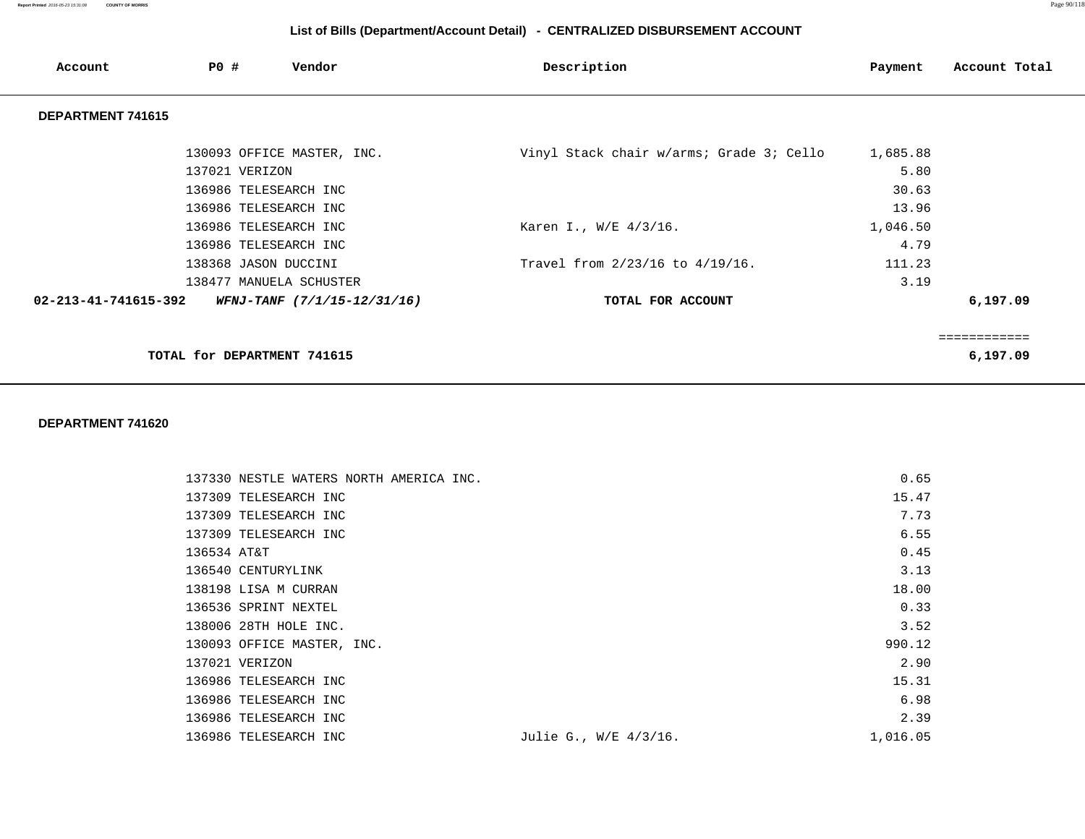| Account                        | <b>PO #</b>                 | Vendor                      | Description                              | Payment  | Account Total                     |
|--------------------------------|-----------------------------|-----------------------------|------------------------------------------|----------|-----------------------------------|
| DEPARTMENT 741615              |                             |                             |                                          |          |                                   |
|                                |                             | 130093 OFFICE MASTER, INC.  | Vinyl Stack chair w/arms; Grade 3; Cello | 1,685.88 |                                   |
|                                | 137021 VERIZON              |                             |                                          | 5.80     |                                   |
|                                | 136986 TELESEARCH INC       |                             |                                          | 30.63    |                                   |
|                                | 136986 TELESEARCH INC       |                             |                                          | 13.96    |                                   |
|                                | 136986 TELESEARCH INC       |                             | Karen I., W/E 4/3/16.                    | 1,046.50 |                                   |
|                                | 136986 TELESEARCH INC       |                             |                                          | 4.79     |                                   |
|                                | 138368 JASON DUCCINI        |                             | Travel from 2/23/16 to 4/19/16.          | 111.23   |                                   |
|                                |                             | 138477 MANUELA SCHUSTER     |                                          | 3.19     |                                   |
| $02 - 213 - 41 - 741615 - 392$ |                             | WFNJ-TANF (7/1/15-12/31/16) | TOTAL FOR ACCOUNT                        |          | 6,197.09                          |
|                                |                             |                             |                                          |          |                                   |
|                                | TOTAL for DEPARTMENT 741615 |                             |                                          |          | . - - - - - - - - - -<br>6,197.09 |

| 137330 NESTLE WATERS NORTH AMERICA INC. | 0.65                              |
|-----------------------------------------|-----------------------------------|
| 137309 TELESEARCH INC                   | 15.47                             |
| 137309 TELESEARCH INC                   | 7.73                              |
| 137309 TELESEARCH INC                   | 6.55                              |
| 136534 AT&T                             | 0.45                              |
| 136540 CENTURYLINK                      | 3.13                              |
| 138198 LISA M CURRAN                    | 18.00                             |
| 136536 SPRINT NEXTEL                    | 0.33                              |
| 138006 28TH HOLE INC.                   | 3.52                              |
| 130093 OFFICE MASTER, INC.              | 990.12                            |
| 137021 VERIZON                          | 2.90                              |
| 136986 TELESEARCH INC                   | 15.31                             |
| 136986 TELESEARCH INC                   | 6.98                              |
| 136986 TELESEARCH INC                   | 2.39                              |
| 136986 TELESEARCH INC                   | 1,016.05<br>Julie G., W/E 4/3/16. |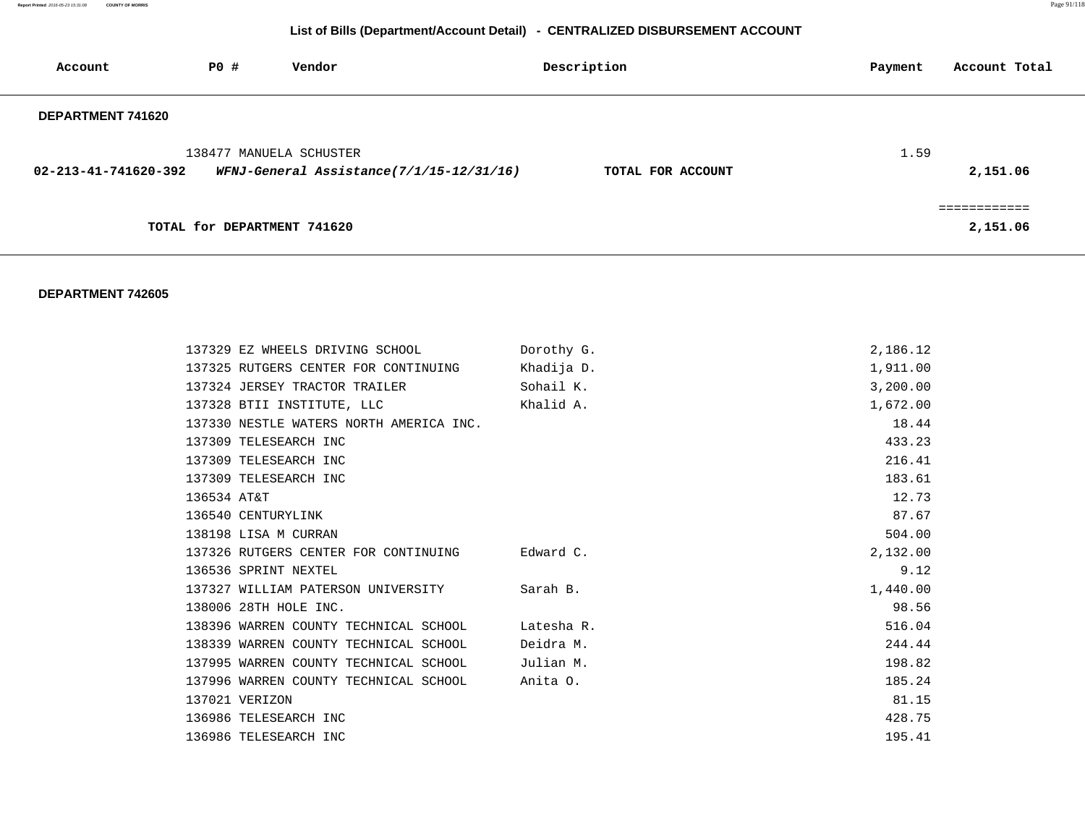**Report Printed** 2016-05-23 15:31:08 **COUNTY OF MORRIS** Page 91/118

# **List of Bills (Department/Account Detail) - CENTRALIZED DISBURSEMENT ACCOUNT**

| Account              | PO#                         | Vendor                                   | Description       | Payment | Account Total            |
|----------------------|-----------------------------|------------------------------------------|-------------------|---------|--------------------------|
| DEPARTMENT 741620    |                             |                                          |                   |         |                          |
| 02-213-41-741620-392 | 138477 MANUELA SCHUSTER     | WFNJ-General Assistance(7/1/15-12/31/16) | TOTAL FOR ACCOUNT | 1.59    | 2,151.06                 |
|                      | TOTAL for DEPARTMENT 741620 |                                          |                   |         | ============<br>2,151.06 |

| 137329 EZ WHEELS DRIVING SCHOOL                  | Dorothy G. | 2,186.12 |
|--------------------------------------------------|------------|----------|
| 137325 RUTGERS CENTER FOR CONTINUING             | Khadija D. | 1,911.00 |
| 137324 JERSEY TRACTOR TRAILER                    | Sohail K.  | 3,200.00 |
| 137328 BTII INSTITUTE, LLC                       | Khalid A.  | 1,672.00 |
| 137330 NESTLE WATERS NORTH AMERICA INC.          |            | 18.44    |
| 137309 TELESEARCH INC                            |            | 433.23   |
| 137309 TELESEARCH INC                            |            | 216.41   |
| 137309 TELESEARCH INC                            |            | 183.61   |
| 136534 AT&T                                      |            | 12.73    |
| 136540 CENTURYLINK                               |            | 87.67    |
| 138198 LISA M CURRAN                             |            | 504.00   |
| 137326 RUTGERS CENTER FOR CONTINUING Edward C.   |            | 2,132.00 |
| 136536 SPRINT NEXTEL                             |            | 9.12     |
| 137327 WILLIAM PATERSON UNIVERSITY Sarah B.      |            | 1,440.00 |
| 138006 28TH HOLE INC.                            |            | 98.56    |
| 138396 WARREN COUNTY TECHNICAL SCHOOL Latesha R. |            | 516.04   |
| 138339 WARREN COUNTY TECHNICAL SCHOOL            | Deidra M.  | 244.44   |
| 137995 WARREN COUNTY TECHNICAL SCHOOL            | Julian M.  | 198.82   |
| 137996 WARREN COUNTY TECHNICAL SCHOOL            | Anita O.   | 185.24   |
| 137021 VERIZON                                   |            | 81.15    |
| 136986 TELESEARCH INC                            |            | 428.75   |
| 136986 TELESEARCH INC                            |            | 195.41   |
|                                                  |            |          |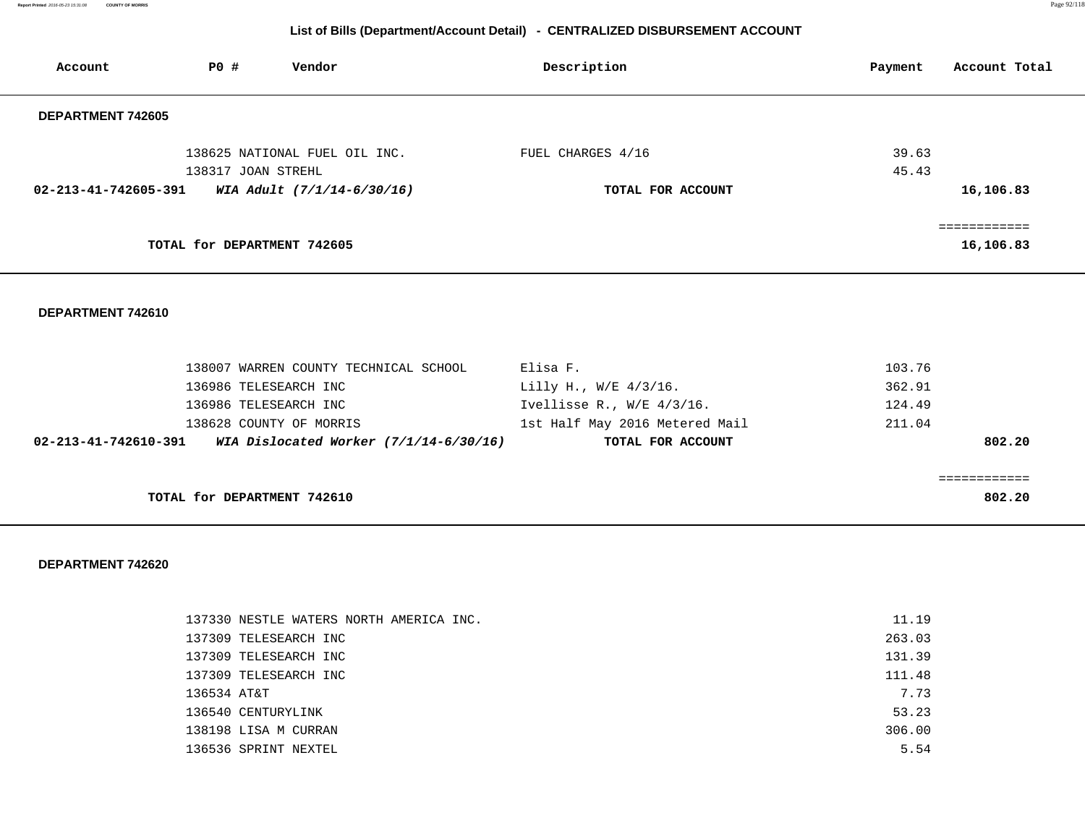**Report Printed** 2016-05-23 15:31:08 **COUNTY OF MORRIS** Page 92/118

# **List of Bills (Department/Account Detail) - CENTRALIZED DISBURSEMENT ACCOUNT**

| Account              | PO#                         | Vendor                        | Description       | Account Total<br>Payment |
|----------------------|-----------------------------|-------------------------------|-------------------|--------------------------|
| DEPARTMENT 742605    |                             |                               |                   |                          |
|                      | 138317 JOAN STREHL          | 138625 NATIONAL FUEL OIL INC. | FUEL CHARGES 4/16 | 39.63<br>45.43           |
| 02-213-41-742605-391 |                             | WIA Adult (7/1/14-6/30/16)    | TOTAL FOR ACCOUNT | 16,106.83                |
|                      | TOTAL for DEPARTMENT 742605 |                               |                   | ===========<br>16,106.83 |

### **DEPARTMENT 742610**

|                                | 138007 WARREN COUNTY TECHNICAL SCHOOL    | Elisa F.                       | 103.76 |
|--------------------------------|------------------------------------------|--------------------------------|--------|
|                                | 136986 TELESEARCH INC                    | Lilly H., W/E $4/3/16$ .       | 362.91 |
|                                | 136986 TELESEARCH INC                    | Ivellisse R., $W/E$ 4/3/16.    | 124.49 |
|                                | 138628 COUNTY OF MORRIS                  | 1st Half May 2016 Metered Mail | 211.04 |
| $02 - 213 - 41 - 742610 - 391$ | WIA Dislocated Worker $(7/1/14-6/30/16)$ | TOTAL FOR ACCOUNT              | 802.20 |
|                                |                                          |                                |        |
|                                |                                          |                                |        |
|                                | TOTAL for DEPARTMENT 742610              |                                | 802.20 |

| 137330 NESTLE WATERS NORTH AMERICA INC. | 11.19  |
|-----------------------------------------|--------|
| 137309 TELESEARCH INC                   | 263.03 |
| 137309 TELESEARCH INC                   | 131.39 |
| 137309 TELESEARCH INC                   | 111.48 |
| 136534 AT&T                             | 7.73   |
| 136540 CENTURYLINK                      | 53.23  |
| 138198 LISA M CURRAN                    | 306.00 |
| 136536 SPRINT NEXTEL                    | 5.54   |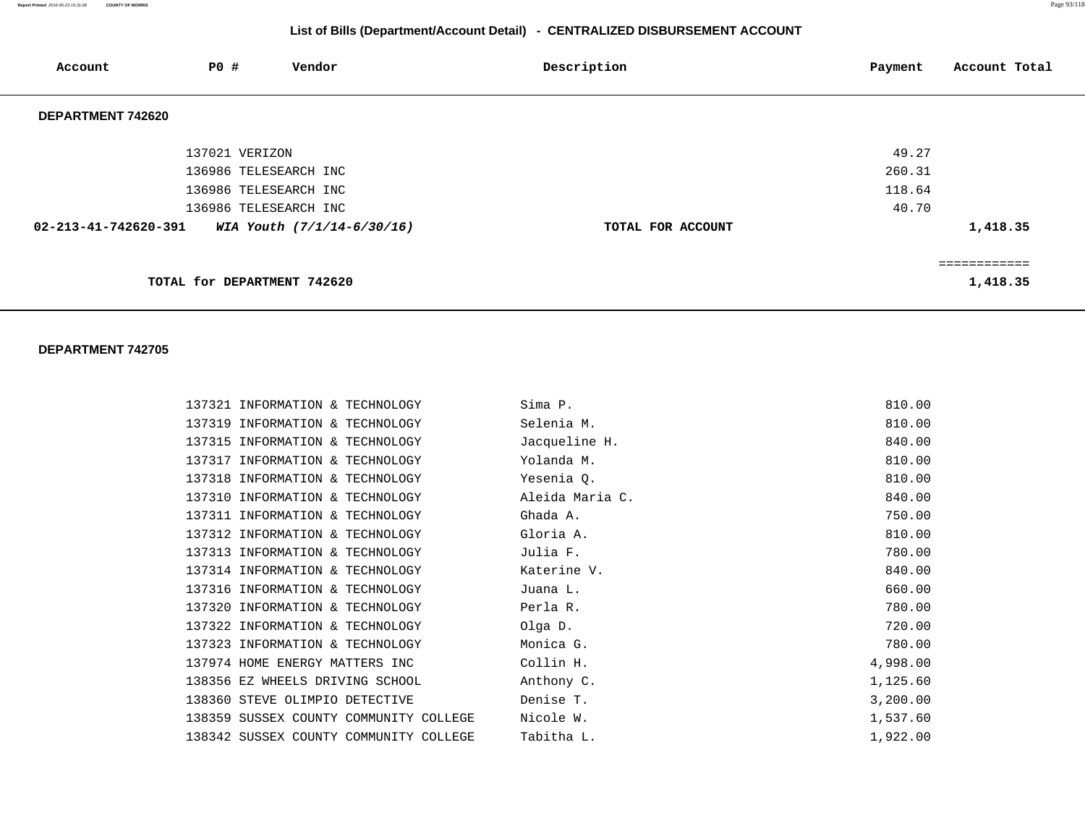**Report Printed** 2016-05-23 15:31:08 **COUNTY OF MORRIS** Page 93/118

# **List of Bills (Department/Account Detail) - CENTRALIZED DISBURSEMENT ACCOUNT**

| Account                        | <b>PO #</b>    | Vendor                      | Description       | Account Total<br>Payment |
|--------------------------------|----------------|-----------------------------|-------------------|--------------------------|
| DEPARTMENT 742620              |                |                             |                   |                          |
|                                | 137021 VERIZON |                             |                   | 49.27                    |
|                                |                | 136986 TELESEARCH INC       |                   | 260.31                   |
|                                |                | 136986 TELESEARCH INC       |                   | 118.64                   |
|                                |                | 136986 TELESEARCH INC       |                   | 40.70                    |
| $02 - 213 - 41 - 742620 - 391$ |                | WIA Youth (7/1/14-6/30/16)  | TOTAL FOR ACCOUNT | 1,418.35                 |
|                                |                |                             |                   | :==========              |
|                                |                | TOTAL for DEPARTMENT 742620 |                   | 1,418.35                 |

| 137321 INFORMATION & TECHNOLOGY        | Sima P.         | 810.00   |
|----------------------------------------|-----------------|----------|
| 137319 INFORMATION & TECHNOLOGY        | Selenia M.      | 810.00   |
| 137315 INFORMATION & TECHNOLOGY        | Jacqueline H.   | 840.00   |
| 137317 INFORMATION & TECHNOLOGY        | Yolanda M.      | 810.00   |
| 137318 INFORMATION & TECHNOLOGY        | Yesenia Q.      | 810.00   |
| 137310 INFORMATION & TECHNOLOGY        | Aleida Maria C. | 840.00   |
| 137311 INFORMATION & TECHNOLOGY        | Ghada A.        | 750.00   |
| 137312 INFORMATION & TECHNOLOGY        | Gloria A.       | 810.00   |
| 137313 INFORMATION & TECHNOLOGY        | Julia F.        | 780.00   |
| 137314 INFORMATION & TECHNOLOGY        | Katerine V.     | 840.00   |
| 137316 INFORMATION & TECHNOLOGY        | Juana L.        | 660.00   |
| 137320 INFORMATION & TECHNOLOGY        | Perla R.        | 780.00   |
| 137322 INFORMATION & TECHNOLOGY        | Olga D.         | 720.00   |
| 137323 INFORMATION & TECHNOLOGY        | Monica G.       | 780.00   |
| 137974 HOME ENERGY MATTERS INC         | Collin H.       | 4,998.00 |
| 138356 EZ WHEELS DRIVING SCHOOL        | Anthony C.      | 1,125.60 |
| 138360 STEVE OLIMPIO DETECTIVE         | Denise T.       | 3,200.00 |
| 138359 SUSSEX COUNTY COMMUNITY COLLEGE | Nicole W.       | 1,537.60 |
| 138342 SUSSEX COUNTY COMMUNITY COLLEGE | Tabitha L.      | 1,922.00 |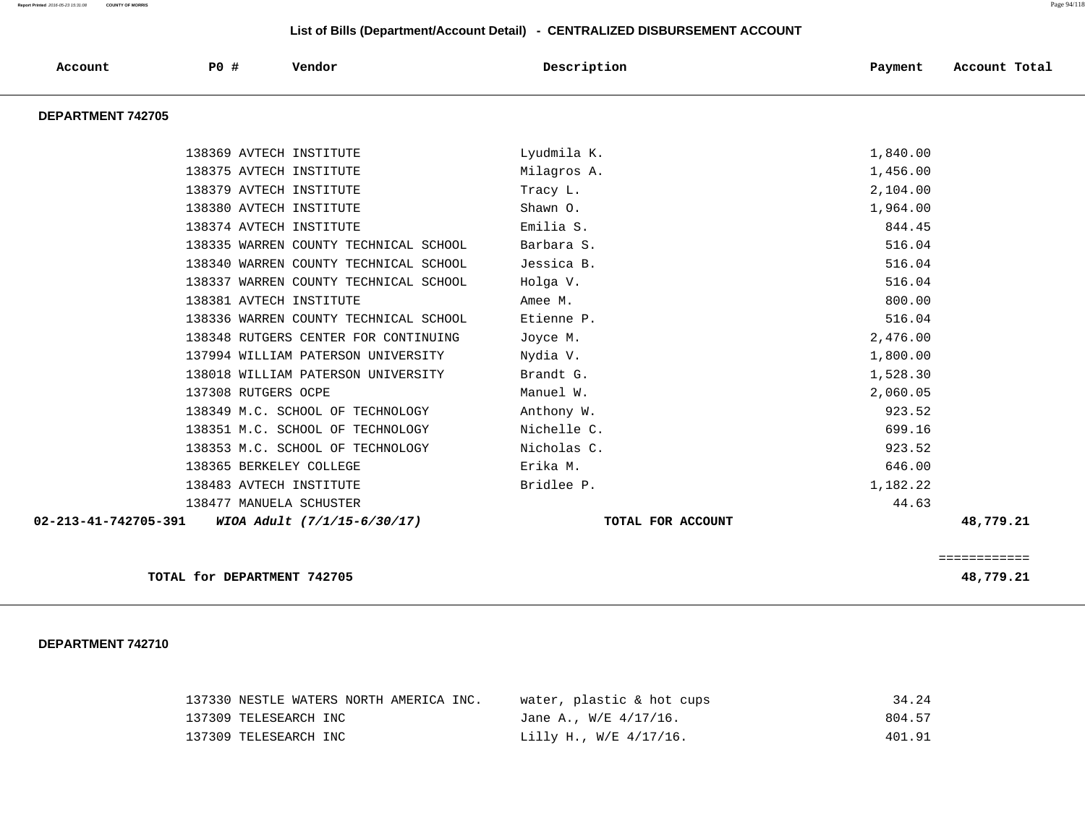| Account              | PO#                         | Vendor                                | Description       | Payment  | Account Total |
|----------------------|-----------------------------|---------------------------------------|-------------------|----------|---------------|
| DEPARTMENT 742705    |                             |                                       |                   |          |               |
|                      | 138369 AVTECH INSTITUTE     |                                       | Lyudmila K.       | 1,840.00 |               |
|                      | 138375 AVTECH INSTITUTE     |                                       | Milagros A.       | 1,456.00 |               |
|                      | 138379 AVTECH INSTITUTE     |                                       | Tracy L.          | 2,104.00 |               |
|                      | 138380 AVTECH INSTITUTE     |                                       | Shawn O.          | 1,964.00 |               |
|                      | 138374 AVTECH INSTITUTE     |                                       | Emilia S.         | 844.45   |               |
|                      |                             | 138335 WARREN COUNTY TECHNICAL SCHOOL | Barbara S.        | 516.04   |               |
|                      |                             | 138340 WARREN COUNTY TECHNICAL SCHOOL | Jessica B.        | 516.04   |               |
|                      |                             | 138337 WARREN COUNTY TECHNICAL SCHOOL | Holga V.          | 516.04   |               |
|                      | 138381 AVTECH INSTITUTE     |                                       | Amee M.           | 800.00   |               |
|                      |                             | 138336 WARREN COUNTY TECHNICAL SCHOOL | Etienne P.        | 516.04   |               |
|                      |                             | 138348 RUTGERS CENTER FOR CONTINUING  | Joyce M.          | 2,476.00 |               |
|                      |                             | 137994 WILLIAM PATERSON UNIVERSITY    | Nydia V.          | 1,800.00 |               |
|                      |                             | 138018 WILLIAM PATERSON UNIVERSITY    | Brandt G.         | 1,528.30 |               |
|                      | 137308 RUTGERS OCPE         |                                       | Manuel W.         | 2,060.05 |               |
|                      |                             | 138349 M.C. SCHOOL OF TECHNOLOGY      | Anthony W.        | 923.52   |               |
|                      |                             | 138351 M.C. SCHOOL OF TECHNOLOGY      | Nichelle C.       | 699.16   |               |
|                      |                             | 138353 M.C. SCHOOL OF TECHNOLOGY      | Nicholas C.       | 923.52   |               |
|                      | 138365 BERKELEY COLLEGE     |                                       | Erika M.          | 646.00   |               |
|                      | 138483 AVTECH INSTITUTE     |                                       | Bridlee P.        | 1,182.22 |               |
|                      | 138477 MANUELA SCHUSTER     |                                       |                   | 44.63    |               |
| 02-213-41-742705-391 |                             | WIOA Adult (7/1/15-6/30/17)           | TOTAL FOR ACCOUNT |          | 48,779.21     |
|                      |                             |                                       |                   |          | ============  |
|                      | TOTAL for DEPARTMENT 742705 |                                       |                   |          | 48,779.21     |

| 137330 NESTLE WATERS NORTH AMERICA INC. | water, plastic & hot cups  | 34.24  |
|-----------------------------------------|----------------------------|--------|
| 137309 TELESEARCH INC                   | Jane A., $W/E = 4/17/16$ . | 804.57 |
| 137309 TELESEARCH INC                   | Lilly H., W/E 4/17/16.     | 401.91 |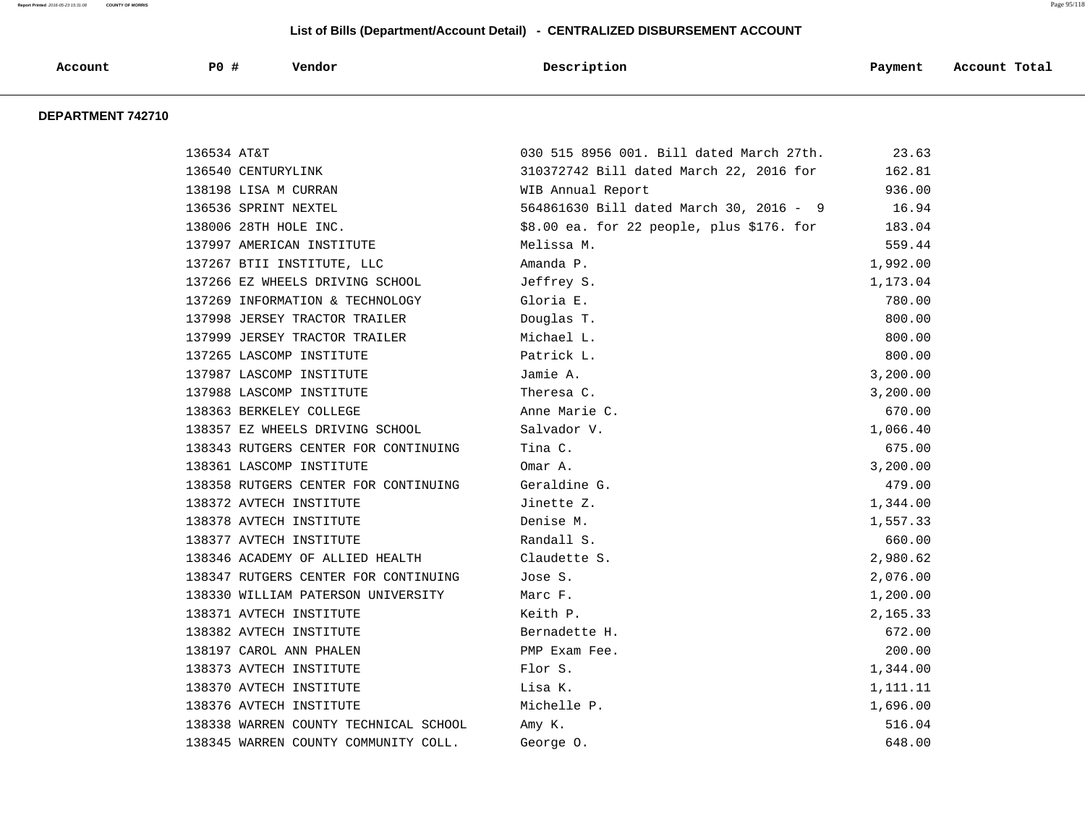|         |     |        | Description |         | Account Total |
|---------|-----|--------|-------------|---------|---------------|
| Account | PO# | Vendor |             | Payment |               |
|         |     |        |             |         |               |
|         |     |        |             |         |               |

| 136534 AT&T |                                       | 030 515 8956 001. Bill dated March 27th.  | 23.63    |
|-------------|---------------------------------------|-------------------------------------------|----------|
|             | 136540 CENTURYLINK                    | 310372742 Bill dated March 22, 2016 for   | 162.81   |
|             | 138198 LISA M CURRAN                  | WIB Annual Report                         | 936.00   |
|             | 136536 SPRINT NEXTEL                  | 564861630 Bill dated March 30, 2016 - 9   | 16.94    |
|             | 138006 28TH HOLE INC.                 | \$8.00 ea. for 22 people, plus \$176. for | 183.04   |
|             | 137997 AMERICAN INSTITUTE             | Melissa M.                                | 559.44   |
|             | 137267 BTII INSTITUTE, LLC            | Amanda P.                                 | 1,992.00 |
|             | 137266 EZ WHEELS DRIVING SCHOOL       | Jeffrey S.                                | 1,173.04 |
|             | 137269 INFORMATION & TECHNOLOGY       | Gloria E.                                 | 780.00   |
|             | 137998 JERSEY TRACTOR TRAILER         | Douglas T.                                | 800.00   |
|             | 137999 JERSEY TRACTOR TRAILER         | Michael L.                                | 800.00   |
|             | 137265 LASCOMP INSTITUTE              | Patrick L.                                | 800.00   |
|             | 137987 LASCOMP INSTITUTE              | Jamie A.                                  | 3,200.00 |
|             | 137988 LASCOMP INSTITUTE              | Theresa C.                                | 3,200.00 |
|             | 138363 BERKELEY COLLEGE               | Anne Marie C.                             | 670.00   |
|             | 138357 EZ WHEELS DRIVING SCHOOL       | Salvador V.                               | 1,066.40 |
|             | 138343 RUTGERS CENTER FOR CONTINUING  | Tina C.                                   | 675.00   |
|             | 138361 LASCOMP INSTITUTE              | Omar A.                                   | 3,200.00 |
|             | 138358 RUTGERS CENTER FOR CONTINUING  | Geraldine G.                              | 479.00   |
|             | 138372 AVTECH INSTITUTE               | Jinette Z.                                | 1,344.00 |
|             | 138378 AVTECH INSTITUTE               | Denise M.                                 | 1,557.33 |
|             | 138377 AVTECH INSTITUTE               | Randall S.                                | 660.00   |
|             | 138346 ACADEMY OF ALLIED HEALTH       | Claudette S.                              | 2,980.62 |
|             | 138347 RUTGERS CENTER FOR CONTINUING  | Jose S.                                   | 2,076.00 |
|             | 138330 WILLIAM PATERSON UNIVERSITY    | Marc F.                                   | 1,200.00 |
|             | 138371 AVTECH INSTITUTE               | Keith P.                                  | 2,165.33 |
|             | 138382 AVTECH INSTITUTE               | Bernadette H.                             | 672.00   |
|             | 138197 CAROL ANN PHALEN               | PMP Exam Fee.                             | 200.00   |
|             | 138373 AVTECH INSTITUTE               | Flor S.                                   | 1,344.00 |
|             | 138370 AVTECH INSTITUTE               | Lisa K.                                   | 1,111.11 |
|             | 138376 AVTECH INSTITUTE               | Michelle P.                               | 1,696.00 |
|             | 138338 WARREN COUNTY TECHNICAL SCHOOL | Amy K.                                    | 516.04   |
|             | 138345 WARREN COUNTY COMMUNITY COLL.  | George 0.                                 | 648.00   |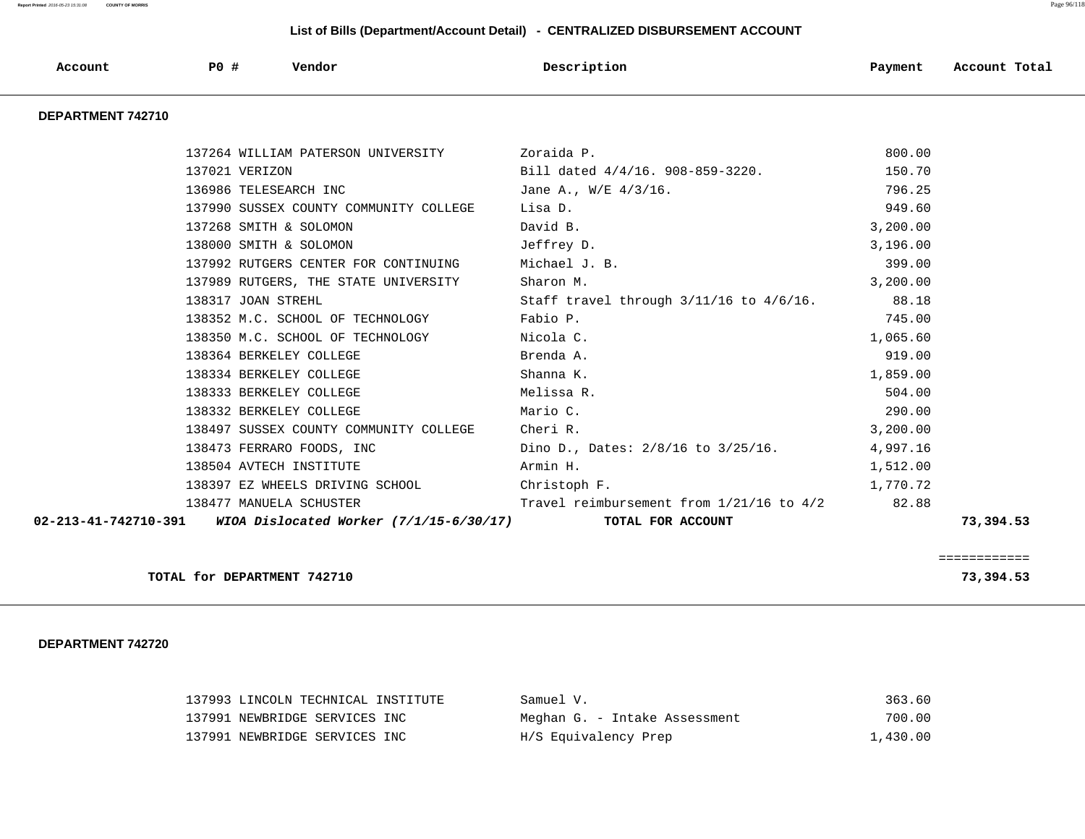| $\bf P0$<br>Vendor<br>Account<br>Description | Payment | Account Total |
|----------------------------------------------|---------|---------------|
|----------------------------------------------|---------|---------------|

### **DEPARTMENT 742710**

| 137264 WILLIAM PATERSON UNIVERSITY Zoraida P.                                  | 800.00                                                                                                                                                                                                            |                                                                                                                                                                                                                                                                                                                                                                                                                                                                                                                                                                                                           |
|--------------------------------------------------------------------------------|-------------------------------------------------------------------------------------------------------------------------------------------------------------------------------------------------------------------|-----------------------------------------------------------------------------------------------------------------------------------------------------------------------------------------------------------------------------------------------------------------------------------------------------------------------------------------------------------------------------------------------------------------------------------------------------------------------------------------------------------------------------------------------------------------------------------------------------------|
|                                                                                | 150.70                                                                                                                                                                                                            |                                                                                                                                                                                                                                                                                                                                                                                                                                                                                                                                                                                                           |
|                                                                                | 796.25                                                                                                                                                                                                            |                                                                                                                                                                                                                                                                                                                                                                                                                                                                                                                                                                                                           |
|                                                                                | 949.60                                                                                                                                                                                                            |                                                                                                                                                                                                                                                                                                                                                                                                                                                                                                                                                                                                           |
|                                                                                | 3,200.00                                                                                                                                                                                                          |                                                                                                                                                                                                                                                                                                                                                                                                                                                                                                                                                                                                           |
| 138000 SMITH & SOLOMON<br>Jeffrey D.                                           | 3,196.00                                                                                                                                                                                                          |                                                                                                                                                                                                                                                                                                                                                                                                                                                                                                                                                                                                           |
|                                                                                | 399.00                                                                                                                                                                                                            |                                                                                                                                                                                                                                                                                                                                                                                                                                                                                                                                                                                                           |
| 137989 RUTGERS, THE STATE UNIVERSITY Sharon M.                                 |                                                                                                                                                                                                                   |                                                                                                                                                                                                                                                                                                                                                                                                                                                                                                                                                                                                           |
|                                                                                |                                                                                                                                                                                                                   |                                                                                                                                                                                                                                                                                                                                                                                                                                                                                                                                                                                                           |
| 138352 M.C. SCHOOL OF TECHNOLOGY Fabio P.                                      | 745.00                                                                                                                                                                                                            |                                                                                                                                                                                                                                                                                                                                                                                                                                                                                                                                                                                                           |
|                                                                                | 1,065.60                                                                                                                                                                                                          |                                                                                                                                                                                                                                                                                                                                                                                                                                                                                                                                                                                                           |
|                                                                                | 919.00                                                                                                                                                                                                            |                                                                                                                                                                                                                                                                                                                                                                                                                                                                                                                                                                                                           |
| 138334 BERKELEY COLLEGE<br>Shanna K.                                           | 1,859.00                                                                                                                                                                                                          |                                                                                                                                                                                                                                                                                                                                                                                                                                                                                                                                                                                                           |
| 138333 BERKELEY COLLEGE<br>Melissa R.                                          | 504.00                                                                                                                                                                                                            |                                                                                                                                                                                                                                                                                                                                                                                                                                                                                                                                                                                                           |
| 138332 BERKELEY COLLEGE Mario C.                                               | 290.00                                                                                                                                                                                                            |                                                                                                                                                                                                                                                                                                                                                                                                                                                                                                                                                                                                           |
|                                                                                | 3,200.00                                                                                                                                                                                                          |                                                                                                                                                                                                                                                                                                                                                                                                                                                                                                                                                                                                           |
|                                                                                |                                                                                                                                                                                                                   |                                                                                                                                                                                                                                                                                                                                                                                                                                                                                                                                                                                                           |
| 138504 AVTECH INSTITUTE<br>Armin H.                                            | 1,512.00                                                                                                                                                                                                          |                                                                                                                                                                                                                                                                                                                                                                                                                                                                                                                                                                                                           |
| 138397 EZ WHEELS DRIVING SCHOOL Christoph F.                                   | 1,770.72                                                                                                                                                                                                          |                                                                                                                                                                                                                                                                                                                                                                                                                                                                                                                                                                                                           |
|                                                                                |                                                                                                                                                                                                                   |                                                                                                                                                                                                                                                                                                                                                                                                                                                                                                                                                                                                           |
| 02-213-41-742710-391 WIOA Dislocated Worker (7/1/15-6/30/17) TOTAL FOR ACCOUNT |                                                                                                                                                                                                                   | 73,394.53                                                                                                                                                                                                                                                                                                                                                                                                                                                                                                                                                                                                 |
|                                                                                | David B.<br>137992 RUTGERS CENTER FOR CONTINUING Michael J. B.<br>138352 M.C. SCHOOL OF TECHNOLOGY<br>138350 M.C. SCHOOL OF TECHNOLOGY Nicola C.<br>Richard A.<br>138497 SUSSEX COUNTY COMMUNITY COLLEGE Cheri R. | 137021 VERIZON 6121 CHECK CHECK CHECK CHECK CHECK CHECK CHECK CHECK CHECK CHECK CHECK CHECK CHECK CHECK CHECK CHECK CHECK CHECK CHECK CHECK CHECK CHECK CHECK CHECK CHECK CHECK CHECK CHECK CHECK CHECK CHECK CHECK CHECK CHEC<br>136986 TELESEARCH INC <b>STARBER STARBER 1989</b> Jane A., W/E 4/3/16.<br>137990 SUSSEX COUNTY COMMUNITY COLLEGE Lisa D.<br>3, 200.00<br>138317 JOAN STREHL 38.18 Staff travel through $3/11/16$ to $4/6/16$ . 38.18<br>138473 FERRARO FOODS, INC Dino D., Dates: 2/8/16 to 3/25/16. 4,997.16<br>138477 MANUELA SCHUSTER Travel reimbursement from 1/21/16 to 4/2 82.88 |

**TOTAL for DEPARTMENT 742710** 73,394.53

============

| 137993 LINCOLN TECHNICAL INSTITUTE | Samuel V.                     | 363.60   |
|------------------------------------|-------------------------------|----------|
| 137991 NEWBRIDGE SERVICES INC      | Meghan G. - Intake Assessment | 700.00   |
| 137991 NEWBRIDGE SERVICES INC      | H/S Equivalency Prep          | 1,430.00 |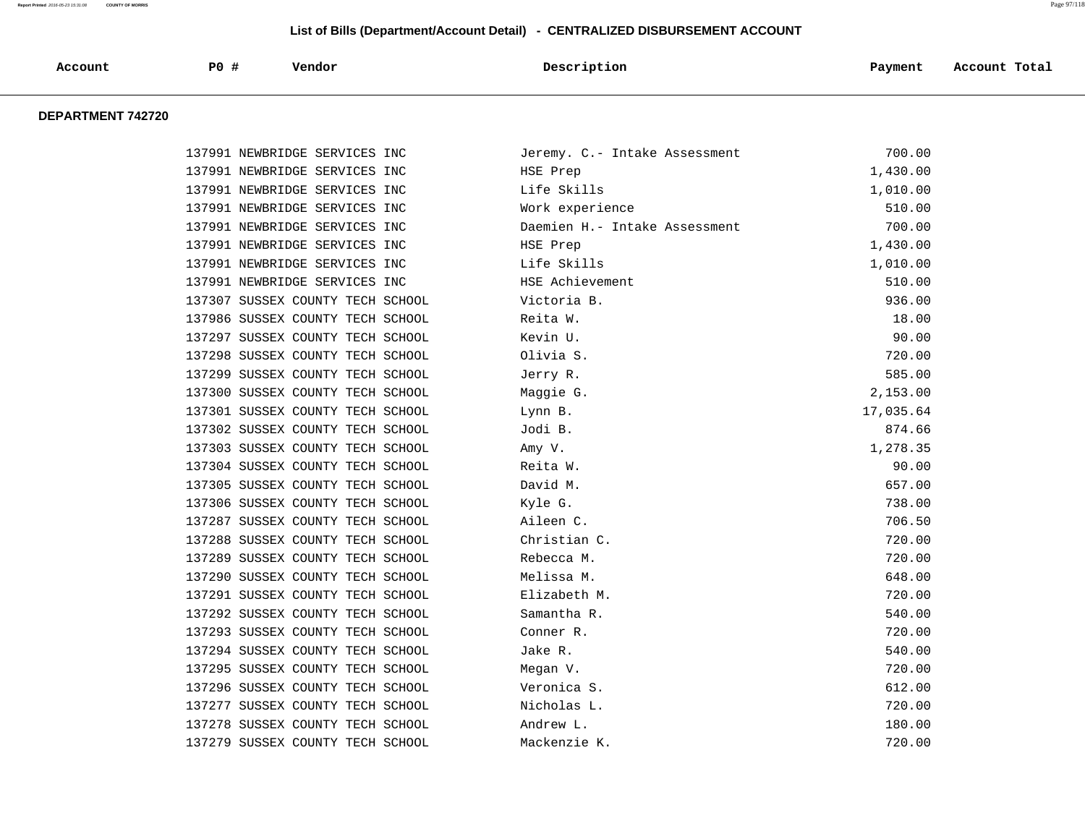| Account | $\bf P0$ | Vendor | Description | Payment | Account Total |
|---------|----------|--------|-------------|---------|---------------|
|         |          |        |             |         |               |

| 137991 NEWBRIDGE SERVICES INC    |          | Jeremy. C.- Intake Assessment | 700.00    |
|----------------------------------|----------|-------------------------------|-----------|
| 137991 NEWBRIDGE SERVICES INC    |          | HSE Prep                      | 1,430.00  |
| 137991 NEWBRIDGE SERVICES INC    |          | Life Skills                   | 1,010.00  |
| 137991 NEWBRIDGE SERVICES INC    |          | Work experience               | 510.00    |
| 137991 NEWBRIDGE SERVICES INC    |          | Daemien H.- Intake Assessment | 700.00    |
| 137991 NEWBRIDGE SERVICES INC    |          | HSE Prep                      | 1,430.00  |
| 137991 NEWBRIDGE SERVICES INC    |          | Life Skills                   | 1,010.00  |
| 137991 NEWBRIDGE SERVICES INC    |          | HSE Achievement               | 510.00    |
| 137307 SUSSEX COUNTY TECH SCHOOL |          | Victoria B.                   | 936.00    |
| 137986 SUSSEX COUNTY TECH SCHOOL | Reita W. |                               | 18.00     |
| 137297 SUSSEX COUNTY TECH SCHOOL | Kevin U. |                               | 90.00     |
| 137298 SUSSEX COUNTY TECH SCHOOL |          | Olivia S.                     | 720.00    |
| 137299 SUSSEX COUNTY TECH SCHOOL | Jerry R. |                               | 585.00    |
| 137300 SUSSEX COUNTY TECH SCHOOL |          | Maggie G.                     | 2,153.00  |
| 137301 SUSSEX COUNTY TECH SCHOOL | Lynn B.  |                               | 17,035.64 |
| 137302 SUSSEX COUNTY TECH SCHOOL | Jodi B.  |                               | 874.66    |
| 137303 SUSSEX COUNTY TECH SCHOOL | Amy V.   |                               | 1,278.35  |
| 137304 SUSSEX COUNTY TECH SCHOOL | Reita W. |                               | 90.00     |
| 137305 SUSSEX COUNTY TECH SCHOOL | David M. |                               | 657.00    |
| 137306 SUSSEX COUNTY TECH SCHOOL | Kyle G.  |                               | 738.00    |
| 137287 SUSSEX COUNTY TECH SCHOOL |          | Aileen C.                     | 706.50    |
| 137288 SUSSEX COUNTY TECH SCHOOL |          | Christian C.                  | 720.00    |
| 137289 SUSSEX COUNTY TECH SCHOOL |          | Rebecca M.                    | 720.00    |
| 137290 SUSSEX COUNTY TECH SCHOOL |          | Melissa M.                    | 648.00    |
| 137291 SUSSEX COUNTY TECH SCHOOL |          | Elizabeth M.                  | 720.00    |
| 137292 SUSSEX COUNTY TECH SCHOOL |          | Samantha R.                   | 540.00    |
| 137293 SUSSEX COUNTY TECH SCHOOL |          | Conner R.                     | 720.00    |
| 137294 SUSSEX COUNTY TECH SCHOOL | Jake R.  |                               | 540.00    |
| 137295 SUSSEX COUNTY TECH SCHOOL | Megan V. |                               | 720.00    |
| 137296 SUSSEX COUNTY TECH SCHOOL |          | Veronica S.                   | 612.00    |
| 137277 SUSSEX COUNTY TECH SCHOOL |          | Nicholas L.                   | 720.00    |
| 137278 SUSSEX COUNTY TECH SCHOOL |          | Andrew L.                     | 180.00    |
| 137279 SUSSEX COUNTY TECH SCHOOL |          | Mackenzie K.                  | 720.00    |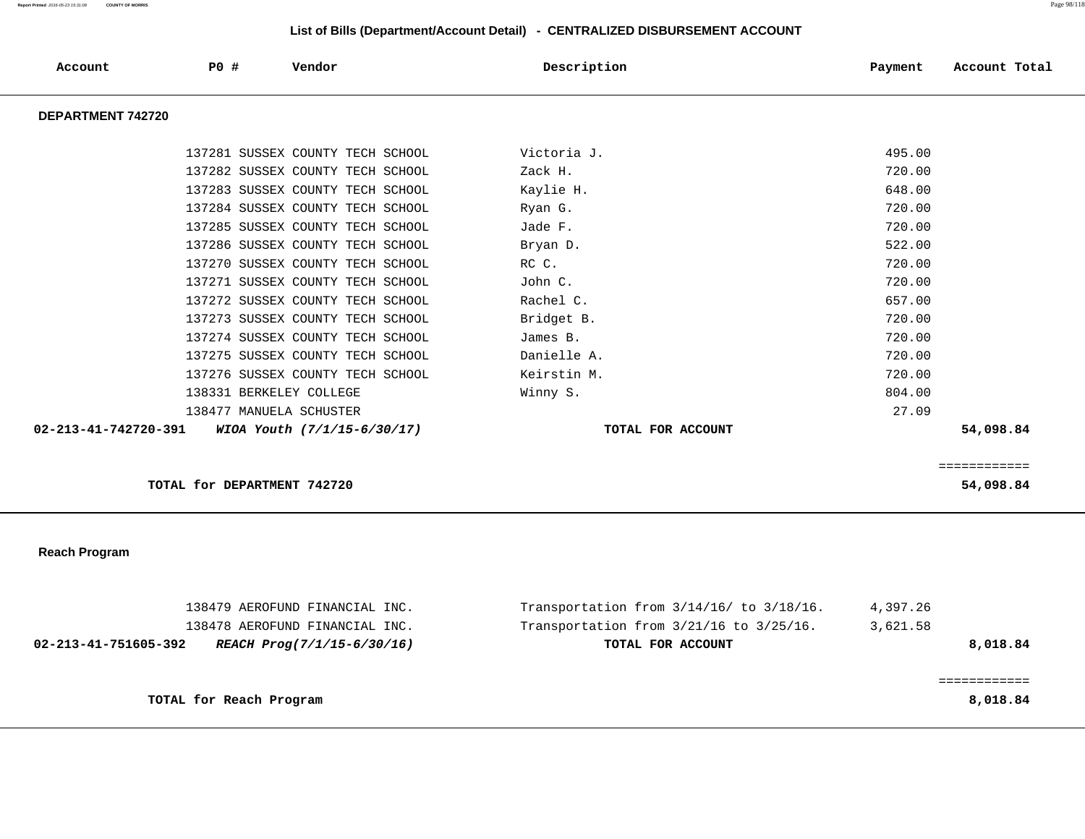| Account              | P0 #                        | Vendor                           | Description       | Payment<br>Account Total |
|----------------------|-----------------------------|----------------------------------|-------------------|--------------------------|
| DEPARTMENT 742720    |                             |                                  |                   |                          |
|                      |                             | 137281 SUSSEX COUNTY TECH SCHOOL | Victoria J.       | 495.00                   |
|                      |                             | 137282 SUSSEX COUNTY TECH SCHOOL | Zack H.           | 720.00                   |
|                      |                             | 137283 SUSSEX COUNTY TECH SCHOOL | Kaylie H.         | 648.00                   |
|                      |                             | 137284 SUSSEX COUNTY TECH SCHOOL | Ryan G.           | 720.00                   |
|                      |                             | 137285 SUSSEX COUNTY TECH SCHOOL | Jade F.           | 720.00                   |
|                      |                             | 137286 SUSSEX COUNTY TECH SCHOOL | Bryan D.          | 522.00                   |
|                      |                             | 137270 SUSSEX COUNTY TECH SCHOOL | RC C.             | 720.00                   |
|                      |                             | 137271 SUSSEX COUNTY TECH SCHOOL | John C.           | 720.00                   |
|                      |                             | 137272 SUSSEX COUNTY TECH SCHOOL | Rachel C.         | 657.00                   |
|                      |                             | 137273 SUSSEX COUNTY TECH SCHOOL | Bridget B.        | 720.00                   |
|                      |                             | 137274 SUSSEX COUNTY TECH SCHOOL | James B.          | 720.00                   |
|                      |                             | 137275 SUSSEX COUNTY TECH SCHOOL | Danielle A.       | 720.00                   |
|                      |                             | 137276 SUSSEX COUNTY TECH SCHOOL | Keirstin M.       | 720.00                   |
|                      | 138331 BERKELEY COLLEGE     |                                  | Winny S.          | 804.00                   |
|                      | 138477 MANUELA SCHUSTER     |                                  |                   | 27.09                    |
| 02-213-41-742720-391 |                             | WIOA Youth (7/1/15-6/30/17)      | TOTAL FOR ACCOUNT | 54,098.84                |
|                      |                             |                                  |                   | ============             |
|                      | TOTAL for DEPARTMENT 742720 |                                  |                   | 54,098.84                |

 **Reach Program** 

| 138479 AEROFUND FINANCIAL INC.                     | Transportation from $3/14/16/$ to $3/18/16$ . | 4,397.26 |
|----------------------------------------------------|-----------------------------------------------|----------|
| 138478 AEROFUND FINANCIAL INC.                     | Transportation from $3/21/16$ to $3/25/16$ .  | 3,621.58 |
| 02-213-41-751605-392<br>REACH Prog(7/1/15-6/30/16) | TOTAL FOR ACCOUNT                             | 8,018.84 |
|                                                    |                                               |          |
|                                                    |                                               |          |
| TOTAL for Reach Program                            |                                               | 8,018.84 |
|                                                    |                                               |          |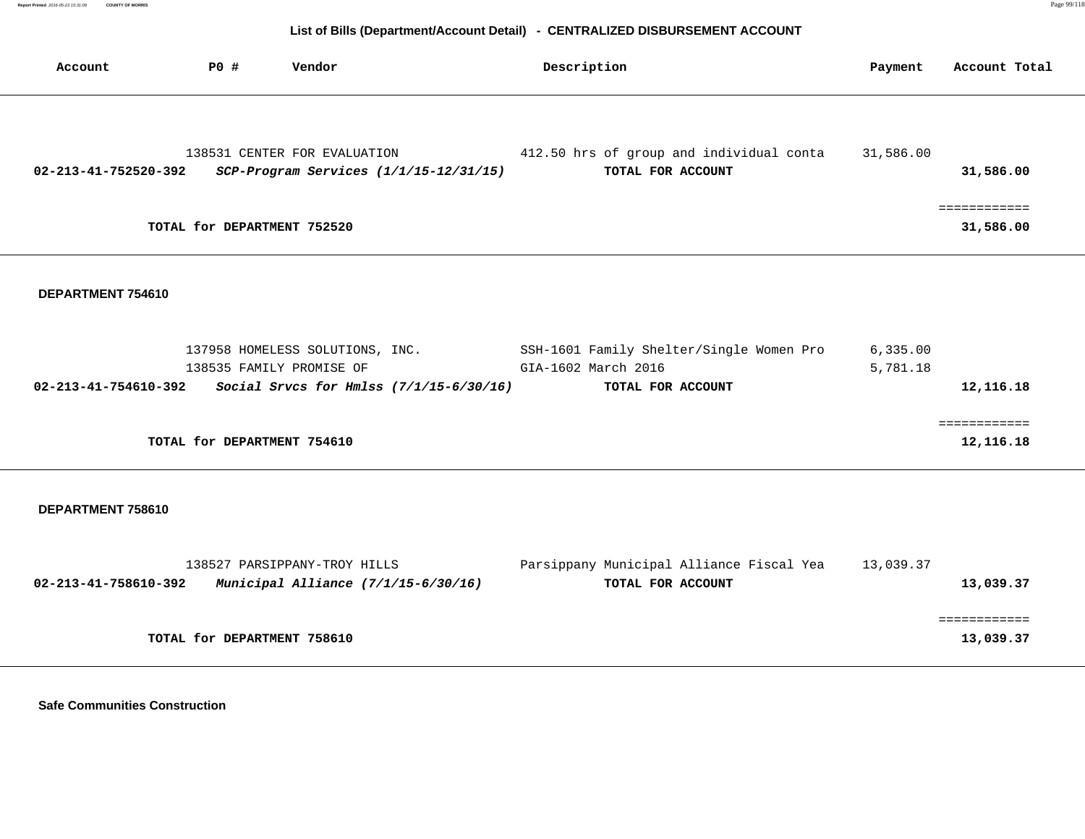| Account              | <b>PO #</b> | Vendor                                                                                                   | Description                                                                          | Payment              | Account Total             |
|----------------------|-------------|----------------------------------------------------------------------------------------------------------|--------------------------------------------------------------------------------------|----------------------|---------------------------|
| 02-213-41-752520-392 |             | 138531 CENTER FOR EVALUATION<br>SCP-Program Services (1/1/15-12/31/15)                                   | 412.50 hrs of group and individual conta<br>TOTAL FOR ACCOUNT                        | 31,586.00            | 31,586.00                 |
|                      |             | TOTAL for DEPARTMENT 752520                                                                              |                                                                                      |                      | ============<br>31,586.00 |
| DEPARTMENT 754610    |             |                                                                                                          |                                                                                      |                      |                           |
| 02-213-41-754610-392 |             | 137958 HOMELESS SOLUTIONS, INC.<br>138535 FAMILY PROMISE OF<br>Social Srvcs for Hmlss $(7/1/15-6/30/16)$ | SSH-1601 Family Shelter/Single Women Pro<br>GIA-1602 March 2016<br>TOTAL FOR ACCOUNT | 6,335.00<br>5,781.18 | 12,116.18                 |
|                      |             | TOTAL for DEPARTMENT 754610                                                                              |                                                                                      |                      | ============<br>12,116.18 |
| DEPARTMENT 758610    |             |                                                                                                          |                                                                                      |                      |                           |
| 02-213-41-758610-392 |             | 138527 PARSIPPANY-TROY HILLS<br>Municipal Alliance $(7/1/15-6/30/16)$                                    | Parsippany Municipal Alliance Fiscal Yea<br>TOTAL FOR ACCOUNT                        | 13,039.37            | 13,039.37                 |

|                             | -------------<br>------------ |
|-----------------------------|-------------------------------|
| TOTAL for DEPARTMENT 758610 | 13,039.37                     |

 **Safe Communities Construction**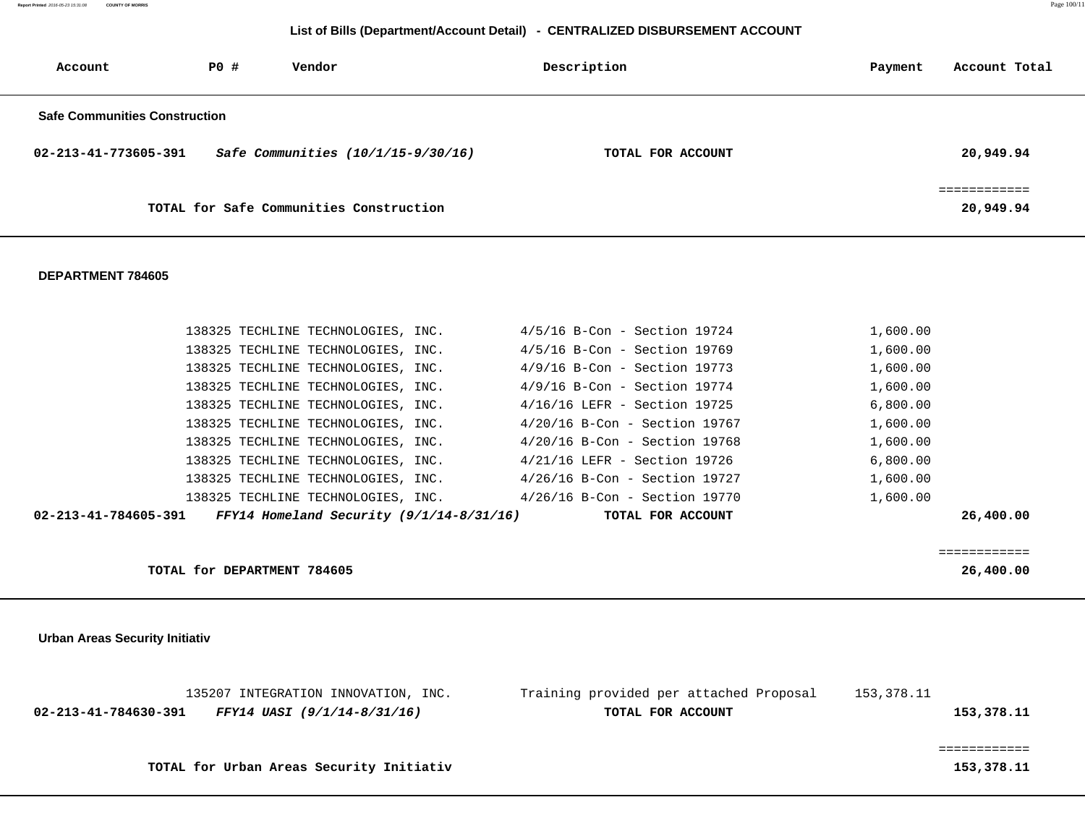| Account                              | PO# | Vendor                                  | Description       | Payment | Account Total |
|--------------------------------------|-----|-----------------------------------------|-------------------|---------|---------------|
| <b>Safe Communities Construction</b> |     |                                         |                   |         |               |
| 02-213-41-773605-391                 |     | Safe Communities (10/1/15-9/30/16)      | TOTAL FOR ACCOUNT |         | 20,949.94     |
|                                      |     | TOTAL for Safe Communities Construction |                   |         | 20,949.94     |

### **DEPARTMENT 784605**

| 02-213-41-784605-391 FFY14 Homeland Security $(9/1/14-8/31/16)$ |                                    |                                 | TOTAL FOR ACCOUNT | 26,400.00 |  |
|-----------------------------------------------------------------|------------------------------------|---------------------------------|-------------------|-----------|--|
|                                                                 | 138325 TECHLINE TECHNOLOGIES, INC. | 4/26/16 B-Con - Section 19770   |                   | 1,600.00  |  |
|                                                                 | 138325 TECHLINE TECHNOLOGIES, INC. | $4/26/16$ B-Con - Section 19727 |                   | 1,600.00  |  |
|                                                                 | 138325 TECHLINE TECHNOLOGIES, INC. | 4/21/16 LEFR - Section 19726    |                   | 6,800.00  |  |
|                                                                 | 138325 TECHLINE TECHNOLOGIES, INC. | $4/20/16$ B-Con - Section 19768 |                   | 1,600.00  |  |
|                                                                 | 138325 TECHLINE TECHNOLOGIES, INC. | $4/20/16$ B-Con - Section 19767 |                   | 1,600.00  |  |
|                                                                 | 138325 TECHLINE TECHNOLOGIES, INC. | 4/16/16 LEFR - Section 19725    |                   | 6,800.00  |  |
|                                                                 | 138325 TECHLINE TECHNOLOGIES, INC. | 4/9/16 B-Con - Section 19774    |                   | 1,600.00  |  |
|                                                                 | 138325 TECHLINE TECHNOLOGIES, INC. | 4/9/16 B-Con - Section 19773    |                   | 1,600.00  |  |
|                                                                 | 138325 TECHLINE TECHNOLOGIES, INC. | 4/5/16 B-Con - Section 19769    |                   | 1,600.00  |  |
|                                                                 | 138325 TECHLINE TECHNOLOGIES, INC. | $4/5/16$ B-Con - Section 19724  |                   | 1,600.00  |  |

**TOTAL for DEPARTMENT 784605 26,400.00**

============

 **Urban Areas Security Initiativ**

|                      | 135207 INTEGRATION INNOVATION, INC.      | Training provided per attached Proposal | 153,378.11 |
|----------------------|------------------------------------------|-----------------------------------------|------------|
| 02-213-41-784630-391 | FFY14 UASI (9/1/14-8/31/16)              | TOTAL FOR ACCOUNT                       | 153,378.11 |
|                      |                                          |                                         |            |
|                      |                                          |                                         |            |
|                      | TOTAL for Urban Areas Security Initiativ |                                         | 153,378.11 |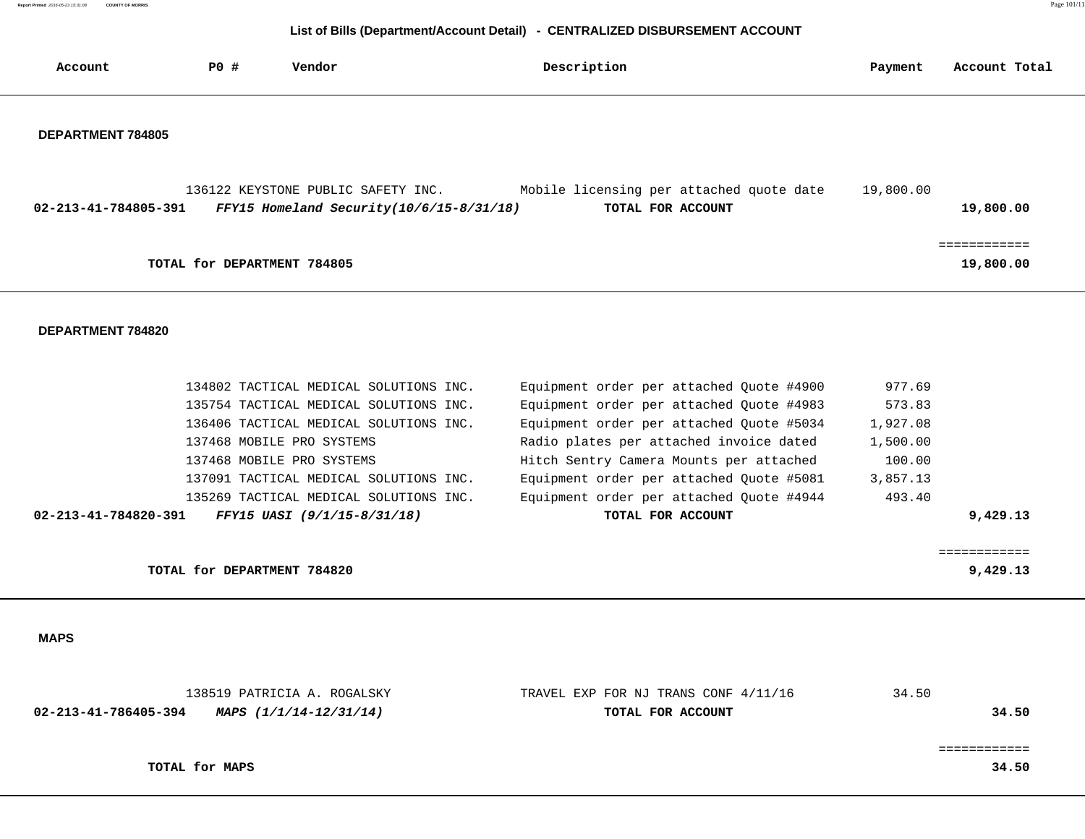**Report Printed** 2016-05-23 15:31:08 **COUNTY OF MORRIS COUNTY OF MORRIS** PAGE 101/11

# **List of Bills (Department/Account Detail) - CENTRALIZED DISBURSEMENT ACCOUNT**

| Account                  | PO#                         | Vendor                                                                         | Description                                                   | Payment   | Account Total |
|--------------------------|-----------------------------|--------------------------------------------------------------------------------|---------------------------------------------------------------|-----------|---------------|
| <b>DEPARTMENT 784805</b> |                             |                                                                                |                                                               |           |               |
| 02-213-41-784805-391     |                             | 136122 KEYSTONE PUBLIC SAFETY INC.<br>FFY15 Homeland Security(10/6/15-8/31/18) | Mobile licensing per attached quote date<br>TOTAL FOR ACCOUNT | 19,800.00 | 19,800.00     |
|                          | TOTAL for DEPARTMENT 784805 |                                                                                |                                                               |           | 19,800.00     |

## **DEPARTMENT 784820**

| 134802 TACTICAL MEDICAL SOLUTIONS INC.                        | Equipment order per attached Quote #4900 | 977.69   |
|---------------------------------------------------------------|------------------------------------------|----------|
| 135754 TACTICAL MEDICAL SOLUTIONS INC.                        | Equipment order per attached Ouote #4983 | 573.83   |
| 136406 TACTICAL MEDICAL SOLUTIONS INC.                        | Equipment order per attached Quote #5034 | 1,927.08 |
| 137468 MOBILE PRO SYSTEMS                                     | Radio plates per attached invoice dated  | 1,500.00 |
| 137468 MOBILE PRO SYSTEMS                                     | Hitch Sentry Camera Mounts per attached  | 100.00   |
| 137091 TACTICAL MEDICAL SOLUTIONS INC.                        | Equipment order per attached Quote #5081 | 3,857.13 |
| 135269 TACTICAL MEDICAL SOLUTIONS INC.                        | Equipment order per attached Ouote #4944 | 493.40   |
| FFY15 UASI (9/1/15-8/31/18)<br>$02 - 213 - 41 - 784820 - 391$ | TOTAL FOR ACCOUNT                        | 9,429.13 |
|                                                               |                                          |          |
|                                                               |                                          |          |
| TOTAL for DEPARTMENT 784820                                   |                                          | 9,429.13 |

 **MAPS** 

|                      | 138519 PATRICIA A. ROGALSKY | TRAVEL EXP FOR NJ TRANS CONF 4/11/16 | 34.50 |
|----------------------|-----------------------------|--------------------------------------|-------|
| 02-213-41-786405-394 | MAPS (1/1/14-12/31/14)      | TOTAL FOR ACCOUNT                    | 34.50 |
|                      |                             |                                      |       |
|                      |                             |                                      |       |
|                      | TOTAL for MAPS              |                                      | 34.50 |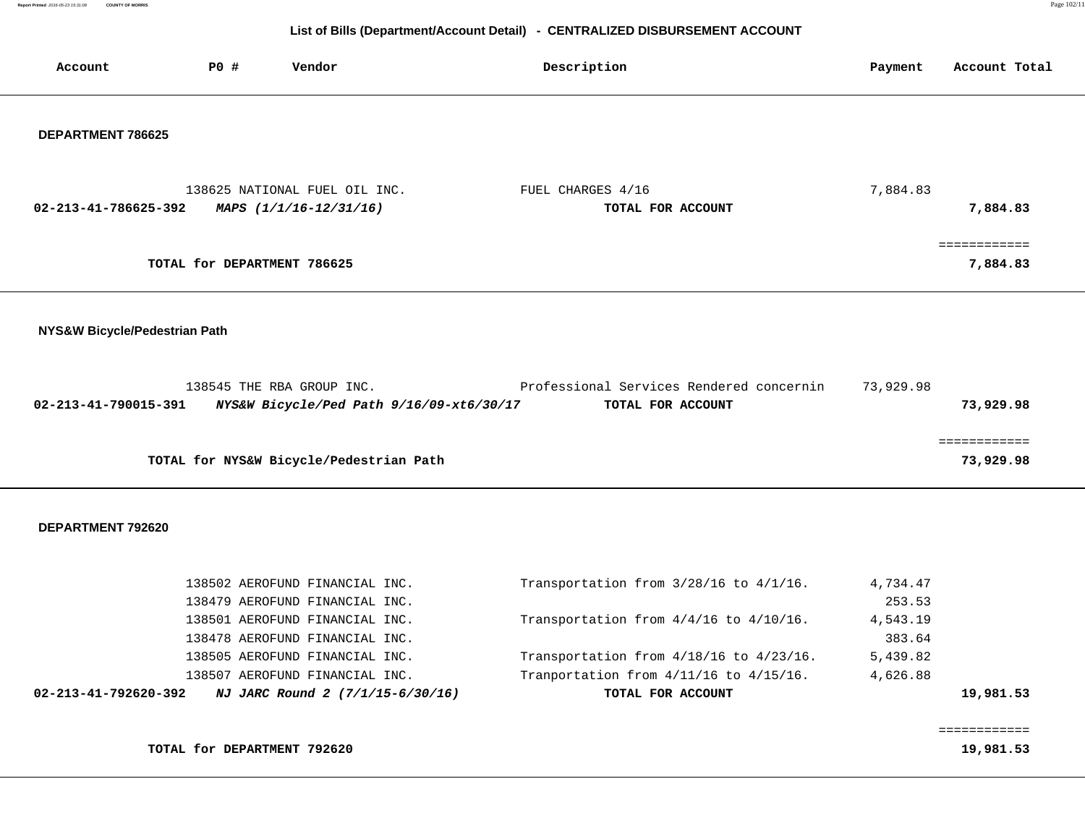**Report Primed 2016-05-23 15:31:08 COUNTY OF MORRIS COUNTY OF MORRIS** 

## **List of Bills (Department/Account Detail) - CENTRALIZED DISBURSEMENT ACCOUNT**

| Account                       | <b>PO #</b>                 | Vendor                                                                | Description                                                   | Payment            | Account Total             |
|-------------------------------|-----------------------------|-----------------------------------------------------------------------|---------------------------------------------------------------|--------------------|---------------------------|
| DEPARTMENT 786625             |                             |                                                                       |                                                               |                    |                           |
| 02-213-41-786625-392          |                             | 138625 NATIONAL FUEL OIL INC.<br>MAPS (1/1/16-12/31/16)               | FUEL CHARGES 4/16<br>TOTAL FOR ACCOUNT                        | 7,884.83           | 7,884.83                  |
|                               | TOTAL for DEPARTMENT 786625 |                                                                       |                                                               |                    | ============<br>7,884.83  |
| NYS&W Bicycle/Pedestrian Path |                             |                                                                       |                                                               |                    |                           |
| 02-213-41-790015-391          |                             | 138545 THE RBA GROUP INC.<br>NYS&W Bicycle/Ped Path 9/16/09-xt6/30/17 | Professional Services Rendered concernin<br>TOTAL FOR ACCOUNT | 73,929.98          | 73,929.98                 |
|                               |                             | TOTAL for NYS&W Bicycle/Pedestrian Path                               |                                                               |                    | ============<br>73,929.98 |
| DEPARTMENT 792620             |                             |                                                                       |                                                               |                    |                           |
|                               |                             | 138502 AEROFUND FINANCIAL INC.                                        | Transportation from 3/28/16 to 4/1/16.                        | 4,734.47           |                           |
|                               |                             | 138479 AEROFUND FINANCIAL INC.<br>138501 AEROFUND FINANCIAL INC.      | Transportation from 4/4/16 to 4/10/16.                        | 253.53<br>4,543.19 |                           |
|                               |                             | 138478 AEROFUND FINANCIAL INC.                                        |                                                               | 383.64             |                           |
|                               |                             | 138505 AEROFUND FINANCIAL INC.                                        | Transportation from 4/18/16 to 4/23/16.                       | 5,439.82           |                           |

138507 AEROFUND FINANCIAL INC. Tranportation from 4/11/16 to 4/15/16. 4,626.88

 **02-213-41-792620-392 NJ JARC Round 2 (7/1/15-6/30/16) TOTAL FOR ACCOUNT 19,981.53**

**TOTAL for DEPARTMENT 792620** 19,081.53

============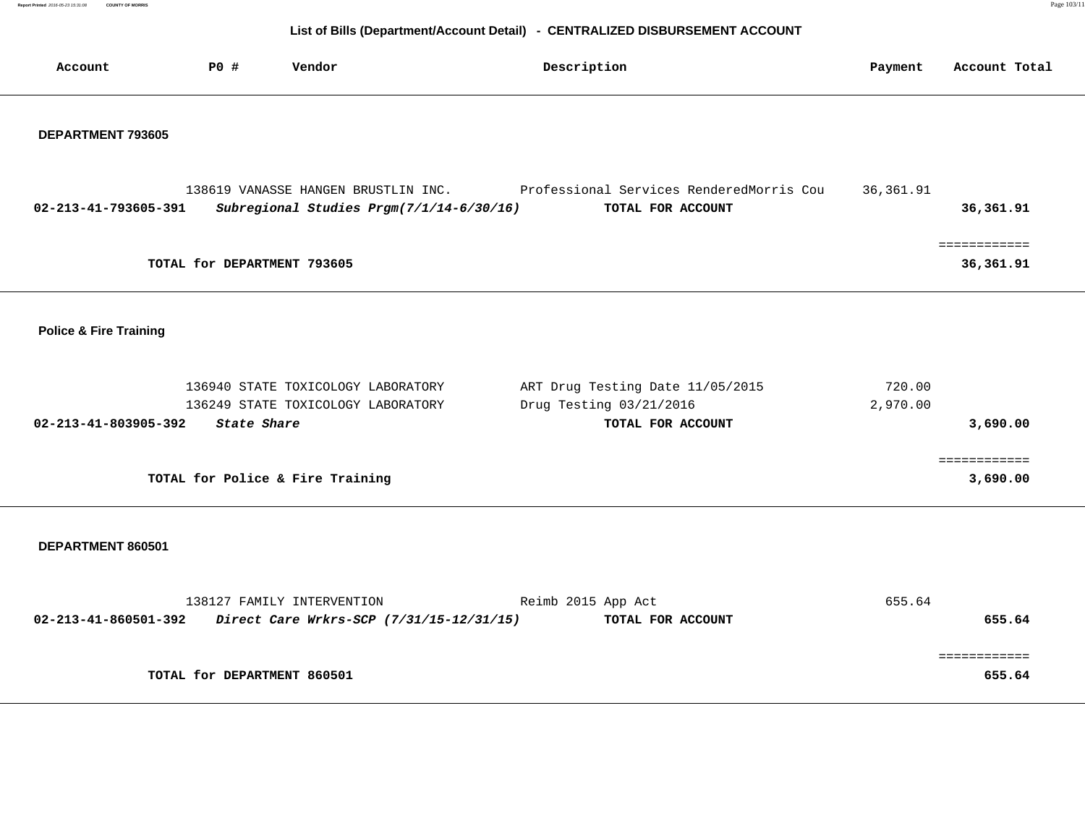**Report Primed 2016-05-23 15:31:08 COUNTY OF MORRIS COUNTY OF MORRIS** 

| Account                           | P0 #               | Vendor                                                                 | Description                                                                  | Payment   | Account Total              |
|-----------------------------------|--------------------|------------------------------------------------------------------------|------------------------------------------------------------------------------|-----------|----------------------------|
|                                   |                    |                                                                        |                                                                              |           |                            |
| DEPARTMENT 793605                 |                    |                                                                        |                                                                              |           |                            |
|                                   |                    |                                                                        |                                                                              |           |                            |
|                                   |                    |                                                                        | 138619 VANASSE HANGEN BRUSTLIN INC. Professional Services RenderedMorris Cou | 36,361.91 |                            |
| 02-213-41-793605-391              |                    | Subregional Studies Prgm(7/1/14-6/30/16)                               | TOTAL FOR ACCOUNT                                                            |           | 36,361.91                  |
|                                   |                    | TOTAL for DEPARTMENT 793605                                            |                                                                              |           | ============<br>36, 361.91 |
|                                   |                    |                                                                        |                                                                              |           |                            |
|                                   |                    |                                                                        |                                                                              |           |                            |
| <b>Police &amp; Fire Training</b> |                    |                                                                        |                                                                              |           |                            |
|                                   |                    | 136940 STATE TOXICOLOGY LABORATORY                                     | ART Drug Testing Date 11/05/2015                                             | 720.00    |                            |
|                                   |                    | 136249 STATE TOXICOLOGY LABORATORY                                     | Drug Testing 03/21/2016                                                      | 2,970.00  |                            |
| 02-213-41-803905-392              | <b>State Share</b> |                                                                        | TOTAL FOR ACCOUNT                                                            |           | 3,690.00                   |
|                                   |                    |                                                                        |                                                                              |           | ============               |
|                                   |                    | TOTAL for Police & Fire Training                                       |                                                                              |           | 3,690.00                   |
|                                   |                    |                                                                        |                                                                              |           |                            |
| DEPARTMENT 860501                 |                    |                                                                        |                                                                              |           |                            |
|                                   |                    |                                                                        |                                                                              |           |                            |
| 02-213-41-860501-392              |                    | 138127 FAMILY INTERVENTION<br>Direct Care Wrkrs-SCP (7/31/15-12/31/15) | Reimb 2015 App Act<br>TOTAL FOR ACCOUNT                                      | 655.64    | 655.64                     |
|                                   |                    |                                                                        |                                                                              |           |                            |
|                                   |                    | TOTAL for DEPARTMENT 860501                                            |                                                                              |           | 655.64                     |
|                                   |                    |                                                                        |                                                                              |           |                            |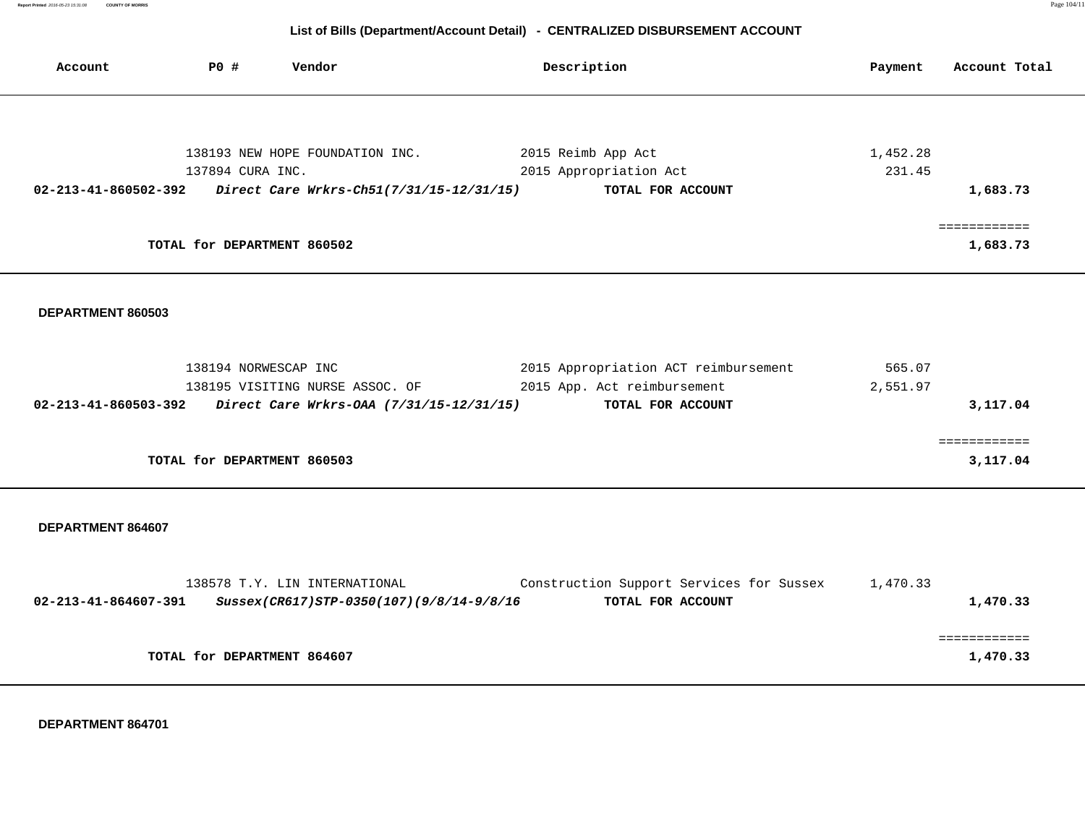| Account                        | PO#                         | Vendor                                                        | Description                              | Payment  | Account Total |
|--------------------------------|-----------------------------|---------------------------------------------------------------|------------------------------------------|----------|---------------|
|                                |                             |                                                               |                                          |          |               |
|                                |                             | 138193 NEW HOPE FOUNDATION INC.                               | 2015 Reimb App Act                       | 1,452.28 |               |
|                                | 137894 CURA INC.            |                                                               | 2015 Appropriation Act                   | 231.45   |               |
|                                |                             | 02-213-41-860502-392 Direct Care Wrkrs-Ch51(7/31/15-12/31/15) | TOTAL FOR ACCOUNT                        |          | 1,683.73      |
|                                |                             |                                                               |                                          |          | ============  |
|                                | TOTAL for DEPARTMENT 860502 |                                                               |                                          |          | 1,683.73      |
|                                |                             |                                                               |                                          |          |               |
|                                |                             |                                                               |                                          |          |               |
| DEPARTMENT 860503              |                             |                                                               |                                          |          |               |
|                                |                             |                                                               |                                          |          |               |
|                                |                             |                                                               |                                          |          |               |
|                                | 138194 NORWESCAP INC        |                                                               | 2015 Appropriation ACT reimbursement     | 565.07   |               |
|                                |                             | 138195 VISITING NURSE ASSOC. OF                               | 2015 App. Act reimbursement              | 2,551.97 |               |
|                                |                             | 02-213-41-860503-392 Direct Care Wrkrs-OAA (7/31/15-12/31/15) | TOTAL FOR ACCOUNT                        |          | 3,117.04      |
|                                |                             |                                                               |                                          |          |               |
|                                | TOTAL for DEPARTMENT 860503 |                                                               |                                          |          | 3,117.04      |
|                                |                             |                                                               |                                          |          |               |
|                                |                             |                                                               |                                          |          |               |
| DEPARTMENT 864607              |                             |                                                               |                                          |          |               |
|                                |                             |                                                               |                                          |          |               |
|                                |                             |                                                               |                                          |          |               |
|                                |                             | 138578 T.Y. LIN INTERNATIONAL                                 | Construction Support Services for Sussex | 1,470.33 |               |
| $02 - 213 - 41 - 864607 - 391$ |                             | Sussex(CR617)STP-0350(107)(9/8/14-9/8/16                      | TOTAL FOR ACCOUNT                        |          | 1,470.33      |
|                                |                             |                                                               |                                          |          |               |
|                                |                             |                                                               |                                          |          |               |
|                                | TOTAL for DEPARTMENT 864607 |                                                               |                                          |          | 1,470.33      |
|                                |                             |                                                               |                                          |          |               |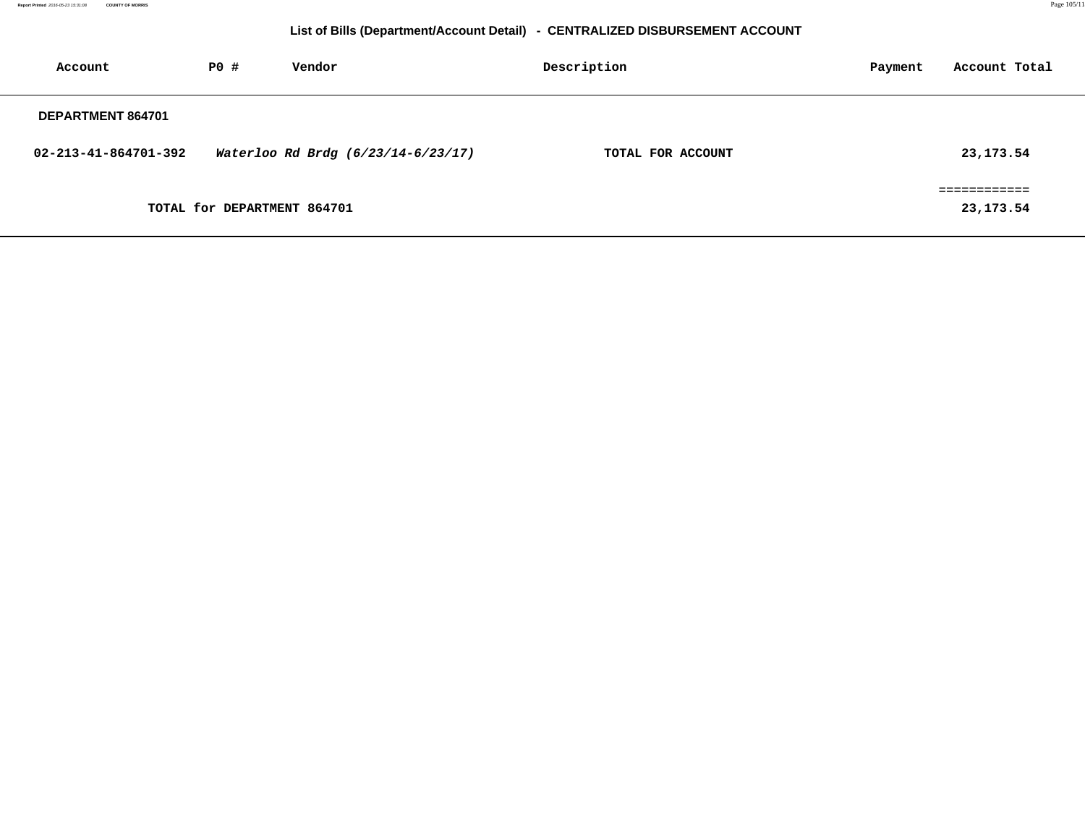| Account              | PO#                         | Vendor                             | Description       | Payment | Account Total |
|----------------------|-----------------------------|------------------------------------|-------------------|---------|---------------|
| DEPARTMENT 864701    |                             |                                    |                   |         |               |
| 02-213-41-864701-392 |                             | Waterloo Rd Brdg (6/23/14-6/23/17) | TOTAL FOR ACCOUNT |         | 23, 173. 54   |
|                      |                             |                                    |                   |         | ============  |
|                      | TOTAL for DEPARTMENT 864701 |                                    |                   |         | 23,173.54     |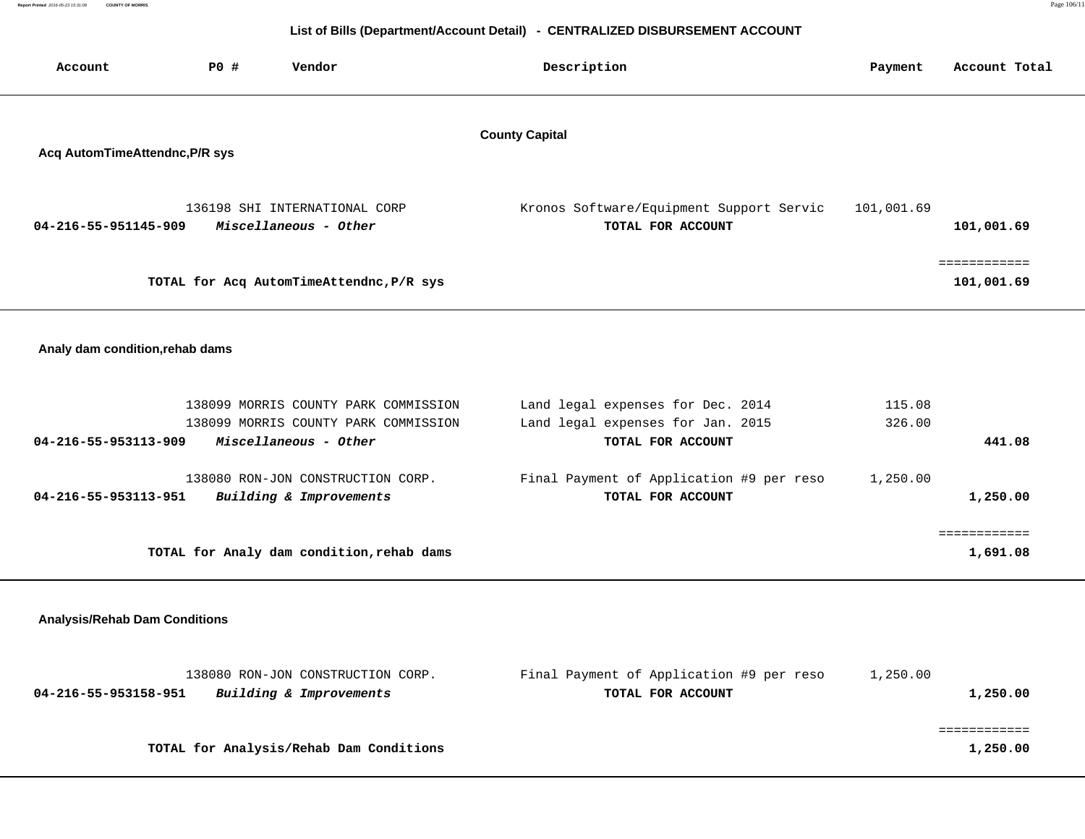| Account                              | PO#                                                     | Vendor                                                                                                | Description                                                                                 | Payment          | Account Total              |  |  |
|--------------------------------------|---------------------------------------------------------|-------------------------------------------------------------------------------------------------------|---------------------------------------------------------------------------------------------|------------------|----------------------------|--|--|
|                                      | <b>County Capital</b><br>Acq AutomTimeAttendnc, P/R sys |                                                                                                       |                                                                                             |                  |                            |  |  |
| 04-216-55-951145-909                 |                                                         | 136198 SHI INTERNATIONAL CORP<br>Miscellaneous - Other                                                | Kronos Software/Equipment Support Servic<br>TOTAL FOR ACCOUNT                               | 101,001.69       | 101,001.69                 |  |  |
|                                      |                                                         | TOTAL for Acq AutomTimeAttendnc, P/R sys                                                              |                                                                                             |                  | ============<br>101,001.69 |  |  |
| Analy dam condition, rehab dams      |                                                         |                                                                                                       |                                                                                             |                  |                            |  |  |
| 04-216-55-953113-909                 |                                                         | 138099 MORRIS COUNTY PARK COMMISSION<br>138099 MORRIS COUNTY PARK COMMISSION<br>Miscellaneous - Other | Land legal expenses for Dec. 2014<br>Land legal expenses for Jan. 2015<br>TOTAL FOR ACCOUNT | 115.08<br>326.00 | 441.08                     |  |  |
| 04-216-55-953113-951                 |                                                         | 138080 RON-JON CONSTRUCTION CORP.<br>Building & Improvements                                          | Final Payment of Application #9 per reso<br>TOTAL FOR ACCOUNT                               | 1,250.00         | 1,250.00                   |  |  |
|                                      |                                                         | TOTAL for Analy dam condition, rehab dams                                                             |                                                                                             |                  | ============<br>1,691.08   |  |  |
| <b>Analysis/Rehab Dam Conditions</b> |                                                         |                                                                                                       |                                                                                             |                  |                            |  |  |
| 04-216-55-953158-951                 |                                                         | 138080 RON-JON CONSTRUCTION CORP.<br>Building & Improvements                                          | Final Payment of Application #9 per reso<br>TOTAL FOR ACCOUNT                               | 1,250.00         | 1,250.00                   |  |  |

**TOTAL for Analysis/Rehab Dam Conditions 1,250.00**

============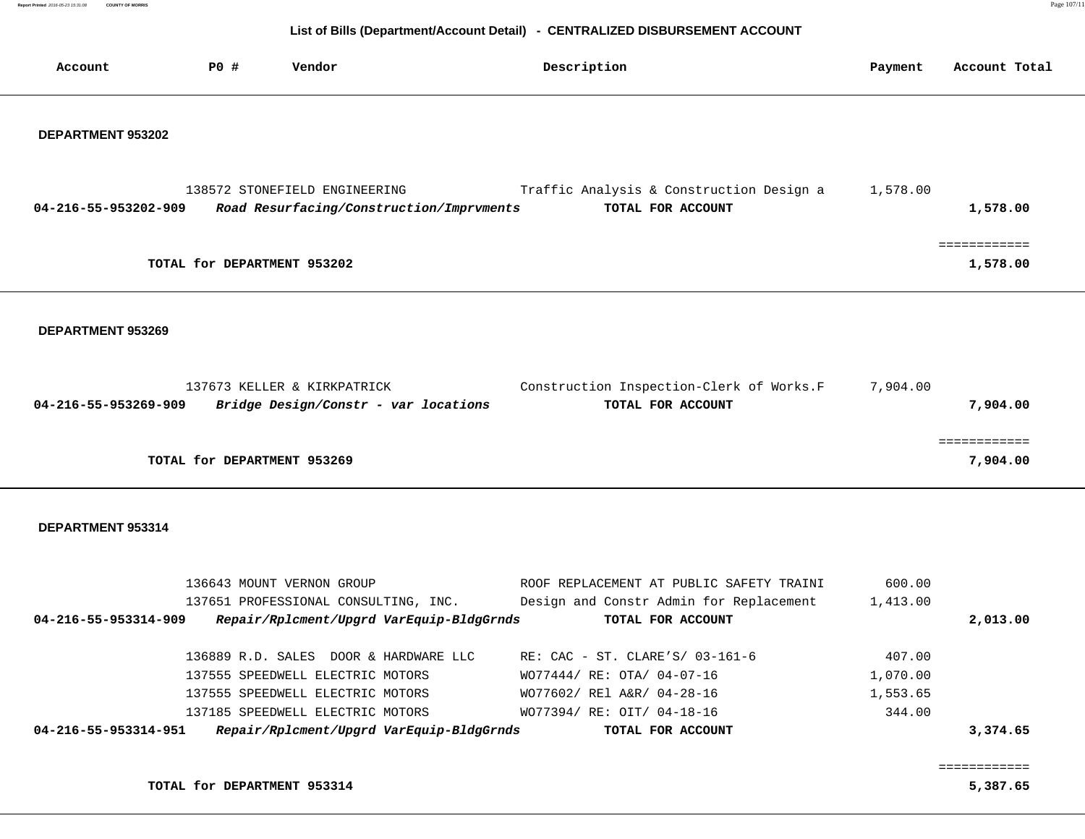**Report Printed** 2016-05-23 15:31:08 **COUNTY OF MORRIS** Page 107/118

## **List of Bills (Department/Account Detail) - CENTRALIZED DISBURSEMENT ACCOUNT**

| Account                     | <b>PO #</b> | Vendor                                                                           |  | Description                |                                                               |  | Payment  | Account Total |  |
|-----------------------------|-------------|----------------------------------------------------------------------------------|--|----------------------------|---------------------------------------------------------------|--|----------|---------------|--|
| DEPARTMENT 953202           |             |                                                                                  |  |                            |                                                               |  |          |               |  |
| 04-216-55-953202-909        |             | 138572 STONEFIELD ENGINEERING<br>Road Resurfacing/Construction/Imprvments        |  |                            | Traffic Analysis & Construction Design a<br>TOTAL FOR ACCOUNT |  | 1,578.00 | 1,578.00      |  |
| TOTAL for DEPARTMENT 953202 |             |                                                                                  |  |                            |                                                               |  |          |               |  |
| DEPARTMENT 953269           |             |                                                                                  |  |                            |                                                               |  |          |               |  |
| 04-216-55-953269-909        |             | 137673 KELLER & KIRKPATRICK<br>Bridge Design/Constr - var locations              |  |                            | Construction Inspection-Clerk of Works.F<br>TOTAL FOR ACCOUNT |  | 7,904.00 | 7,904.00      |  |
| TOTAL for DEPARTMENT 953269 |             |                                                                                  |  |                            |                                                               |  |          | 7,904.00      |  |
| DEPARTMENT 953314           |             |                                                                                  |  |                            |                                                               |  |          |               |  |
|                             |             | 136643 MOUNT VERNON GROUP                                                        |  |                            | ROOF REPLACEMENT AT PUBLIC SAFETY TRAINI                      |  | 600.00   |               |  |
| 04-216-55-953314-909        |             | 137651 PROFESSIONAL CONSULTING, INC.<br>Repair/Rplcment/Upgrd VarEquip-BldgGrnds |  |                            | Design and Constr Admin for Replacement<br>TOTAL FOR ACCOUNT  |  | 1,413.00 | 2,013.00      |  |
|                             |             | 136889 R.D. SALES DOOR & HARDWARE LLC                                            |  |                            | RE: CAC - ST. CLARE'S/ 03-161-6                               |  | 407.00   |               |  |
|                             |             | 137555 SPEEDWELL ELECTRIC MOTORS                                                 |  | WO77444/ RE: OTA/ 04-07-16 |                                                               |  | 1,070.00 |               |  |
|                             |             | 137555 SPEEDWELL ELECTRIC MOTORS                                                 |  | WO77602/ REl A&R/ 04-28-16 |                                                               |  | 1,553.65 |               |  |
|                             |             | 137185 SPEEDWELL ELECTRIC MOTORS                                                 |  | WO77394/ RE: OIT/ 04-18-16 |                                                               |  | 344.00   |               |  |
| 04-216-55-953314-951        |             | Repair/Rplcment/Upgrd VarEquip-BldgGrnds                                         |  |                            | TOTAL FOR ACCOUNT                                             |  |          | 3,374.65      |  |
|                             |             |                                                                                  |  |                            |                                                               |  |          |               |  |

**TOTAL for DEPARTMENT 953314** 5,387.65

============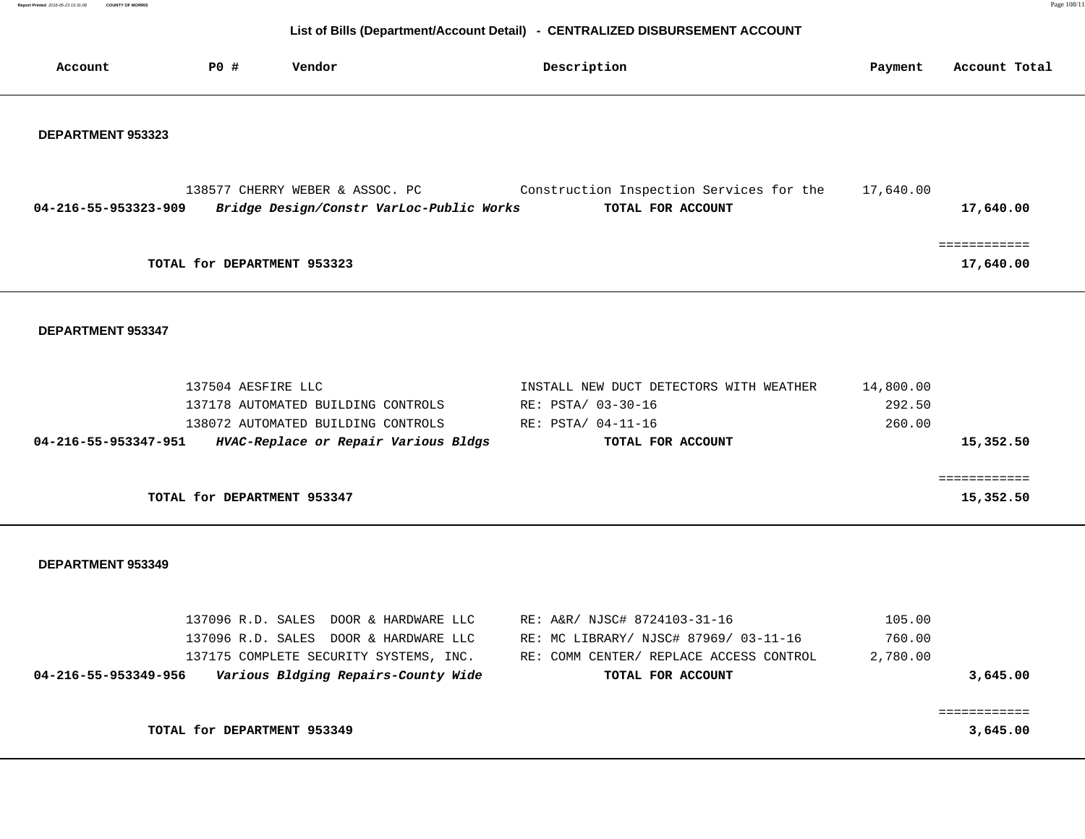**Report Primed 2016-05-23 15:31:08 COUNTY OF MORRIS COUNTY OF MORRIS** 

| Account                                     | <b>PO #</b>                 | Vendor                                                                                                                                                          |  | Description                                                                                                                           |  | Payment                       | Account Total             |  |  |
|---------------------------------------------|-----------------------------|-----------------------------------------------------------------------------------------------------------------------------------------------------------------|--|---------------------------------------------------------------------------------------------------------------------------------------|--|-------------------------------|---------------------------|--|--|
| DEPARTMENT 953323                           |                             |                                                                                                                                                                 |  |                                                                                                                                       |  |                               |                           |  |  |
| 04-216-55-953323-909                        |                             | 138577 CHERRY WEBER & ASSOC. PC<br>Bridge Design/Constr VarLoc-Public Works                                                                                     |  | Construction Inspection Services for the<br>TOTAL FOR ACCOUNT                                                                         |  | 17,640.00                     | 17,640.00                 |  |  |
| ============<br>TOTAL for DEPARTMENT 953323 |                             |                                                                                                                                                                 |  |                                                                                                                                       |  |                               |                           |  |  |
| DEPARTMENT 953347                           |                             |                                                                                                                                                                 |  |                                                                                                                                       |  |                               |                           |  |  |
| 04-216-55-953347-951                        | 137504 AESFIRE LLC          | 137178 AUTOMATED BUILDING CONTROLS<br>138072 AUTOMATED BUILDING CONTROLS<br>HVAC-Replace or Repair Various Bldgs                                                |  | INSTALL NEW DUCT DETECTORS WITH WEATHER<br>RE: PSTA/ 03-30-16<br>RE: PSTA/ 04-11-16<br>TOTAL FOR ACCOUNT                              |  | 14,800.00<br>292.50<br>260.00 | 15,352.50                 |  |  |
|                                             | TOTAL for DEPARTMENT 953347 |                                                                                                                                                                 |  |                                                                                                                                       |  |                               | ============<br>15,352.50 |  |  |
| DEPARTMENT 953349                           |                             |                                                                                                                                                                 |  |                                                                                                                                       |  |                               |                           |  |  |
| 04-216-55-953349-956                        |                             | 137096 R.D. SALES DOOR & HARDWARE LLC<br>137096 R.D. SALES DOOR & HARDWARE LLC<br>137175 COMPLETE SECURITY SYSTEMS, INC.<br>Various Bldging Repairs-County Wide |  | RE: A&R/ NJSC# 8724103-31-16<br>RE: MC LIBRARY/ NJSC# 87969/ 03-11-16<br>RE: COMM CENTER/ REPLACE ACCESS CONTROL<br>TOTAL FOR ACCOUNT |  | 105.00<br>760.00<br>2,780.00  | 3,645.00                  |  |  |
|                                             | TOTAL for DEPARTMENT 953349 |                                                                                                                                                                 |  |                                                                                                                                       |  |                               | ============<br>3,645.00  |  |  |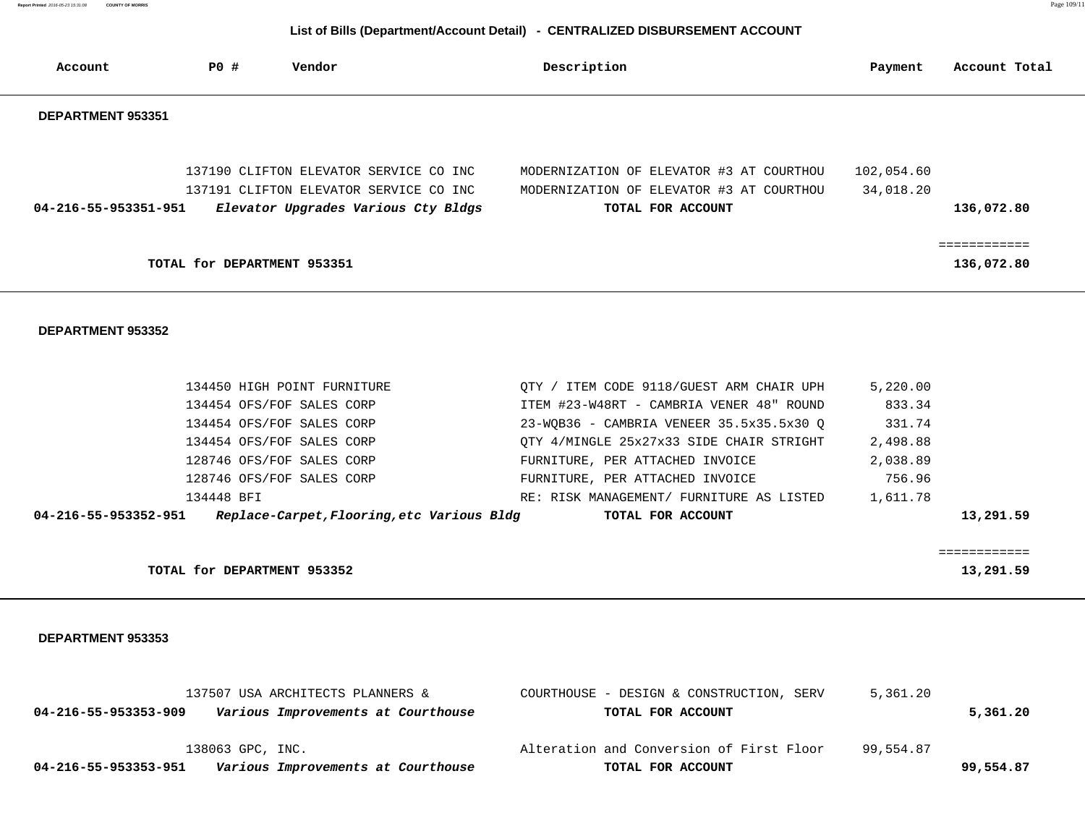# **List of Bills (Department/Account Detail) - CENTRALIZED DISBURSEMENT ACCOUNT**

| Account              | PO #                        | Vendor                                                                                                                  | Description                                                                                               | Payment                 | Account Total             |
|----------------------|-----------------------------|-------------------------------------------------------------------------------------------------------------------------|-----------------------------------------------------------------------------------------------------------|-------------------------|---------------------------|
| DEPARTMENT 953351    |                             |                                                                                                                         |                                                                                                           |                         |                           |
| 04-216-55-953351-951 |                             | 137190 CLIFTON ELEVATOR SERVICE CO INC<br>137191 CLIFTON ELEVATOR SERVICE CO INC<br>Elevator Upgrades Various Cty Bldgs | MODERNIZATION OF ELEVATOR #3 AT COURTHOU<br>MODERNIZATION OF ELEVATOR #3 AT COURTHOU<br>TOTAL FOR ACCOUNT | 102,054.60<br>34,018.20 | 136,072.80                |
|                      | TOTAL for DEPARTMENT 953351 |                                                                                                                         |                                                                                                           |                         | ===========<br>136,072.80 |

#### **DEPARTMENT 953352**

|                      | 134450 HIGH POINT FURNITURE                | OTY / ITEM CODE 9118/GUEST ARM CHAIR UPH | 5,220.00 |           |
|----------------------|--------------------------------------------|------------------------------------------|----------|-----------|
|                      | 134454 OFS/FOF SALES CORP                  | ITEM #23-W48RT - CAMBRIA VENER 48" ROUND | 833.34   |           |
|                      | 134454 OFS/FOF SALES CORP                  | 23-WQB36 - CAMBRIA VENEER 35.5x35.5x30 Q | 331.74   |           |
|                      | 134454 OFS/FOF SALES CORP                  | QTY 4/MINGLE 25x27x33 SIDE CHAIR STRIGHT | 2,498.88 |           |
|                      | 128746 OFS/FOF SALES CORP                  | FURNITURE, PER ATTACHED INVOICE          | 2,038.89 |           |
|                      | 128746 OFS/FOF SALES CORP                  | FURNITURE, PER ATTACHED INVOICE          | 756.96   |           |
| 134448 BFI           |                                            | RE: RISK MANAGEMENT/ FURNITURE AS LISTED | 1,611.78 |           |
| 04-216-55-953352-951 | Replace-Carpet, Flooring, etc Various Bldg | TOTAL FOR ACCOUNT                        |          | 13,291.59 |
|                      |                                            |                                          |          |           |

|                                                      | ____________<br>------------ |
|------------------------------------------------------|------------------------------|
| 953352<br>TOTAL <i>f</i><br><b>DEPARTMENT</b><br>for | $-291.59$<br>$\sim$          |

| 137507 USA ARCHITECTS PLANNERS &                           | 5,361.20<br>COURTHOUSE - DESIGN & CONSTRUCTION, SERV  |           |
|------------------------------------------------------------|-------------------------------------------------------|-----------|
| 04-216-55-953353-909<br>Various Improvements at Courthouse | TOTAL FOR ACCOUNT                                     | 5,361.20  |
|                                                            |                                                       |           |
| 138063 GPC, INC.                                           | Alteration and Conversion of First Floor<br>99,554.87 |           |
| Various Improvements at Courthouse<br>04-216-55-953353-951 | TOTAL FOR ACCOUNT                                     | 99,554.87 |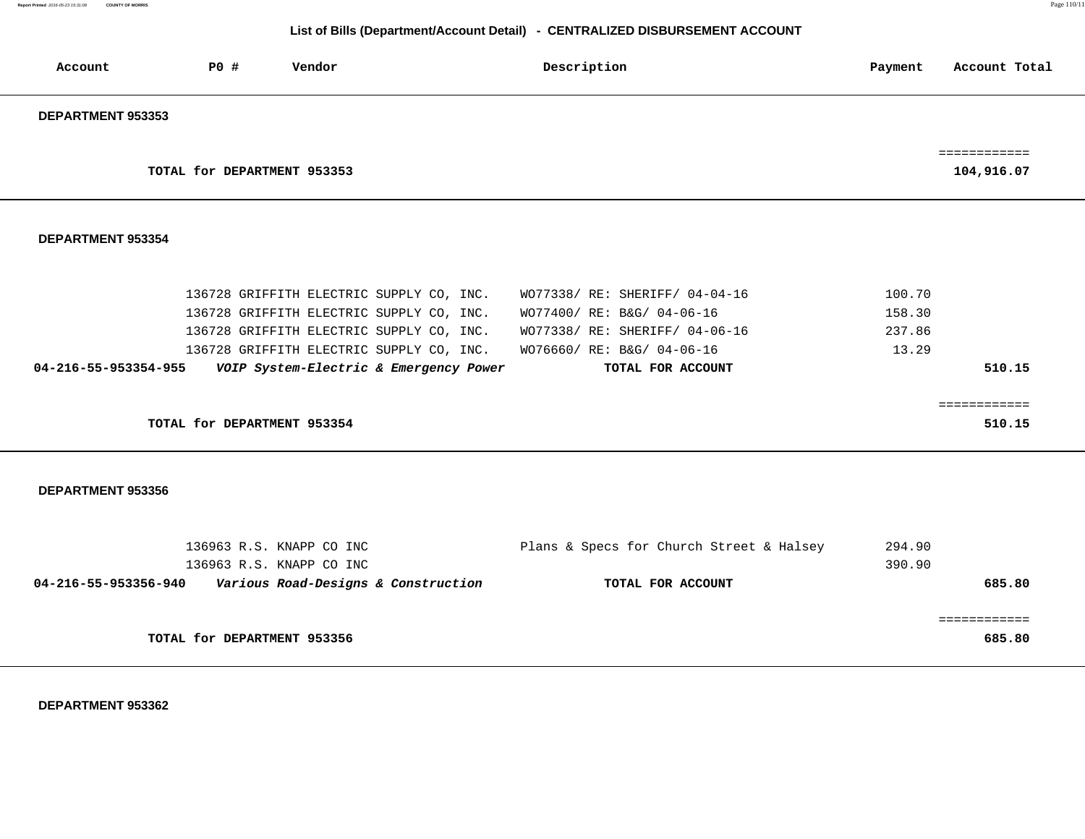## **List of Bills (Department/Account Detail) - CENTRALIZED DISBURSEMENT ACCOUNT**

| Account              | <b>PO #</b>                 | Vendor                              |                                          | Description                              | Payment | Account Total              |
|----------------------|-----------------------------|-------------------------------------|------------------------------------------|------------------------------------------|---------|----------------------------|
| DEPARTMENT 953353    |                             |                                     |                                          |                                          |         |                            |
|                      | TOTAL for DEPARTMENT 953353 |                                     |                                          |                                          |         | ============<br>104,916.07 |
| DEPARTMENT 953354    |                             |                                     |                                          |                                          |         |                            |
|                      |                             |                                     | 136728 GRIFFITH ELECTRIC SUPPLY CO, INC. | WO77338/ RE: SHERIFF/ 04-04-16           | 100.70  |                            |
|                      |                             |                                     | 136728 GRIFFITH ELECTRIC SUPPLY CO, INC. | WO77400/ RE: B&G/ 04-06-16               | 158.30  |                            |
|                      |                             |                                     | 136728 GRIFFITH ELECTRIC SUPPLY CO, INC. | WO77338/ RE: SHERIFF/ 04-06-16           | 237.86  |                            |
|                      |                             |                                     | 136728 GRIFFITH ELECTRIC SUPPLY CO, INC. | WO76660/ RE: B&G/ 04-06-16               | 13.29   |                            |
| 04-216-55-953354-955 |                             |                                     | VOIP System-Electric & Emergency Power   | TOTAL FOR ACCOUNT                        |         | 510.15                     |
|                      | TOTAL for DEPARTMENT 953354 |                                     |                                          |                                          |         | ============<br>510.15     |
|                      |                             |                                     |                                          |                                          |         |                            |
| DEPARTMENT 953356    |                             |                                     |                                          |                                          |         |                            |
|                      |                             | 136963 R.S. KNAPP CO INC            |                                          | Plans & Specs for Church Street & Halsey | 294.90  |                            |
|                      |                             | 136963 R.S. KNAPP CO INC            |                                          |                                          | 390.90  |                            |
| 04-216-55-953356-940 |                             | Various Road-Designs & Construction |                                          | TOTAL FOR ACCOUNT                        |         | 685.80                     |
|                      |                             |                                     |                                          |                                          |         | ============               |
|                      | TOTAL for DEPARTMENT 953356 |                                     |                                          |                                          |         | 685.80                     |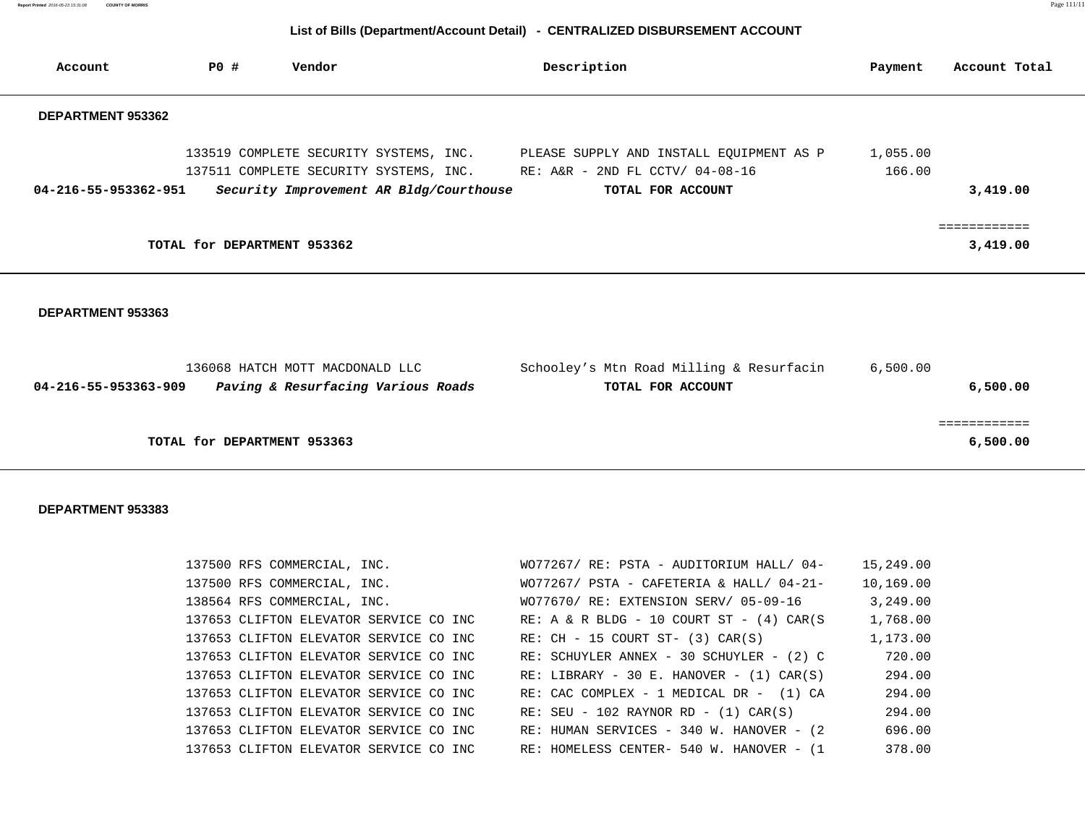| Report Printed 2016-05-23 15:31:08 COUNTY OF MORRIS | . |
|-----------------------------------------------------|---|
|                                                     |   |

## **List of Bills (Department/Account Detail) - CENTRALIZED DISBURSEMENT ACCOUNT**

| Account                        | P0 #                        | Vendor                                                                | Description                                                                                                                                                                    | Payment            | Account Total            |
|--------------------------------|-----------------------------|-----------------------------------------------------------------------|--------------------------------------------------------------------------------------------------------------------------------------------------------------------------------|--------------------|--------------------------|
| DEPARTMENT 953362              |                             |                                                                       |                                                                                                                                                                                |                    |                          |
| 04-216-55-953362-951           |                             | Security Improvement AR Bldg/Courthouse                               | 133519 COMPLETE SECURITY SYSTEMS, INC. PLEASE SUPPLY AND INSTALL EQUIPMENT AS P<br>137511 COMPLETE SECURITY SYSTEMS, INC. RE: A&R - 2ND FL CCTV/ 04-08-16<br>TOTAL FOR ACCOUNT | 1,055.00<br>166.00 | 3,419.00                 |
|                                | TOTAL for DEPARTMENT 953362 |                                                                       |                                                                                                                                                                                |                    | ============<br>3,419.00 |
| DEPARTMENT 953363              |                             |                                                                       |                                                                                                                                                                                |                    |                          |
| $04 - 216 - 55 - 953363 - 909$ |                             | 136068 HATCH MOTT MACDONALD LLC<br>Paving & Resurfacing Various Roads | Schooley's Mtn Road Milling & Resurfacin<br>TOTAL FOR ACCOUNT                                                                                                                  | 6,500.00           | 6,500.00                 |
|                                | TOTAL for DEPARTMENT 953363 |                                                                       |                                                                                                                                                                                |                    | ============<br>6,500.00 |

| 137500 RFS COMMERCIAL, INC.            | WO77267/ RE: PSTA - AUDITORIUM HALL/ 04-       | 15,249.00 |
|----------------------------------------|------------------------------------------------|-----------|
| 137500 RFS COMMERCIAL, INC.            | $WO77267/$ PSTA - CAFETERIA & HALL/ 04-21-     | 10,169.00 |
| 138564 RFS COMMERCIAL, INC.            | WO77670/ RE: EXTENSION SERV/ 05-09-16          | 3,249.00  |
| 137653 CLIFTON ELEVATOR SERVICE CO INC | RE: A & R BLDG - 10 COURT ST - $(4)$ CAR $(S)$ | 1,768.00  |
| 137653 CLIFTON ELEVATOR SERVICE CO INC | RE: $CH - 15$ COURT ST- $(3)$ CAR $(S)$        | 1,173.00  |
| 137653 CLIFTON ELEVATOR SERVICE CO INC | RE: SCHUYLER ANNEX - 30 SCHUYLER - (2) C       | 720.00    |
| 137653 CLIFTON ELEVATOR SERVICE CO INC | $RE: LIBRARY - 30 E. HANOVER - (1) CAR(S)$     | 294.00    |
| 137653 CLIFTON ELEVATOR SERVICE CO INC | $RE: CAC COMPLEX - 1 MEDICAL DR - (1) CA$      | 294.00    |
| 137653 CLIFTON ELEVATOR SERVICE CO INC | RE: $SEU - 102$ RAYNOR RD - $(1)$ CAR $(S)$    | 294.00    |
| 137653 CLIFTON ELEVATOR SERVICE CO INC | RE: HUMAN SERVICES - 340 W. HANOVER - (2       | 696.00    |
| 137653 CLIFTON ELEVATOR SERVICE CO INC | RE: HOMELESS CENTER- 540 W. HANOVER - (1       | 378.00    |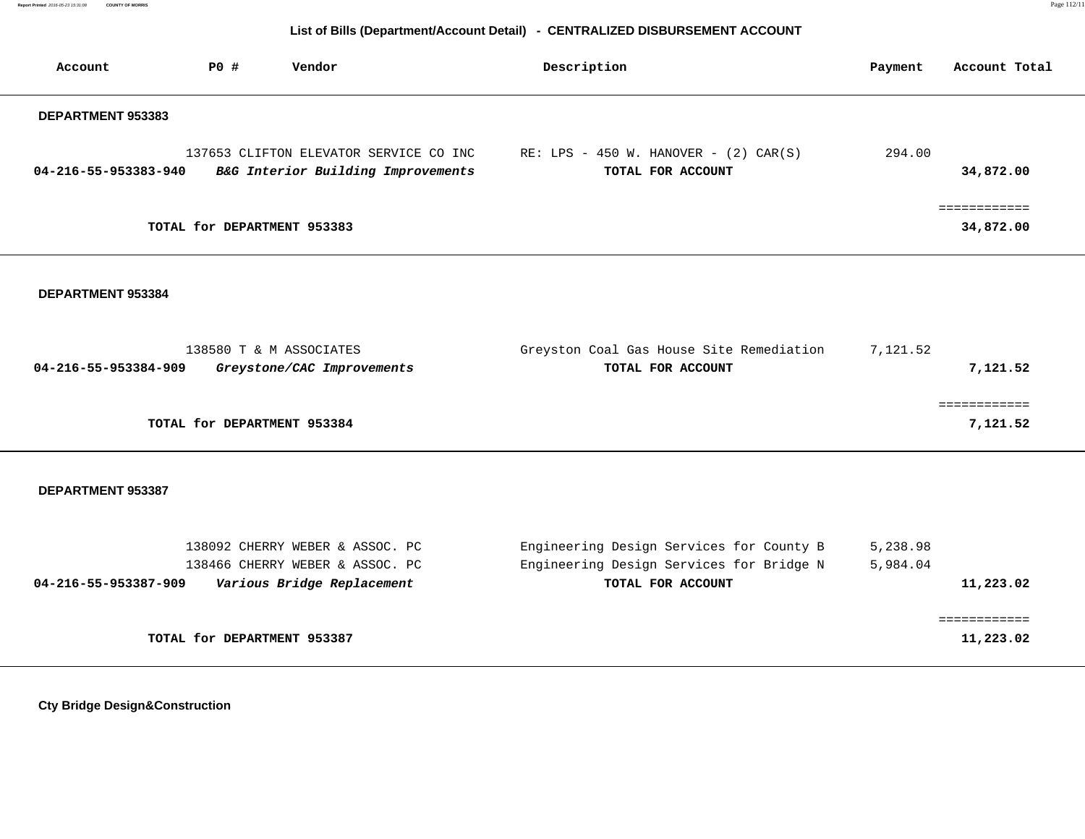### **List of Bills (Department/Account Detail) - CENTRALIZED DISBURSEMENT ACCOUNT**

| Account              | <b>PO #</b>                 | Vendor                                                                       | Description                                                     | Payment | Account Total             |
|----------------------|-----------------------------|------------------------------------------------------------------------------|-----------------------------------------------------------------|---------|---------------------------|
| DEPARTMENT 953383    |                             |                                                                              |                                                                 |         |                           |
| 04-216-55-953383-940 |                             | 137653 CLIFTON ELEVATOR SERVICE CO INC<br>B&G Interior Building Improvements | RE: LPS - 450 W. HANOVER - $(2)$ CAR $(S)$<br>TOTAL FOR ACCOUNT | 294.00  | 34,872.00                 |
|                      | TOTAL for DEPARTMENT 953383 |                                                                              |                                                                 |         | ============<br>34,872.00 |
| DEPARTMENT 953384    |                             |                                                                              |                                                                 |         |                           |

| 138580 T & M ASSOCIATES                            | Greyston Coal Gas House Site Remediation | 7,121.52 |  |
|----------------------------------------------------|------------------------------------------|----------|--|
| 04-216-55-953384-909<br>Greystone/CAC Improvements | TOTAL FOR ACCOUNT                        | 7,121.52 |  |
|                                                    |                                          |          |  |
|                                                    |                                          |          |  |
| TOTAL for DEPARTMENT 953384                        |                                          | 7,121.52 |  |
|                                                    |                                          |          |  |

### **DEPARTMENT 953387**

| 138092 CHERRY WEBER & ASSOC. PC                    | Engineering Design Services for County B | 5,238.98  |
|----------------------------------------------------|------------------------------------------|-----------|
| 138466 CHERRY WEBER & ASSOC. PC                    | Engineering Design Services for Bridge N | 5,984.04  |
| Various Bridge Replacement<br>04-216-55-953387-909 | TOTAL FOR ACCOUNT                        | 11,223.02 |
|                                                    |                                          |           |
|                                                    |                                          |           |
| TOTAL for DEPARTMENT 953387                        |                                          | 11,223.02 |
|                                                    |                                          |           |

 **Cty Bridge Design&Construction**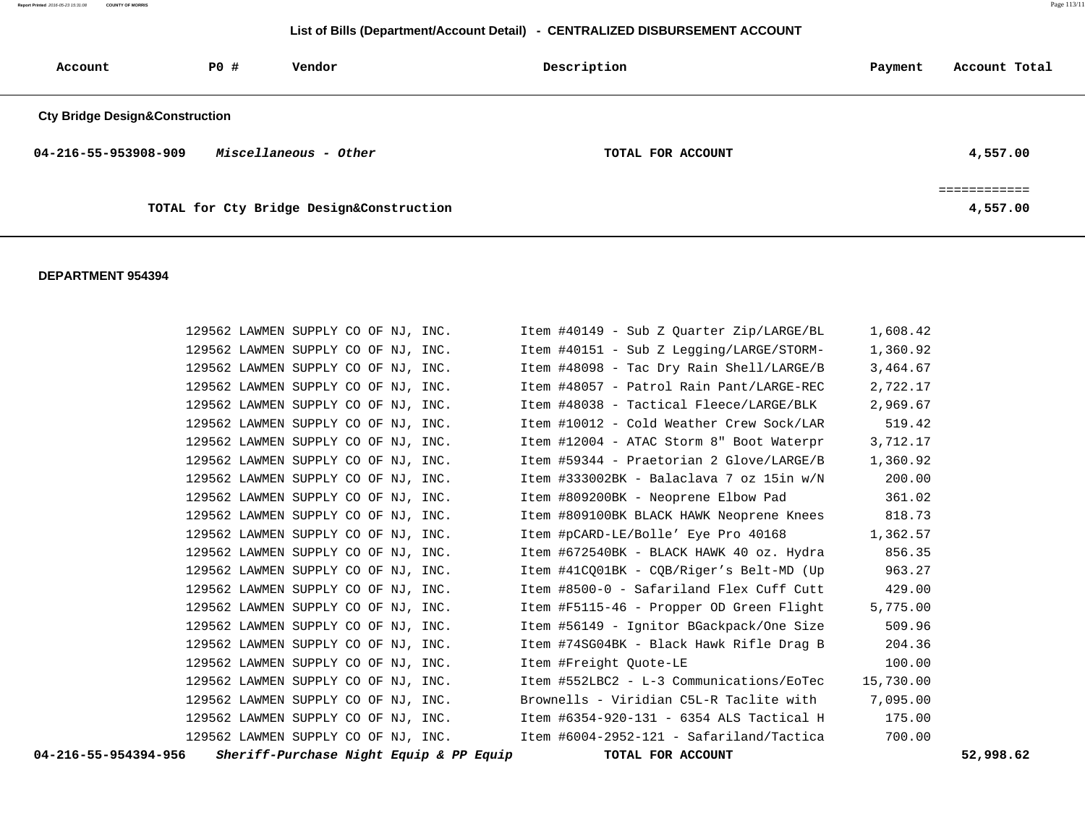### **List of Bills (Department/Account Detail) - CENTRALIZED DISBURSEMENT ACCOUNT**

| Account                                   | <b>PO #</b> | Vendor                                   | Description       | Payment | Account Total |
|-------------------------------------------|-------------|------------------------------------------|-------------------|---------|---------------|
| <b>Cty Bridge Design&amp;Construction</b> |             |                                          |                   |         |               |
| 04-216-55-953908-909                      |             | Miscellaneous - Other                    | TOTAL FOR ACCOUNT |         | 4,557.00      |
|                                           |             | TOTAL for Cty Bridge Design&Construction |                   |         | 4,557.00      |

| 04-216-55-954394-956 |  | Sheriff-Purchase Night Equip & PP Equip | TOTAL FOR ACCOUNT                                                                     |           | 52,998.62 |
|----------------------|--|-----------------------------------------|---------------------------------------------------------------------------------------|-----------|-----------|
|                      |  |                                         | 129562 LAWMEN SUPPLY CO OF NJ, INC. Item #6004-2952-121 - Safariland/Tactica          | 700.00    |           |
|                      |  | 129562 LAWMEN SUPPLY CO OF NJ, INC.     | Item #6354-920-131 - 6354 ALS Tactical H 175.00                                       |           |           |
|                      |  | 129562 LAWMEN SUPPLY CO OF NJ, INC.     | Brownells - Viridian C5L-R Taclite with 7,095.00                                      |           |           |
|                      |  | 129562 LAWMEN SUPPLY CO OF NJ, INC.     | Item #552LBC2 - L-3 Communications/EoTec                                              | 15,730.00 |           |
|                      |  | 129562 LAWMEN SUPPLY CO OF NJ, INC.     | Item #Freight Ouote-LE                                                                | 100.00    |           |
|                      |  |                                         | 129562 LAWMEN SUPPLY CO OF NJ, INC. Them #74SG04BK - Black Hawk Rifle Drag B          | 204.36    |           |
|                      |  | 129562 LAWMEN SUPPLY CO OF NJ, INC.     | Item #56149 - Iqnitor BGackpack/One Size                                              | 509.96    |           |
|                      |  | 129562 LAWMEN SUPPLY CO OF NJ, INC.     | Item #F5115-46 - Propper OD Green Flight                                              | 5,775.00  |           |
|                      |  | 129562 LAWMEN SUPPLY CO OF NJ, INC.     | Item #8500-0 - Safariland Flex Cuff Cutt 429.00                                       |           |           |
|                      |  | 129562 LAWMEN SUPPLY CO OF NJ, INC.     | Item #41CO01BK - COB/Riger's Belt-MD (Up                                              | 963.27    |           |
|                      |  |                                         | 129562 LAWMEN SUPPLY CO OF NJ, INC.          Item #672540BK - BLACK HAWK 40 oz. Hydra | 856.35    |           |
|                      |  | 129562 LAWMEN SUPPLY CO OF NJ, INC.     | Item #pCARD-LE/Bolle' Eye Pro 40168                                                   | 1,362.57  |           |
|                      |  |                                         | 129562 LAWMEN SUPPLY CO OF NJ, INC. Item #809100BK BLACK HAWK Neoprene Knees          | 818.73    |           |
|                      |  | 129562 LAWMEN SUPPLY CO OF NJ, INC.     | Item #809200BK - Neoprene Elbow Pad                                                   | 361.02    |           |
|                      |  | 129562 LAWMEN SUPPLY CO OF NJ, INC.     | Item #333002BK - Balaclava 7 oz 15in w/N                                              | 200.00    |           |
|                      |  | 129562 LAWMEN SUPPLY CO OF NJ, INC.     | Item #59344 - Praetorian 2 Glove/LARGE/B                                              | 1,360.92  |           |
|                      |  | 129562 LAWMEN SUPPLY CO OF NJ, INC.     | Item #12004 - ATAC Storm 8" Boot Waterpr                                              | 3,712.17  |           |
|                      |  | 129562 LAWMEN SUPPLY CO OF NJ, INC.     | Item #10012 - Cold Weather Crew Sock/LAR                                              | 519.42    |           |
|                      |  | 129562 LAWMEN SUPPLY CO OF NJ, INC.     | Item #48038 - Tactical Fleece/LARGE/BLK                                               | 2,969.67  |           |
|                      |  |                                         | 129562 LAWMEN SUPPLY CO OF NJ, INC. Them #48057 - Patrol Rain Pant/LARGE-REC          | 2,722.17  |           |
|                      |  | 129562 LAWMEN SUPPLY CO OF NJ, INC.     | Item #48098 - Tac Dry Rain Shell/LARGE/B                                              | 3,464.67  |           |
|                      |  | 129562 LAWMEN SUPPLY CO OF NJ, INC.     | Item #40151 - Sub Z Legging/LARGE/STORM-                                              | 1,360.92  |           |
|                      |  |                                         | 129562 LAWMEN SUPPLY COOF NJ, INC. Them #40149 - Sub Z Quarter Zip/LARGE/BL 1,608.42  |           |           |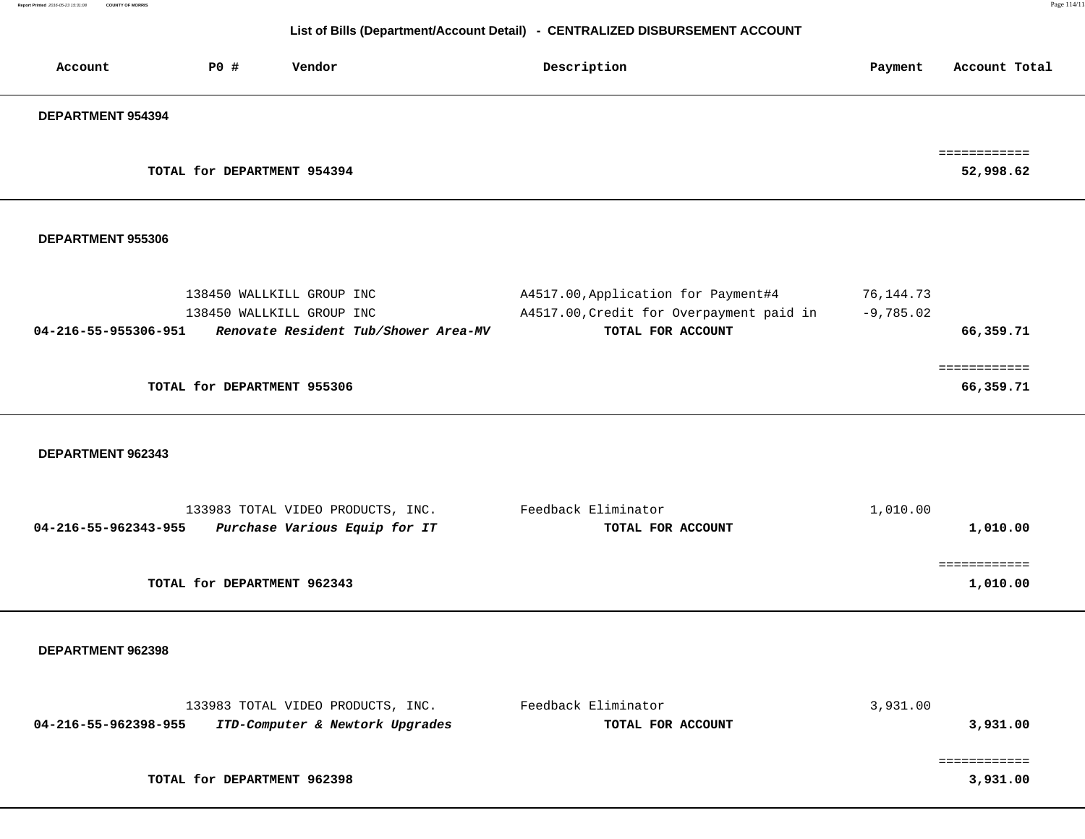# **List of Bills (Department/Account Detail) - CENTRALIZED DISBURSEMENT ACCOUNT**

| Account              | <b>PO #</b>                 | Vendor                                                                                         | Description                                                                                          | Payment                  | Account Total             |
|----------------------|-----------------------------|------------------------------------------------------------------------------------------------|------------------------------------------------------------------------------------------------------|--------------------------|---------------------------|
| DEPARTMENT 954394    |                             |                                                                                                |                                                                                                      |                          |                           |
|                      | TOTAL for DEPARTMENT 954394 |                                                                                                |                                                                                                      |                          | ============<br>52,998.62 |
| DEPARTMENT 955306    |                             |                                                                                                |                                                                                                      |                          |                           |
| 04-216-55-955306-951 |                             | 138450 WALLKILL GROUP INC<br>138450 WALLKILL GROUP INC<br>Renovate Resident Tub/Shower Area-MV | A4517.00, Application for Payment#4<br>A4517.00, Credit for Overpayment paid in<br>TOTAL FOR ACCOUNT | 76,144.73<br>$-9,785.02$ | 66,359.71                 |
|                      | TOTAL for DEPARTMENT 955306 |                                                                                                |                                                                                                      |                          | ============<br>66,359.71 |
| DEPARTMENT 962343    |                             |                                                                                                |                                                                                                      |                          |                           |
| 04-216-55-962343-955 |                             | 133983 TOTAL VIDEO PRODUCTS, INC.<br>Purchase Various Equip for IT                             | Feedback Eliminator<br>TOTAL FOR ACCOUNT                                                             | 1,010.00                 | 1,010.00                  |
|                      | TOTAL for DEPARTMENT 962343 |                                                                                                |                                                                                                      |                          | ============<br>1,010.00  |
| DEPARTMENT 962398    |                             |                                                                                                |                                                                                                      |                          |                           |
| 04-216-55-962398-955 |                             | 133983 TOTAL VIDEO PRODUCTS, INC.<br>ITD-Computer & Newtork Upgrades                           | Feedback Eliminator<br>TOTAL FOR ACCOUNT                                                             | 3,931.00                 | 3,931.00                  |
|                      | TOTAL for DEPARTMENT 962398 |                                                                                                |                                                                                                      |                          | ============<br>3,931.00  |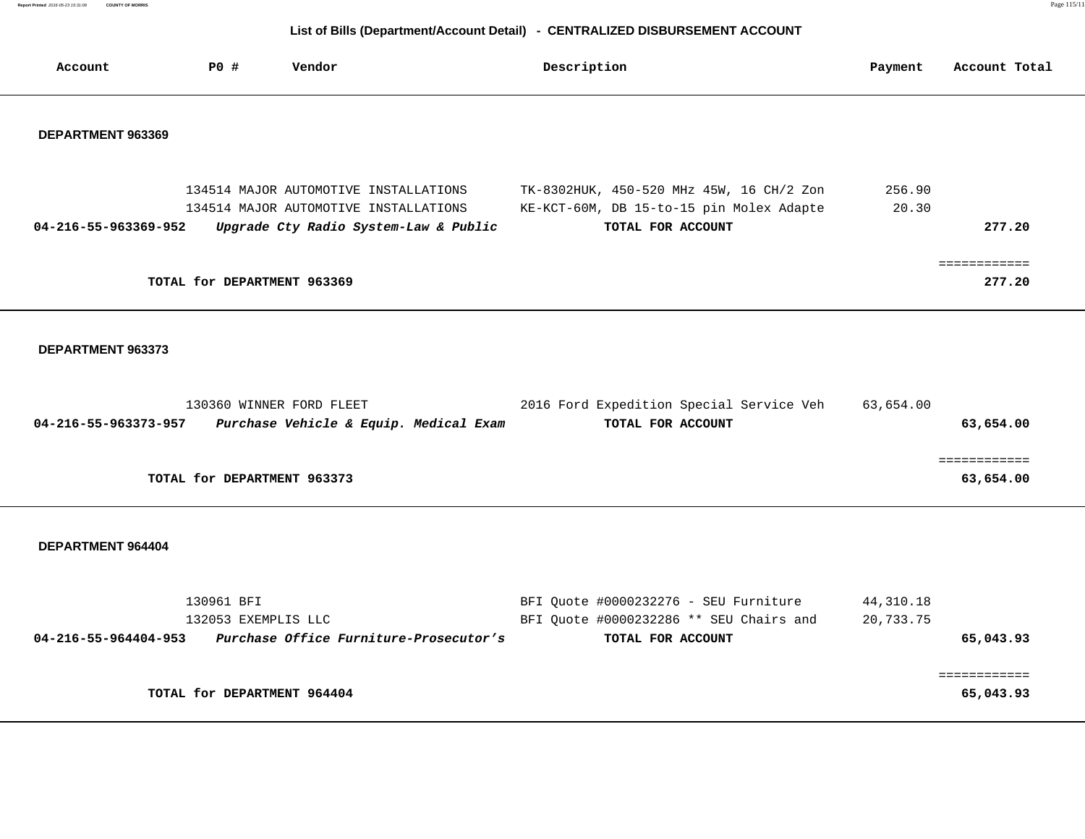# **List of Bills (Department/Account Detail) - CENTRALIZED DISBURSEMENT ACCOUNT**

| Account              | PO#                         | Vendor                                                                         | Description                                                   | Payment | Account Total |
|----------------------|-----------------------------|--------------------------------------------------------------------------------|---------------------------------------------------------------|---------|---------------|
| DEPARTMENT 963369    |                             |                                                                                |                                                               |         |               |
|                      |                             | 134514 MAJOR AUTOMOTIVE INSTALLATIONS                                          | TK-8302HUK, 450-520 MHz 45W, 16 CH/2 Zon                      | 256.90  |               |
| 04-216-55-963369-952 |                             | 134514 MAJOR AUTOMOTIVE INSTALLATIONS<br>Upgrade Cty Radio System-Law & Public | KE-KCT-60M, DB 15-to-15 pin Molex Adapte<br>TOTAL FOR ACCOUNT | 20.30   | 277.20        |
|                      | TOTAL for DEPARTMENT 963369 |                                                                                |                                                               |         | 277.20        |

### **DEPARTMENT 963373**

|                      | 130360 WINNER FORD FLEET               | 2016 Ford Expedition Special Service Veh | 63,654.00 |
|----------------------|----------------------------------------|------------------------------------------|-----------|
| 04-216-55-963373-957 | Purchase Vehicle & Equip. Medical Exam | TOTAL FOR ACCOUNT                        | 63,654.00 |
|                      |                                        |                                          |           |
|                      |                                        |                                          |           |
|                      | TOTAL for DEPARTMENT 963373            |                                          | 63,654.00 |

|                      | 130961 BFI                             | BFI Quote #0000232276 - SEU Furniture   | 44,310.18 |
|----------------------|----------------------------------------|-----------------------------------------|-----------|
|                      | 132053 EXEMPLIS LLC                    | BFI Ouote #0000232286 ** SEU Chairs and | 20,733.75 |
| 04-216-55-964404-953 | Purchase Office Furniture-Prosecutor's | TOTAL FOR ACCOUNT                       | 65,043.93 |
|                      |                                        |                                         |           |
|                      |                                        |                                         |           |
|                      | TOTAL for DEPARTMENT 964404            |                                         | 65,043.93 |
|                      |                                        |                                         |           |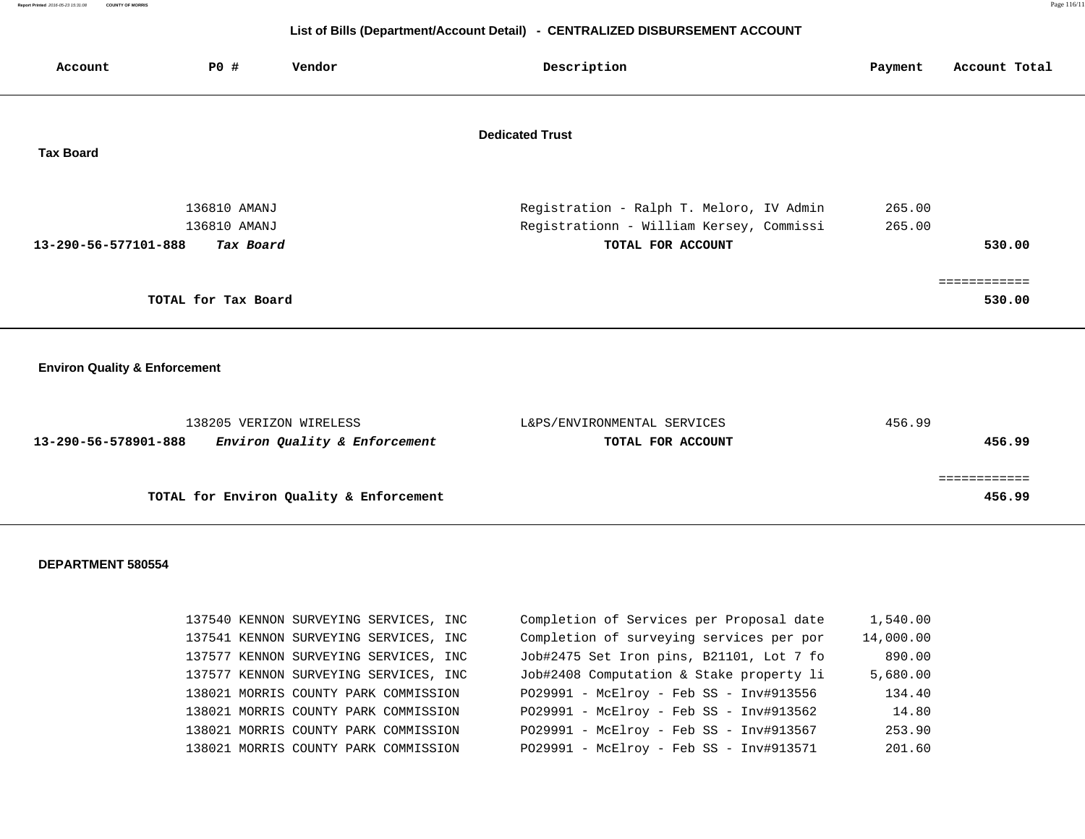### **List of Bills (Department/Account Detail) - CENTRALIZED DISBURSEMENT ACCOUNT**

| Account                                  | P0#                                       | Vendor                                                   | Description                                                                                               | Payment          | Account Total          |
|------------------------------------------|-------------------------------------------|----------------------------------------------------------|-----------------------------------------------------------------------------------------------------------|------------------|------------------------|
| <b>Tax Board</b>                         |                                           |                                                          | <b>Dedicated Trust</b>                                                                                    |                  |                        |
| 13-290-56-577101-888                     | 136810 AMANJ<br>136810 AMANJ<br>Tax Board |                                                          | Registration - Ralph T. Meloro, IV Admin<br>Registrationn - William Kersey, Commissi<br>TOTAL FOR ACCOUNT | 265.00<br>265.00 | 530.00                 |
|                                          | TOTAL for Tax Board                       |                                                          |                                                                                                           |                  | ============<br>530.00 |
| <b>Environ Quality &amp; Enforcement</b> |                                           |                                                          |                                                                                                           |                  |                        |
| 13-290-56-578901-888                     |                                           | 138205 VERIZON WIRELESS<br>Environ Quality & Enforcement | L&PS/ENVIRONMENTAL SERVICES<br>TOTAL FOR ACCOUNT                                                          | 456.99           | 456.99                 |
|                                          |                                           | TOTAL for Environ Quality & Enforcement                  |                                                                                                           |                  | ============<br>456.99 |

|  | 137540 KENNON SURVEYING SERVICES, INC | Completion of Services per Proposal date | 1,540.00  |
|--|---------------------------------------|------------------------------------------|-----------|
|  | 137541 KENNON SURVEYING SERVICES, INC | Completion of surveying services per por | 14,000.00 |
|  | 137577 KENNON SURVEYING SERVICES, INC | Job#2475 Set Iron pins, B21101, Lot 7 fo | 890.00    |
|  | 137577 KENNON SURVEYING SERVICES, INC | Job#2408 Computation & Stake property li | 5,680.00  |
|  | 138021 MORRIS COUNTY PARK COMMISSION  | P029991 - McElroy - Feb SS - Inv#913556  | 134.40    |
|  | 138021 MORRIS COUNTY PARK COMMISSION  | P029991 - McElroy - Feb SS - Inv#913562  | 14.80     |
|  | 138021 MORRIS COUNTY PARK COMMISSION  | P029991 - McElroy - Feb SS - Inv#913567  | 253.90    |
|  | 138021 MORRIS COUNTY PARK COMMISSION  | P029991 - McElroy - Feb SS - Inv#913571  | 201.60    |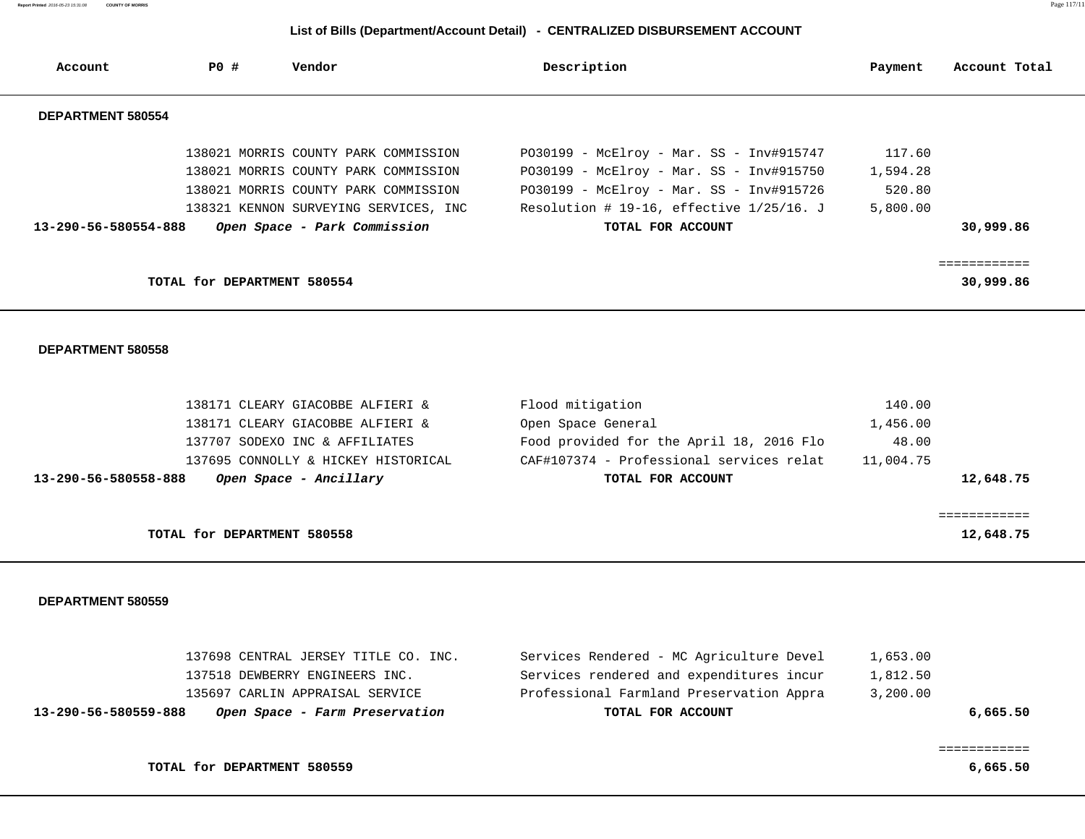## **List of Bills (Department/Account Detail) - CENTRALIZED DISBURSEMENT ACCOUNT**

| Account              | PO #                        | Vendor                                                                                                                                                                                        | Description                                                                                                                                                                                            | Payment                                  | Account Total             |
|----------------------|-----------------------------|-----------------------------------------------------------------------------------------------------------------------------------------------------------------------------------------------|--------------------------------------------------------------------------------------------------------------------------------------------------------------------------------------------------------|------------------------------------------|---------------------------|
| DEPARTMENT 580554    |                             |                                                                                                                                                                                               |                                                                                                                                                                                                        |                                          |                           |
| 13-290-56-580554-888 |                             | 138021 MORRIS COUNTY PARK COMMISSION<br>138021 MORRIS COUNTY PARK COMMISSION<br>138021 MORRIS COUNTY PARK COMMISSION<br>138321 KENNON SURVEYING SERVICES, INC<br>Open Space - Park Commission | $PO30199 - McElroy - Mar. SS - Inv#915747$<br>PO30199 - McElroy - Mar. SS - Inv#915750<br>PO30199 - McElroy - Mar. SS - Inv#915726<br>Resolution # 19-16, effective $1/25/16$ . J<br>TOTAL FOR ACCOUNT | 117.60<br>1,594.28<br>520.80<br>5,800.00 | 30,999.86                 |
|                      | TOTAL for DEPARTMENT 580554 |                                                                                                                                                                                               |                                                                                                                                                                                                        |                                          | :===========<br>30,999.86 |

#### **DEPARTMENT 580558**

| 138171 CLEARY GIACOBBE ALFIERI &               | Flood mitigation                         | 140.00    |
|------------------------------------------------|------------------------------------------|-----------|
| 138171 CLEARY GIACOBBE ALFIERI &               | Open Space General                       | 1,456.00  |
| 137707 SODEXO INC & AFFILIATES                 | Food provided for the April 18, 2016 Flo | 48.00     |
| 137695 CONNOLLY & HICKEY HISTORICAL            | CAF#107374 - Professional services relat | 11,004.75 |
| Open Space - Ancillary<br>13-290-56-580558-888 | TOTAL FOR ACCOUNT                        | 12,648.75 |
|                                                |                                          |           |
|                                                |                                          |           |
| TOTAL for DEPARTMENT 580558                    |                                          | 12,648.75 |
|                                                |                                          |           |

#### **DEPARTMENT 580559**

| 137698 CENTRAL JERSEY TITLE CO. INC.                   | Services Rendered - MC Agriculture Devel | 1,653.00 |
|--------------------------------------------------------|------------------------------------------|----------|
| 137518 DEWBERRY ENGINEERS INC.                         | Services rendered and expenditures incur | 1,812.50 |
| 135697 CARLIN APPRAISAL SERVICE                        | Professional Farmland Preservation Appra | 3,200.00 |
| Open Space - Farm Preservation<br>13-290-56-580559-888 | TOTAL FOR ACCOUNT                        | 6,665.50 |
|                                                        |                                          |          |

============